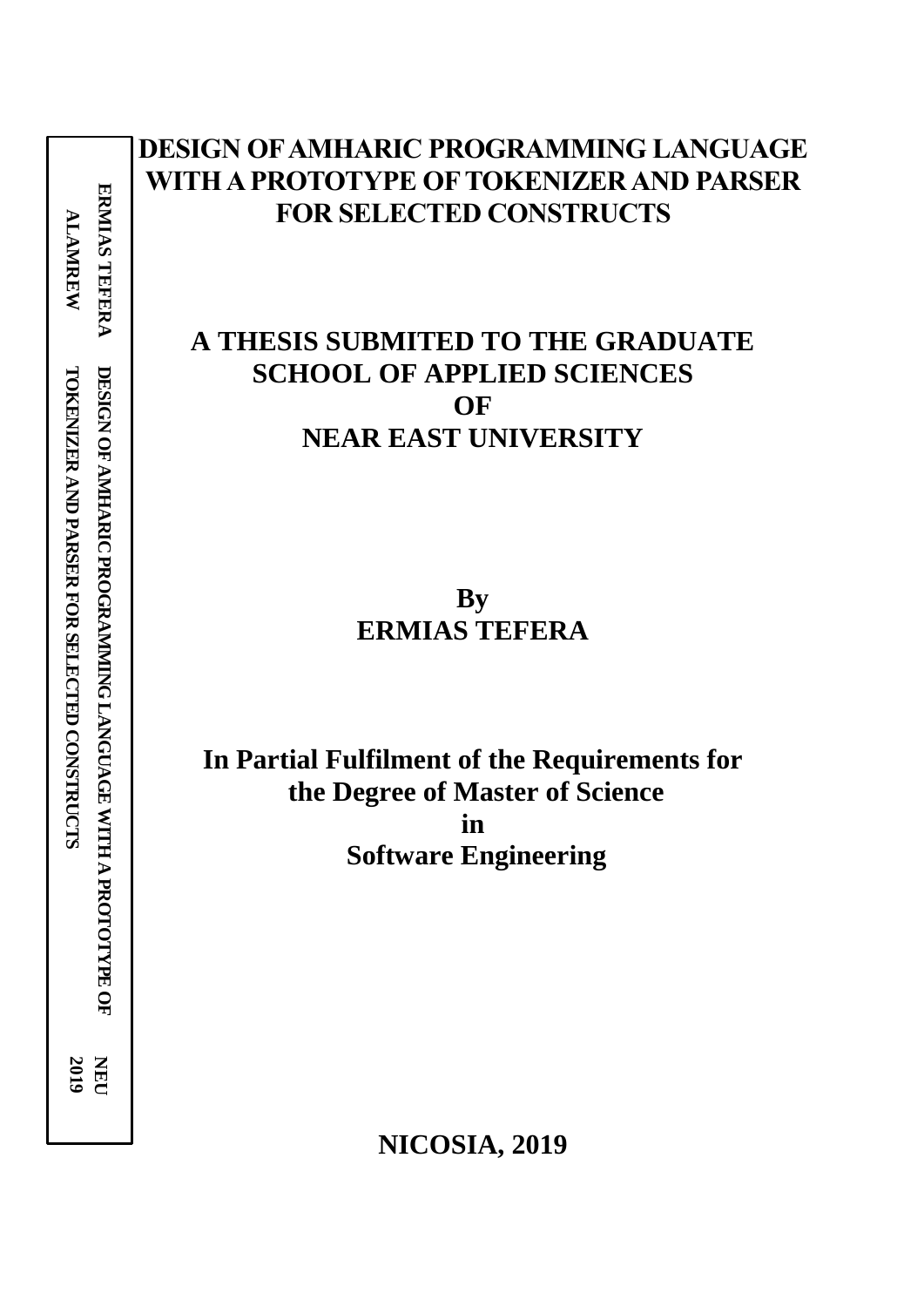**ERMIAS TEFERA ERMIAS TEFERA ALAMREW ALAMREW** DESIGN OF AMHARIC PROGRAMMING LANGUAGE WITH A PROTOTYPE OF **TOKENIZER AND PARSER FOR SELECTED CONSTRUCTS DESIGN OF AMHARIC PROGRAMMING LANGUAGE WITH A TOKENIZER AND PARSER FOR SELECTED CONSTRUCTS PROTOTYPE OF 2019 NEU** 

# **DESIGN OF AMHARIC PROGRAMMING LANGUAGE WITH A PROTOTYPE OF TOKENIZER AND PARSER FOR SELECTED CONSTRUCTS**

# **A THESIS SUBMITED TO THE GRADUATE SCHOOL OF APPLIED SCIENCES OF NEAR EAST UNIVERSITY**

**By ERMIAS TEFERA**

**In Partial Fulfilment of the Requirements for the Degree of Master of Science in Software Engineering**

**NICOSIA, 2019**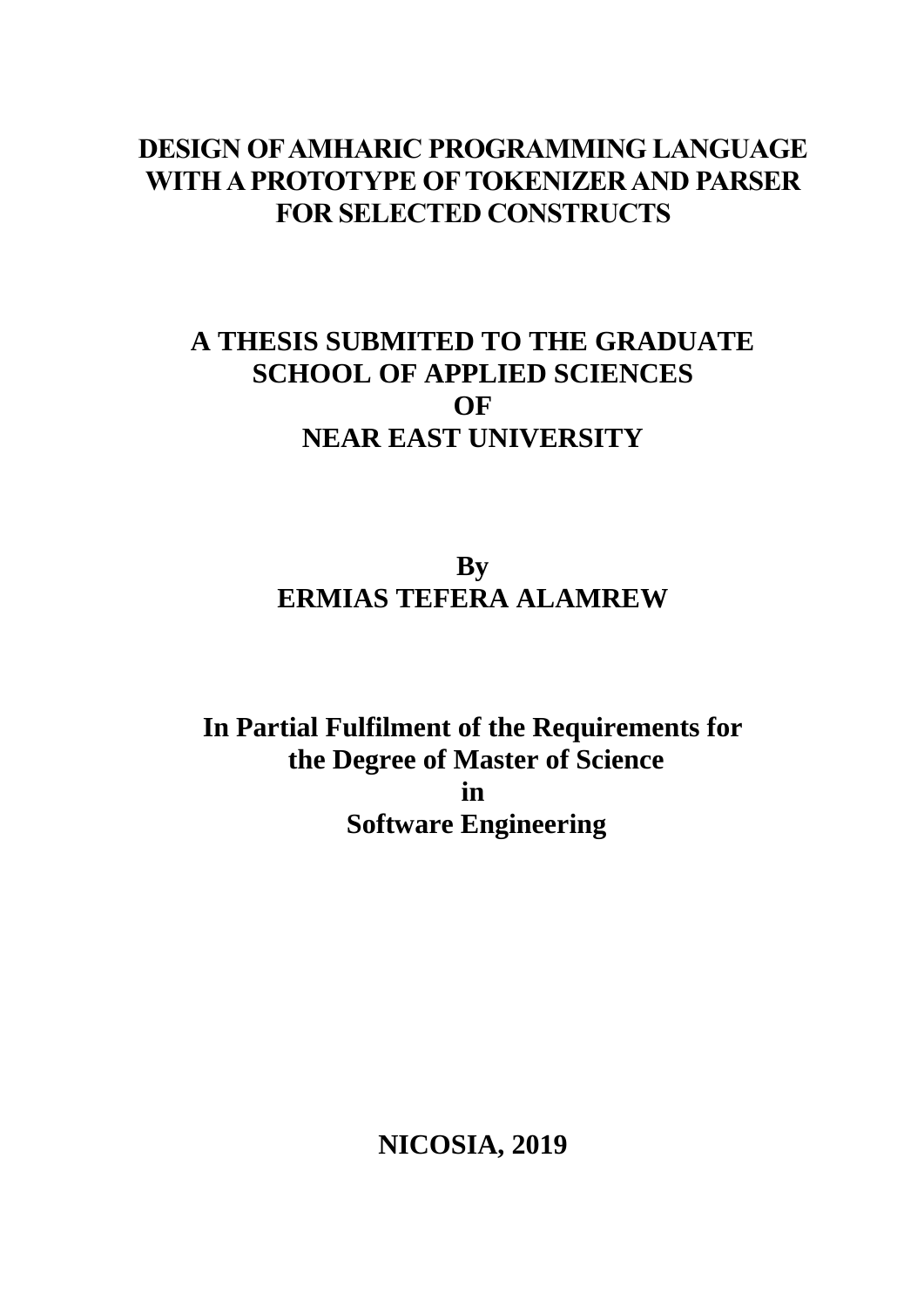# **DESIGN OF AMHARIC PROGRAMMING LANGUAGE WITH A PROTOTYPE OF TOKENIZER AND PARSER FOR SELECTED CONSTRUCTS**

# **A THESIS SUBMITED TO THE GRADUATE SCHOOL OF APPLIED SCIENCES OF NEAR EAST UNIVERSITY**

# **By ERMIAS TEFERA ALAMREW**

**In Partial Fulfilment of the Requirements for the Degree of Master of Science in Software Engineering**

**NICOSIA, 2019**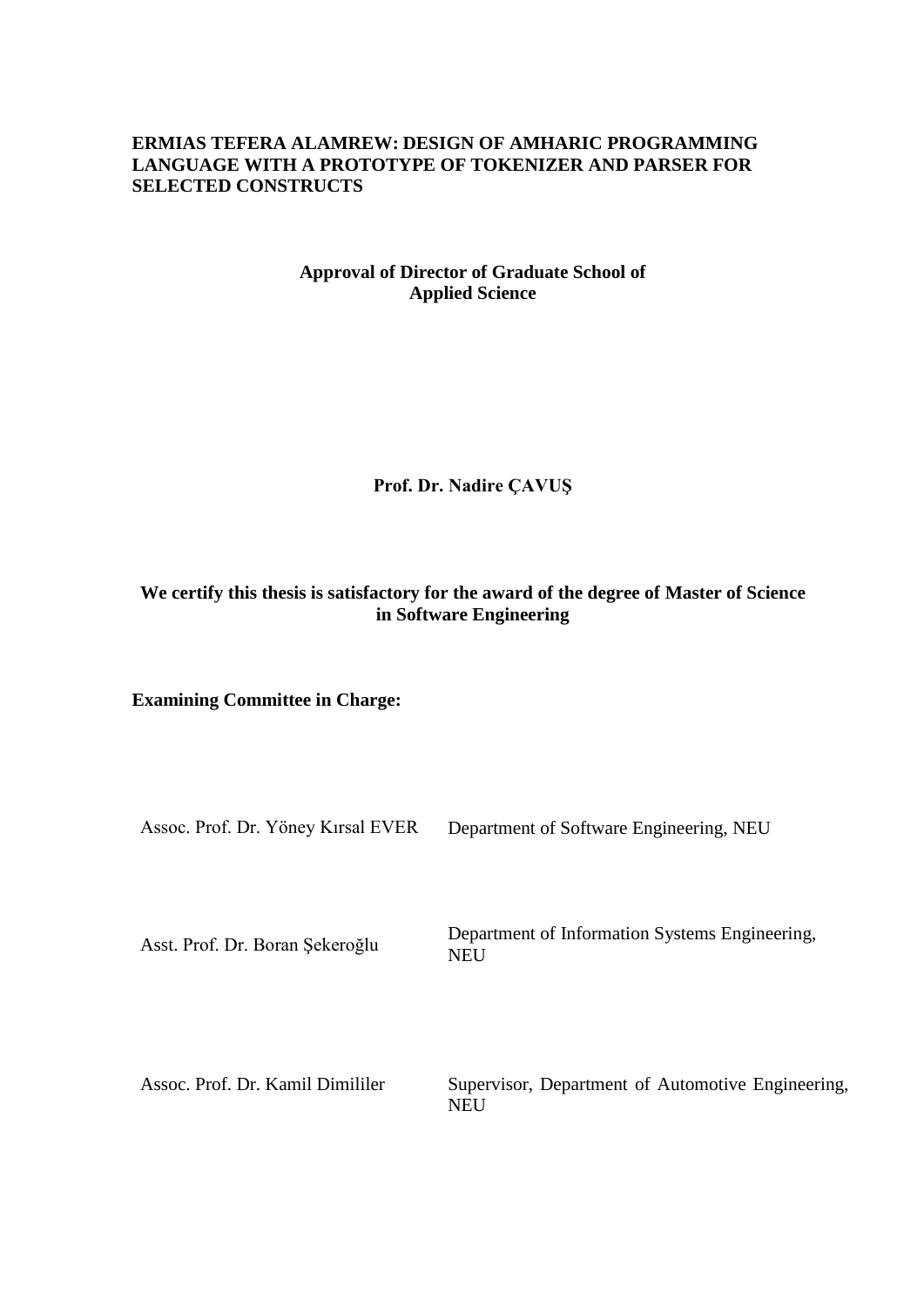# **ERMIAS TEFERA ALAMREW: DESIGN OF AMHARIC PROGRAMMING LANGUAGE WITH A PROTOTYPE OF TOKENIZER AND PARSER FOR SELECTED CONSTRUCTS**

# **Approval of Director of Graduate School of Applied Science**

# **Prof. Dr. Nadire ÇAVUŞ**

# **We certify this thesis is satisfactory for the award of the degree of Master of Science in Software Engineering**

**Examining Committee in Charge:**

Assoc. Prof. Dr. Yöney Kırsal EVER Department of Software Engineering, NEU

Asst. Prof. Dr. Boran Şekeroğlu Department of Information Systems Engineering, **NEU** 

Assoc. Prof. Dr. Kamil Dimililer Supervisor, Department of Automotive Engineering, **NEU**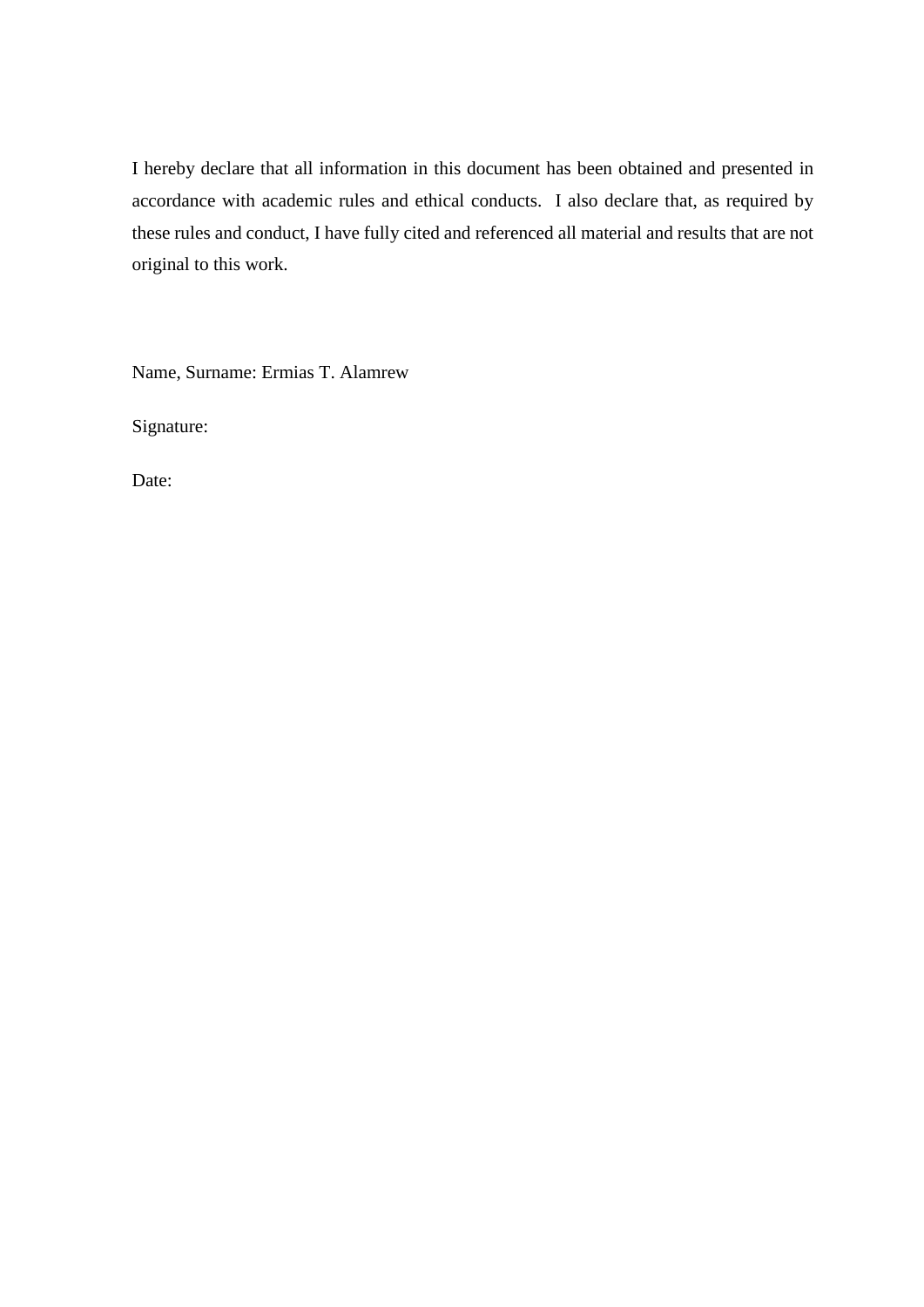I hereby declare that all information in this document has been obtained and presented in accordance with academic rules and ethical conducts. I also declare that, as required by these rules and conduct, I have fully cited and referenced all material and results that are not original to this work.

Name, Surname: Ermias T. Alamrew

Signature:

Date: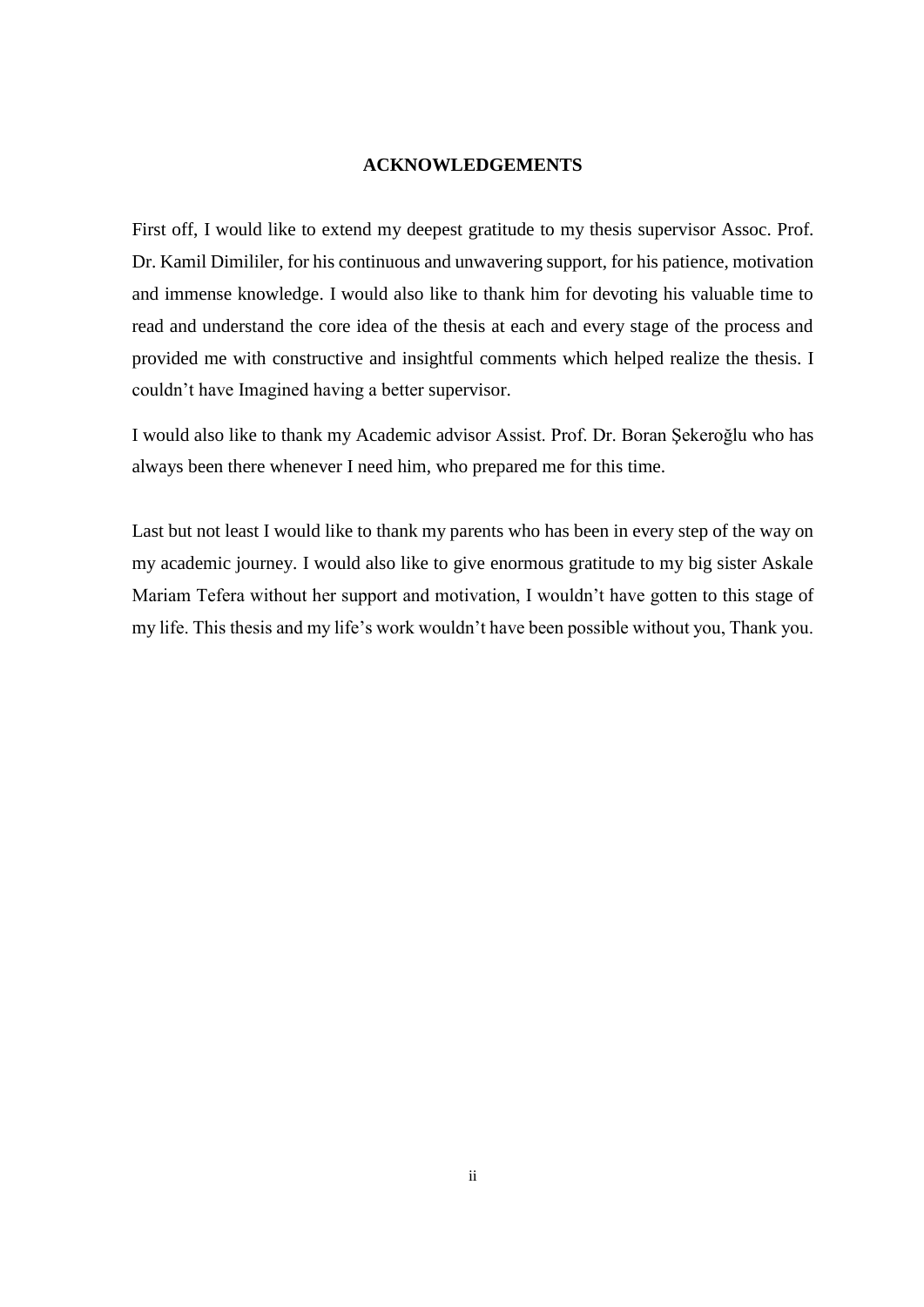### **ACKNOWLEDGEMENTS**

<span id="page-5-0"></span>First off, I would like to extend my deepest gratitude to my thesis supervisor Assoc. Prof. Dr. Kamil Dimililer, for his continuous and unwavering support, for his patience, motivation and immense knowledge. I would also like to thank him for devoting his valuable time to read and understand the core idea of the thesis at each and every stage of the process and provided me with constructive and insightful comments which helped realize the thesis. I couldn't have Imagined having a better supervisor.

I would also like to thank my Academic advisor Assist. Prof. Dr. Boran Şekeroğlu who has always been there whenever I need him, who prepared me for this time.

Last but not least I would like to thank my parents who has been in every step of the way on my academic journey. I would also like to give enormous gratitude to my big sister Askale Mariam Tefera without her support and motivation, I wouldn't have gotten to this stage of my life. This thesis and my life's work wouldn't have been possible without you, Thank you.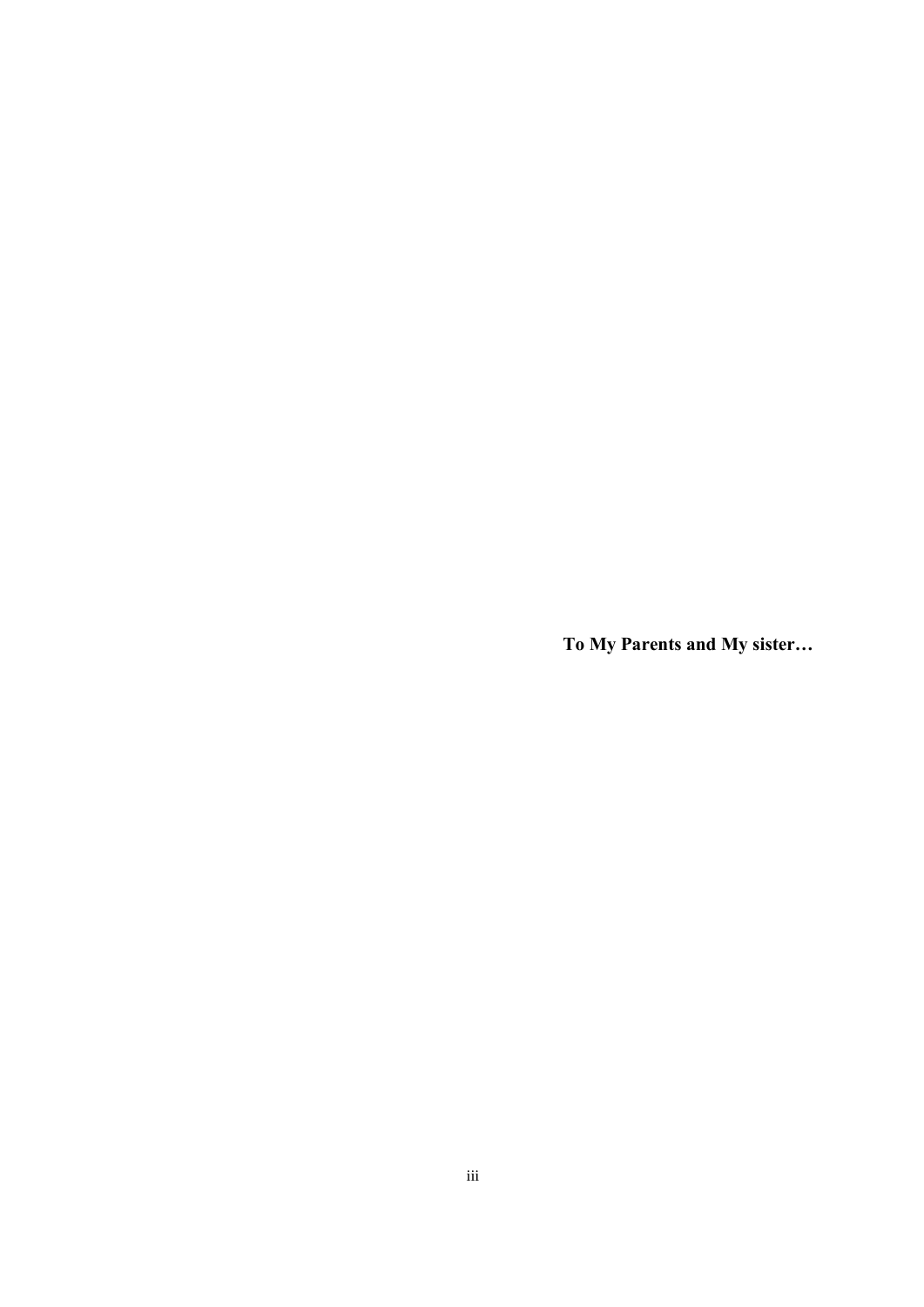**To My Parents and My sister…**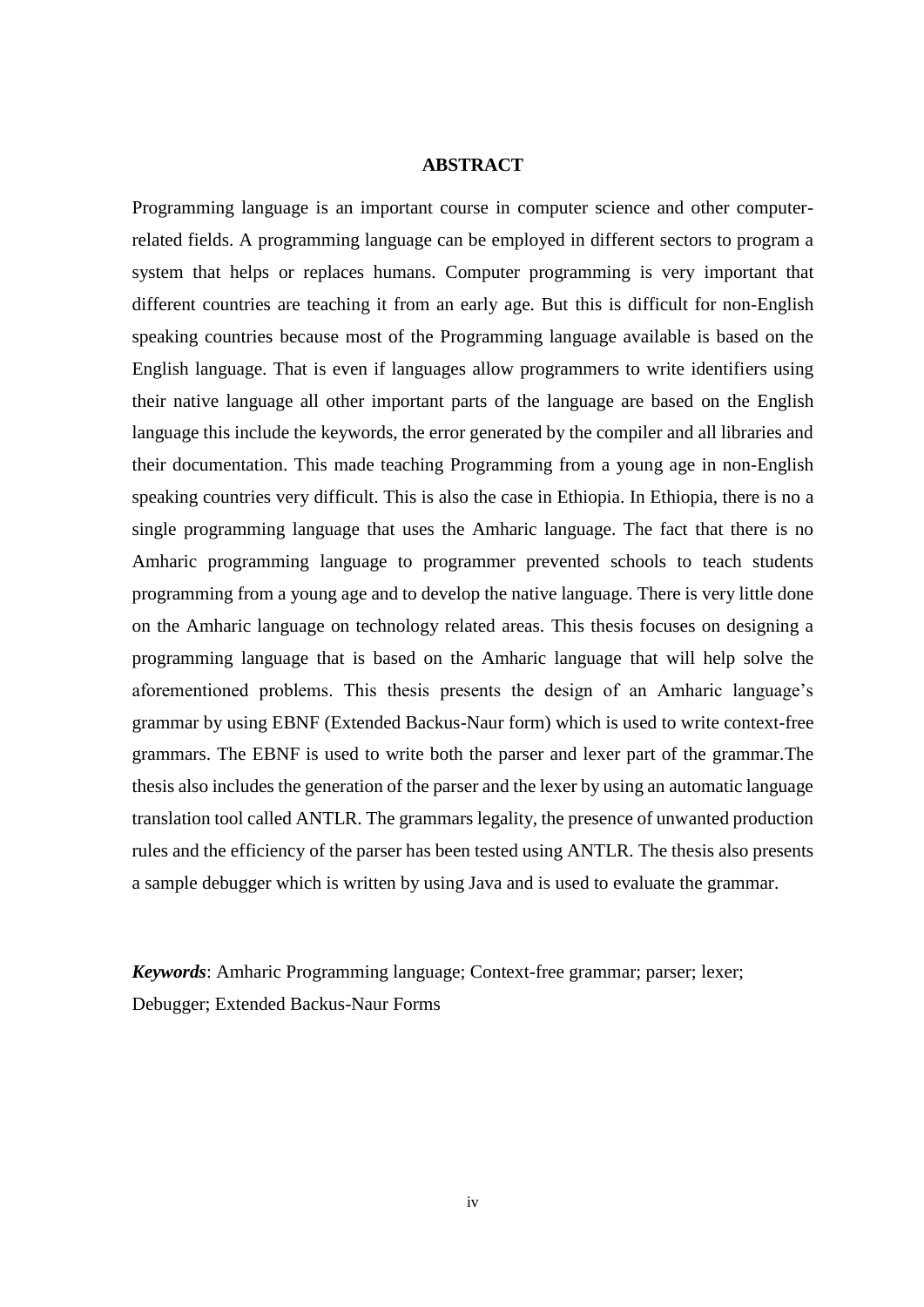### **ABSTRACT**

<span id="page-7-0"></span>Programming language is an important course in computer science and other computerrelated fields. A programming language can be employed in different sectors to program a system that helps or replaces humans. Computer programming is very important that different countries are teaching it from an early age. But this is difficult for non-English speaking countries because most of the Programming language available is based on the English language. That is even if languages allow programmers to write identifiers using their native language all other important parts of the language are based on the English language this include the keywords, the error generated by the compiler and all libraries and their documentation. This made teaching Programming from a young age in non-English speaking countries very difficult. This is also the case in Ethiopia. In Ethiopia, there is no a single programming language that uses the Amharic language. The fact that there is no Amharic programming language to programmer prevented schools to teach students programming from a young age and to develop the native language. There is very little done on the Amharic language on technology related areas. This thesis focuses on designing a programming language that is based on the Amharic language that will help solve the aforementioned problems. This thesis presents the design of an Amharic language's grammar by using EBNF (Extended Backus-Naur form) which is used to write context-free grammars. The EBNF is used to write both the parser and lexer part of the grammar.The thesis also includes the generation of the parser and the lexer by using an automatic language translation tool called ANTLR. The grammars legality, the presence of unwanted production rules and the efficiency of the parser has been tested using ANTLR. The thesis also presents a sample debugger which is written by using Java and is used to evaluate the grammar.

*Keywords*: Amharic Programming language; Context-free grammar; parser; lexer; Debugger; Extended Backus-Naur Forms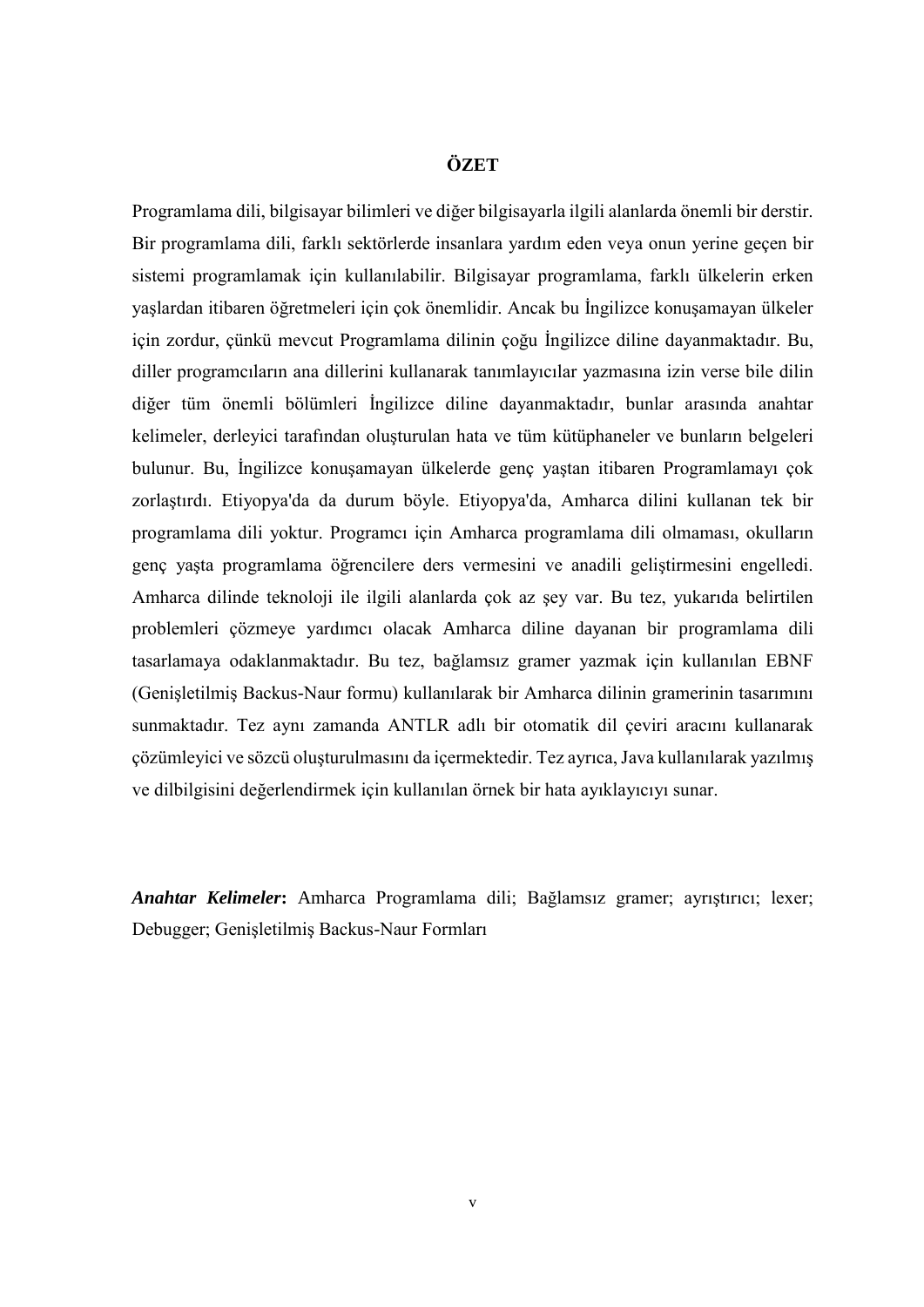## **ÖZET**

<span id="page-8-0"></span>Programlama dili, bilgisayar bilimleri ve diğer bilgisayarla ilgili alanlarda önemli bir derstir. Bir programlama dili, farklı sektörlerde insanlara yardım eden veya onun yerine geçen bir sistemi programlamak için kullanılabilir. Bilgisayar programlama, farklı ülkelerin erken yaşlardan itibaren öğretmeleri için çok önemlidir. Ancak bu İngilizce konuşamayan ülkeler için zordur, çünkü mevcut Programlama dilinin çoğu İngilizce diline dayanmaktadır. Bu, diller programcıların ana dillerini kullanarak tanımlayıcılar yazmasına izin verse bile dilin diğer tüm önemli bölümleri İngilizce diline dayanmaktadır, bunlar arasında anahtar kelimeler, derleyici tarafından oluşturulan hata ve tüm kütüphaneler ve bunların belgeleri bulunur. Bu, İngilizce konuşamayan ülkelerde genç yaştan itibaren Programlamayı çok zorlaştırdı. Etiyopya'da da durum böyle. Etiyopya'da, Amharca dilini kullanan tek bir programlama dili yoktur. Programcı için Amharca programlama dili olmaması, okulların genç yaşta programlama öğrencilere ders vermesini ve anadili geliştirmesini engelledi. Amharca dilinde teknoloji ile ilgili alanlarda çok az şey var. Bu tez, yukarıda belirtilen problemleri çözmeye yardımcı olacak Amharca diline dayanan bir programlama dili tasarlamaya odaklanmaktadır. Bu tez, bağlamsız gramer yazmak için kullanılan EBNF (Genişletilmiş Backus-Naur formu) kullanılarak bir Amharca dilinin gramerinin tasarımını sunmaktadır. Tez aynı zamanda ANTLR adlı bir otomatik dil çeviri aracını kullanarak çözümleyici ve sözcü oluşturulmasını da içermektedir. Tez ayrıca, Java kullanılarak yazılmış ve dilbilgisini değerlendirmek için kullanılan örnek bir hata ayıklayıcıyı sunar.

*Anahtar Kelimeler***:** Amharca Programlama dili; Bağlamsız gramer; ayrıştırıcı; lexer; Debugger; Genişletilmiş Backus-Naur Formları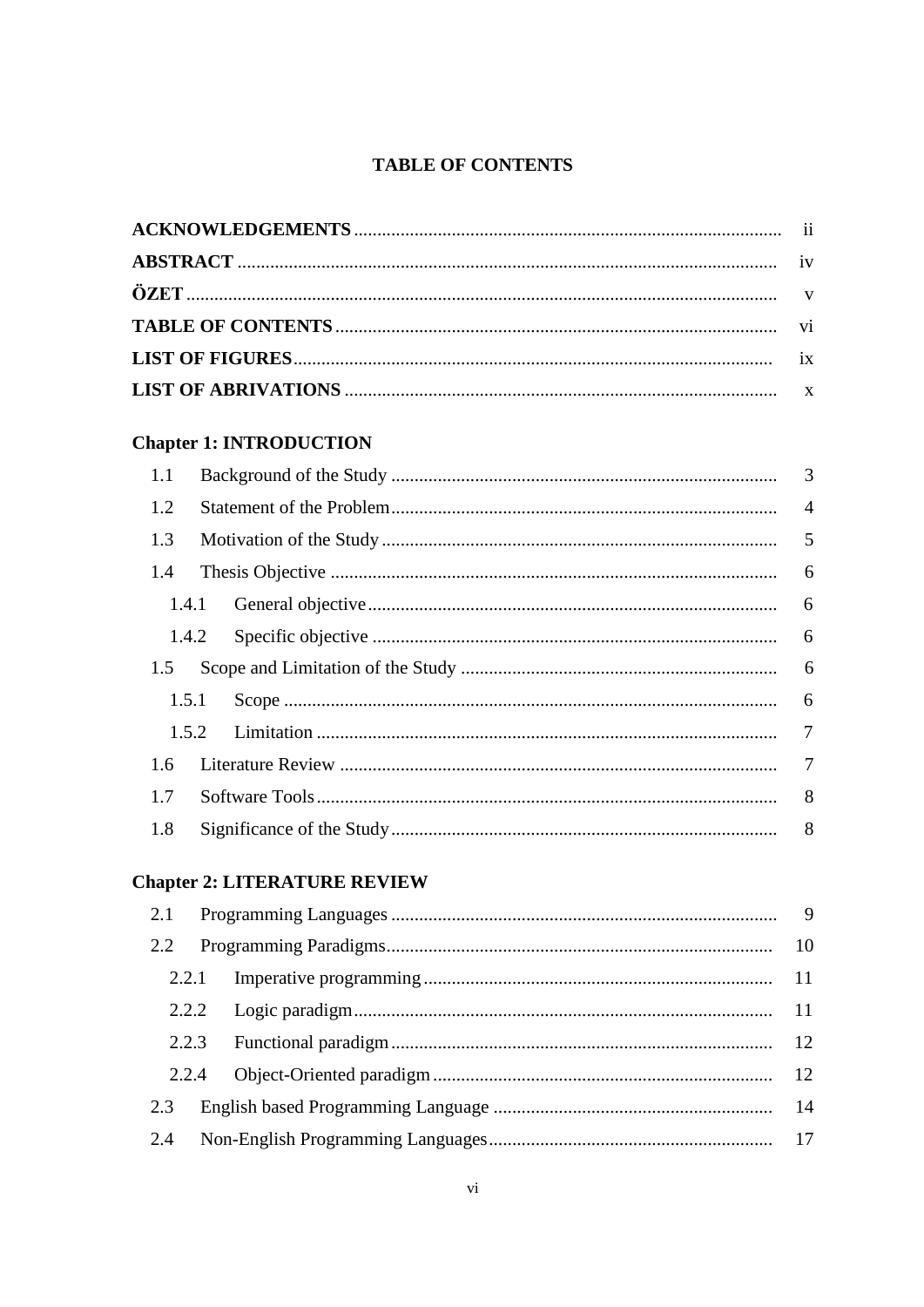# **TABLE OF CONTENTS**

<span id="page-9-0"></span>

# **Chapter 1: INTRODUCTION**

| 1.1   |  |  |  |
|-------|--|--|--|
| 1.2   |  |  |  |
| 1.3   |  |  |  |
| 1.4   |  |  |  |
|       |  |  |  |
|       |  |  |  |
| 1.5   |  |  |  |
| 1.5.1 |  |  |  |
|       |  |  |  |
| 1.6   |  |  |  |
| 1.7   |  |  |  |
| 1.8   |  |  |  |

# **Chapter 2: LITERATURE REVIEW**

| 2.2   |  |  |  |
|-------|--|--|--|
|       |  |  |  |
|       |  |  |  |
|       |  |  |  |
| 2.2.4 |  |  |  |
| 2.3   |  |  |  |
| 2.4   |  |  |  |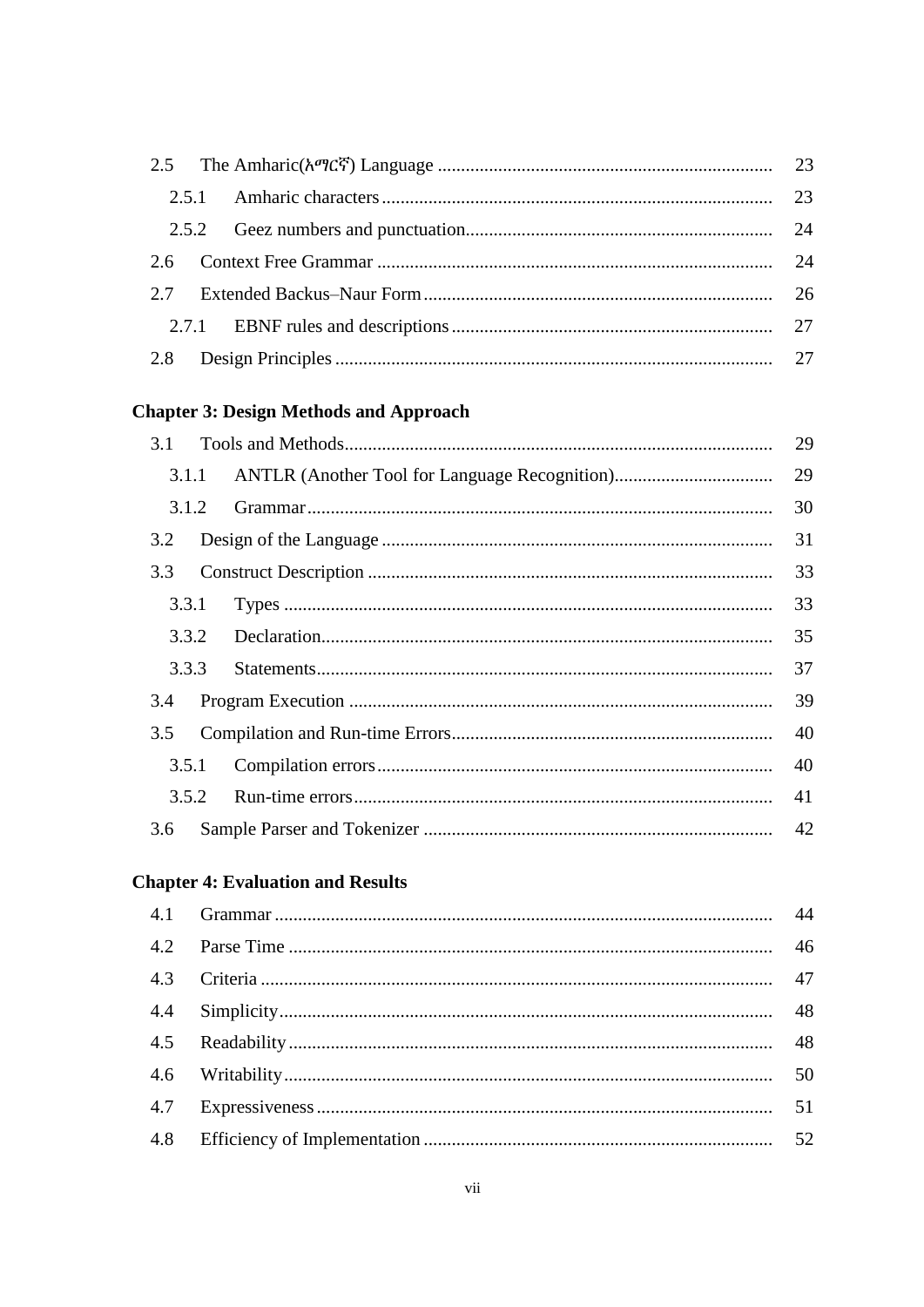# **Chapter 3: Design Methods and Approach**

|       | 3.1 |    | 29 |
|-------|-----|----|----|
| 3.1.1 |     |    | 29 |
| 3.1.2 |     |    | 30 |
| 3.2   |     | 31 |    |
|       |     | 33 |    |
| 3.3.1 |     |    | 33 |
|       |     |    | 35 |
| 3.3.3 |     |    | 37 |
| 3.4   |     | 39 |    |
| 3.5   |     | 40 |    |
| 3.5.1 |     |    | 40 |
|       |     |    | 41 |
| 3.6   |     |    |    |

# **Chapter 4: Evaluation and Results**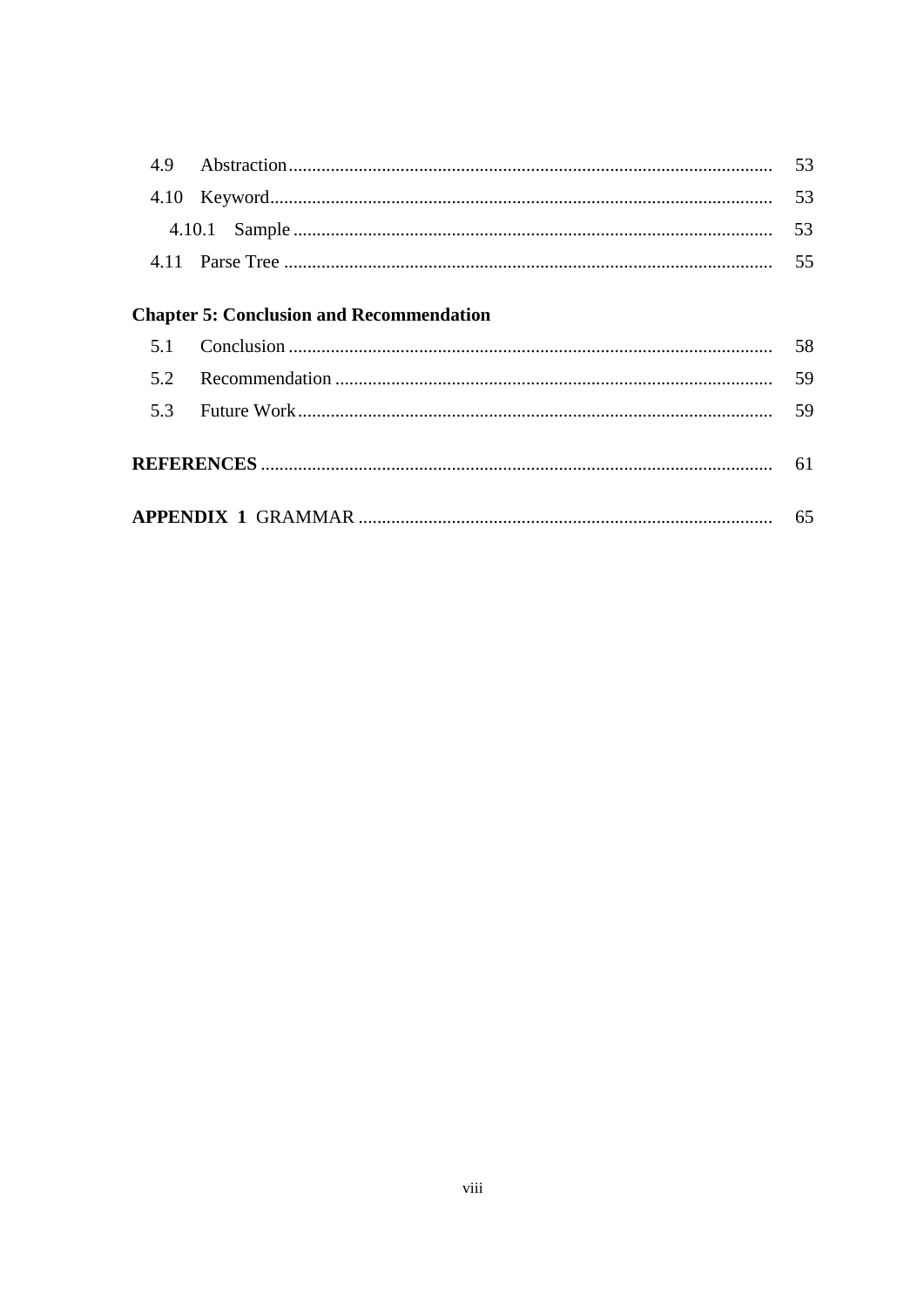|     |                                                 | 53 |
|-----|-------------------------------------------------|----|
|     |                                                 | 53 |
|     |                                                 | 55 |
|     | <b>Chapter 5: Conclusion and Recommendation</b> |    |
| 5.1 |                                                 | 58 |
| 5.2 |                                                 | 59 |
|     |                                                 | 59 |
|     |                                                 |    |
|     |                                                 |    |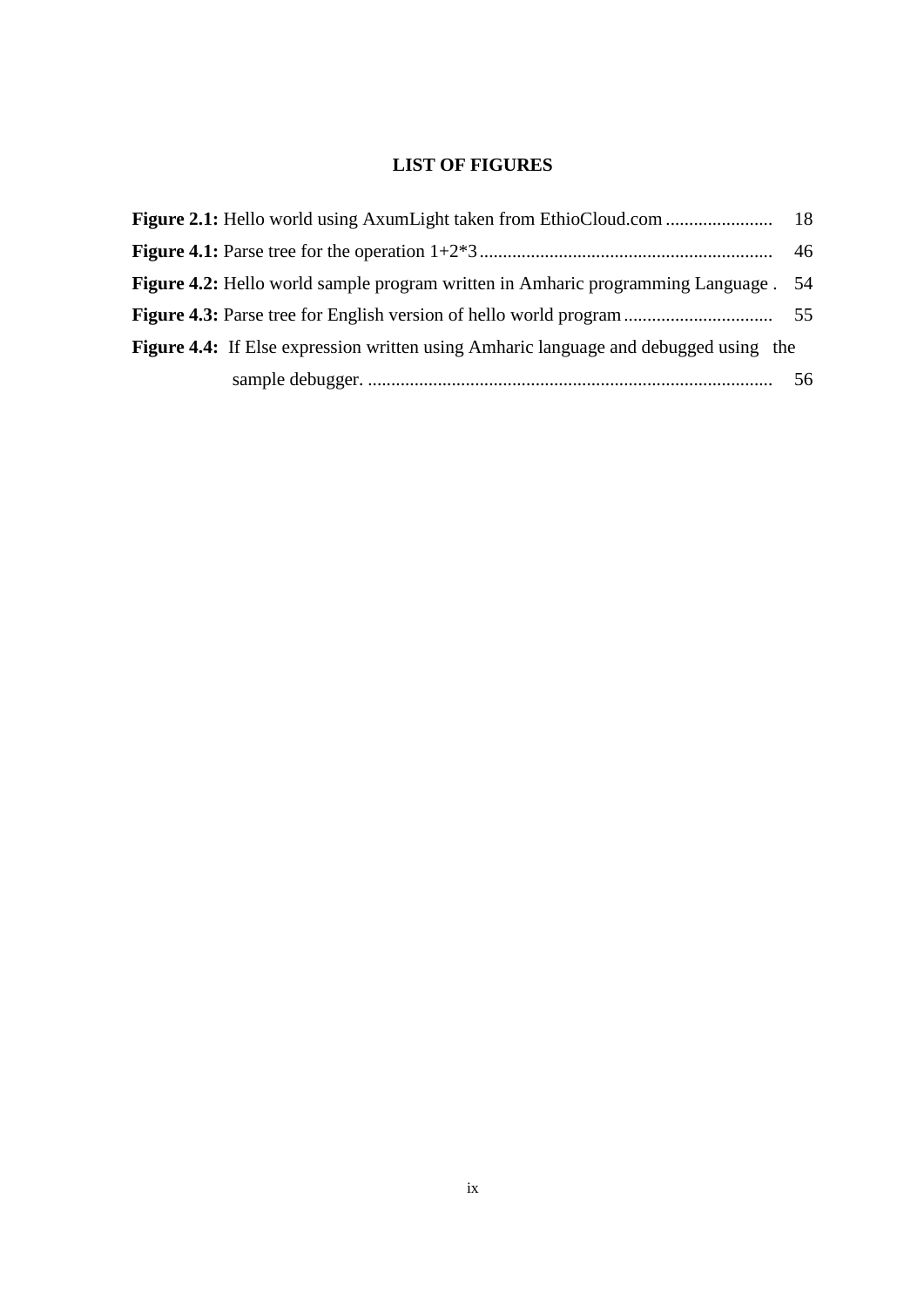# **LIST OF FIGURES**

<span id="page-12-0"></span>

|                                                                                             | 46  |
|---------------------------------------------------------------------------------------------|-----|
| <b>Figure 4.2:</b> Hello world sample program written in Amharic programming Language . 54  |     |
|                                                                                             |     |
| <b>Figure 4.4:</b> If Else expression written using Amharic language and debugged using the |     |
|                                                                                             | -56 |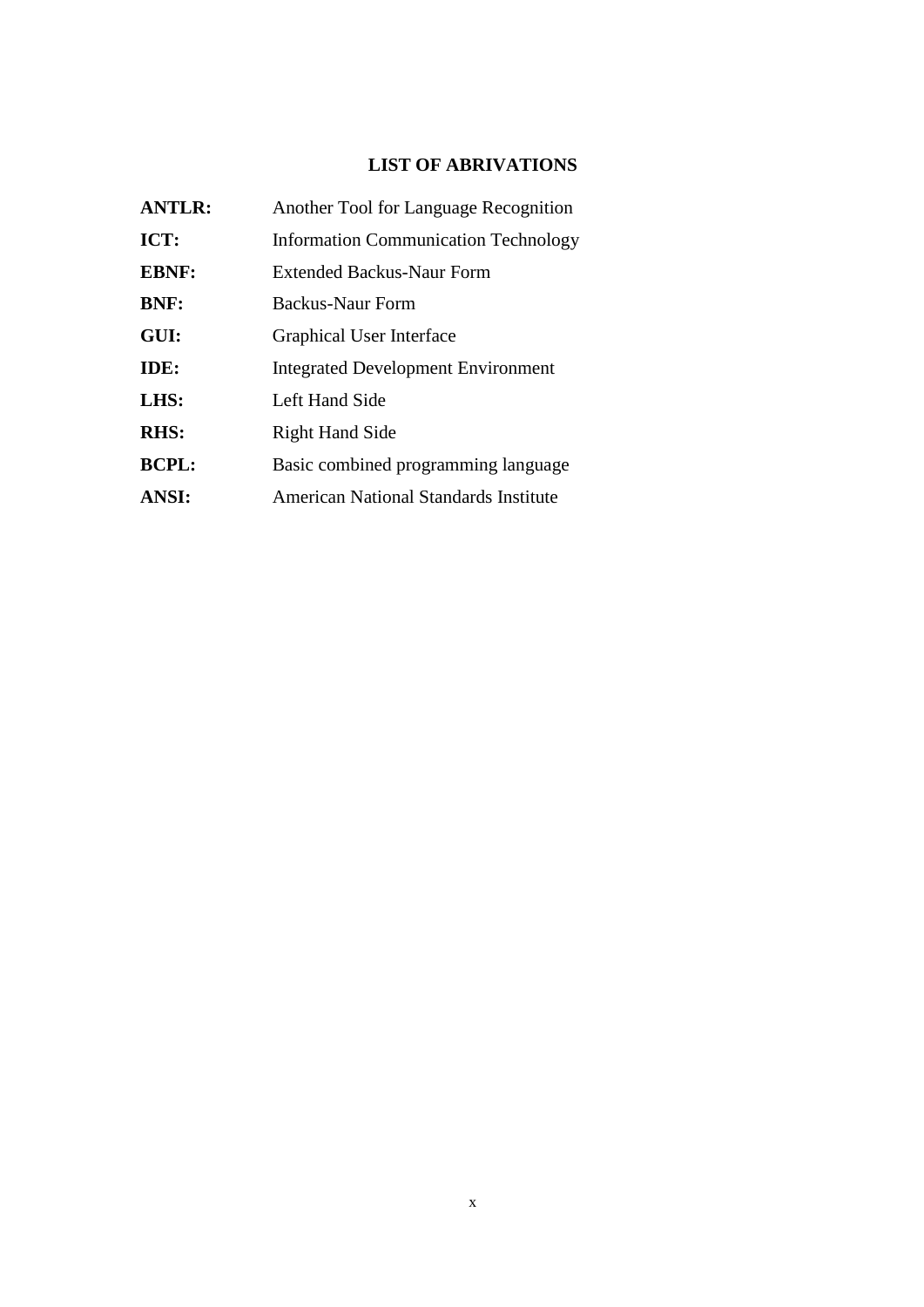# **LIST OF ABRIVATIONS**

<span id="page-13-0"></span>

| <b>ANTLR:</b> | Another Tool for Language Recognition       |
|---------------|---------------------------------------------|
| ICT:          | <b>Information Communication Technology</b> |
| <b>EBNF:</b>  | Extended Backus-Naur Form                   |
| <b>BNF:</b>   | Backus-Naur Form                            |
| GUI:          | <b>Graphical User Interface</b>             |
| IDE:          | <b>Integrated Development Environment</b>   |
| LHS:          | Left Hand Side                              |
| <b>RHS:</b>   | <b>Right Hand Side</b>                      |
| <b>BCPL:</b>  | Basic combined programming language         |
| <b>ANSI:</b>  | American National Standards Institute       |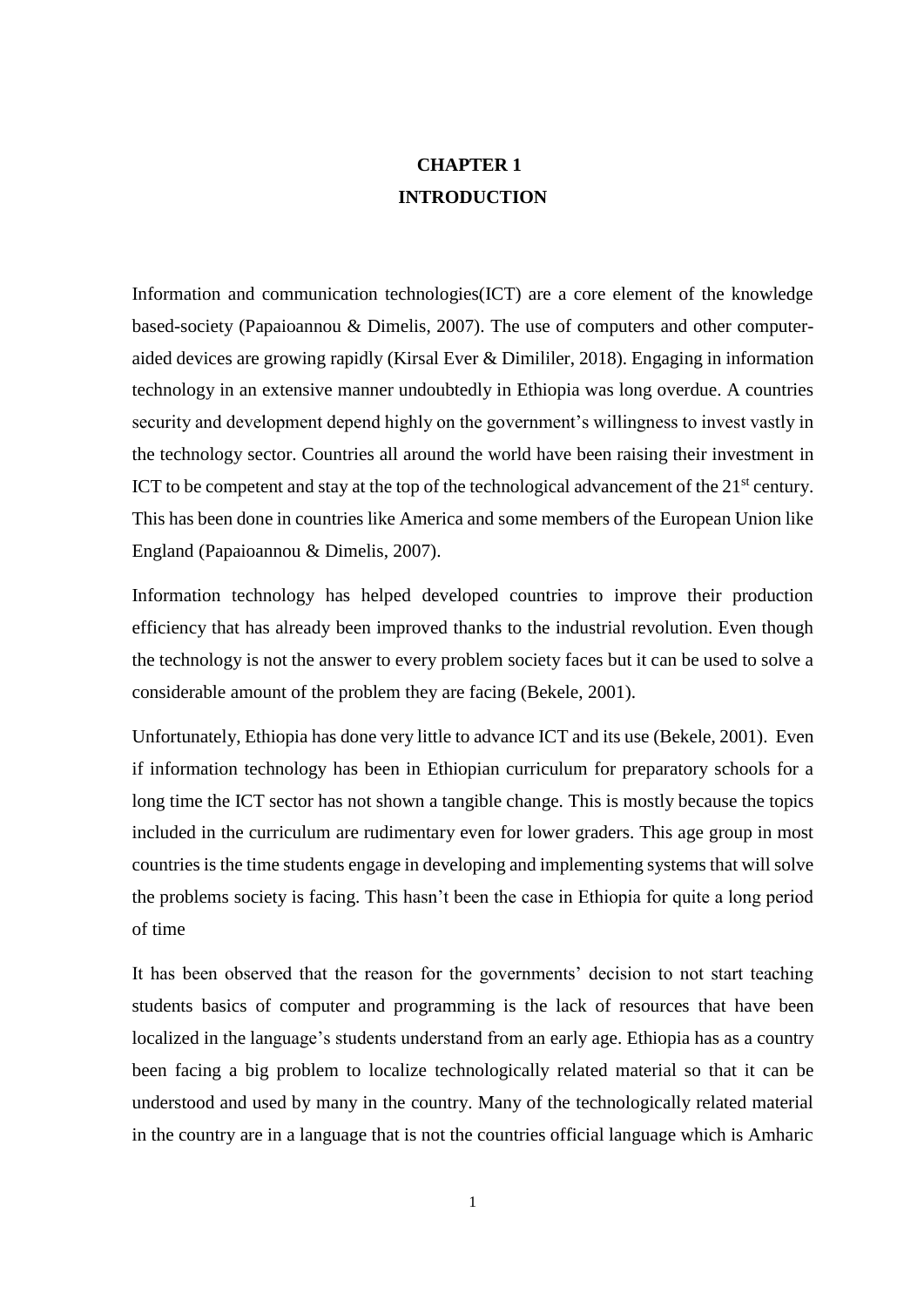# **CHAPTER 1 INTRODUCTION**

<span id="page-14-0"></span>Information and communication technologies(ICT) are a core element of the knowledge based-society (Papaioannou & Dimelis, 2007). The use of computers and other computeraided devices are growing rapidly (Kirsal Ever & Dimililer, 2018). Engaging in information technology in an extensive manner undoubtedly in Ethiopia was long overdue. A countries security and development depend highly on the government's willingness to invest vastly in the technology sector. Countries all around the world have been raising their investment in ICT to be competent and stay at the top of the technological advancement of the  $21<sup>st</sup>$  century. This has been done in countries like America and some members of the European Union like England (Papaioannou & Dimelis, 2007).

Information technology has helped developed countries to improve their production efficiency that has already been improved thanks to the industrial revolution. Even though the technology is not the answer to every problem society faces but it can be used to solve a considerable amount of the problem they are facing (Bekele, 2001).

Unfortunately, Ethiopia has done very little to advance ICT and its use (Bekele, 2001). Even if information technology has been in Ethiopian curriculum for preparatory schools for a long time the ICT sector has not shown a tangible change. This is mostly because the topics included in the curriculum are rudimentary even for lower graders. This age group in most countries is the time students engage in developing and implementing systems that will solve the problems society is facing. This hasn't been the case in Ethiopia for quite a long period of time

It has been observed that the reason for the governments' decision to not start teaching students basics of computer and programming is the lack of resources that have been localized in the language's students understand from an early age. Ethiopia has as a country been facing a big problem to localize technologically related material so that it can be understood and used by many in the country. Many of the technologically related material in the country are in a language that is not the countries official language which is Amharic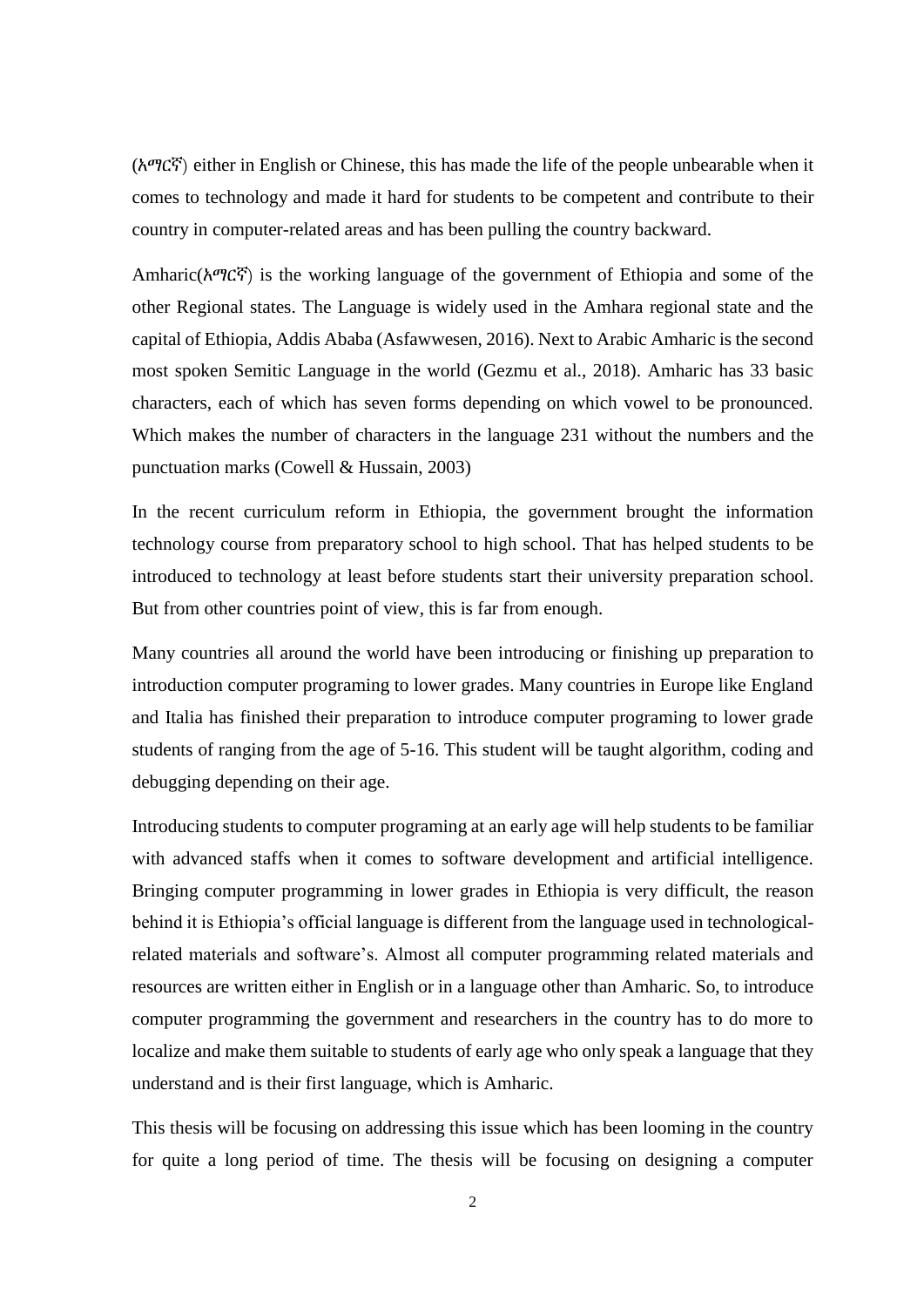(አማርኛ) either in English or Chinese, this has made the life of the people unbearable when it comes to technology and made it hard for students to be competent and contribute to their country in computer-related areas and has been pulling the country backward.

Amharic(አማርኛ) is the working language of the government of Ethiopia and some of the other Regional states. The Language is widely used in the Amhara regional state and the capital of Ethiopia, Addis Ababa (Asfawwesen, 2016). Next to Arabic Amharic is the second most spoken Semitic Language in the world (Gezmu et al., 2018). Amharic has 33 basic characters, each of which has seven forms depending on which vowel to be pronounced. Which makes the number of characters in the language 231 without the numbers and the punctuation marks (Cowell & Hussain, 2003)

In the recent curriculum reform in Ethiopia, the government brought the information technology course from preparatory school to high school. That has helped students to be introduced to technology at least before students start their university preparation school. But from other countries point of view, this is far from enough.

Many countries all around the world have been introducing or finishing up preparation to introduction computer programing to lower grades. Many countries in Europe like England and Italia has finished their preparation to introduce computer programing to lower grade students of ranging from the age of 5-16. This student will be taught algorithm, coding and debugging depending on their age.

Introducing students to computer programing at an early age will help students to be familiar with advanced staffs when it comes to software development and artificial intelligence. Bringing computer programming in lower grades in Ethiopia is very difficult, the reason behind it is Ethiopia's official language is different from the language used in technologicalrelated materials and software's. Almost all computer programming related materials and resources are written either in English or in a language other than Amharic. So, to introduce computer programming the government and researchers in the country has to do more to localize and make them suitable to students of early age who only speak a language that they understand and is their first language, which is Amharic.

This thesis will be focusing on addressing this issue which has been looming in the country for quite a long period of time. The thesis will be focusing on designing a computer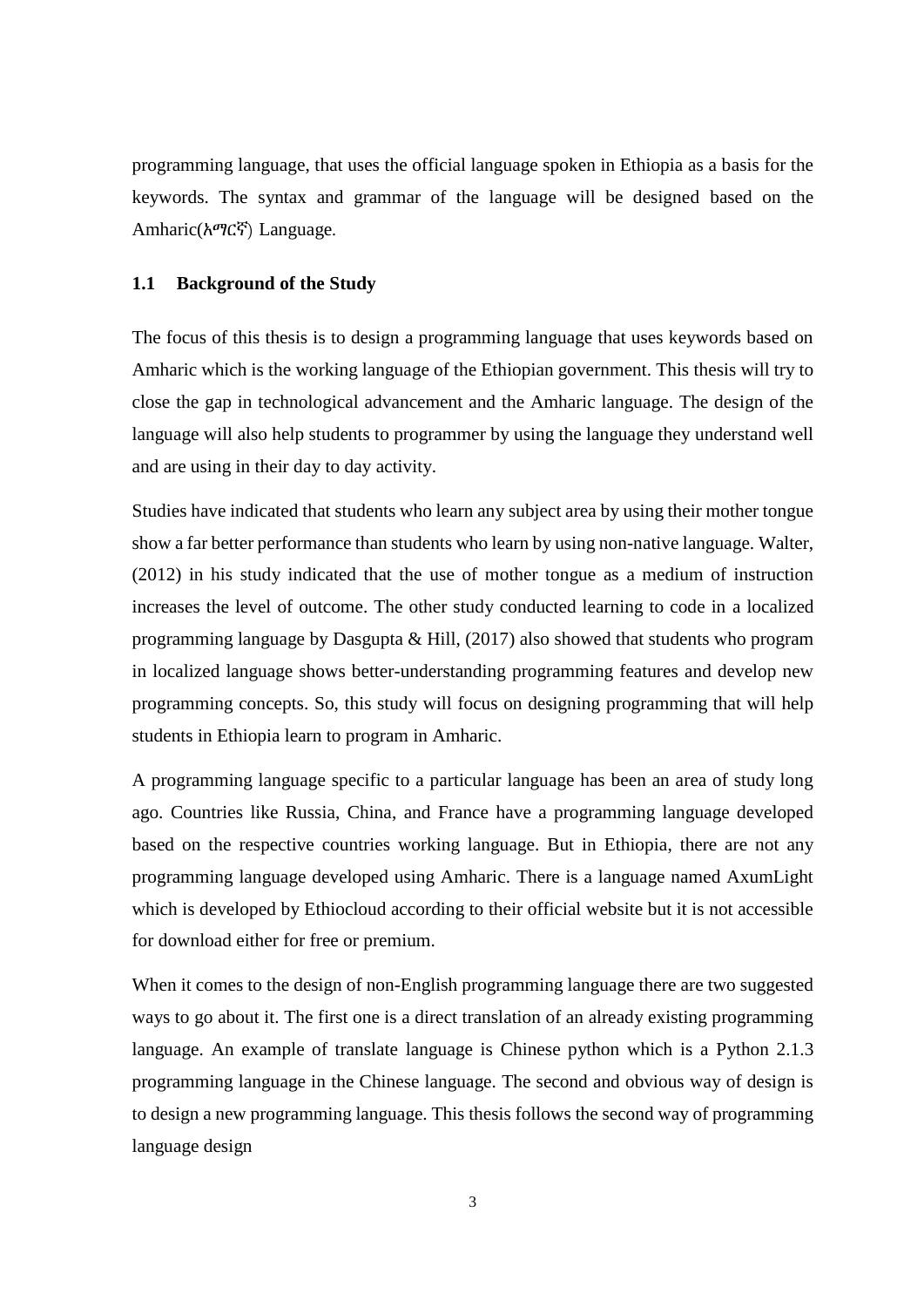programming language, that uses the official language spoken in Ethiopia as a basis for the keywords. The syntax and grammar of the language will be designed based on the Amharic(አማርኛ) Language.

#### <span id="page-16-0"></span>**1.1 Background of the Study**

The focus of this thesis is to design a programming language that uses keywords based on Amharic which is the working language of the Ethiopian government. This thesis will try to close the gap in technological advancement and the Amharic language. The design of the language will also help students to programmer by using the language they understand well and are using in their day to day activity.

Studies have indicated that students who learn any subject area by using their mother tongue show a far better performance than students who learn by using non-native language. Walter, (2012) in his study indicated that the use of mother tongue as a medium of instruction increases the level of outcome. The other study conducted learning to code in a localized programming language by Dasgupta & Hill, (2017) also showed that students who program in localized language shows better-understanding programming features and develop new programming concepts. So, this study will focus on designing programming that will help students in Ethiopia learn to program in Amharic.

A programming language specific to a particular language has been an area of study long ago. Countries like Russia, China, and France have a programming language developed based on the respective countries working language. But in Ethiopia, there are not any programming language developed using Amharic. There is a language named AxumLight which is developed by Ethiocloud according to their official website but it is not accessible for download either for free or premium.

When it comes to the design of non-English programming language there are two suggested ways to go about it. The first one is a direct translation of an already existing programming language. An example of translate language is Chinese python which is a Python 2.1.3 programming language in the Chinese language. The second and obvious way of design is to design a new programming language. This thesis follows the second way of programming language design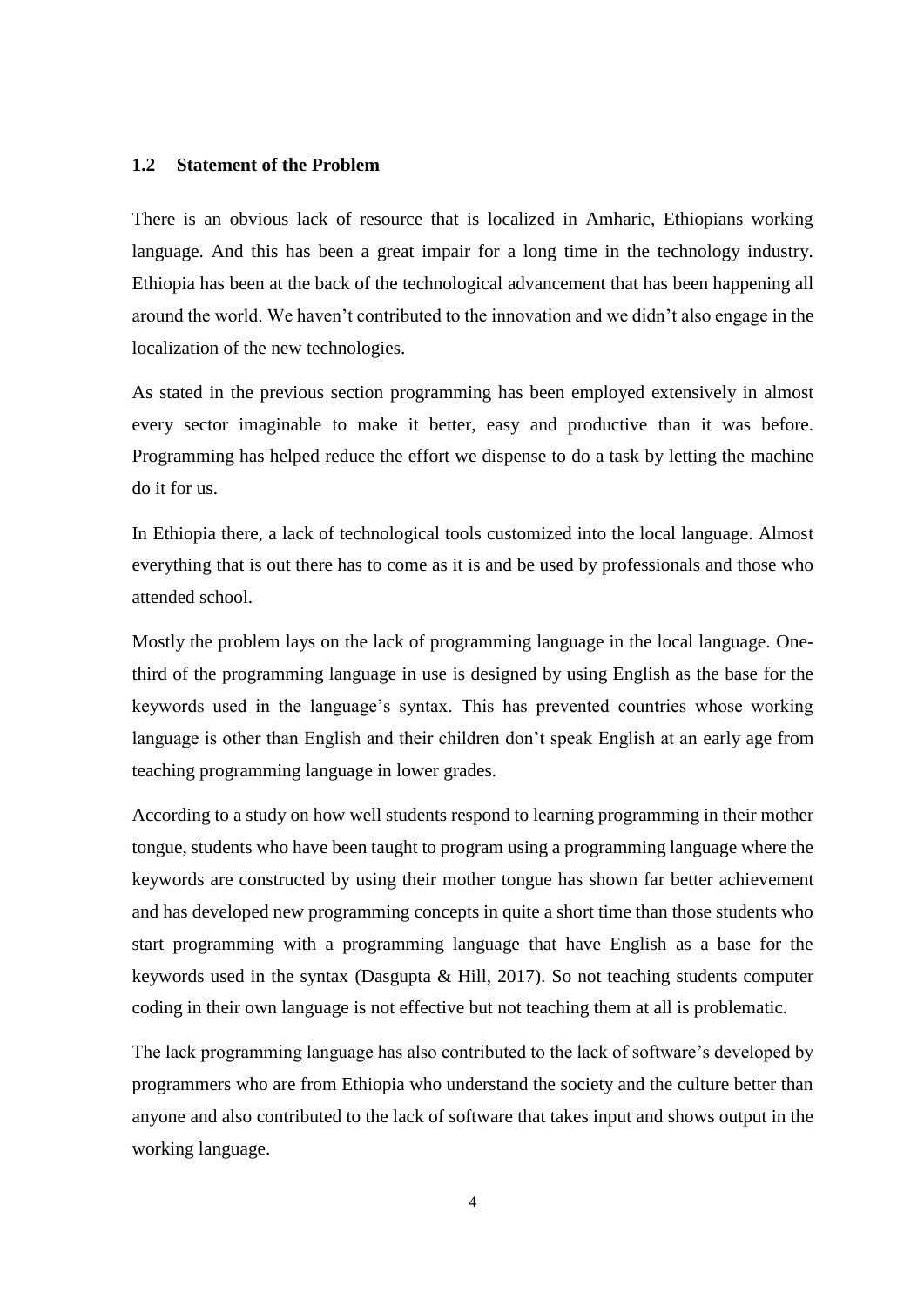### <span id="page-17-0"></span>**1.2 Statement of the Problem**

There is an obvious lack of resource that is localized in Amharic, Ethiopians working language. And this has been a great impair for a long time in the technology industry. Ethiopia has been at the back of the technological advancement that has been happening all around the world. We haven't contributed to the innovation and we didn't also engage in the localization of the new technologies.

As stated in the previous section programming has been employed extensively in almost every sector imaginable to make it better, easy and productive than it was before. Programming has helped reduce the effort we dispense to do a task by letting the machine do it for us.

In Ethiopia there, a lack of technological tools customized into the local language. Almost everything that is out there has to come as it is and be used by professionals and those who attended school.

Mostly the problem lays on the lack of programming language in the local language. Onethird of the programming language in use is designed by using English as the base for the keywords used in the language's syntax. This has prevented countries whose working language is other than English and their children don't speak English at an early age from teaching programming language in lower grades.

According to a study on how well students respond to learning programming in their mother tongue, students who have been taught to program using a programming language where the keywords are constructed by using their mother tongue has shown far better achievement and has developed new programming concepts in quite a short time than those students who start programming with a programming language that have English as a base for the keywords used in the syntax (Dasgupta  $\&$  Hill, 2017). So not teaching students computer coding in their own language is not effective but not teaching them at all is problematic.

The lack programming language has also contributed to the lack of software's developed by programmers who are from Ethiopia who understand the society and the culture better than anyone and also contributed to the lack of software that takes input and shows output in the working language.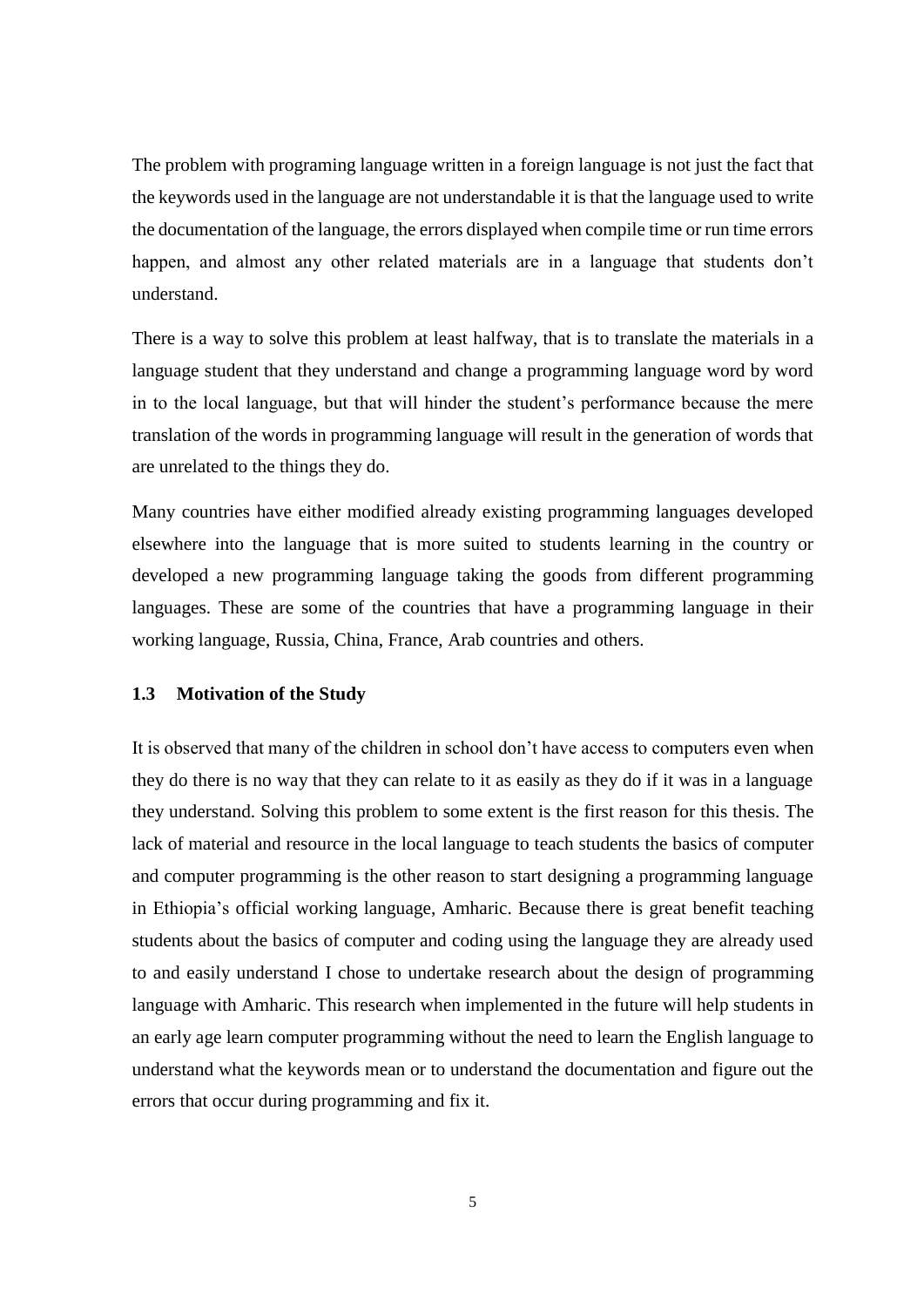The problem with programing language written in a foreign language is not just the fact that the keywords used in the language are not understandable it is that the language used to write the documentation of the language, the errors displayed when compile time or run time errors happen, and almost any other related materials are in a language that students don't understand.

There is a way to solve this problem at least halfway, that is to translate the materials in a language student that they understand and change a programming language word by word in to the local language, but that will hinder the student's performance because the mere translation of the words in programming language will result in the generation of words that are unrelated to the things they do.

Many countries have either modified already existing programming languages developed elsewhere into the language that is more suited to students learning in the country or developed a new programming language taking the goods from different programming languages. These are some of the countries that have a programming language in their working language, Russia, China, France, Arab countries and others.

#### <span id="page-18-0"></span>**1.3 Motivation of the Study**

It is observed that many of the children in school don't have access to computers even when they do there is no way that they can relate to it as easily as they do if it was in a language they understand. Solving this problem to some extent is the first reason for this thesis. The lack of material and resource in the local language to teach students the basics of computer and computer programming is the other reason to start designing a programming language in Ethiopia's official working language, Amharic. Because there is great benefit teaching students about the basics of computer and coding using the language they are already used to and easily understand I chose to undertake research about the design of programming language with Amharic. This research when implemented in the future will help students in an early age learn computer programming without the need to learn the English language to understand what the keywords mean or to understand the documentation and figure out the errors that occur during programming and fix it.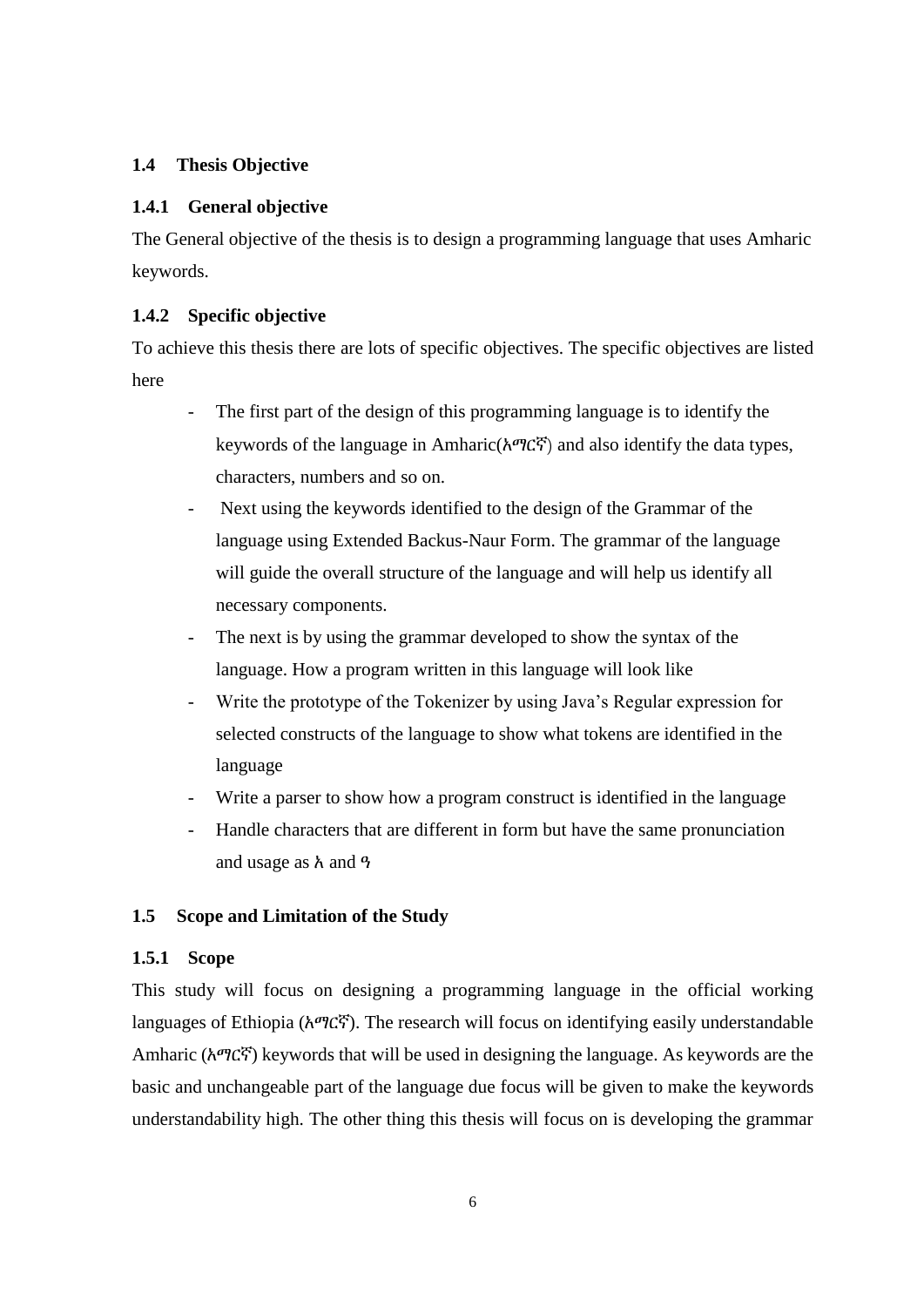# <span id="page-19-0"></span>**1.4 Thesis Objective**

### <span id="page-19-1"></span>**1.4.1 General objective**

The General objective of the thesis is to design a programming language that uses Amharic keywords.

### <span id="page-19-2"></span>**1.4.2 Specific objective**

To achieve this thesis there are lots of specific objectives. The specific objectives are listed here

- The first part of the design of this programming language is to identify the keywords of the language in Amharic(አማርኛ) and also identify the data types, characters, numbers and so on.
- Next using the keywords identified to the design of the Grammar of the language using Extended Backus-Naur Form. The grammar of the language will guide the overall structure of the language and will help us identify all necessary components.
- The next is by using the grammar developed to show the syntax of the language. How a program written in this language will look like
- Write the prototype of the Tokenizer by using Java's Regular expression for selected constructs of the language to show what tokens are identified in the language
- Write a parser to show how a program construct is identified in the language
- Handle characters that are different in form but have the same pronunciation and usage as አ and ዓ

### <span id="page-19-3"></span>**1.5 Scope and Limitation of the Study**

#### <span id="page-19-4"></span>**1.5.1 Scope**

This study will focus on designing a programming language in the official working languages of Ethiopia (አማርኛ). The research will focus on identifying easily understandable Amharic (አማርኛ) keywords that will be used in designing the language. As keywords are the basic and unchangeable part of the language due focus will be given to make the keywords understandability high. The other thing this thesis will focus on is developing the grammar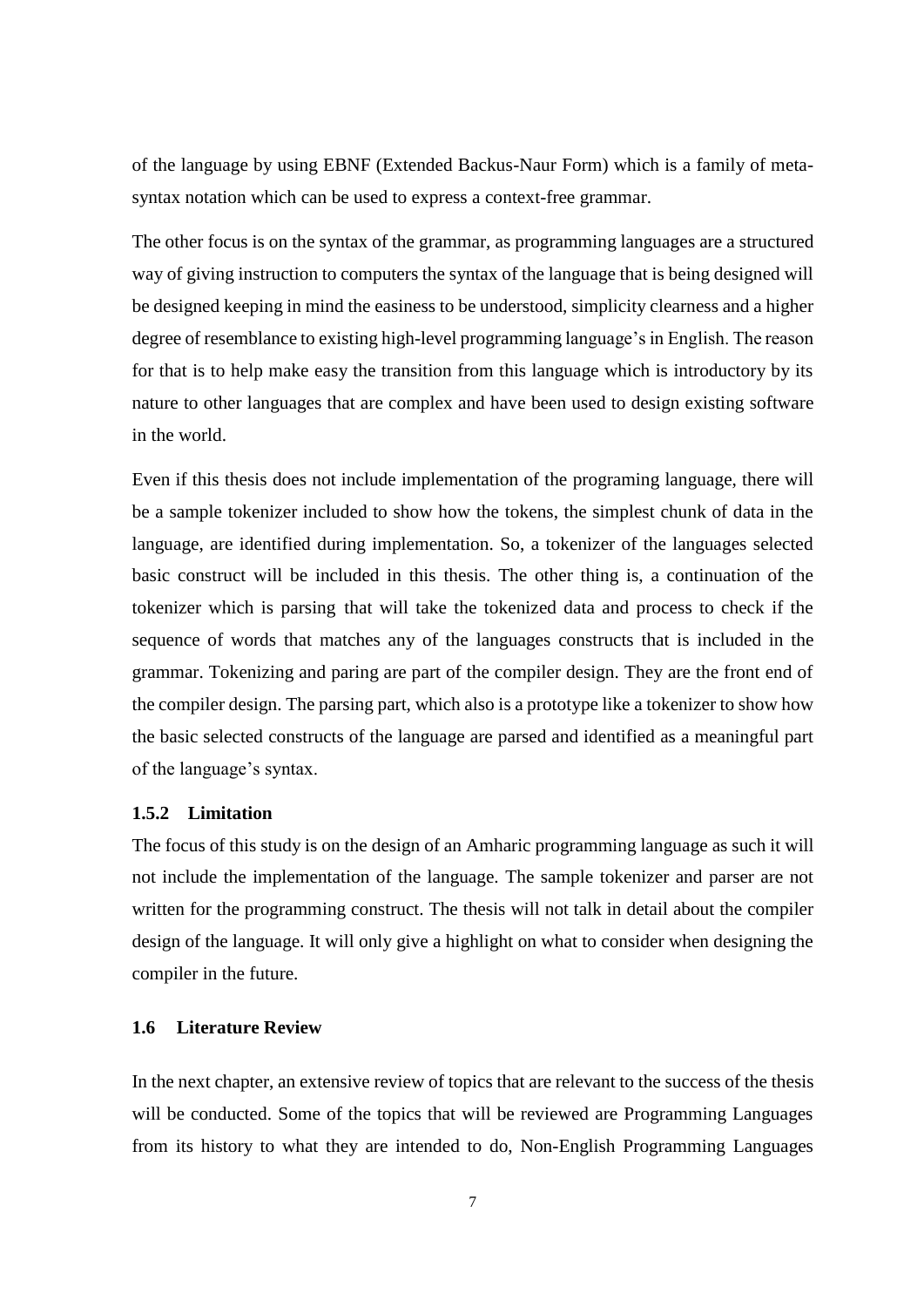of the language by using EBNF (Extended Backus-Naur Form) which is a family of metasyntax notation which can be used to express a context-free grammar.

The other focus is on the syntax of the grammar, as programming languages are a structured way of giving instruction to computers the syntax of the language that is being designed will be designed keeping in mind the easiness to be understood, simplicity clearness and a higher degree of resemblance to existing high-level programming language's in English. The reason for that is to help make easy the transition from this language which is introductory by its nature to other languages that are complex and have been used to design existing software in the world.

Even if this thesis does not include implementation of the programing language, there will be a sample tokenizer included to show how the tokens, the simplest chunk of data in the language, are identified during implementation. So, a tokenizer of the languages selected basic construct will be included in this thesis. The other thing is, a continuation of the tokenizer which is parsing that will take the tokenized data and process to check if the sequence of words that matches any of the languages constructs that is included in the grammar. Tokenizing and paring are part of the compiler design. They are the front end of the compiler design. The parsing part, which also is a prototype like a tokenizer to show how the basic selected constructs of the language are parsed and identified as a meaningful part of the language's syntax.

### <span id="page-20-0"></span>**1.5.2 Limitation**

The focus of this study is on the design of an Amharic programming language as such it will not include the implementation of the language. The sample tokenizer and parser are not written for the programming construct. The thesis will not talk in detail about the compiler design of the language. It will only give a highlight on what to consider when designing the compiler in the future.

# <span id="page-20-1"></span>**1.6 Literature Review**

In the next chapter, an extensive review of topics that are relevant to the success of the thesis will be conducted. Some of the topics that will be reviewed are Programming Languages from its history to what they are intended to do, Non-English Programming Languages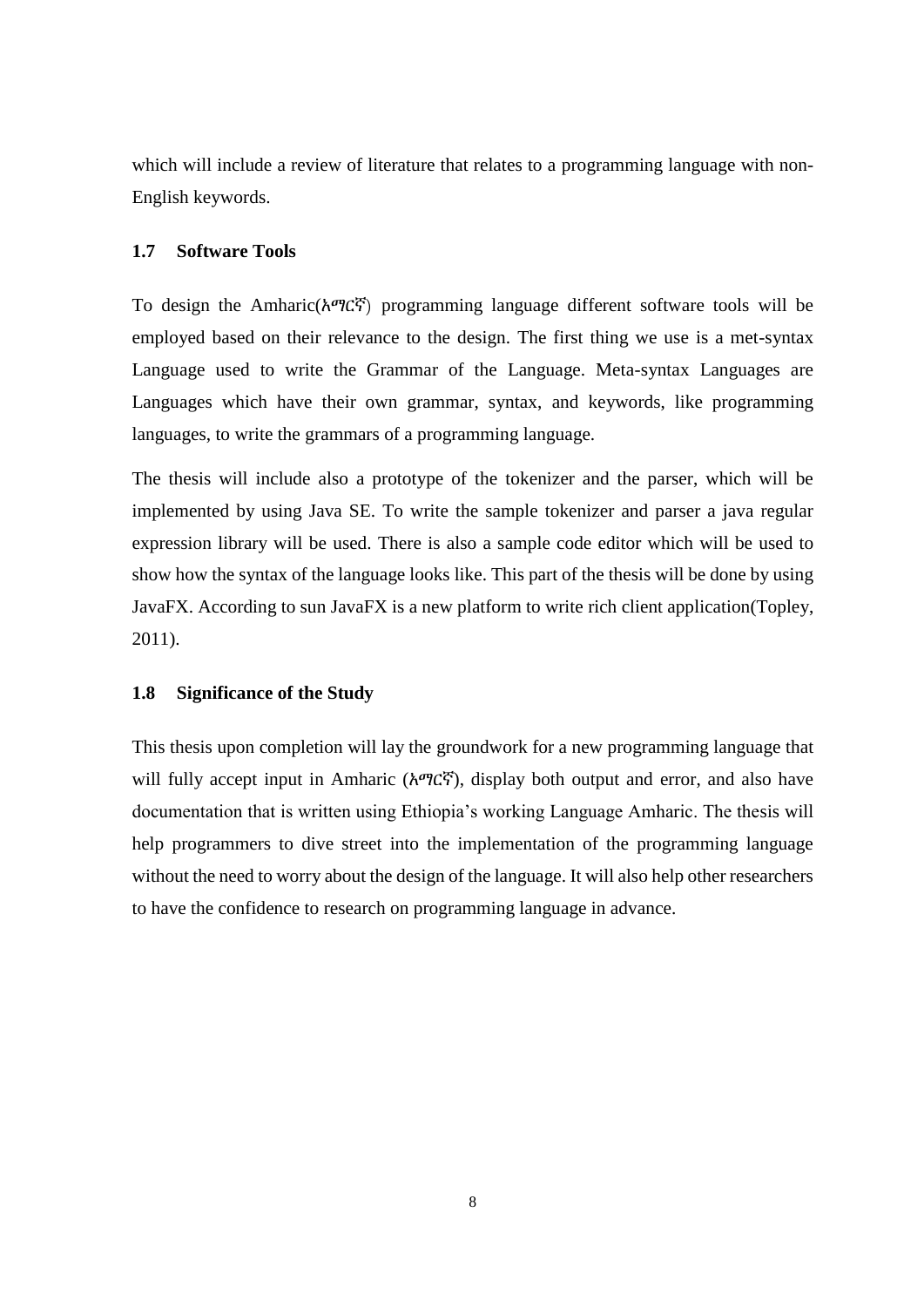which will include a review of literature that relates to a programming language with non-English keywords.

#### <span id="page-21-0"></span>**1.7 Software Tools**

To design the Amharic(አማርኛ) programming language different software tools will be employed based on their relevance to the design. The first thing we use is a met-syntax Language used to write the Grammar of the Language. Meta-syntax Languages are Languages which have their own grammar, syntax, and keywords, like programming languages, to write the grammars of a programming language.

The thesis will include also a prototype of the tokenizer and the parser, which will be implemented by using Java SE. To write the sample tokenizer and parser a java regular expression library will be used. There is also a sample code editor which will be used to show how the syntax of the language looks like. This part of the thesis will be done by using JavaFX. According to sun JavaFX is a new platform to write rich client application(Topley, 2011).

#### <span id="page-21-1"></span>**1.8 Significance of the Study**

This thesis upon completion will lay the groundwork for a new programming language that will fully accept input in Amharic (አማርኛ), display both output and error, and also have documentation that is written using Ethiopia's working Language Amharic. The thesis will help programmers to dive street into the implementation of the programming language without the need to worry about the design of the language. It will also help other researchers to have the confidence to research on programming language in advance.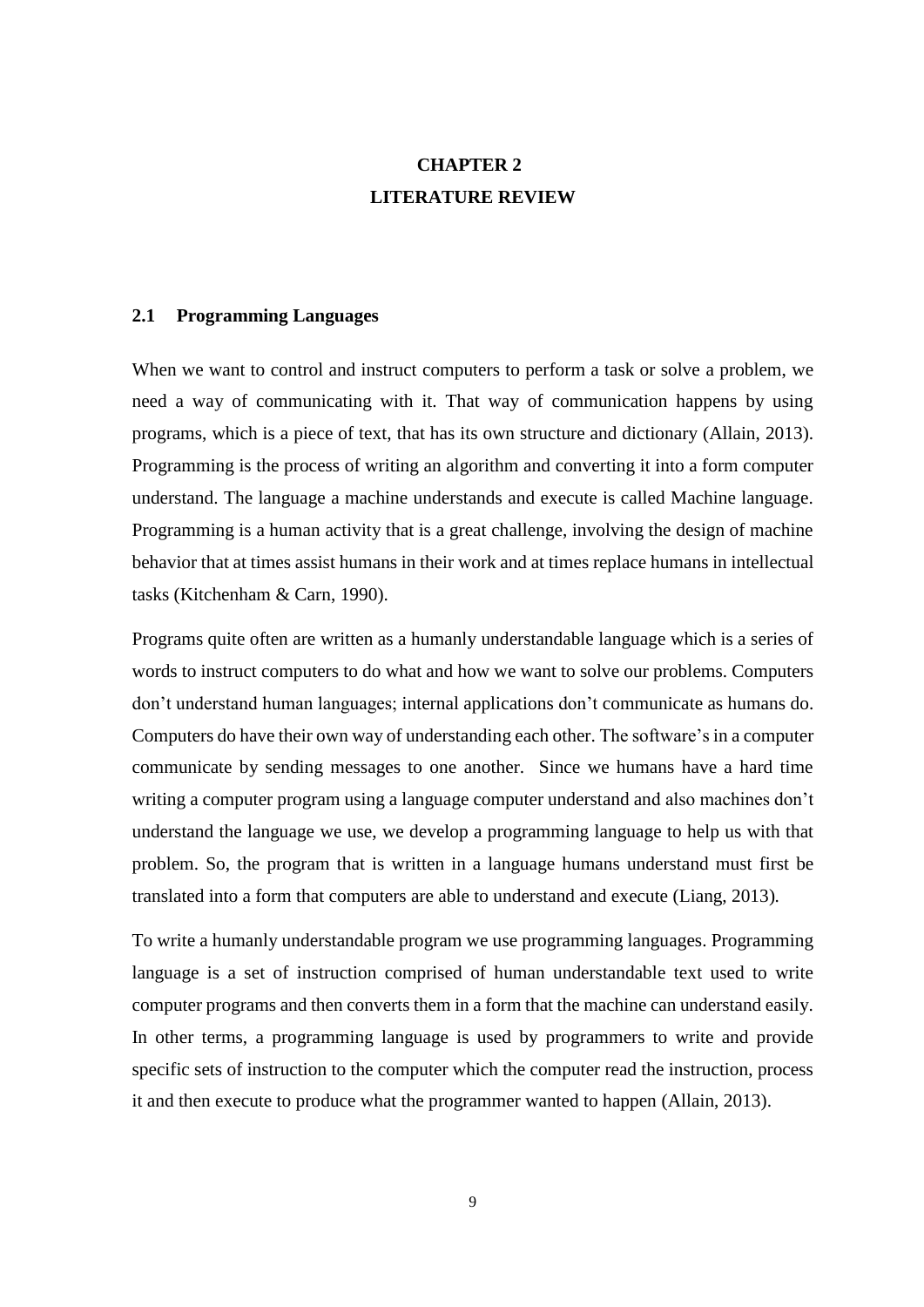# **CHAPTER 2 LITERATURE REVIEW**

### <span id="page-22-1"></span><span id="page-22-0"></span>**2.1 Programming Languages**

When we want to control and instruct computers to perform a task or solve a problem, we need a way of communicating with it. That way of communication happens by using programs, which is a piece of text, that has its own structure and dictionary (Allain, 2013). Programming is the process of writing an algorithm and converting it into a form computer understand. The language a machine understands and execute is called Machine language. Programming is a human activity that is a great challenge, involving the design of machine behavior that at times assist humans in their work and at times replace humans in intellectual tasks (Kitchenham & Carn, 1990).

Programs quite often are written as a humanly understandable language which is a series of words to instruct computers to do what and how we want to solve our problems. Computers don't understand human languages; internal applications don't communicate as humans do. Computers do have their own way of understanding each other. The software's in a computer communicate by sending messages to one another. Since we humans have a hard time writing a computer program using a language computer understand and also machines don't understand the language we use, we develop a programming language to help us with that problem. So, the program that is written in a language humans understand must first be translated into a form that computers are able to understand and execute (Liang, 2013)*.*

To write a humanly understandable program we use programming languages. Programming language is a set of instruction comprised of human understandable text used to write computer programs and then converts them in a form that the machine can understand easily. In other terms, a programming language is used by programmers to write and provide specific sets of instruction to the computer which the computer read the instruction, process it and then execute to produce what the programmer wanted to happen (Allain, 2013).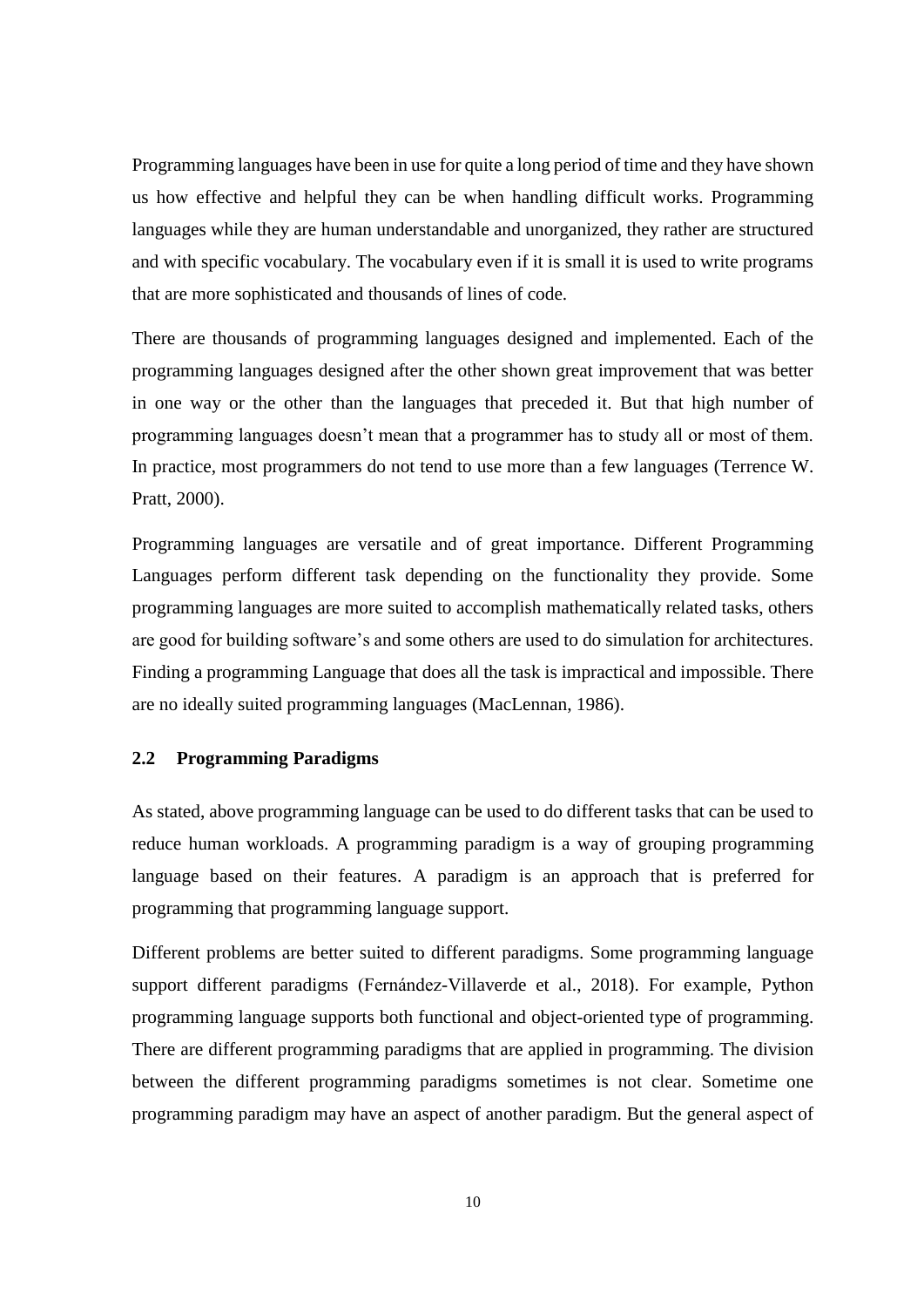Programming languages have been in use for quite a long period of time and they have shown us how effective and helpful they can be when handling difficult works. Programming languages while they are human understandable and unorganized, they rather are structured and with specific vocabulary. The vocabulary even if it is small it is used to write programs that are more sophisticated and thousands of lines of code.

There are thousands of programming languages designed and implemented. Each of the programming languages designed after the other shown great improvement that was better in one way or the other than the languages that preceded it. But that high number of programming languages doesn't mean that a programmer has to study all or most of them. In practice, most programmers do not tend to use more than a few languages (Terrence W. Pratt, 2000).

Programming languages are versatile and of great importance. Different Programming Languages perform different task depending on the functionality they provide. Some programming languages are more suited to accomplish mathematically related tasks, others are good for building software's and some others are used to do simulation for architectures. Finding a programming Language that does all the task is impractical and impossible. There are no ideally suited programming languages (MacLennan, 1986).

#### <span id="page-23-0"></span>**2.2 Programming Paradigms**

As stated, above programming language can be used to do different tasks that can be used to reduce human workloads. A programming paradigm is a way of grouping programming language based on their features. A paradigm is an approach that is preferred for programming that programming language support.

Different problems are better suited to different paradigms. Some programming language support different paradigms (Fernández-Villaverde et al., 2018). For example, Python programming language supports both functional and object-oriented type of programming. There are different programming paradigms that are applied in programming. The division between the different programming paradigms sometimes is not clear. Sometime one programming paradigm may have an aspect of another paradigm. But the general aspect of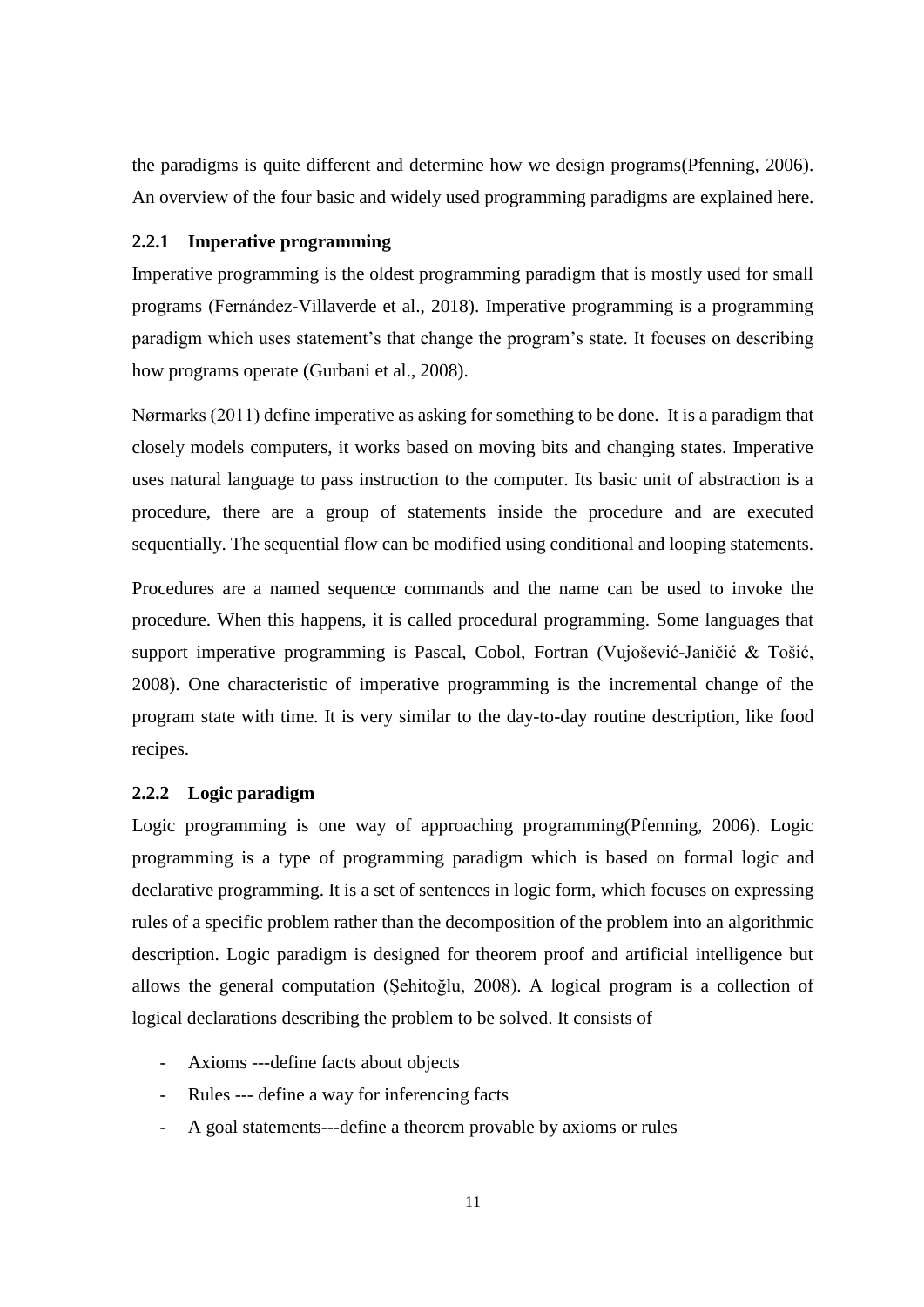the paradigms is quite different and determine how we design programs(Pfenning, 2006). An overview of the four basic and widely used programming paradigms are explained here.

#### <span id="page-24-0"></span>**2.2.1 Imperative programming**

Imperative programming is the oldest programming paradigm that is mostly used for small programs (Fernández-Villaverde et al., 2018). Imperative programming is a programming paradigm which uses statement's that change the program's state. It focuses on describing how programs operate (Gurbani et al., 2008).

Nørmarks (2011) define imperative as asking for something to be done. It is a paradigm that closely models computers, it works based on moving bits and changing states. Imperative uses natural language to pass instruction to the computer. Its basic unit of abstraction is a procedure, there are a group of statements inside the procedure and are executed sequentially. The sequential flow can be modified using conditional and looping statements.

Procedures are a named sequence commands and the name can be used to invoke the procedure. When this happens, it is called procedural programming. Some languages that support imperative programming is Pascal, Cobol, Fortran (Vujošević-Janičić & Tošić, 2008). One characteristic of imperative programming is the incremental change of the program state with time. It is very similar to the day-to-day routine description, like food recipes.

#### <span id="page-24-1"></span>**2.2.2 Logic paradigm**

Logic programming is one way of approaching programming(Pfenning, 2006). Logic programming is a type of programming paradigm which is based on formal logic and declarative programming. It is a set of sentences in logic form, which focuses on expressing rules of a specific problem rather than the decomposition of the problem into an algorithmic description. Logic paradigm is designed for theorem proof and artificial intelligence but allows the general computation (Şehitoğlu, 2008). A logical program is a collection of logical declarations describing the problem to be solved. It consists of

- Axioms ---define facts about objects
- Rules --- define a way for inferencing facts
- A goal statements---define a theorem provable by axioms or rules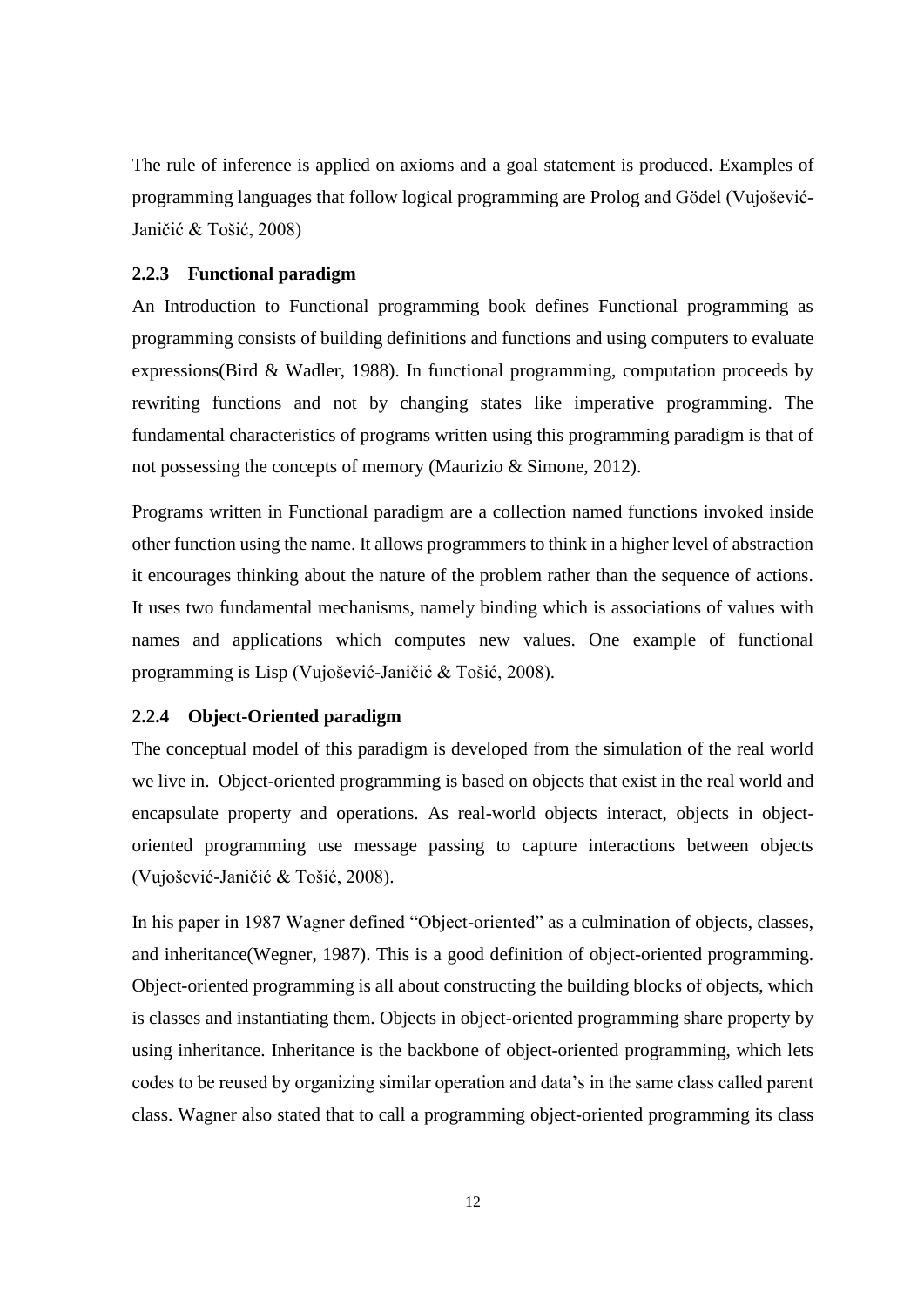The rule of inference is applied on axioms and a goal statement is produced. Examples of programming languages that follow logical programming are Prolog and Gödel (Vujošević-Janičić & Tošić, 2008)

#### <span id="page-25-0"></span>**2.2.3 Functional paradigm**

An Introduction to Functional programming book defines Functional programming as programming consists of building definitions and functions and using computers to evaluate expressions(Bird & Wadler, 1988). In functional programming, computation proceeds by rewriting functions and not by changing states like imperative programming. The fundamental characteristics of programs written using this programming paradigm is that of not possessing the concepts of memory (Maurizio & Simone, 2012).

Programs written in Functional paradigm are a collection named functions invoked inside other function using the name. It allows programmers to think in a higher level of abstraction it encourages thinking about the nature of the problem rather than the sequence of actions. It uses two fundamental mechanisms, namely binding which is associations of values with names and applications which computes new values. One example of functional programming is Lisp (Vujošević-Janičić & Tošić, 2008).

#### <span id="page-25-1"></span>**2.2.4 Object-Oriented paradigm**

The conceptual model of this paradigm is developed from the simulation of the real world we live in. Object-oriented programming is based on objects that exist in the real world and encapsulate property and operations. As real-world objects interact, objects in objectoriented programming use message passing to capture interactions between objects (Vujošević-Janičić & Tošić, 2008).

In his paper in 1987 Wagner defined "Object-oriented" as a culmination of objects, classes, and inheritance(Wegner, 1987). This is a good definition of object-oriented programming. Object-oriented programming is all about constructing the building blocks of objects, which is classes and instantiating them. Objects in object-oriented programming share property by using inheritance. Inheritance is the backbone of object-oriented programming, which lets codes to be reused by organizing similar operation and data's in the same class called parent class. Wagner also stated that to call a programming object-oriented programming its class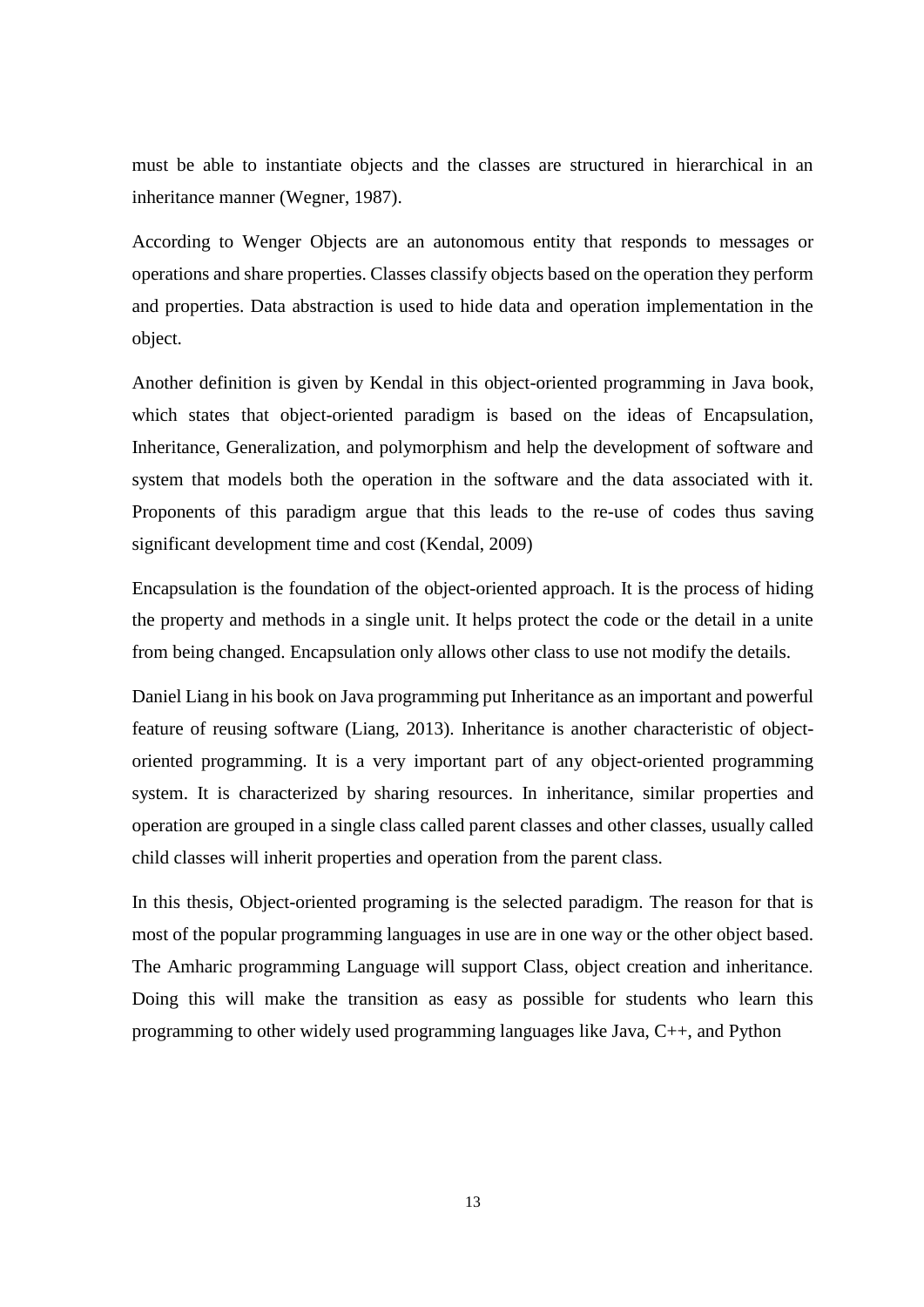must be able to instantiate objects and the classes are structured in hierarchical in an inheritance manner (Wegner, 1987).

According to Wenger Objects are an autonomous entity that responds to messages or operations and share properties. Classes classify objects based on the operation they perform and properties. Data abstraction is used to hide data and operation implementation in the object.

Another definition is given by Kendal in this object-oriented programming in Java book, which states that object-oriented paradigm is based on the ideas of Encapsulation, Inheritance, Generalization, and polymorphism and help the development of software and system that models both the operation in the software and the data associated with it. Proponents of this paradigm argue that this leads to the re-use of codes thus saving significant development time and cost (Kendal, 2009)

Encapsulation is the foundation of the object-oriented approach. It is the process of hiding the property and methods in a single unit. It helps protect the code or the detail in a unite from being changed. Encapsulation only allows other class to use not modify the details.

Daniel Liang in his book on Java programming put Inheritance as an important and powerful feature of reusing software (Liang, 2013). Inheritance is another characteristic of objectoriented programming. It is a very important part of any object-oriented programming system. It is characterized by sharing resources. In inheritance, similar properties and operation are grouped in a single class called parent classes and other classes, usually called child classes will inherit properties and operation from the parent class.

In this thesis, Object-oriented programing is the selected paradigm. The reason for that is most of the popular programming languages in use are in one way or the other object based. The Amharic programming Language will support Class, object creation and inheritance. Doing this will make the transition as easy as possible for students who learn this programming to other widely used programming languages like Java, C++, and Python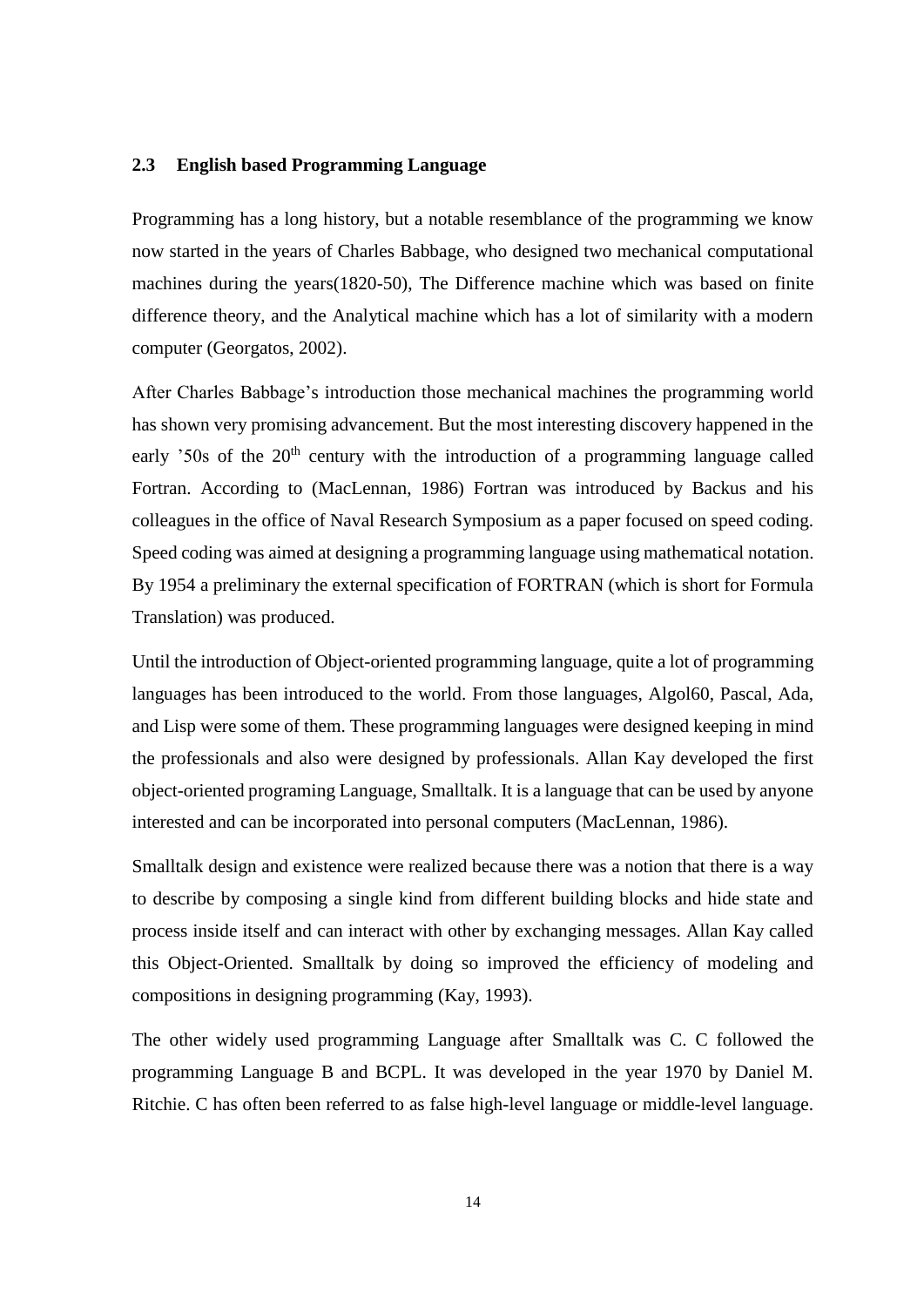#### <span id="page-27-0"></span>**2.3 English based Programming Language**

Programming has a long history, but a notable resemblance of the programming we know now started in the years of Charles Babbage, who designed two mechanical computational machines during the years(1820-50), The Difference machine which was based on finite difference theory, and the Analytical machine which has a lot of similarity with a modern computer (Georgatos, 2002).

After Charles Babbage's introduction those mechanical machines the programming world has shown very promising advancement. But the most interesting discovery happened in the early '50s of the  $20<sup>th</sup>$  century with the introduction of a programming language called Fortran. According to (MacLennan, 1986) Fortran was introduced by Backus and his colleagues in the office of Naval Research Symposium as a paper focused on speed coding. Speed coding was aimed at designing a programming language using mathematical notation. By 1954 a preliminary the external specification of FORTRAN (which is short for Formula Translation) was produced.

Until the introduction of Object-oriented programming language, quite a lot of programming languages has been introduced to the world. From those languages, Algol60, Pascal, Ada, and Lisp were some of them. These programming languages were designed keeping in mind the professionals and also were designed by professionals. Allan Kay developed the first object-oriented programing Language, Smalltalk. It is a language that can be used by anyone interested and can be incorporated into personal computers (MacLennan, 1986).

Smalltalk design and existence were realized because there was a notion that there is a way to describe by composing a single kind from different building blocks and hide state and process inside itself and can interact with other by exchanging messages. Allan Kay called this Object-Oriented. Smalltalk by doing so improved the efficiency of modeling and compositions in designing programming (Kay, 1993).

The other widely used programming Language after Smalltalk was C. C followed the programming Language B and BCPL. It was developed in the year 1970 by Daniel M. Ritchie. C has often been referred to as false high-level language or middle-level language.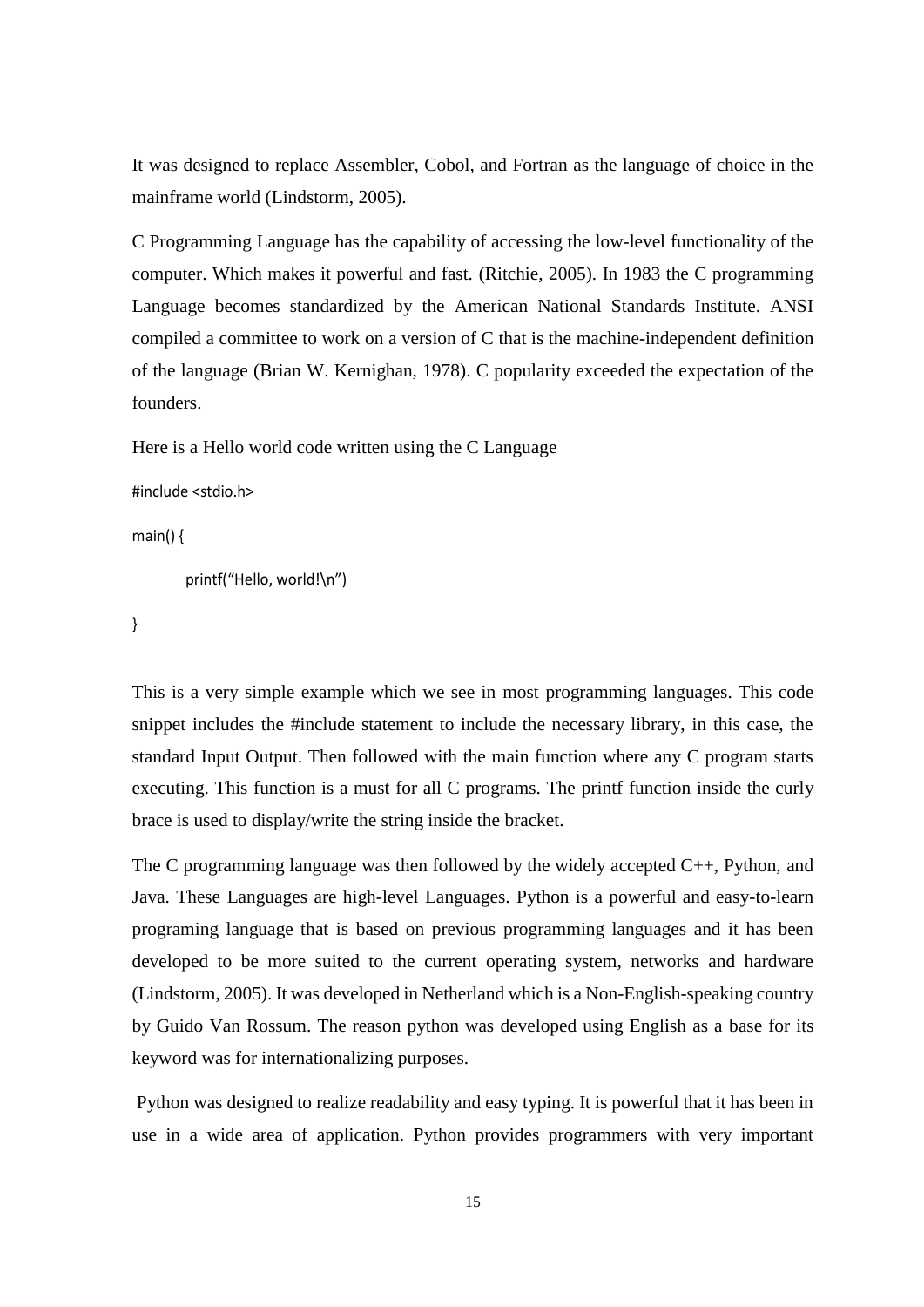It was designed to replace Assembler, Cobol, and Fortran as the language of choice in the mainframe world (Lindstorm, 2005).

C Programming Language has the capability of accessing the low-level functionality of the computer. Which makes it powerful and fast. (Ritchie, 2005). In 1983 the C programming Language becomes standardized by the American National Standards Institute. ANSI compiled a committee to work on a version of C that is the machine-independent definition of the language (Brian W. Kernighan, 1978). C popularity exceeded the expectation of the founders.

Here is a Hello world code written using the C Language

```
#include <stdio.h>
```
 $main()$ 

```
printf("Hello, world!\n")
```
}

This is a very simple example which we see in most programming languages. This code snippet includes the #include statement to include the necessary library, in this case, the standard Input Output. Then followed with the main function where any C program starts executing. This function is a must for all C programs. The printf function inside the curly brace is used to display/write the string inside the bracket.

The C programming language was then followed by the widely accepted C++, Python, and Java. These Languages are high-level Languages. Python is a powerful and easy-to-learn programing language that is based on previous programming languages and it has been developed to be more suited to the current operating system, networks and hardware (Lindstorm, 2005). It was developed in Netherland which is a Non-English-speaking country by Guido Van Rossum. The reason python was developed using English as a base for its keyword was for internationalizing purposes.

Python was designed to realize readability and easy typing. It is powerful that it has been in use in a wide area of application. Python provides programmers with very important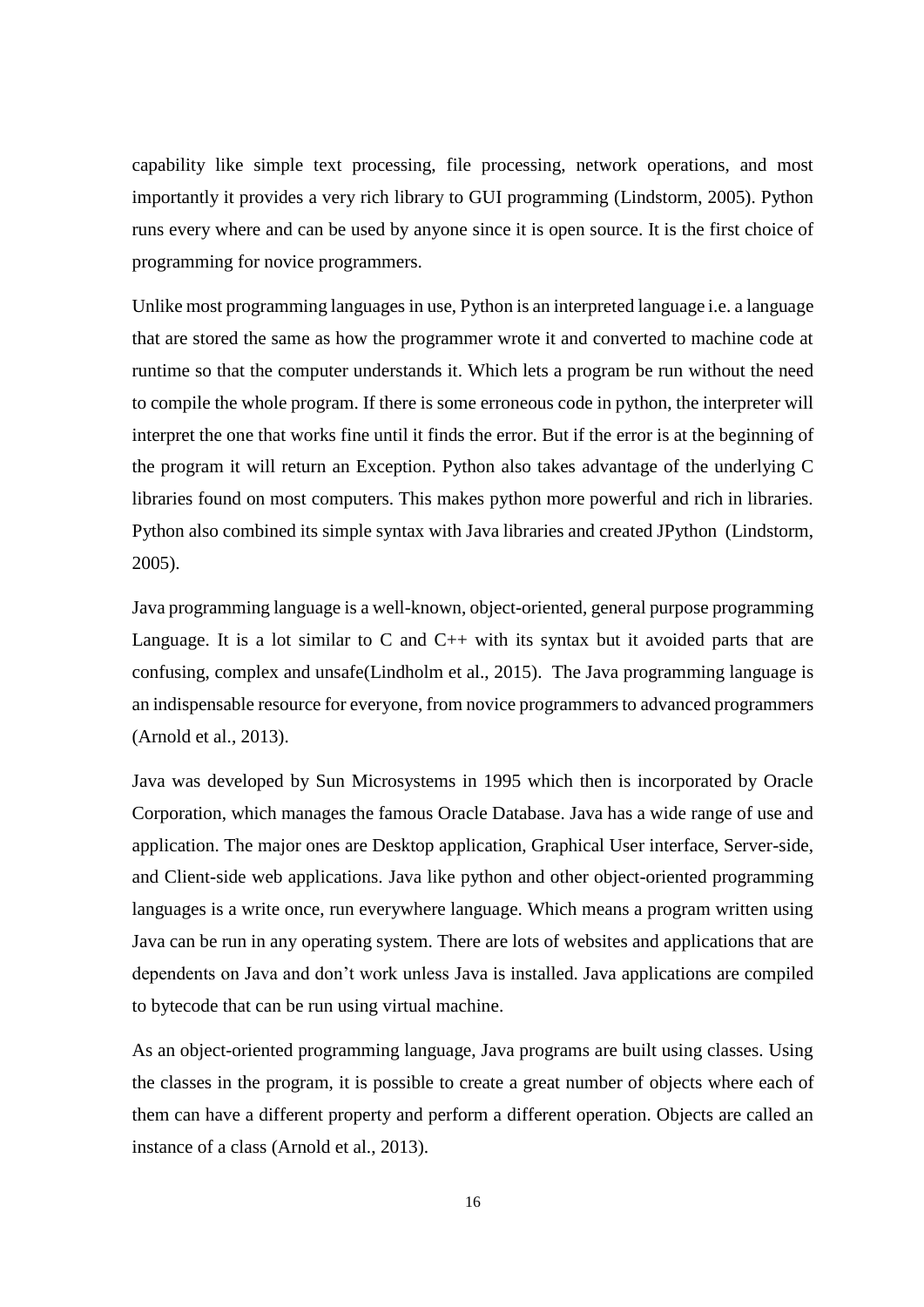capability like simple text processing, file processing, network operations, and most importantly it provides a very rich library to GUI programming (Lindstorm, 2005). Python runs every where and can be used by anyone since it is open source. It is the first choice of programming for novice programmers.

Unlike most programming languages in use, Python is an interpreted language i.e. a language that are stored the same as how the programmer wrote it and converted to machine code at runtime so that the computer understands it. Which lets a program be run without the need to compile the whole program. If there is some erroneous code in python, the interpreter will interpret the one that works fine until it finds the error. But if the error is at the beginning of the program it will return an Exception. Python also takes advantage of the underlying C libraries found on most computers. This makes python more powerful and rich in libraries. Python also combined its simple syntax with Java libraries and created JPython (Lindstorm, 2005).

Java programming language is a well-known, object-oriented, general purpose programming Language. It is a lot similar to C and  $C_{++}$  with its syntax but it avoided parts that are confusing, complex and unsafe(Lindholm et al., 2015). The Java programming language is an indispensable resource for everyone, from novice programmers to advanced programmers (Arnold et al., 2013).

Java was developed by Sun Microsystems in 1995 which then is incorporated by Oracle Corporation, which manages the famous Oracle Database. Java has a wide range of use and application. The major ones are Desktop application, Graphical User interface, Server-side, and Client-side web applications. Java like python and other object-oriented programming languages is a write once, run everywhere language. Which means a program written using Java can be run in any operating system. There are lots of websites and applications that are dependents on Java and don't work unless Java is installed. Java applications are compiled to bytecode that can be run using virtual machine.

As an object-oriented programming language, Java programs are built using classes. Using the classes in the program, it is possible to create a great number of objects where each of them can have a different property and perform a different operation. Objects are called an instance of a class (Arnold et al., 2013).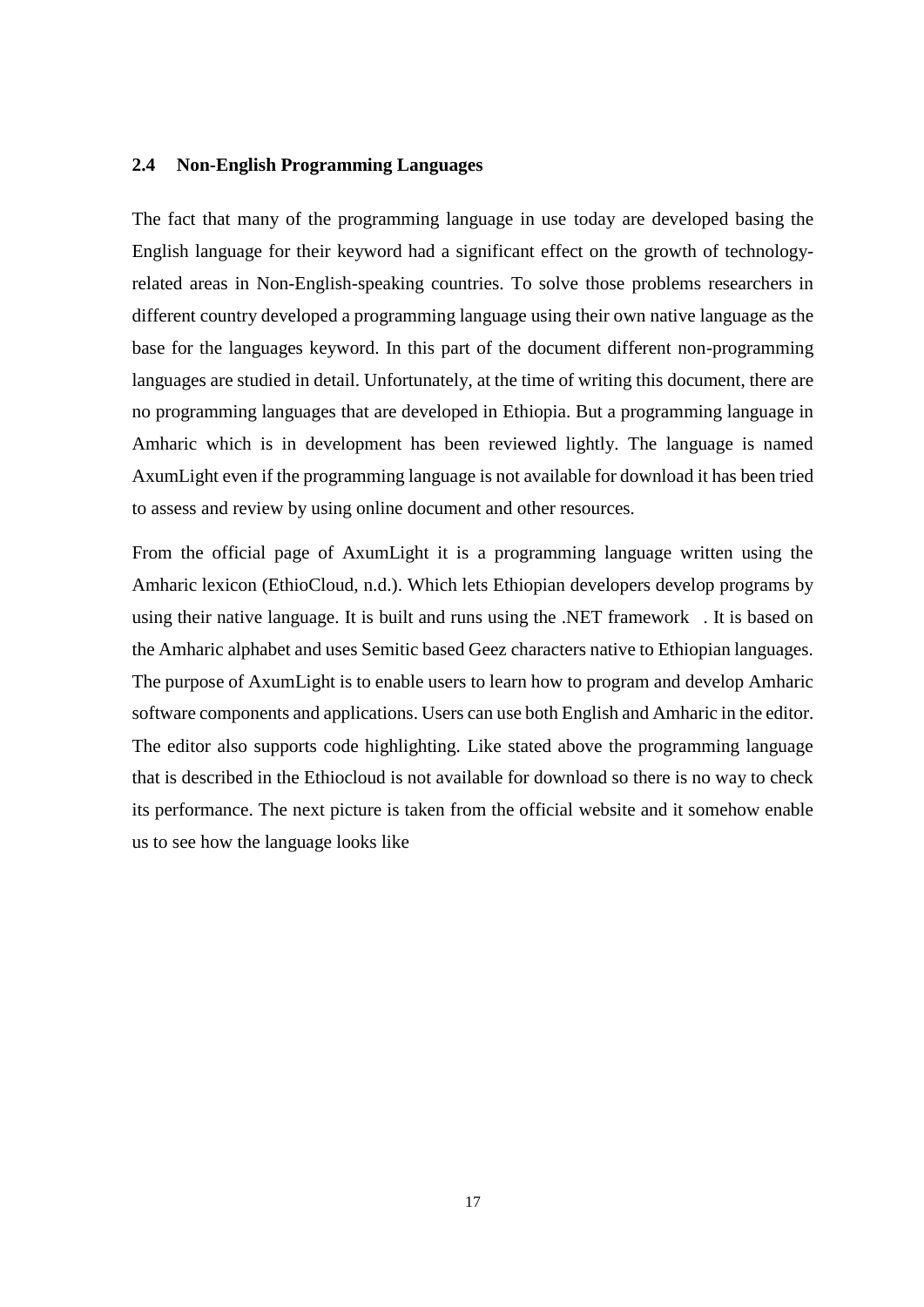#### <span id="page-30-0"></span>**2.4 Non-English Programming Languages**

The fact that many of the programming language in use today are developed basing the English language for their keyword had a significant effect on the growth of technologyrelated areas in Non-English-speaking countries. To solve those problems researchers in different country developed a programming language using their own native language as the base for the languages keyword. In this part of the document different non-programming languages are studied in detail. Unfortunately, at the time of writing this document, there are no programming languages that are developed in Ethiopia. But a programming language in Amharic which is in development has been reviewed lightly. The language is named AxumLight even if the programming language is not available for download it has been tried to assess and review by using online document and other resources.

From the official page of AxumLight it is a programming language written using the Amharic lexicon (EthioCloud, n.d.). Which lets Ethiopian developers develop programs by using their native language. It is built and runs using the .NET framework . It is based on the Amharic alphabet and uses Semitic based Geez characters native to Ethiopian languages. The purpose of AxumLight is to enable users to learn how to program and develop Amharic software components and applications. Users can use both English and Amharic in the editor. The editor also supports code highlighting. Like stated above the programming language that is described in the Ethiocloud is not available for download so there is no way to check its performance. The next picture is taken from the official website and it somehow enable us to see how the language looks like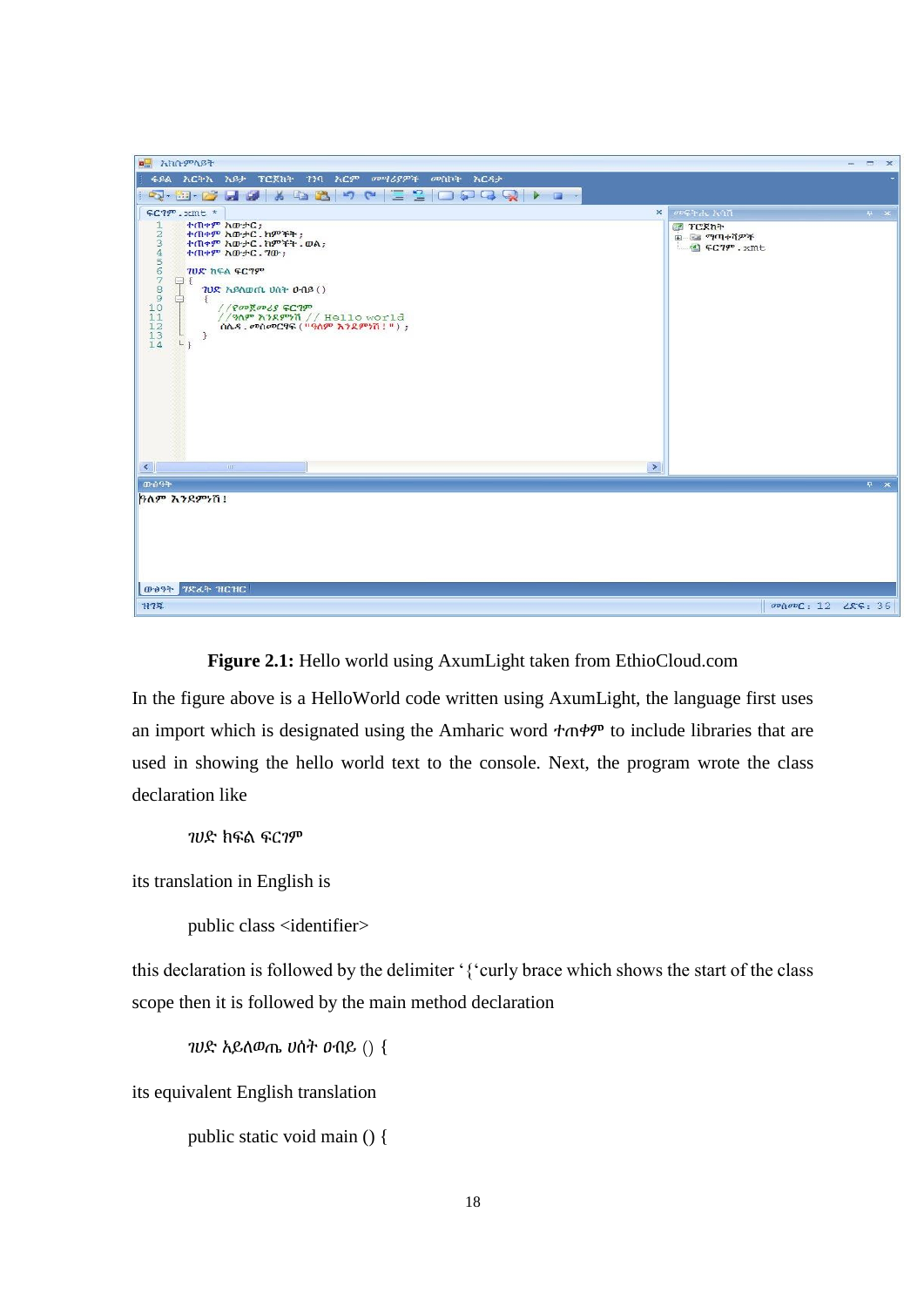

**Figure 2.1:** Hello world using AxumLight taken from EthioCloud.com

<span id="page-31-0"></span>In the figure above is a HelloWorld code written using AxumLight, the language first uses an import which is designated using the Amharic word ተጠቀም to include libraries that are used in showing the hello world text to the console. Next, the program wrote the class declaration like

```
ገሀድ ክፍል ፍርገም
```
its translation in English is

public class <identifier>

this declaration is followed by the delimiter '{'curly brace which shows the start of the class scope then it is followed by the main method declaration

ገሀድ አይለወጤ ሀሰት ዐብይ () {

its equivalent English translation

```
public static void main () {
```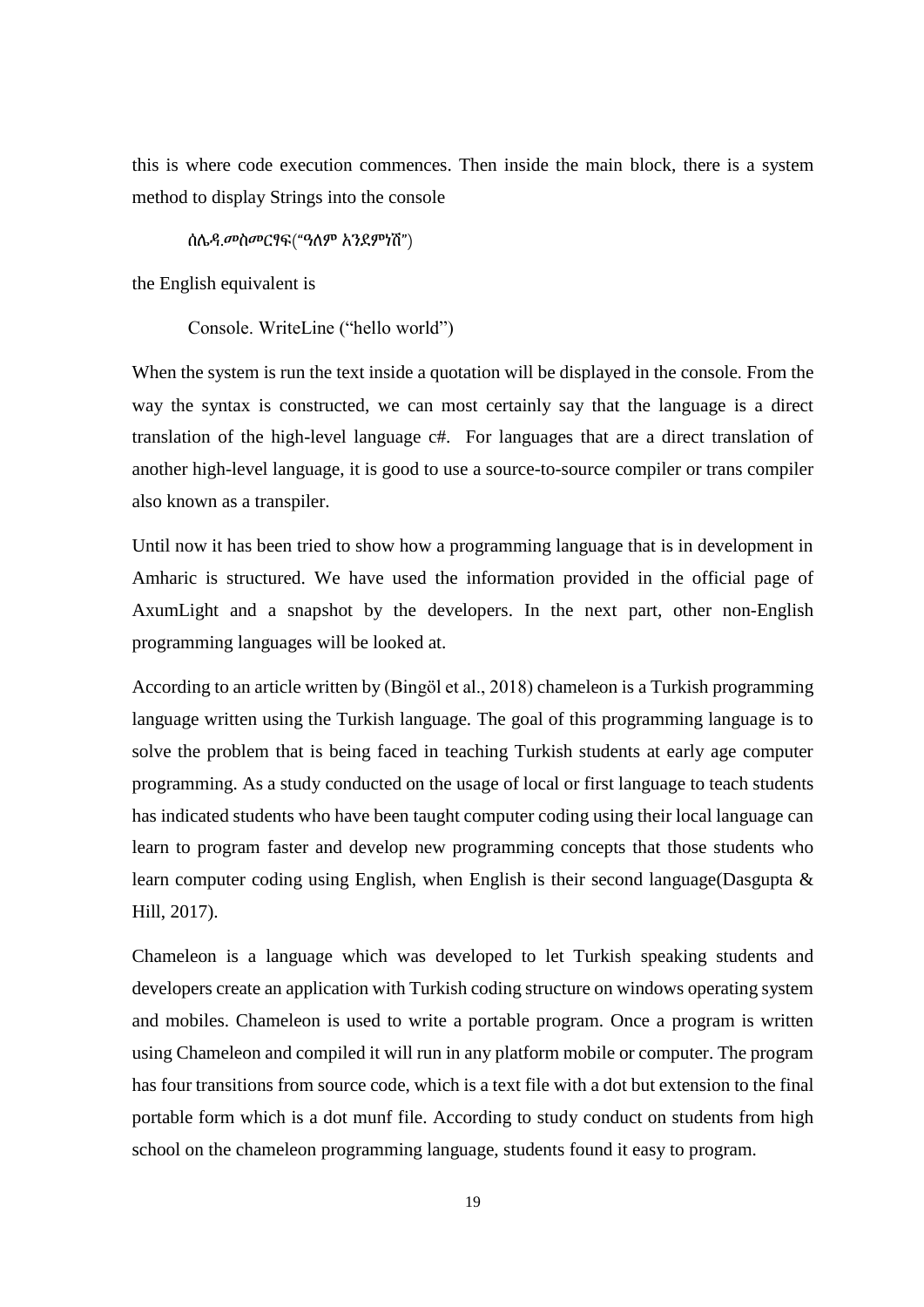this is where code execution commences. Then inside the main block, there is a system method to display Strings into the console

ሰሌዳ.መስመርፃፍ("ዓለም አንደምነሽ")

the English equivalent is

Console. WriteLine ("hello world")

When the system is run the text inside a quotation will be displayed in the console. From the way the syntax is constructed, we can most certainly say that the language is a direct translation of the high-level language c#. For languages that are a direct translation of another high-level language, it is good to use a source-to-source compiler or trans compiler also known as a transpiler.

Until now it has been tried to show how a programming language that is in development in Amharic is structured. We have used the information provided in the official page of AxumLight and a snapshot by the developers. In the next part, other non-English programming languages will be looked at.

According to an article written by (Bingöl et al., 2018) chameleon is a Turkish programming language written using the Turkish language. The goal of this programming language is to solve the problem that is being faced in teaching Turkish students at early age computer programming. As a study conducted on the usage of local or first language to teach students has indicated students who have been taught computer coding using their local language can learn to program faster and develop new programming concepts that those students who learn computer coding using English, when English is their second language (Dasgupta  $\&$ Hill, 2017).

Chameleon is a language which was developed to let Turkish speaking students and developers create an application with Turkish coding structure on windows operating system and mobiles. Chameleon is used to write a portable program. Once a program is written using Chameleon and compiled it will run in any platform mobile or computer. The program has four transitions from source code, which is a text file with a dot but extension to the final portable form which is a dot munf file. According to study conduct on students from high school on the chameleon programming language, students found it easy to program.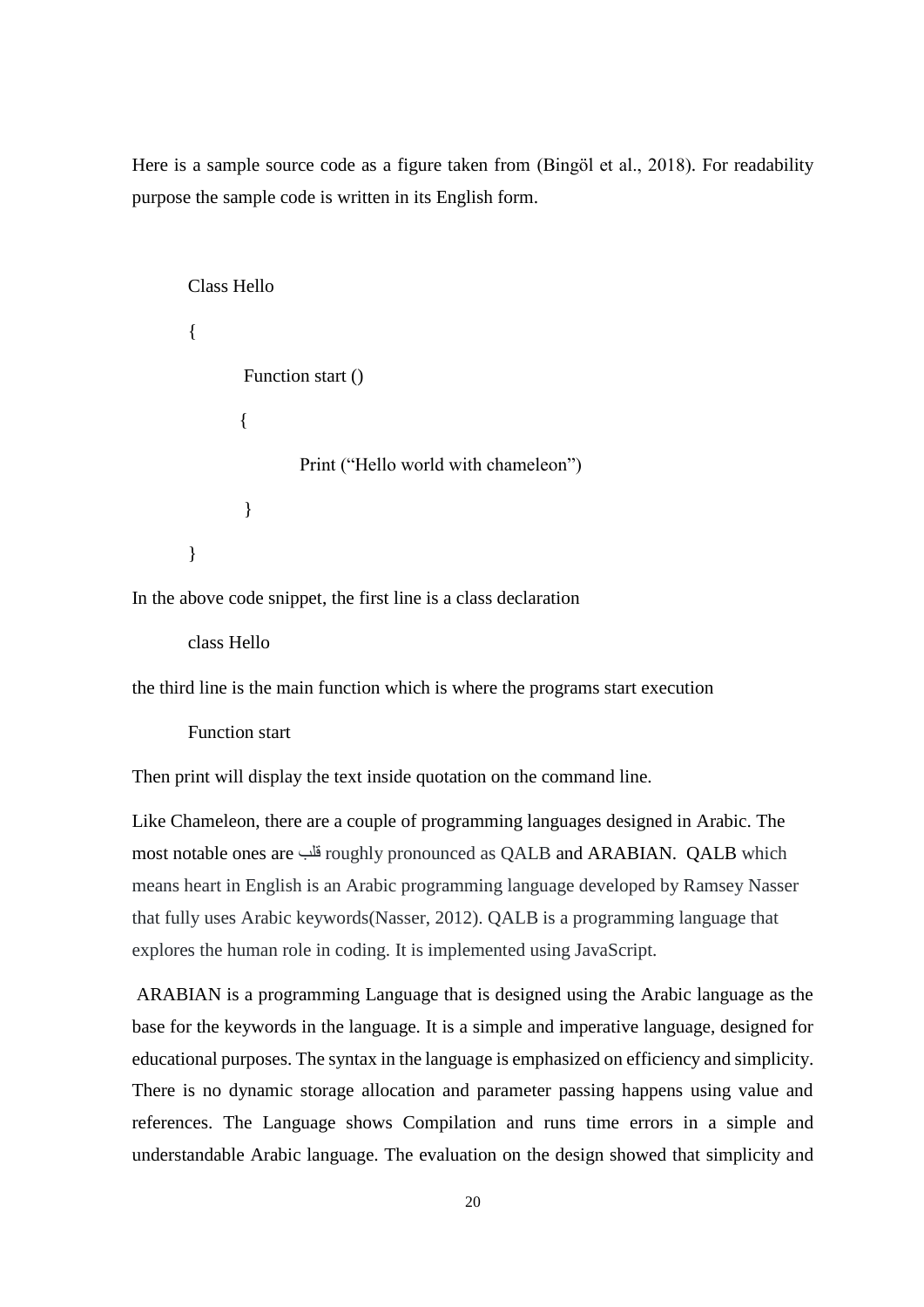Here is a sample source code as a figure taken from (Bingöl et al., 2018). For readability purpose the sample code is written in its English form.

```
Class Hello
{
       Function start ()
        {
               Print ("Hello world with chameleon")
       }
}
```
In the above code snippet, the first line is a class declaration

class Hello

the third line is the main function which is where the programs start execution

Function start

Then print will display the text inside quotation on the command line.

Like Chameleon, there are a couple of programming languages designed in Arabic. The most notable ones are قلب roughly pronounced as QALB and ARABIAN. QALB which means heart in English is an Arabic programming language developed by Ramsey Nasser that fully uses Arabic keywords(Nasser, 2012). QALB is a programming language that explores the human role in coding. It is implemented using JavaScript.

ARABIAN is a programming Language that is designed using the Arabic language as the base for the keywords in the language. It is a simple and imperative language, designed for educational purposes. The syntax in the language is emphasized on efficiency and simplicity. There is no dynamic storage allocation and parameter passing happens using value and references. The Language shows Compilation and runs time errors in a simple and understandable Arabic language. The evaluation on the design showed that simplicity and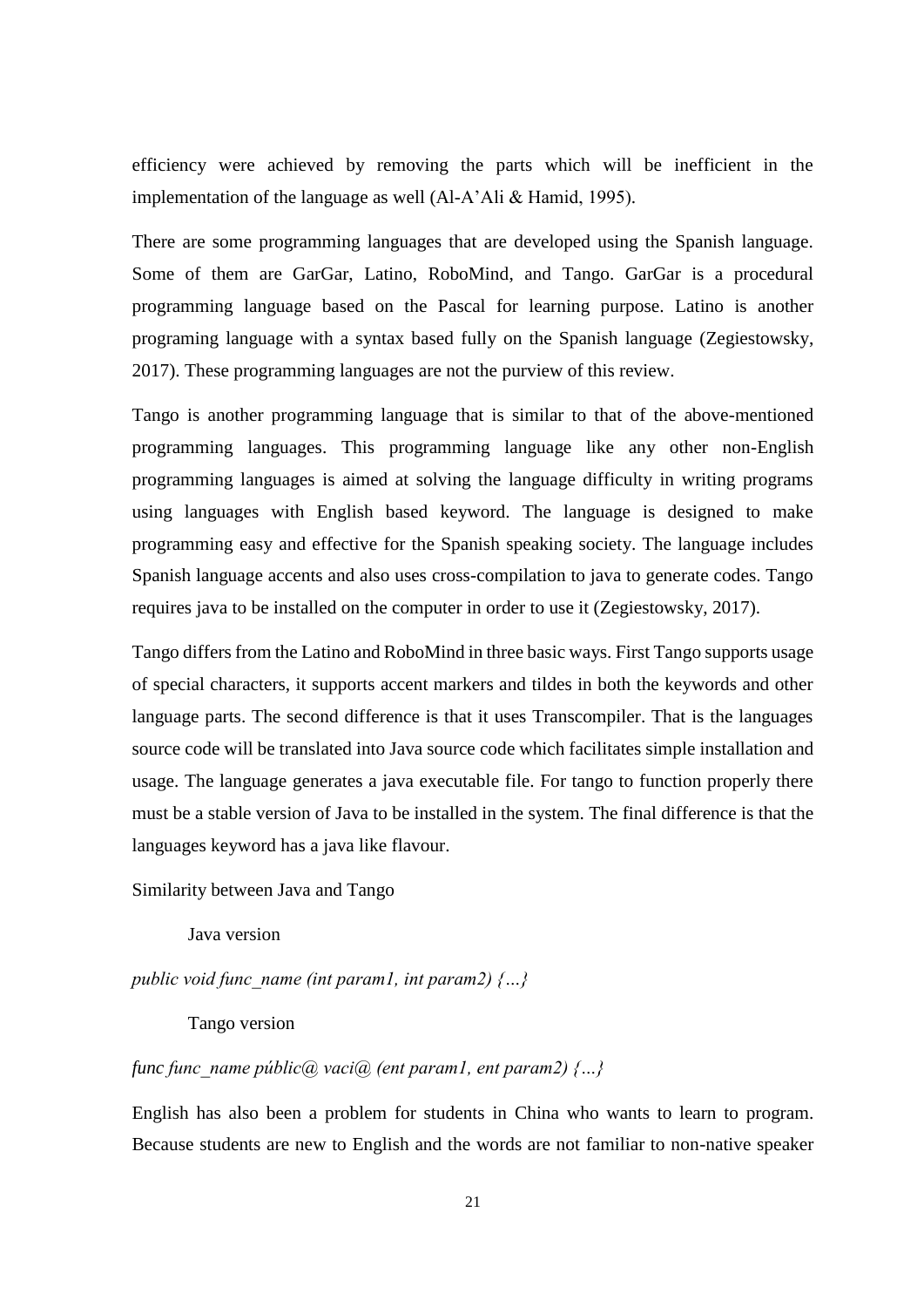efficiency were achieved by removing the parts which will be inefficient in the implementation of the language as well (Al-A'Ali & Hamid, 1995).

There are some programming languages that are developed using the Spanish language. Some of them are GarGar, Latino, RoboMind, and Tango. GarGar is a procedural programming language based on the Pascal for learning purpose. Latino is another programing language with a syntax based fully on the Spanish language (Zegiestowsky, 2017). These programming languages are not the purview of this review.

Tango is another programming language that is similar to that of the above-mentioned programming languages. This programming language like any other non-English programming languages is aimed at solving the language difficulty in writing programs using languages with English based keyword. The language is designed to make programming easy and effective for the Spanish speaking society. The language includes Spanish language accents and also uses cross-compilation to java to generate codes. Tango requires java to be installed on the computer in order to use it (Zegiestowsky, 2017).

Tango differs from the Latino and RoboMind in three basic ways. First Tango supports usage of special characters, it supports accent markers and tildes in both the keywords and other language parts. The second difference is that it uses Transcompiler. That is the languages source code will be translated into Java source code which facilitates simple installation and usage. The language generates a java executable file. For tango to function properly there must be a stable version of Java to be installed in the system. The final difference is that the languages keyword has a java like flavour.

#### Similarity between Java and Tango

Java version

*public void func\_name (int param1, int param2) {…}*

Tango version

## *func func\_name públic@ vaci@ (ent param1, ent param2) {…}*

English has also been a problem for students in China who wants to learn to program. Because students are new to English and the words are not familiar to non-native speaker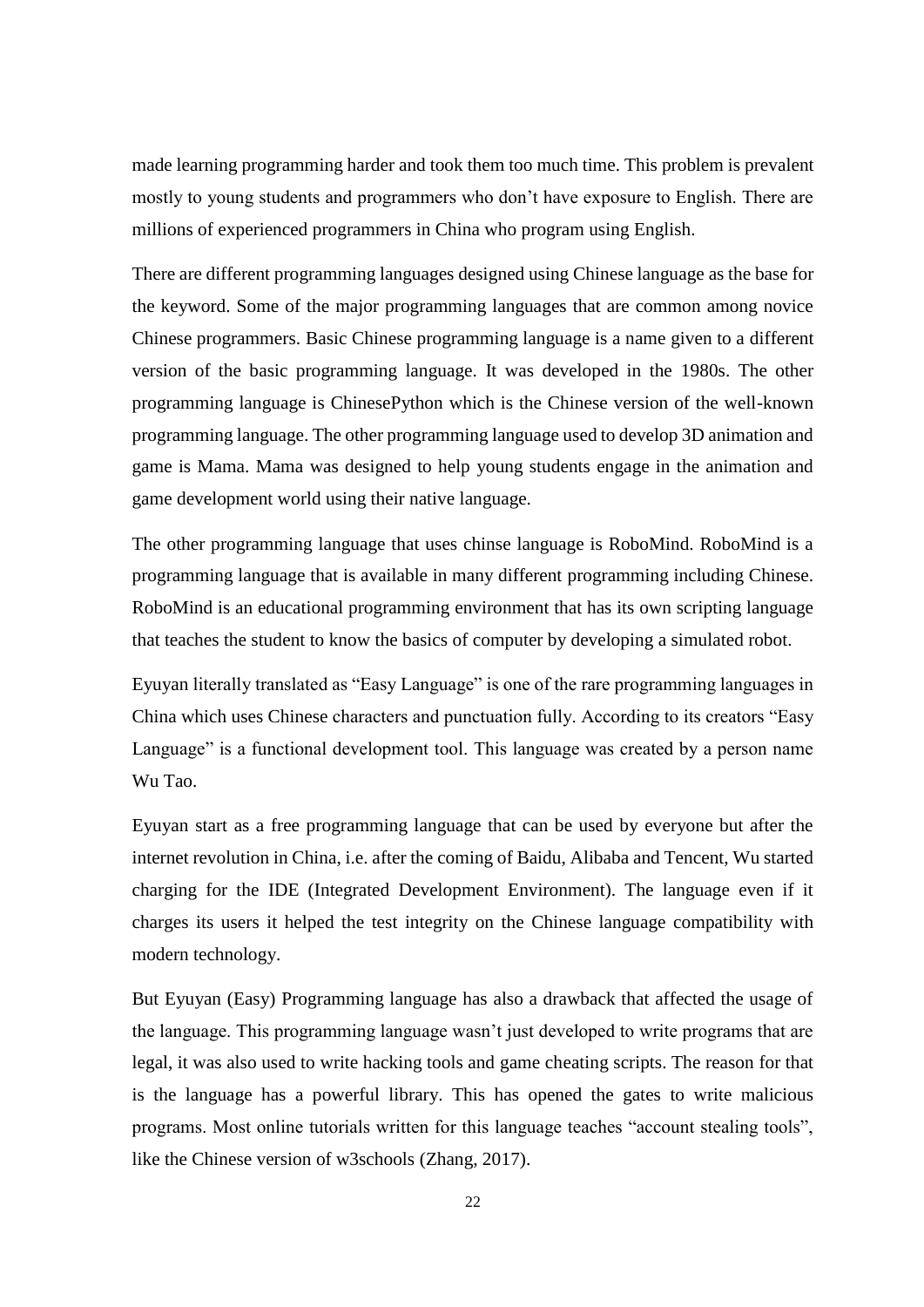made learning programming harder and took them too much time. This problem is prevalent mostly to young students and programmers who don't have exposure to English. There are millions of experienced programmers in China who program using English.

There are different programming languages designed using Chinese language as the base for the keyword. Some of the major programming languages that are common among novice Chinese programmers. Basic Chinese programming language is a name given to a different version of the basic programming language. It was developed in the 1980s. The other programming language is ChinesePython which is the Chinese version of the well-known programming language. The other programming language used to develop 3D animation and game is Mama. Mama was designed to help young students engage in the animation and game development world using their native language.

The other programming language that uses chinse language is RoboMind. RoboMind is a programming language that is available in many different programming including Chinese. RoboMind is an educational programming environment that has its own scripting language that teaches the student to know the basics of computer by developing a simulated robot.

Eyuyan literally translated as "Easy Language" is one of the rare programming languages in China which uses Chinese characters and punctuation fully. According to its creators "Easy Language" is a functional development tool. This language was created by a person name Wu Tao.

Eyuyan start as a free programming language that can be used by everyone but after the internet revolution in China, i.e. after the coming of Baidu, Alibaba and Tencent, Wu started charging for the IDE (Integrated Development Environment). The language even if it charges its users it helped the test integrity on the Chinese language compatibility with modern technology.

But Eyuyan (Easy) Programming language has also a drawback that affected the usage of the language. This programming language wasn't just developed to write programs that are legal, it was also used to write hacking tools and game cheating scripts. The reason for that is the language has a powerful library. This has opened the gates to write malicious programs. Most online tutorials written for this language teaches "account stealing tools", like the Chinese version of w3schools (Zhang, 2017).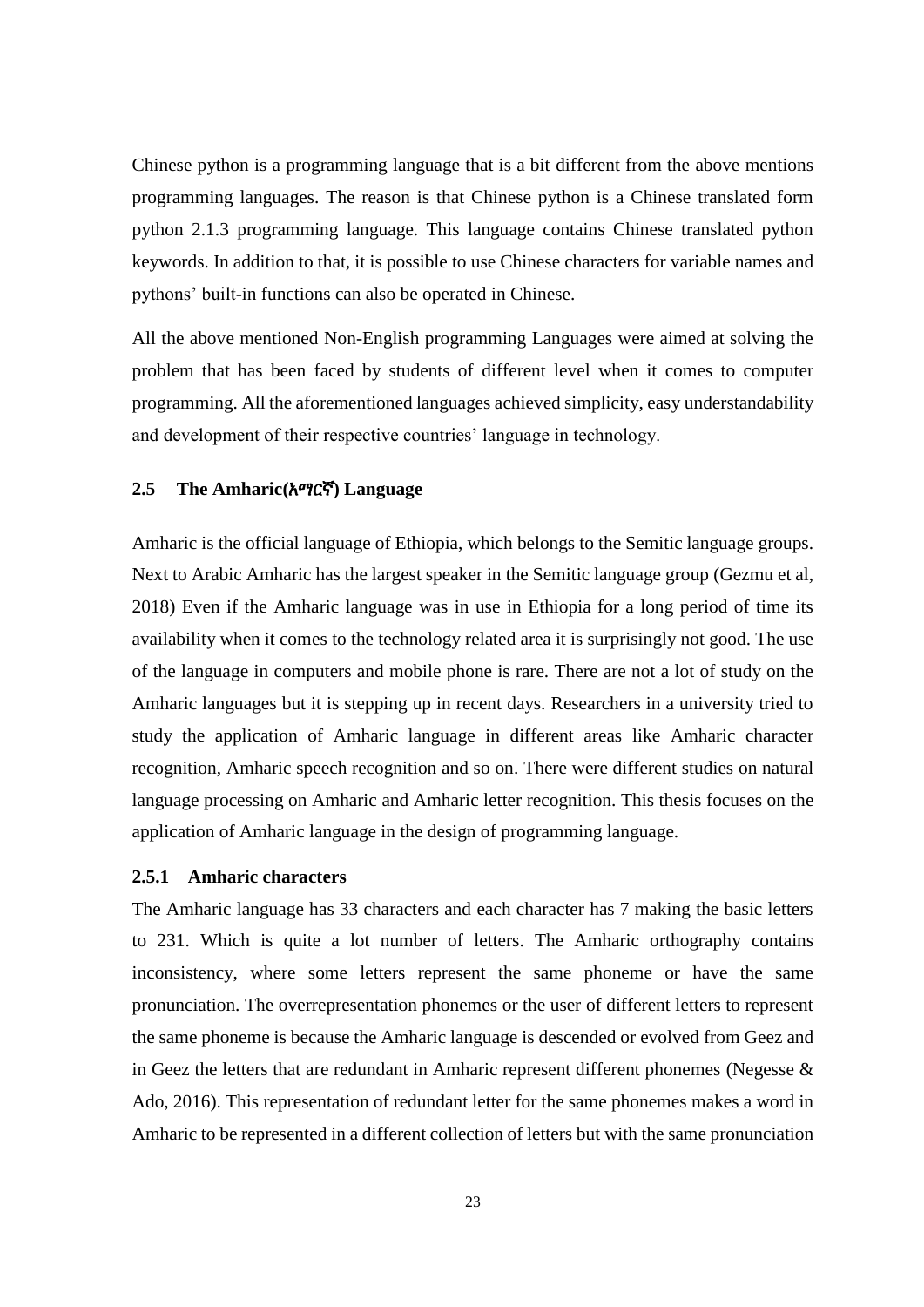Chinese python is a programming language that is a bit different from the above mentions programming languages. The reason is that Chinese python is a Chinese translated form python 2.1.3 programming language. This language contains Chinese translated python keywords. In addition to that, it is possible to use Chinese characters for variable names and pythons' built-in functions can also be operated in Chinese.

All the above mentioned Non-English programming Languages were aimed at solving the problem that has been faced by students of different level when it comes to computer programming. All the aforementioned languages achieved simplicity, easy understandability and development of their respective countries' language in technology.

### **2.5 The Amharic(**አማርኛ**) Language**

Amharic is the official language of Ethiopia, which belongs to the Semitic language groups. Next to Arabic Amharic has the largest speaker in the Semitic language group (Gezmu et al, 2018) Even if the Amharic language was in use in Ethiopia for a long period of time its availability when it comes to the technology related area it is surprisingly not good. The use of the language in computers and mobile phone is rare. There are not a lot of study on the Amharic languages but it is stepping up in recent days. Researchers in a university tried to study the application of Amharic language in different areas like Amharic character recognition, Amharic speech recognition and so on. There were different studies on natural language processing on Amharic and Amharic letter recognition. This thesis focuses on the application of Amharic language in the design of programming language.

## **2.5.1 Amharic characters**

The Amharic language has 33 characters and each character has 7 making the basic letters to 231. Which is quite a lot number of letters. The Amharic orthography contains inconsistency, where some letters represent the same phoneme or have the same pronunciation. The overrepresentation phonemes or the user of different letters to represent the same phoneme is because the Amharic language is descended or evolved from Geez and in Geez the letters that are redundant in Amharic represent different phonemes (Negesse  $\&$ Ado, 2016). This representation of redundant letter for the same phonemes makes a word in Amharic to be represented in a different collection of letters but with the same pronunciation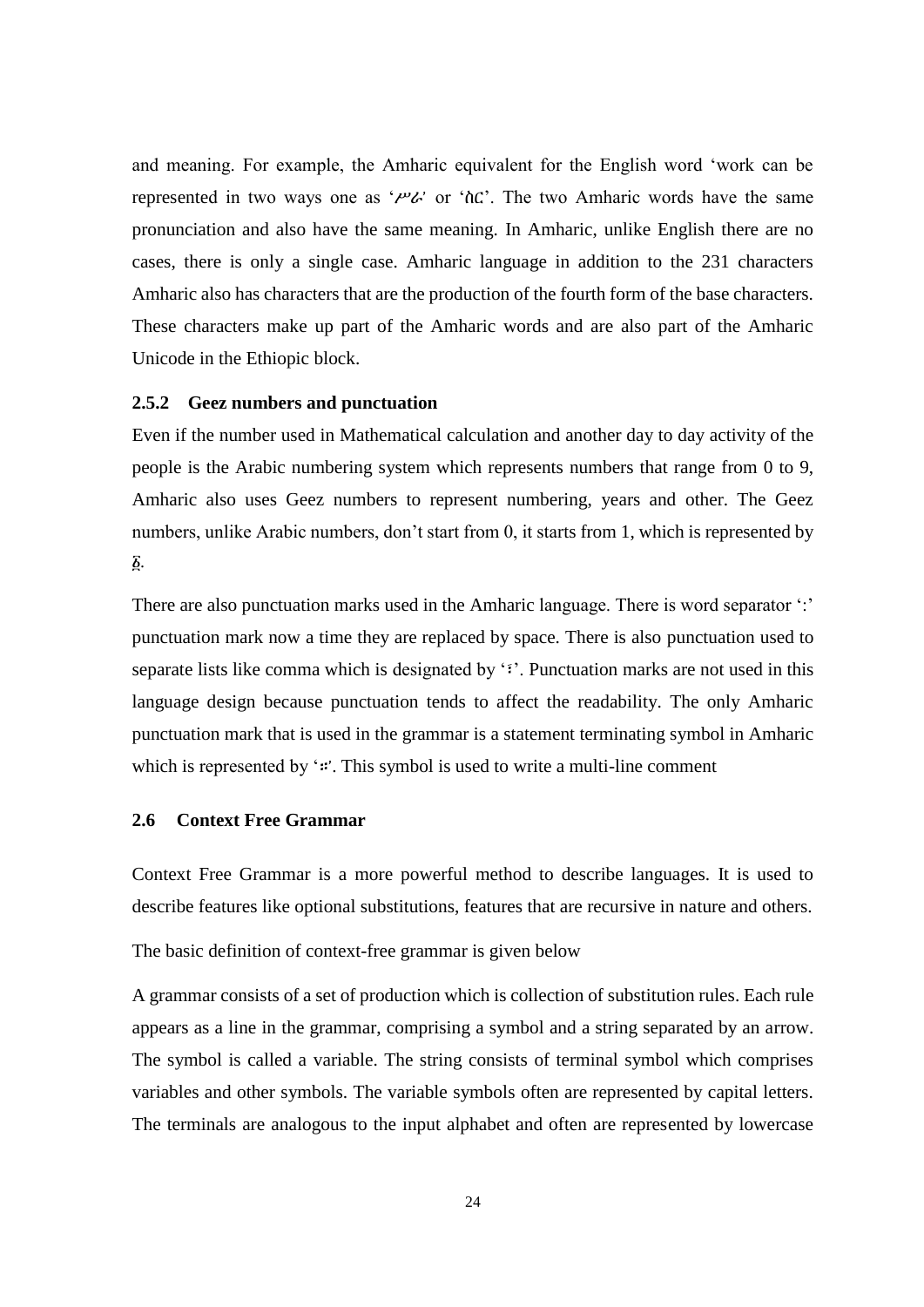and meaning. For example, the Amharic equivalent for the English word 'work can be represented in two ways one as ' $\mu$ ' or ' $\hbar$ C'. The two Amharic words have the same pronunciation and also have the same meaning. In Amharic, unlike English there are no cases, there is only a single case. Amharic language in addition to the 231 characters Amharic also has characters that are the production of the fourth form of the base characters. These characters make up part of the Amharic words and are also part of the Amharic Unicode in the Ethiopic block.

#### **2.5.2 Geez numbers and punctuation**

Even if the number used in Mathematical calculation and another day to day activity of the people is the Arabic numbering system which represents numbers that range from 0 to 9, Amharic also uses Geez numbers to represent numbering, years and other. The Geez numbers, unlike Arabic numbers, don't start from 0, it starts from 1, which is represented by ፩.

There are also punctuation marks used in the Amharic language. There is word separator ':' punctuation mark now a time they are replaced by space. There is also punctuation used to separate lists like comma which is designated by '፣'. Punctuation marks are not used in this language design because punctuation tends to affect the readability. The only Amharic punctuation mark that is used in the grammar is a statement terminating symbol in Amharic which is represented by ':'. This symbol is used to write a multi-line comment

## **2.6 Context Free Grammar**

Context Free Grammar is a more powerful method to describe languages. It is used to describe features like optional substitutions, features that are recursive in nature and others.

The basic definition of context-free grammar is given below

A grammar consists of a set of production which is collection of substitution rules. Each rule appears as a line in the grammar, comprising a symbol and a string separated by an arrow. The symbol is called a variable. The string consists of terminal symbol which comprises variables and other symbols. The variable symbols often are represented by capital letters. The terminals are analogous to the input alphabet and often are represented by lowercase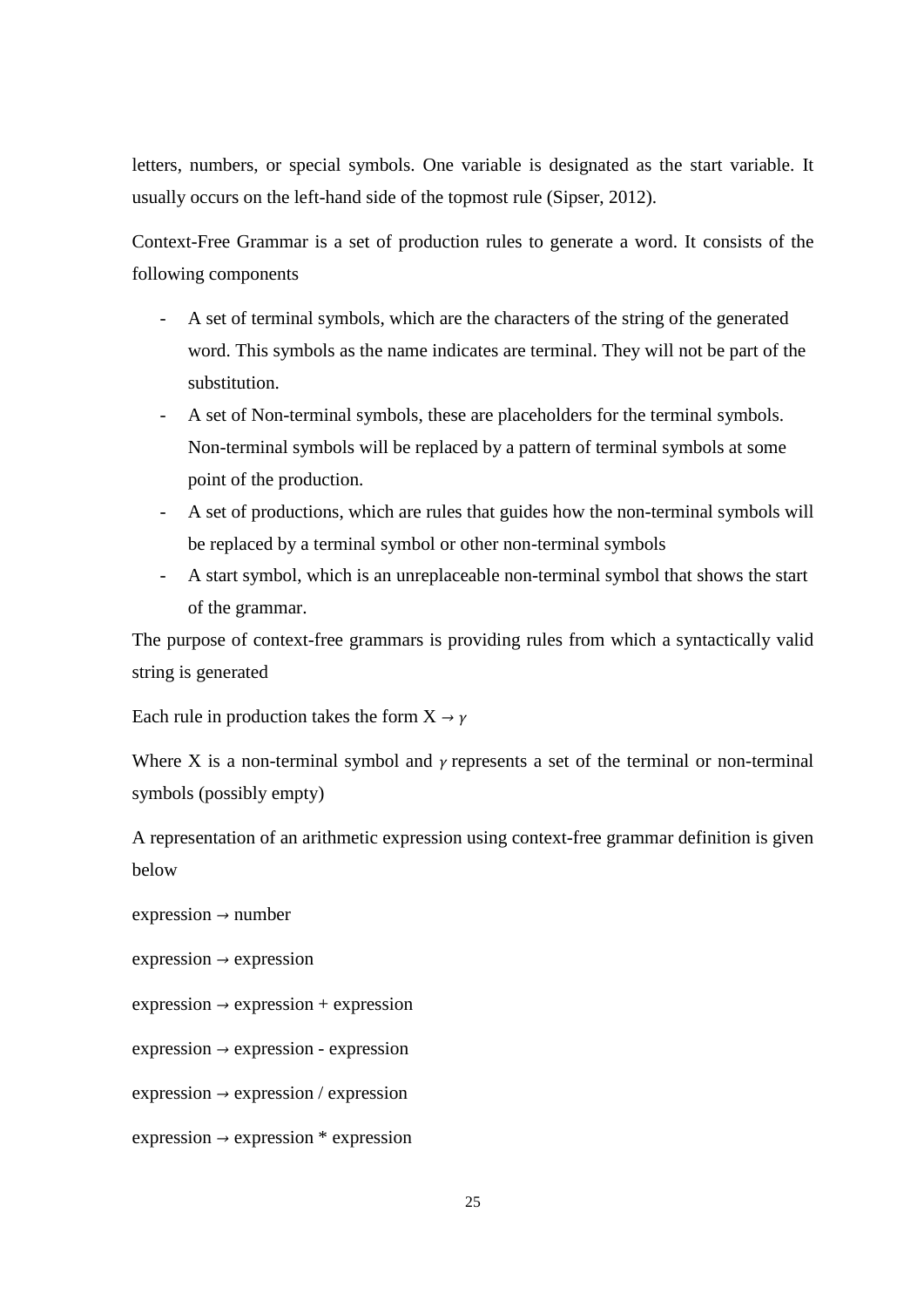letters, numbers, or special symbols. One variable is designated as the start variable. It usually occurs on the left-hand side of the topmost rule (Sipser, 2012).

Context-Free Grammar is a set of production rules to generate a word. It consists of the following components

- A set of terminal symbols, which are the characters of the string of the generated word. This symbols as the name indicates are terminal. They will not be part of the substitution.
- A set of Non-terminal symbols, these are placeholders for the terminal symbols. Non-terminal symbols will be replaced by a pattern of terminal symbols at some point of the production.
- A set of productions, which are rules that guides how the non-terminal symbols will be replaced by a terminal symbol or other non-terminal symbols
- A start symbol, which is an unreplaceable non-terminal symbol that shows the start of the grammar.

The purpose of context-free grammars is providing rules from which a syntactically valid string is generated

Each rule in production takes the form  $X \rightarrow \gamma$ 

Where X is a non-terminal symbol and  $\gamma$  represents a set of the terminal or non-terminal symbols (possibly empty)

A representation of an arithmetic expression using context-free grammar definition is given below

expression *→* number

expression *→* expression

expression *→* expression + expression

expression *→* expression - expression

expression *→* expression / expression

expression *→* expression \* expression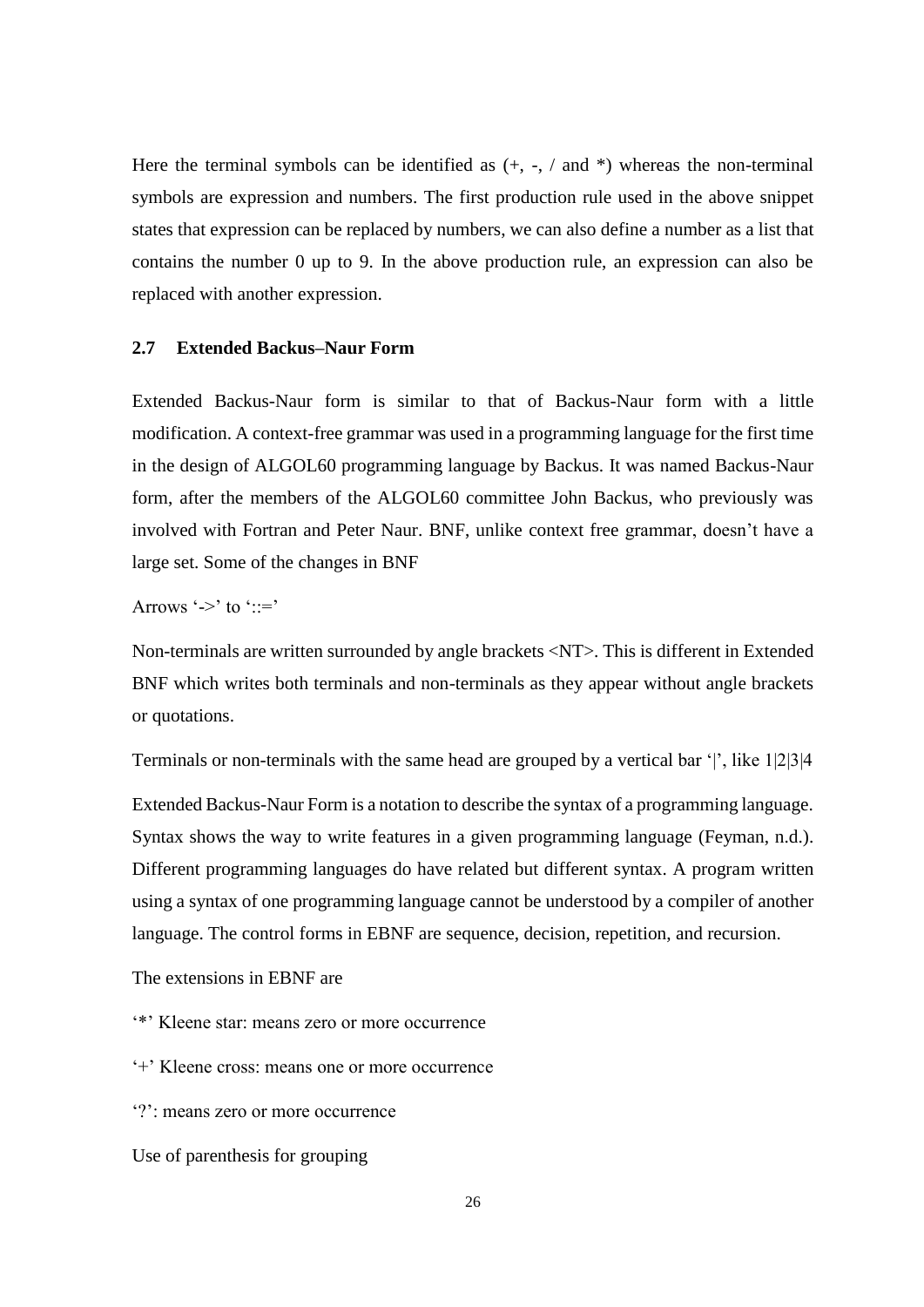Here the terminal symbols can be identified as  $(+, -, /$  and  $*)$  whereas the non-terminal symbols are expression and numbers. The first production rule used in the above snippet states that expression can be replaced by numbers, we can also define a number as a list that contains the number 0 up to 9. In the above production rule, an expression can also be replaced with another expression.

## **2.7 Extended Backus–Naur Form**

Extended Backus-Naur form is similar to that of Backus-Naur form with a little modification. A context-free grammar was used in a programming language for the first time in the design of ALGOL60 programming language by Backus. It was named Backus-Naur form, after the members of the ALGOL60 committee John Backus, who previously was involved with Fortran and Peter Naur. BNF, unlike context free grammar, doesn't have a large set. Some of the changes in BNF

Arrows '->' to '::='

Non-terminals are written surrounded by angle brackets <NT>. This is different in Extended BNF which writes both terminals and non-terminals as they appear without angle brackets or quotations.

Terminals or non-terminals with the same head are grouped by a vertical bar '|', like 1|2|3|4

Extended Backus-Naur Form is a notation to describe the syntax of a programming language. Syntax shows the way to write features in a given programming language (Feyman, n.d.). Different programming languages do have related but different syntax. A program written using a syntax of one programming language cannot be understood by a compiler of another language. The control forms in EBNF are sequence, decision, repetition, and recursion.

The extensions in EBNF are

'\*' Kleene star: means zero or more occurrence

'+' Kleene cross: means one or more occurrence

'?': means zero or more occurrence

Use of parenthesis for grouping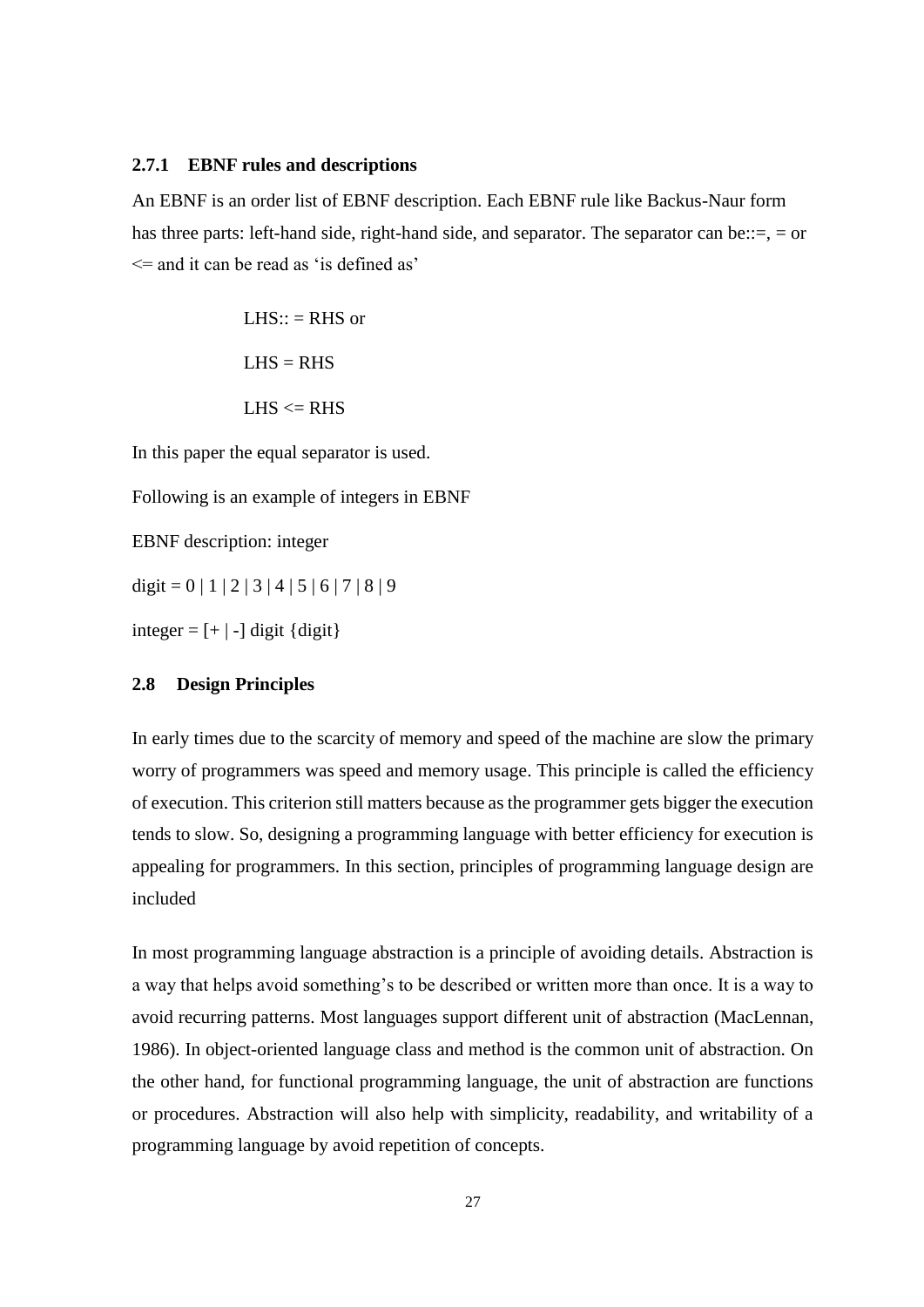#### **2.7.1 EBNF rules and descriptions**

An EBNF is an order list of EBNF description. Each EBNF rule like Backus-Naur form has three parts: left-hand side, right-hand side, and separator. The separator can be::=, = or  $\leq$  and it can be read as 'is defined as'

> $LHS:: = RHS$  or  $LHS = RHS$  $LHS \leq RHS$

In this paper the equal separator is used.

Following is an example of integers in EBNF

EBNF description: integer

digit =  $0 | 1 | 2 | 3 | 4 | 5 | 6 | 7 | 8 | 9$ 

integer =  $[+]$  -] digit {digit}

### **2.8 Design Principles**

In early times due to the scarcity of memory and speed of the machine are slow the primary worry of programmers was speed and memory usage. This principle is called the efficiency of execution. This criterion still matters because as the programmer gets bigger the execution tends to slow. So, designing a programming language with better efficiency for execution is appealing for programmers. In this section, principles of programming language design are included

In most programming language abstraction is a principle of avoiding details. Abstraction is a way that helps avoid something's to be described or written more than once. It is a way to avoid recurring patterns. Most languages support different unit of abstraction (MacLennan, 1986). In object-oriented language class and method is the common unit of abstraction. On the other hand, for functional programming language, the unit of abstraction are functions or procedures. Abstraction will also help with simplicity, readability, and writability of a programming language by avoid repetition of concepts.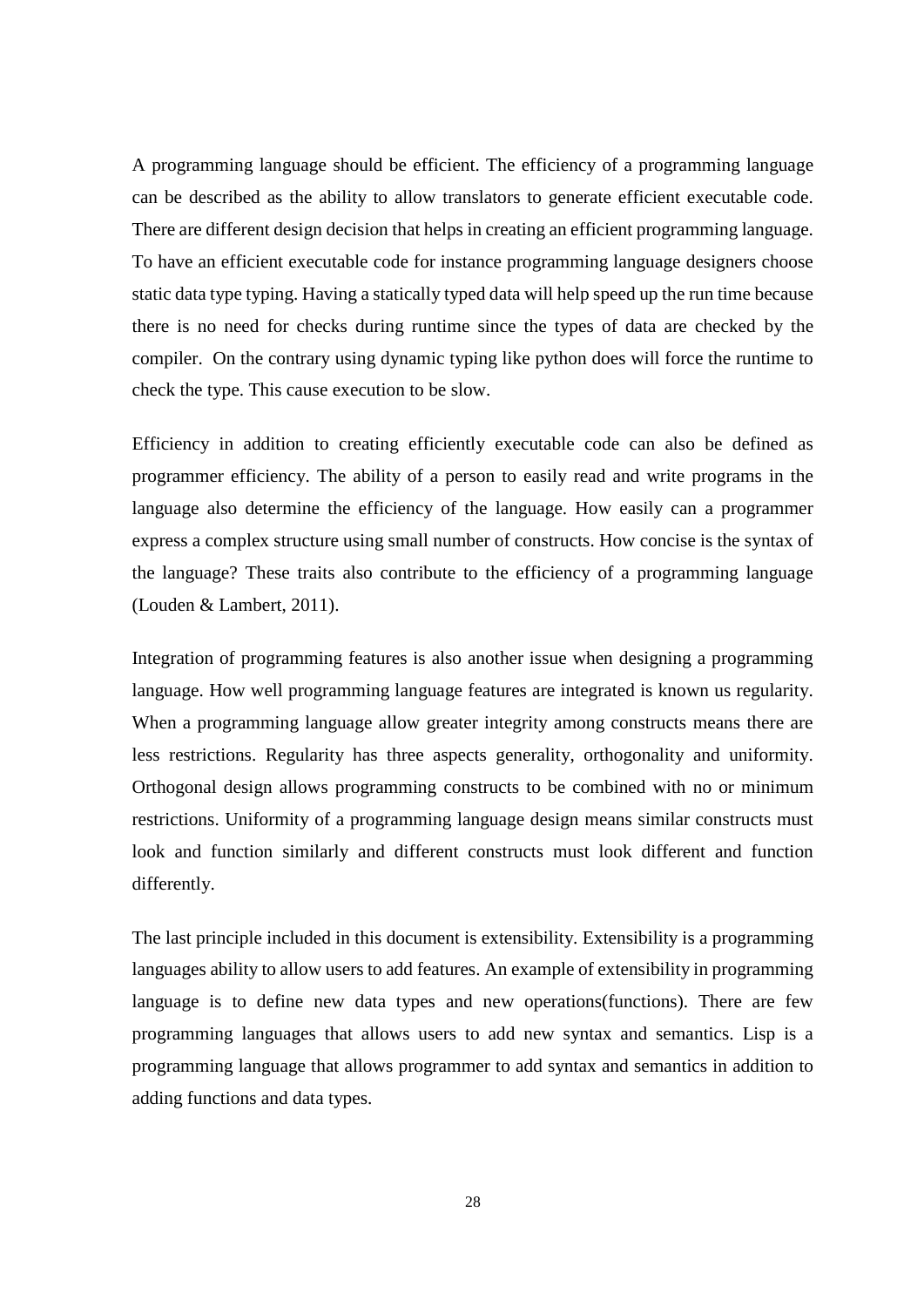A programming language should be efficient. The efficiency of a programming language can be described as the ability to allow translators to generate efficient executable code. There are different design decision that helps in creating an efficient programming language. To have an efficient executable code for instance programming language designers choose static data type typing. Having a statically typed data will help speed up the run time because there is no need for checks during runtime since the types of data are checked by the compiler. On the contrary using dynamic typing like python does will force the runtime to check the type. This cause execution to be slow.

Efficiency in addition to creating efficiently executable code can also be defined as programmer efficiency. The ability of a person to easily read and write programs in the language also determine the efficiency of the language. How easily can a programmer express a complex structure using small number of constructs. How concise is the syntax of the language? These traits also contribute to the efficiency of a programming language (Louden & Lambert, 2011).

Integration of programming features is also another issue when designing a programming language. How well programming language features are integrated is known us regularity. When a programming language allow greater integrity among constructs means there are less restrictions. Regularity has three aspects generality, orthogonality and uniformity. Orthogonal design allows programming constructs to be combined with no or minimum restrictions. Uniformity of a programming language design means similar constructs must look and function similarly and different constructs must look different and function differently.

The last principle included in this document is extensibility. Extensibility is a programming languages ability to allow users to add features. An example of extensibility in programming language is to define new data types and new operations(functions). There are few programming languages that allows users to add new syntax and semantics. Lisp is a programming language that allows programmer to add syntax and semantics in addition to adding functions and data types.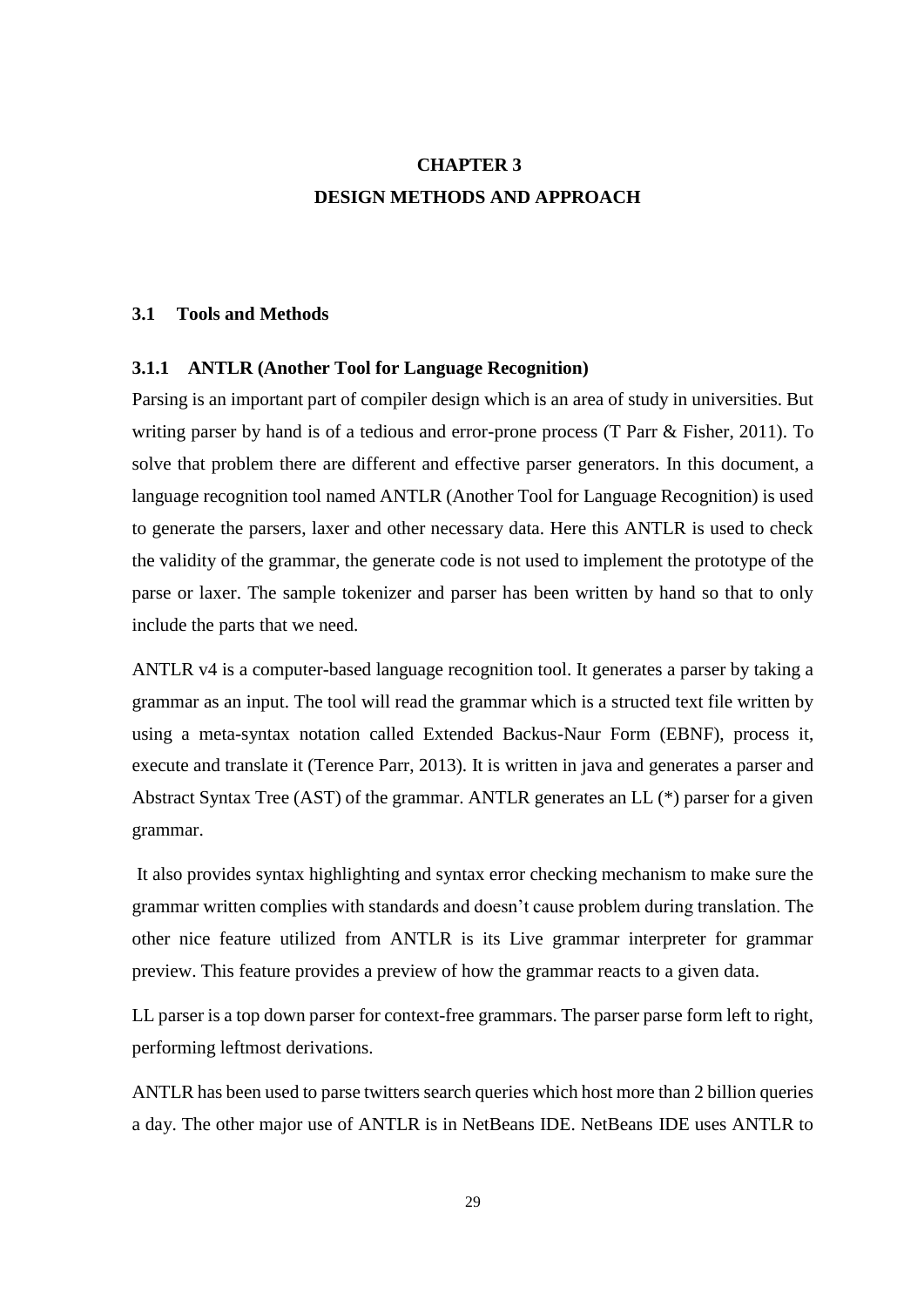# **CHAPTER 3 DESIGN METHODS AND APPROACH**

#### **3.1 Tools and Methods**

#### **3.1.1 ANTLR (Another Tool for Language Recognition)**

Parsing is an important part of compiler design which is an area of study in universities. But writing parser by hand is of a tedious and error-prone process (T Parr & Fisher, 2011). To solve that problem there are different and effective parser generators. In this document, a language recognition tool named ANTLR (Another Tool for Language Recognition) is used to generate the parsers, laxer and other necessary data. Here this ANTLR is used to check the validity of the grammar, the generate code is not used to implement the prototype of the parse or laxer. The sample tokenizer and parser has been written by hand so that to only include the parts that we need.

ANTLR v4 is a computer-based language recognition tool. It generates a parser by taking a grammar as an input. The tool will read the grammar which is a structed text file written by using a meta-syntax notation called Extended Backus-Naur Form (EBNF), process it, execute and translate it (Terence Parr, 2013). It is written in java and generates a parser and Abstract Syntax Tree (AST) of the grammar. ANTLR generates an LL (\*) parser for a given grammar.

It also provides syntax highlighting and syntax error checking mechanism to make sure the grammar written complies with standards and doesn't cause problem during translation. The other nice feature utilized from ANTLR is its Live grammar interpreter for grammar preview. This feature provides a preview of how the grammar reacts to a given data.

LL parser is a top down parser for context-free grammars. The parser parse form left to right, performing leftmost derivations.

ANTLR has been used to parse twitters search queries which host more than 2 billion queries a day. The other major use of ANTLR is in NetBeans IDE. NetBeans IDE uses ANTLR to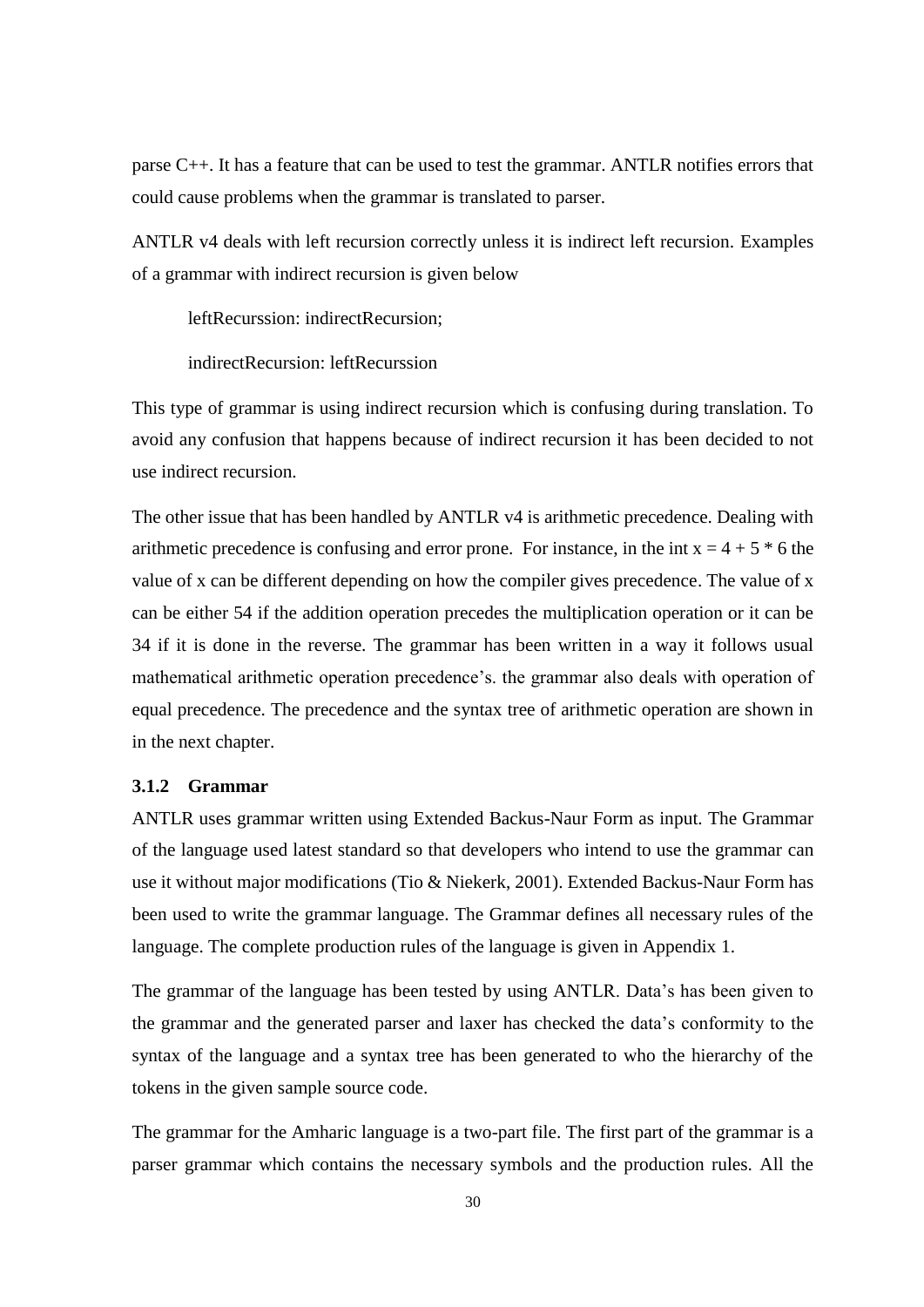parse C++. It has a feature that can be used to test the grammar. ANTLR notifies errors that could cause problems when the grammar is translated to parser.

ANTLR v4 deals with left recursion correctly unless it is indirect left recursion. Examples of a grammar with indirect recursion is given below

leftRecurssion: indirectRecursion;

indirectRecursion: leftRecurssion

This type of grammar is using indirect recursion which is confusing during translation. To avoid any confusion that happens because of indirect recursion it has been decided to not use indirect recursion.

The other issue that has been handled by ANTLR v4 is arithmetic precedence. Dealing with arithmetic precedence is confusing and error prone. For instance, in the int  $x = 4 + 5 * 6$  the value of x can be different depending on how the compiler gives precedence. The value of x can be either 54 if the addition operation precedes the multiplication operation or it can be 34 if it is done in the reverse. The grammar has been written in a way it follows usual mathematical arithmetic operation precedence's. the grammar also deals with operation of equal precedence. The precedence and the syntax tree of arithmetic operation are shown in in the next chapter.

#### **3.1.2 Grammar**

ANTLR uses grammar written using Extended Backus-Naur Form as input. The Grammar of the language used latest standard so that developers who intend to use the grammar can use it without major modifications (Tio & Niekerk, 2001). Extended Backus-Naur Form has been used to write the grammar language. The Grammar defines all necessary rules of the language. The complete production rules of the language is given in Appendix 1.

The grammar of the language has been tested by using ANTLR. Data's has been given to the grammar and the generated parser and laxer has checked the data's conformity to the syntax of the language and a syntax tree has been generated to who the hierarchy of the tokens in the given sample source code.

The grammar for the Amharic language is a two-part file. The first part of the grammar is a parser grammar which contains the necessary symbols and the production rules. All the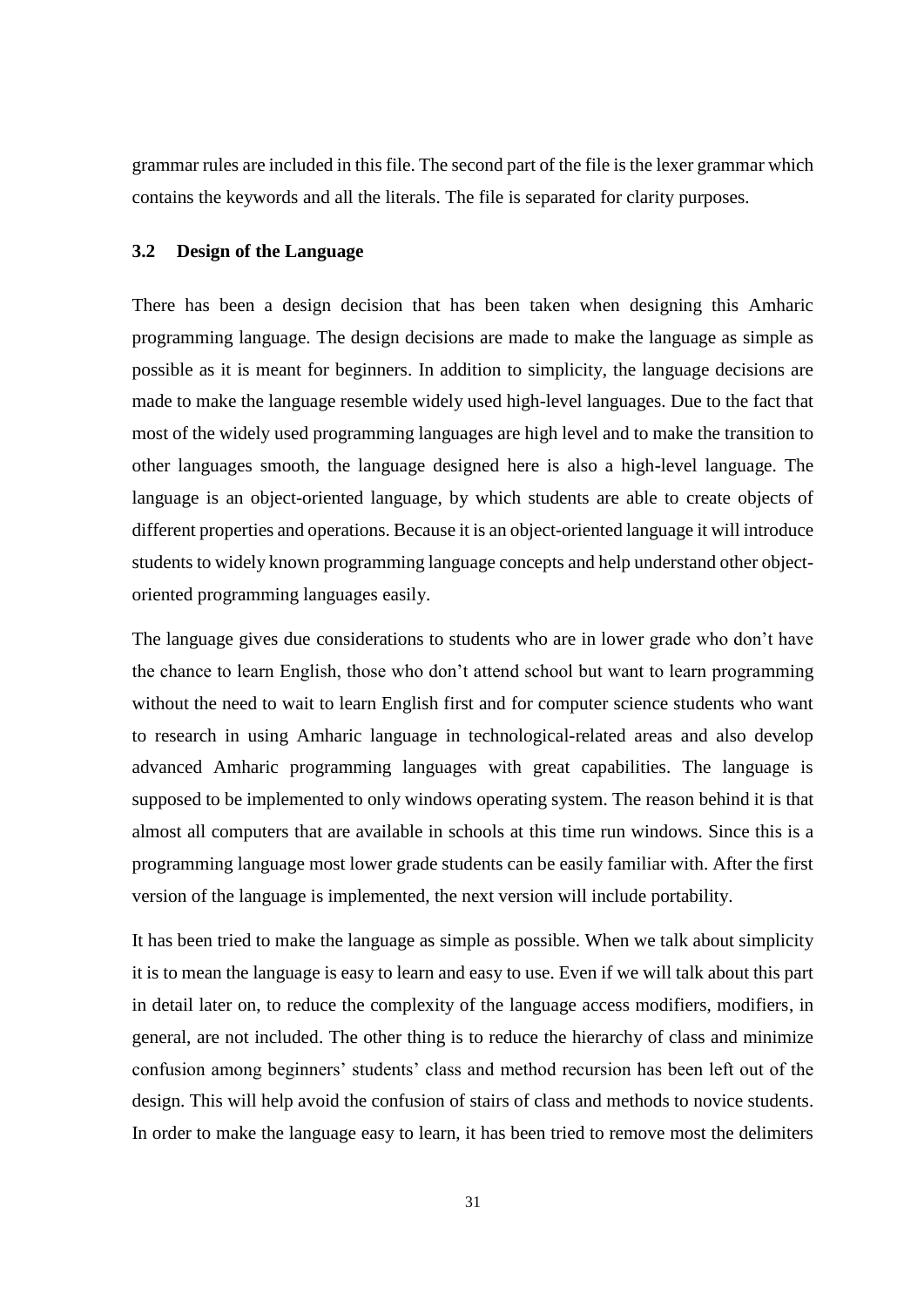grammar rules are included in this file. The second part of the file is the lexer grammar which contains the keywords and all the literals. The file is separated for clarity purposes.

## **3.2 Design of the Language**

There has been a design decision that has been taken when designing this Amharic programming language. The design decisions are made to make the language as simple as possible as it is meant for beginners. In addition to simplicity, the language decisions are made to make the language resemble widely used high-level languages. Due to the fact that most of the widely used programming languages are high level and to make the transition to other languages smooth, the language designed here is also a high-level language. The language is an object-oriented language, by which students are able to create objects of different properties and operations. Because it is an object-oriented language it will introduce students to widely known programming language concepts and help understand other objectoriented programming languages easily.

The language gives due considerations to students who are in lower grade who don't have the chance to learn English, those who don't attend school but want to learn programming without the need to wait to learn English first and for computer science students who want to research in using Amharic language in technological-related areas and also develop advanced Amharic programming languages with great capabilities. The language is supposed to be implemented to only windows operating system. The reason behind it is that almost all computers that are available in schools at this time run windows. Since this is a programming language most lower grade students can be easily familiar with. After the first version of the language is implemented, the next version will include portability.

It has been tried to make the language as simple as possible. When we talk about simplicity it is to mean the language is easy to learn and easy to use. Even if we will talk about this part in detail later on, to reduce the complexity of the language access modifiers, modifiers, in general, are not included. The other thing is to reduce the hierarchy of class and minimize confusion among beginners' students' class and method recursion has been left out of the design. This will help avoid the confusion of stairs of class and methods to novice students. In order to make the language easy to learn, it has been tried to remove most the delimiters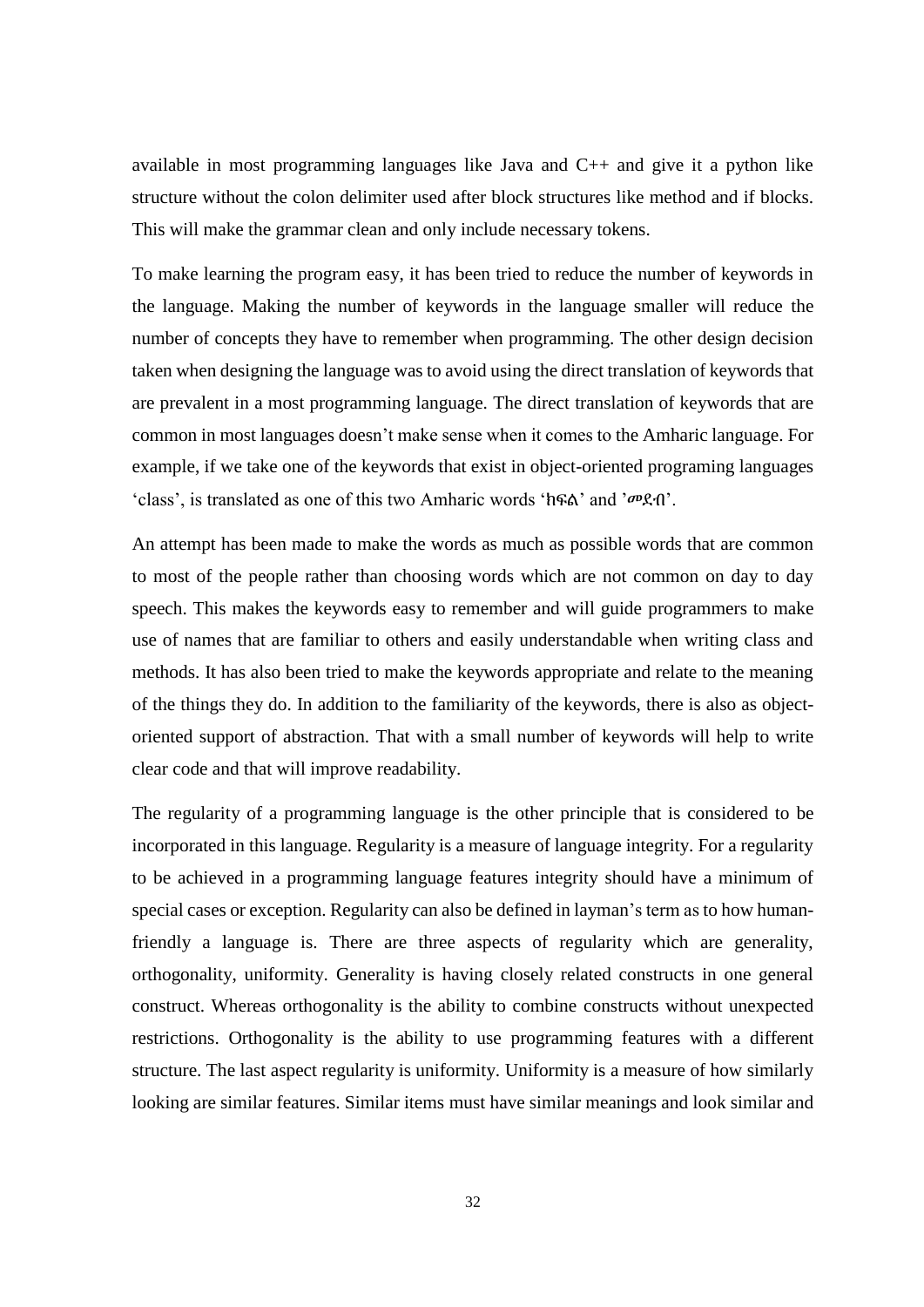available in most programming languages like Java and  $C_{++}$  and give it a python like structure without the colon delimiter used after block structures like method and if blocks. This will make the grammar clean and only include necessary tokens.

To make learning the program easy, it has been tried to reduce the number of keywords in the language. Making the number of keywords in the language smaller will reduce the number of concepts they have to remember when programming. The other design decision taken when designing the language was to avoid using the direct translation of keywords that are prevalent in a most programming language. The direct translation of keywords that are common in most languages doesn't make sense when it comes to the Amharic language. For example, if we take one of the keywords that exist in object-oriented programing languages 'class', is translated as one of this two Amharic words 'ክፍል' and 'መደብ'.

An attempt has been made to make the words as much as possible words that are common to most of the people rather than choosing words which are not common on day to day speech. This makes the keywords easy to remember and will guide programmers to make use of names that are familiar to others and easily understandable when writing class and methods. It has also been tried to make the keywords appropriate and relate to the meaning of the things they do. In addition to the familiarity of the keywords, there is also as objectoriented support of abstraction. That with a small number of keywords will help to write clear code and that will improve readability.

The regularity of a programming language is the other principle that is considered to be incorporated in this language. Regularity is a measure of language integrity. For a regularity to be achieved in a programming language features integrity should have a minimum of special cases or exception. Regularity can also be defined in layman's term as to how humanfriendly a language is. There are three aspects of regularity which are generality, orthogonality, uniformity. Generality is having closely related constructs in one general construct. Whereas orthogonality is the ability to combine constructs without unexpected restrictions. Orthogonality is the ability to use programming features with a different structure. The last aspect regularity is uniformity. Uniformity is a measure of how similarly looking are similar features. Similar items must have similar meanings and look similar and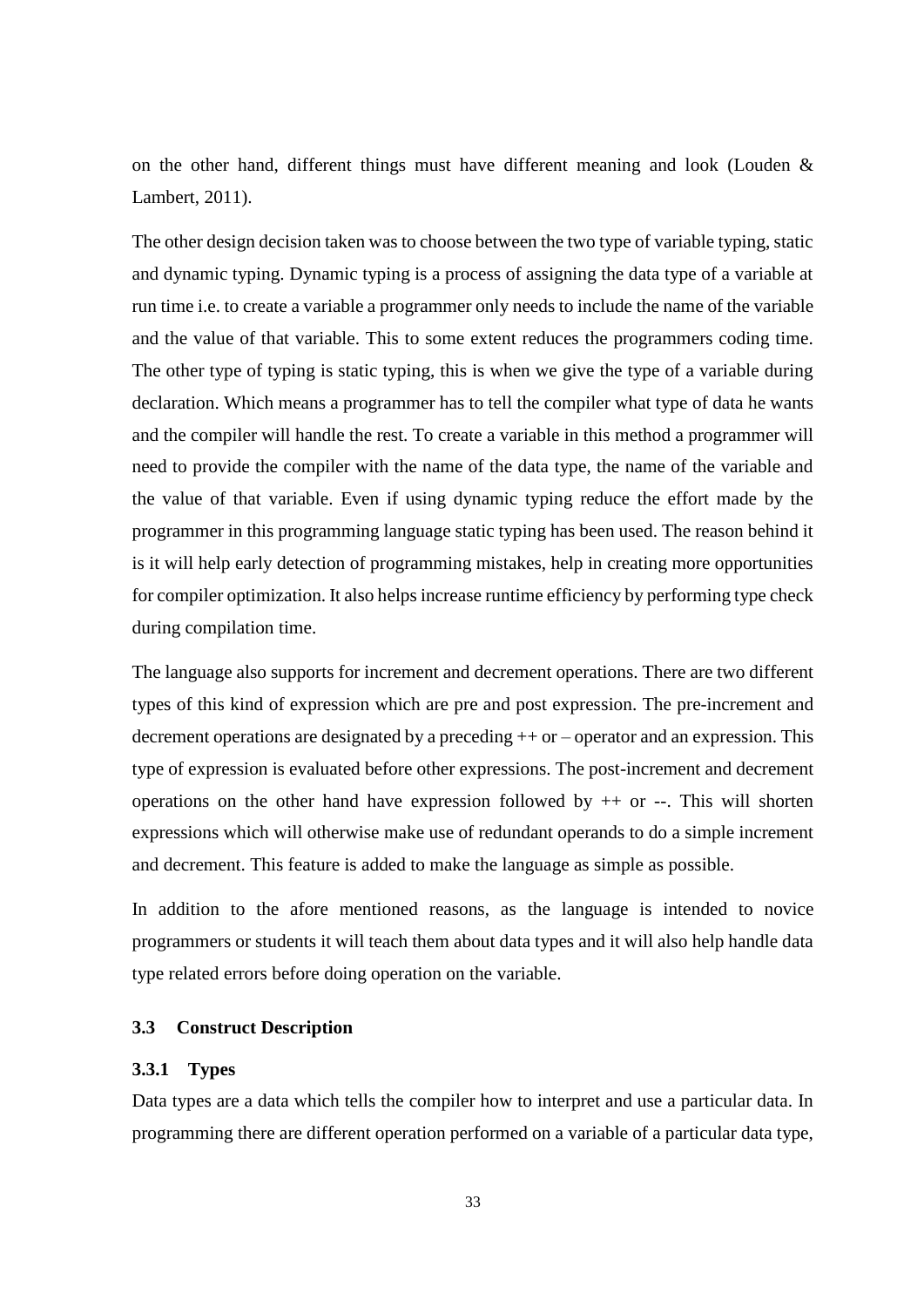on the other hand, different things must have different meaning and look (Louden & Lambert, 2011).

The other design decision taken was to choose between the two type of variable typing, static and dynamic typing. Dynamic typing is a process of assigning the data type of a variable at run time i.e. to create a variable a programmer only needs to include the name of the variable and the value of that variable. This to some extent reduces the programmers coding time. The other type of typing is static typing, this is when we give the type of a variable during declaration. Which means a programmer has to tell the compiler what type of data he wants and the compiler will handle the rest. To create a variable in this method a programmer will need to provide the compiler with the name of the data type, the name of the variable and the value of that variable. Even if using dynamic typing reduce the effort made by the programmer in this programming language static typing has been used. The reason behind it is it will help early detection of programming mistakes, help in creating more opportunities for compiler optimization. It also helps increase runtime efficiency by performing type check during compilation time.

The language also supports for increment and decrement operations. There are two different types of this kind of expression which are pre and post expression. The pre-increment and decrement operations are designated by a preceding ++ or – operator and an expression. This type of expression is evaluated before other expressions. The post-increment and decrement operations on the other hand have expression followed by  $++$  or  $--$ . This will shorten expressions which will otherwise make use of redundant operands to do a simple increment and decrement. This feature is added to make the language as simple as possible.

In addition to the afore mentioned reasons, as the language is intended to novice programmers or students it will teach them about data types and it will also help handle data type related errors before doing operation on the variable.

# **3.3 Construct Description**

## **3.3.1 Types**

Data types are a data which tells the compiler how to interpret and use a particular data. In programming there are different operation performed on a variable of a particular data type,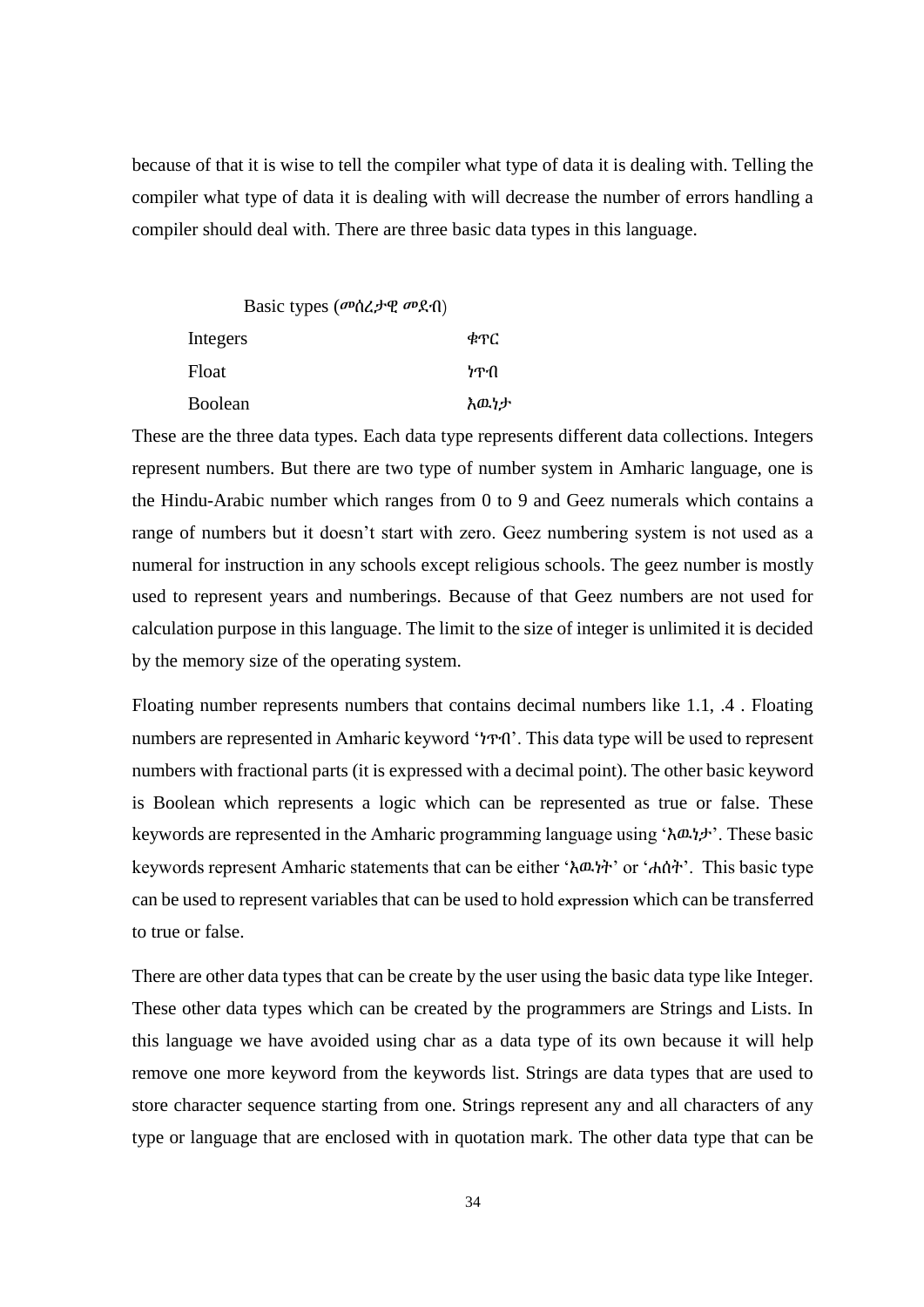because of that it is wise to tell the compiler what type of data it is dealing with. Telling the compiler what type of data it is dealing with will decrease the number of errors handling a compiler should deal with. There are three basic data types in this language.

Basic types (መሰረታዊ መደብ) Integers ቁጥር Float **Float** ነጥብ Boolean እዉነታ

These are the three data types. Each data type represents different data collections. Integers represent numbers. But there are two type of number system in Amharic language, one is the Hindu-Arabic number which ranges from 0 to 9 and Geez numerals which contains a range of numbers but it doesn't start with zero. Geez numbering system is not used as a numeral for instruction in any schools except religious schools. The geez number is mostly used to represent years and numberings. Because of that Geez numbers are not used for calculation purpose in this language. The limit to the size of integer is unlimited it is decided by the memory size of the operating system.

Floating number represents numbers that contains decimal numbers like 1.1, .4 . Floating numbers are represented in Amharic keyword 'ነጥብ'. This data type will be used to represent numbers with fractional parts (it is expressed with a decimal point). The other basic keyword is Boolean which represents a logic which can be represented as true or false. These keywords are represented in the Amharic programming language using 'እዉነታ'. These basic keywords represent Amharic statements that can be either 'እዉነት' or 'ሐሰት'. This basic type can be used to represent variables that can be used to hold expression which can be transferred to true or false.

There are other data types that can be create by the user using the basic data type like Integer. These other data types which can be created by the programmers are Strings and Lists. In this language we have avoided using char as a data type of its own because it will help remove one more keyword from the keywords list. Strings are data types that are used to store character sequence starting from one. Strings represent any and all characters of any type or language that are enclosed with in quotation mark. The other data type that can be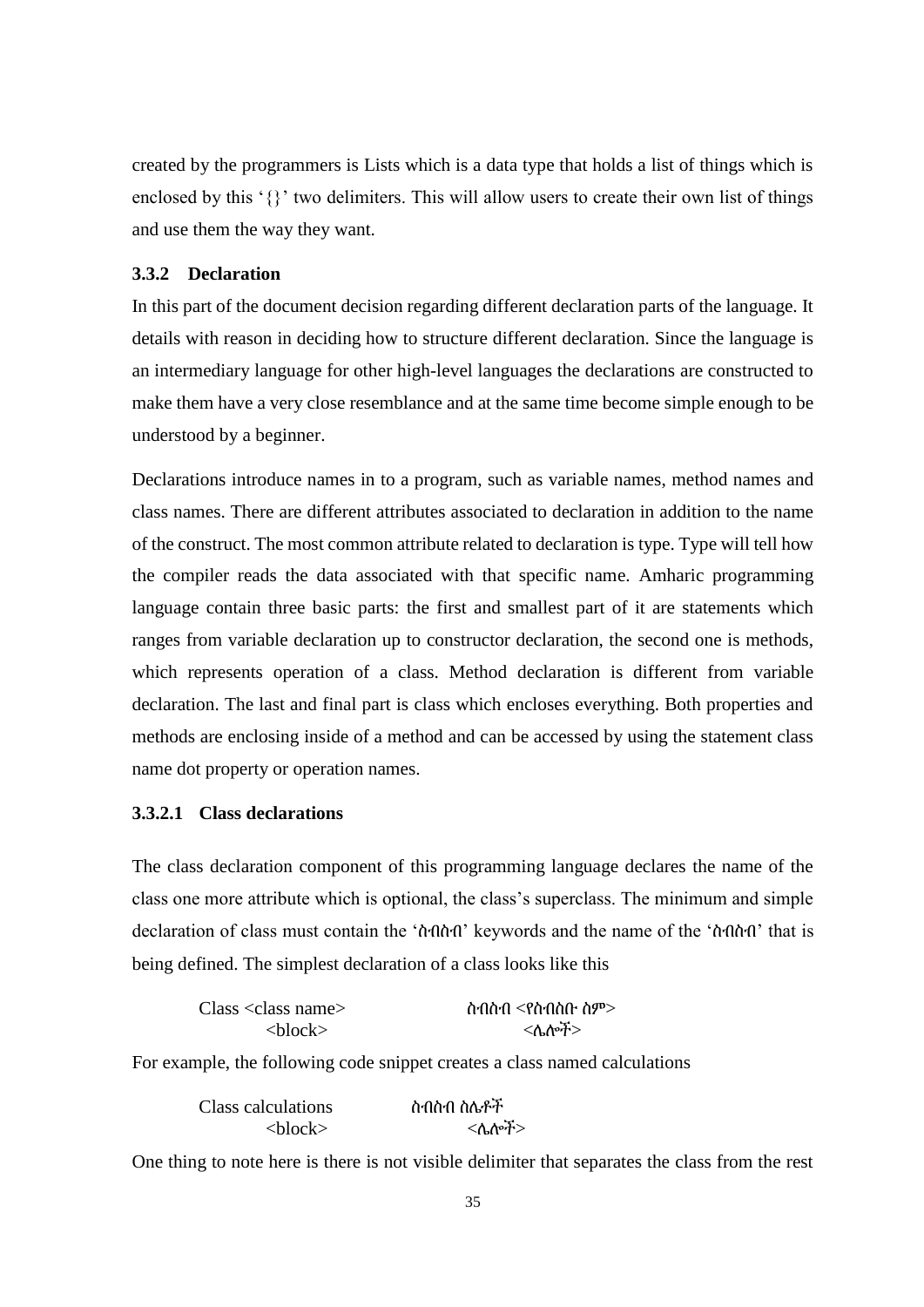created by the programmers is Lists which is a data type that holds a list of things which is enclosed by this '{}' two delimiters. This will allow users to create their own list of things and use them the way they want.

## **3.3.2 Declaration**

In this part of the document decision regarding different declaration parts of the language. It details with reason in deciding how to structure different declaration. Since the language is an intermediary language for other high-level languages the declarations are constructed to make them have a very close resemblance and at the same time become simple enough to be understood by a beginner.

Declarations introduce names in to a program, such as variable names, method names and class names. There are different attributes associated to declaration in addition to the name of the construct. The most common attribute related to declaration is type. Type will tell how the compiler reads the data associated with that specific name. Amharic programming language contain three basic parts: the first and smallest part of it are statements which ranges from variable declaration up to constructor declaration, the second one is methods, which represents operation of a class. Method declaration is different from variable declaration. The last and final part is class which encloses everything. Both properties and methods are enclosing inside of a method and can be accessed by using the statement class name dot property or operation names.

# **3.3.2.1 Class declarations**

The class declaration component of this programming language declares the name of the class one more attribute which is optional, the class's superclass. The minimum and simple declaration of class must contain the 'ስብስብ' keywords and the name of the 'ስብስብ' that is being defined. The simplest declaration of a class looks like this

| $Class <$ class name      | ስብስብ $<$ የስብስቡ ስም $>$ |  |
|---------------------------|-----------------------|--|
| $\langle$ hlock $\rangle$ | くんかチン                 |  |

For example, the following code snippet creates a class named calculations

| Class calculations        | ስብስብ ስሌቶች |
|---------------------------|-----------|
| $\langle$ block $\rangle$ | <ሴሎች>     |

One thing to note here is there is not visible delimiter that separates the class from the rest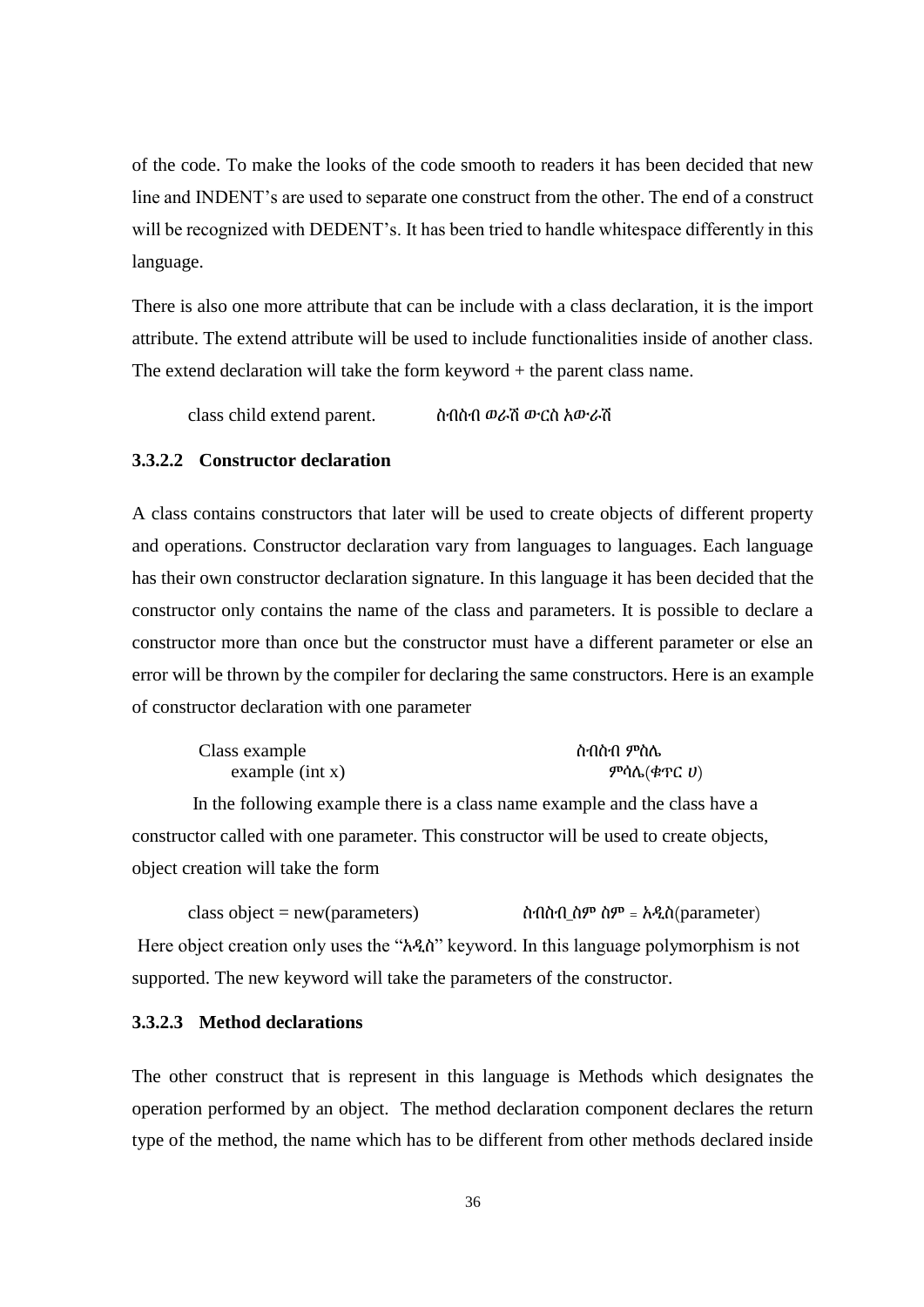of the code. To make the looks of the code smooth to readers it has been decided that new line and INDENT's are used to separate one construct from the other. The end of a construct will be recognized with DEDENT's. It has been tried to handle whitespace differently in this language.

There is also one more attribute that can be include with a class declaration, it is the import attribute. The extend attribute will be used to include functionalities inside of another class. The extend declaration will take the form keyword + the parent class name.

class child extend parent. ስብስብ ወራሽ ውርስ አውራሽ

### **3.3.2.2 Constructor declaration**

A class contains constructors that later will be used to create objects of different property and operations. Constructor declaration vary from languages to languages. Each language has their own constructor declaration signature. In this language it has been decided that the constructor only contains the name of the class and parameters. It is possible to declare a constructor more than once but the constructor must have a different parameter or else an error will be thrown by the compiler for declaring the same constructors. Here is an example of constructor declaration with one parameter

| Class example     | ስብስብ ምስሌ           |  |  |
|-------------------|--------------------|--|--|
| example $(int x)$ | ምሳሌ(ቁጥር <i>ሀ</i> ) |  |  |

In the following example there is a class name example and the class have a constructor called with one parameter. This constructor will be used to create objects, object creation will take the form

class object = new(parameters)  $\hat{\mathbf{n}}$   $\hat{\mathbf{n}}$  $\hat{\mathbf{n}}$  $\hat{\mathbf{n}}$  $\hat{\mathbf{n}}$  $\hat{\mathbf{n}}$  $\hat{\mathbf{n}}$  $\hat{\mathbf{n}}$  $\hat{\mathbf{n}}$  $\hat{\mathbf{n}}$  $\hat{\mathbf{n}}$  $\hat{\mathbf{n}}$  $\hat{\mathbf{n}}$  $\hat{\mathbf{n}}$  $\hat{\mathbf{n}}$  $\hat{\mathbf{n}}$  $\hat{\mathbf{n}}$  $\hat{\mathbf{n}}$  $\hat{\mathbf{n}}$  $\hat{\mathbf{n}}$  $\hat{\mathbf{n}}$ Here object creation only uses the "አዲስ" keyword. In this language polymorphism is not supported. The new keyword will take the parameters of the constructor.

## **3.3.2.3 Method declarations**

The other construct that is represent in this language is Methods which designates the operation performed by an object. The method declaration component declares the return type of the method, the name which has to be different from other methods declared inside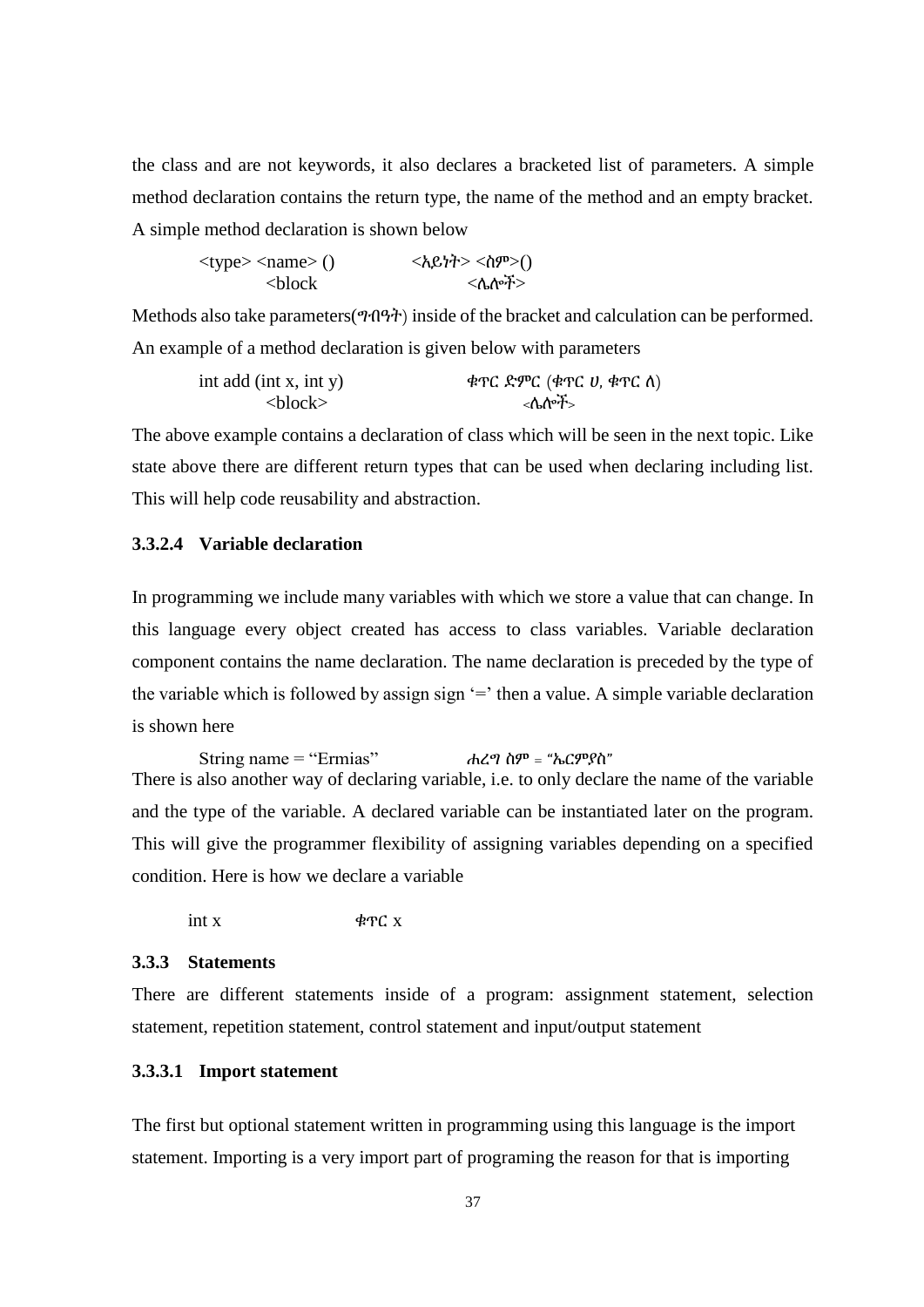the class and are not keywords, it also declares a bracketed list of parameters. A simple method declaration contains the return type, the name of the method and an empty bracket. A simple method declaration is shown below

<type> <name> () <አይነት> <ስም>() <block <ሌሎች>

Methods also take parameters(ግብዓት) inside of the bracket and calculation can be performed. An example of a method declaration is given below with parameters

$$
\begin{array}{ll}\n\text{int add} & (\text{int } x, \text{ int } y) \\
& < \text{block}\n\end{array}\n\quad\n\begin{array}{ll}\n& \text{#TC} & \text{#PC} & (\text{#TC } y, \text{ #TC } \Lambda) \\
& < \text{block}\n\end{array}
$$

The above example contains a declaration of class which will be seen in the next topic. Like state above there are different return types that can be used when declaring including list. This will help code reusability and abstraction.

# **3.3.2.4 Variable declaration**

In programming we include many variables with which we store a value that can change. In this language every object created has access to class variables. Variable declaration component contains the name declaration. The name declaration is preceded by the type of the variable which is followed by assign sign  $=$  then a value. A simple variable declaration is shown here

```
String name = "Ermias"
                               Aረማ ስም = "ኤርምየስ"
```
There is also another way of declaring variable, i.e. to only declare the name of the variable and the type of the variable. A declared variable can be instantiated later on the program. This will give the programmer flexibility of assigning variables depending on a specified condition. Here is how we declare a variable

int x  $\phi$ PC x

#### **3.3.3 Statements**

There are different statements inside of a program: assignment statement, selection statement, repetition statement, control statement and input/output statement

#### **3.3.3.1 Import statement**

The first but optional statement written in programming using this language is the import statement. Importing is a very import part of programing the reason for that is importing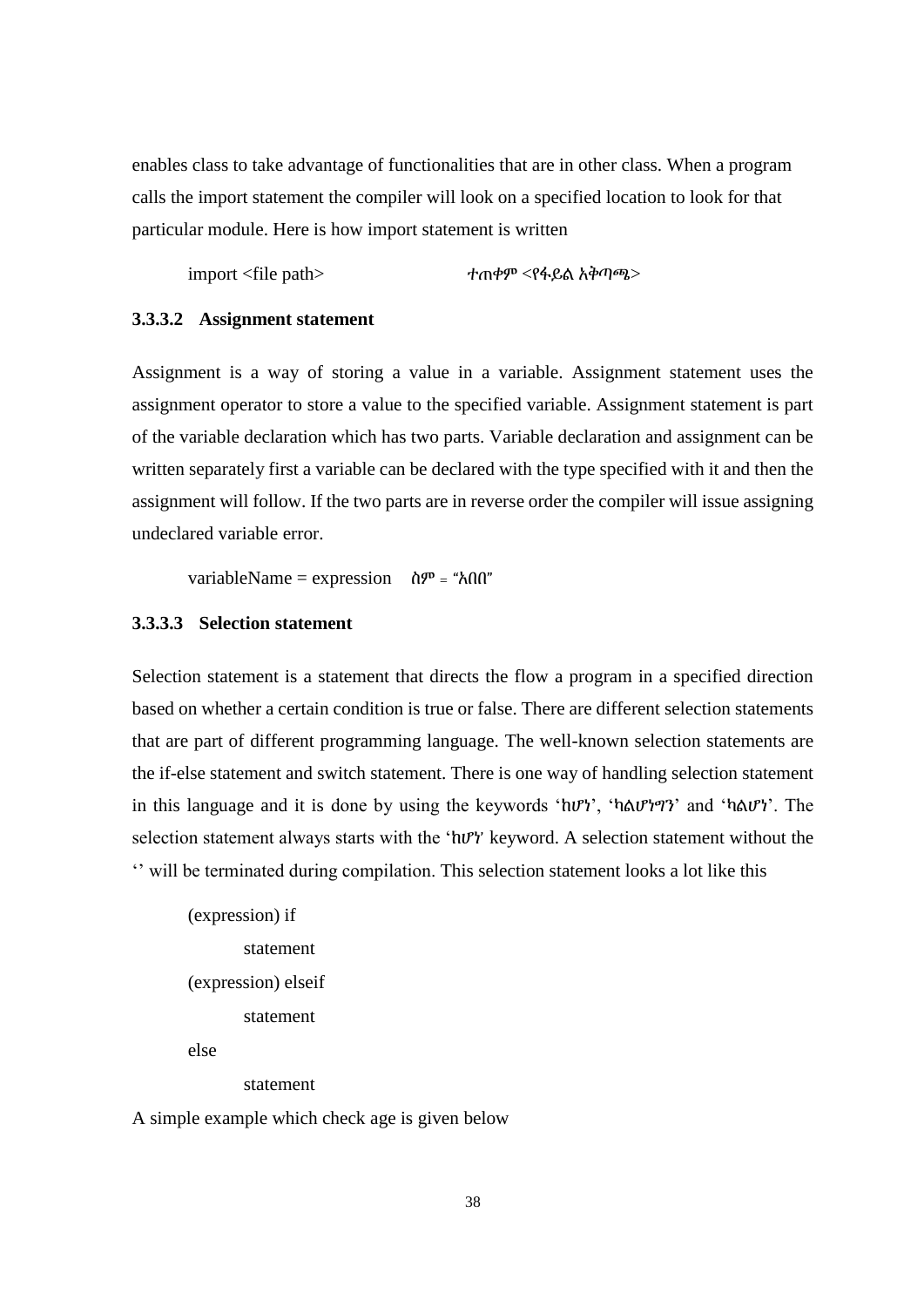enables class to take advantage of functionalities that are in other class. When a program calls the import statement the compiler will look on a specified location to look for that particular module. Here is how import statement is written

import <file path> ተጠቀም <የፋይል አቅጣጫ>

#### **3.3.3.2 Assignment statement**

Assignment is a way of storing a value in a variable. Assignment statement uses the assignment operator to store a value to the specified variable. Assignment statement is part of the variable declaration which has two parts. Variable declaration and assignment can be written separately first a variable can be declared with the type specified with it and then the assignment will follow. If the two parts are in reverse order the compiler will issue assigning undeclared variable error.

variableName = expression  $\hat{\theta}^{pp}$  = " $\hat{\theta}$  $\hat{\theta}^{m}$ "

#### **3.3.3.3 Selection statement**

Selection statement is a statement that directs the flow a program in a specified direction based on whether a certain condition is true or false. There are different selection statements that are part of different programming language. The well-known selection statements are the if-else statement and switch statement. There is one way of handling selection statement in this language and it is done by using the keywords 'ከሆነ', 'ካልሆነግን' and 'ካልሆነ'. The selection statement always starts with the 'h $\mathcal{V}'$ ' keyword. A selection statement without the '' will be terminated during compilation. This selection statement looks a lot like this

```
(expression) if
       statement
(expression) elseif
       statement
else
```
statement

A simple example which check age is given below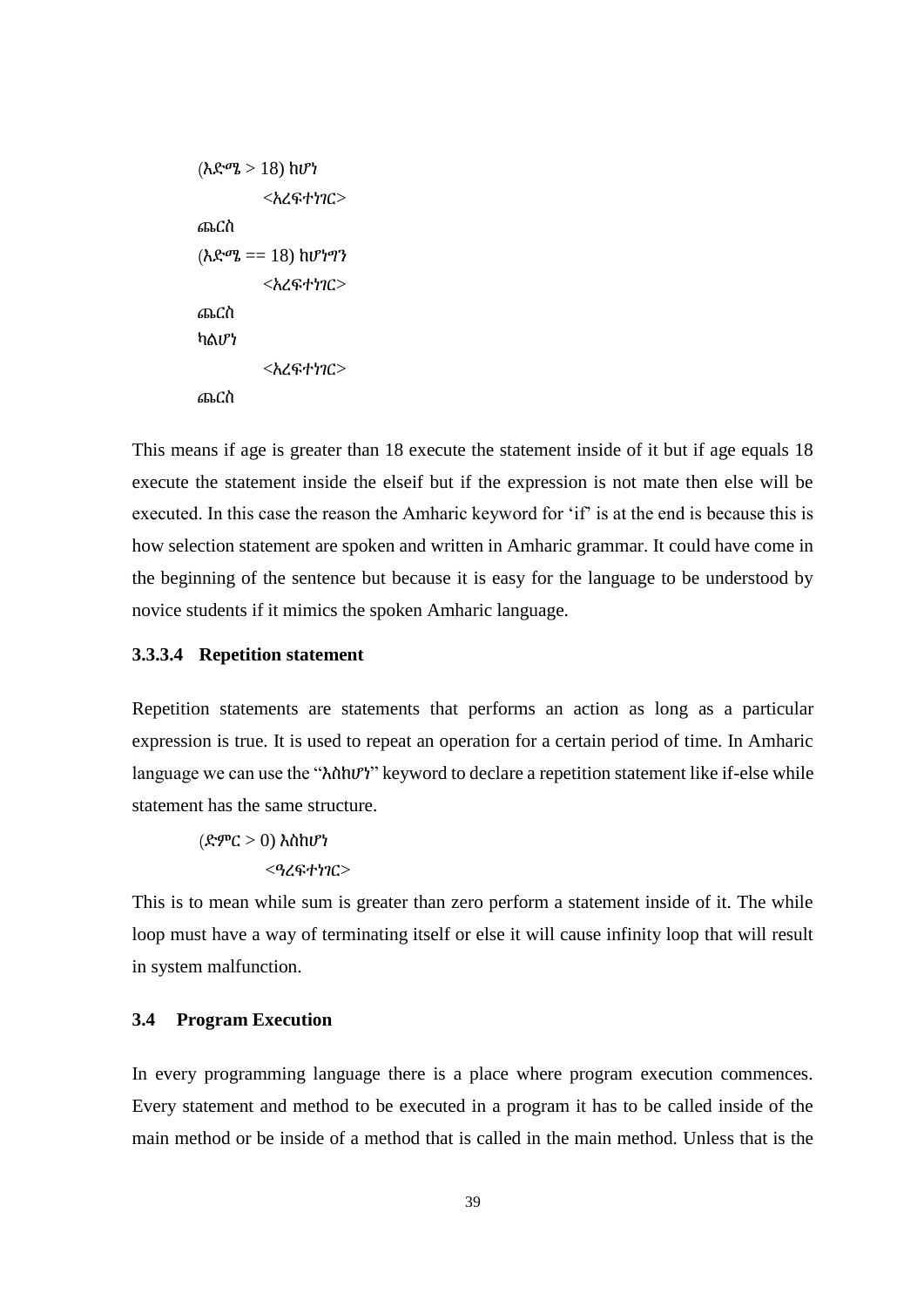```
<አረፍተነገር>
ጨርስ
(\lambda \mathcal{L}^{\sigma} \mathcal{L} = 18) ከሆነግን
           <አረፍተነገር>
ጨርስ
ካልሆነ
           <አረፍተነገር>
ጨርስ
```
( $\lambda \mathcal{R}^{\alpha}$  > 18)  $hU^{\alpha}$ <br>  $\langle \lambda \mathcal{R}^{\alpha} + h \mathcal{R} \rangle$ <br>  $\langle \lambda \mathcal{R}^{\alpha} + h \mathcal{R} \rangle$ <br>  $\langle \lambda \mathcal{R}^{\alpha} + h \mathcal{R} \rangle$ <br>  $\langle \lambda \mathcal{R}^{\alpha} + h \mathcal{R} \rangle$ <br>  $\langle \lambda \mathcal{R}^{\alpha} + h \mathcal{R} \rangle$ <br>  $\langle \lambda \mathcal{R}^{\alpha} + h \mathcal{R} \rangle$ <br>  $\langle \lambda \mathcal{R}^{\alpha} + h \mathcal{$ This means if age is greater than 18 execute the statement inside of it but if age equals 18 execute the statement inside the elseif but if the expression is not mate then else will be executed. In this case the reason the Amharic keyword for 'if' is at the end is because this is how selection statement are spoken and written in Amharic grammar. It could have come in the beginning of the sentence but because it is easy for the language to be understood by novice students if it mimics the spoken Amharic language.

## **3.3.3.4 Repetition statement**

Repetition statements are statements that performs an action as long as a particular expression is true. It is used to repeat an operation for a certain period of time. In Amharic language we can use the "እስከሆነ" keyword to declare a repetition statement like if-else while statement has the same structure.

(ድምር > 0) እስከሆነ <ዓረፍተነገር>

This is to mean while sum is greater than zero perform a statement inside of it. The while loop must have a way of terminating itself or else it will cause infinity loop that will result in system malfunction.

## **3.4 Program Execution**

In every programming language there is a place where program execution commences. Every statement and method to be executed in a program it has to be called inside of the main method or be inside of a method that is called in the main method. Unless that is the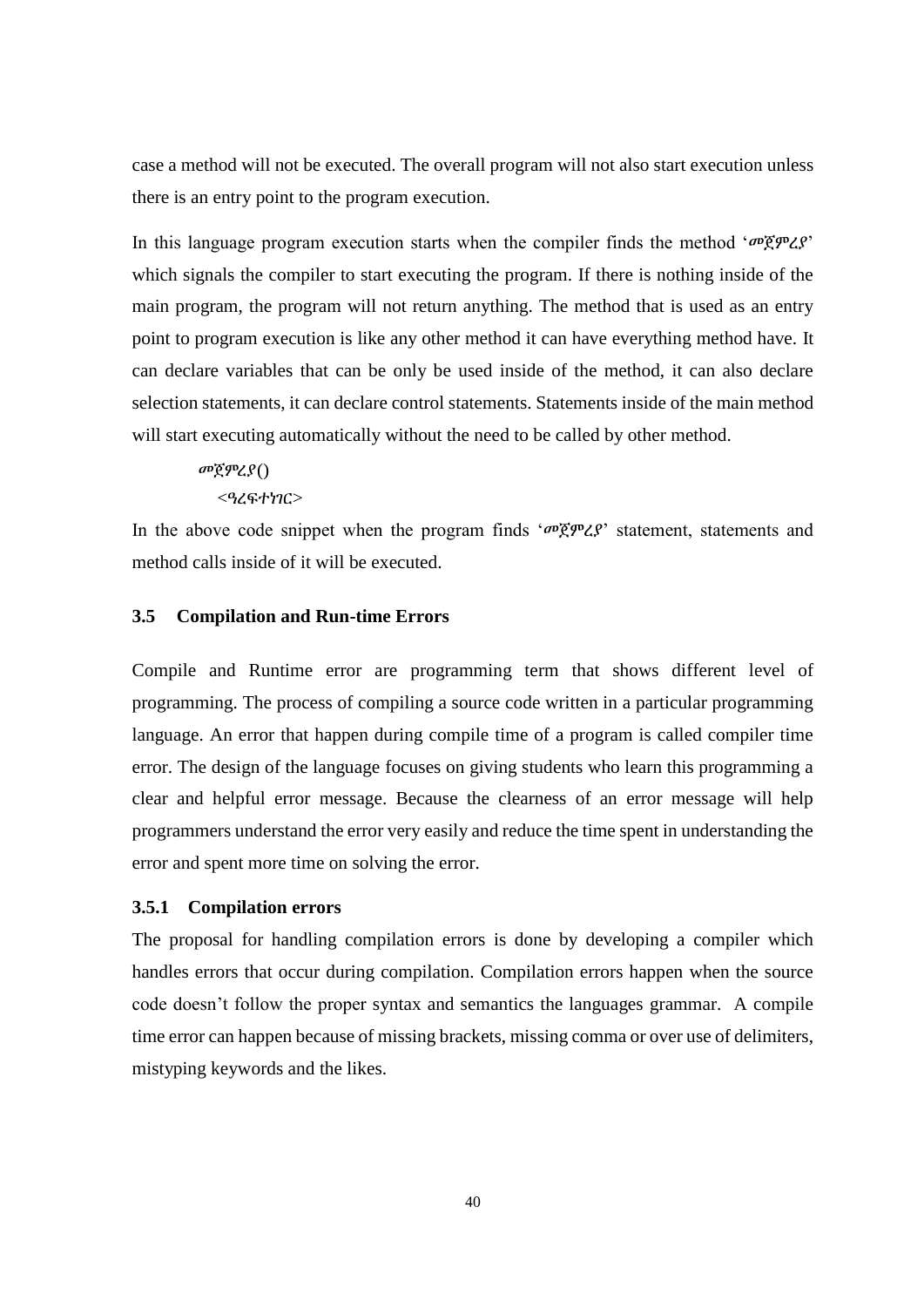case a method will not be executed. The overall program will not also start execution unless there is an entry point to the program execution.

In this language program execution starts when the compiler finds the method 'መጀምረያ' which signals the compiler to start executing the program. If there is nothing inside of the main program, the program will not return anything. The method that is used as an entry point to program execution is like any other method it can have everything method have. It can declare variables that can be only be used inside of the method, it can also declare selection statements, it can declare control statements. Statements inside of the main method will start executing automatically without the need to be called by other method.

መጀምረያ()

<ዓረፍተነገር>

In the above code snippet when the program finds 'መጀምረያ' statement, statements and method calls inside of it will be executed.

## **3.5 Compilation and Run-time Errors**

Compile and Runtime error are programming term that shows different level of programming. The process of compiling a source code written in a particular programming language. An error that happen during compile time of a program is called compiler time error. The design of the language focuses on giving students who learn this programming a clear and helpful error message. Because the clearness of an error message will help programmers understand the error very easily and reduce the time spent in understanding the error and spent more time on solving the error.

## **3.5.1 Compilation errors**

The proposal for handling compilation errors is done by developing a compiler which handles errors that occur during compilation. Compilation errors happen when the source code doesn't follow the proper syntax and semantics the languages grammar. A compile time error can happen because of missing brackets, missing comma or over use of delimiters, mistyping keywords and the likes.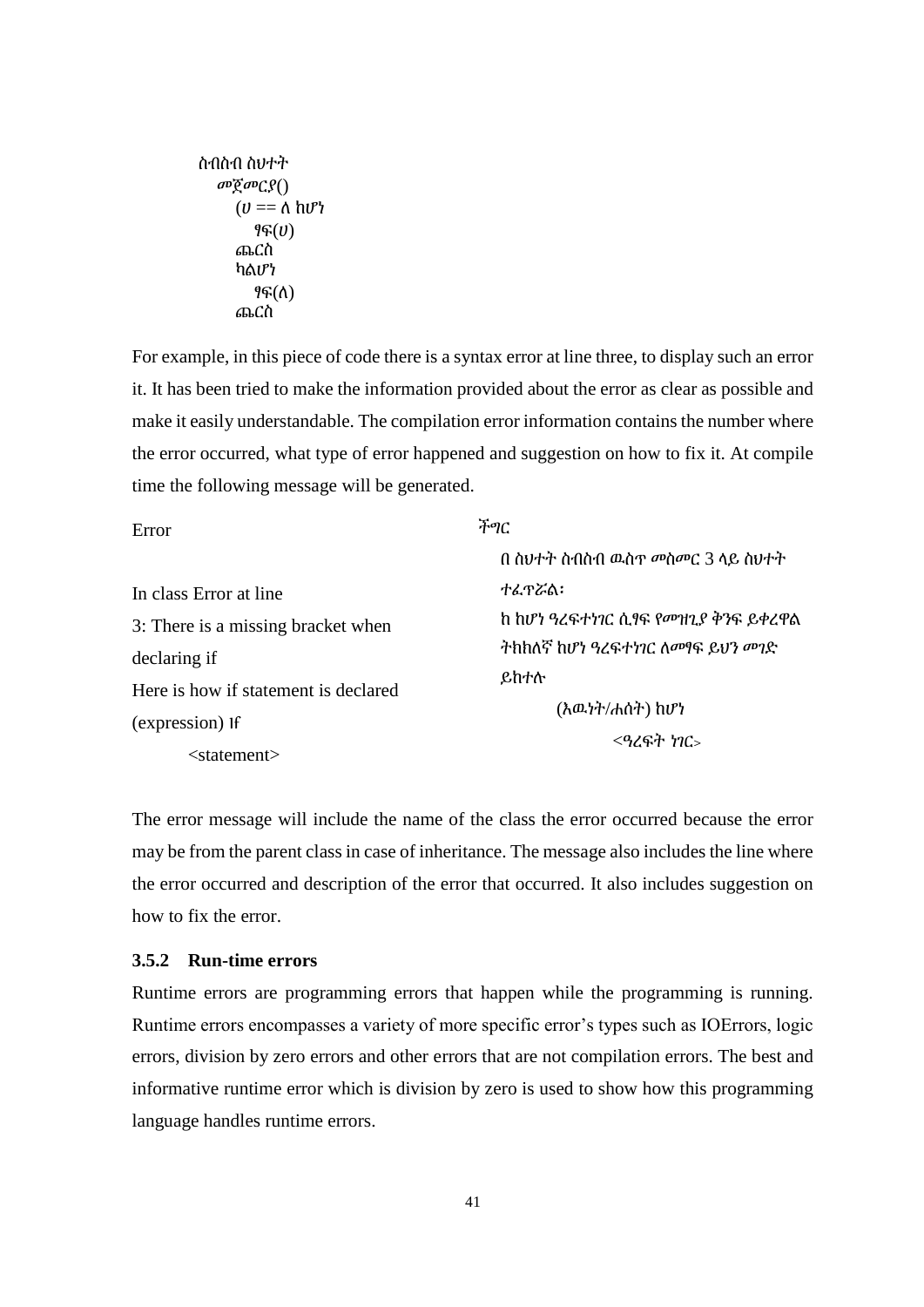```
 መጀመርያ()
  (U == \Lambda hV) ፃፍ(ሀ)
   ጨርስ
   ካልሆነ
      ፃፍ(ለ) 
   ጨርስ
```

| ስብስብ ስህተት<br>$\omega$ ğ $\omega$ $C$ $S()$<br>$(U == \Lambda \hbar V)$<br>96(0)<br>ጨርስ<br>ካልሆነ<br>$96(\Lambda)$<br>ጨርስ                                                |                                                                                                                                                                                                                                                                                                                                                                                                    |
|-----------------------------------------------------------------------------------------------------------------------------------------------------------------------|----------------------------------------------------------------------------------------------------------------------------------------------------------------------------------------------------------------------------------------------------------------------------------------------------------------------------------------------------------------------------------------------------|
|                                                                                                                                                                       | For example, in this piece of code there is a syntax error at line three, to display such an error<br>it. It has been tried to make the information provided about the error as clear as possible and<br>make it easily understandable. The compilation error information contains the number where<br>the error occurred, what type of error happened and suggestion on how to fix it. At compile |
| time the following message will be generated.                                                                                                                         |                                                                                                                                                                                                                                                                                                                                                                                                    |
| Error<br>In class Error at line<br>3: There is a missing bracket when<br>declaring if<br>Here is how if statement is declared<br>(expression) If<br>$<$ statement $>$ | ችግር<br>በ ስህተት ስብስብ ዉስጥ መስመር 3 ላይ ስህተት<br>ተፌኖሯል፡<br>ከ ከሆነ ዓረፍተነገር ሲፃፍ የመዝጊያ ቅንፍ ይቀረዋል<br>ትከከለኛ ከሆነ ዓረፍተነገር ለመፃፍ ይህን መገድ<br>ይከተሉ<br>(እዉነት/ሐሰት) ከሆነ<br>$<$ ዓረፍት ነገር><br>The error message will include the name of the class the error occurred because the error                                                                                                                                     |
| how to fix the error.                                                                                                                                                 | may be from the parent class in case of inheritance. The message also includes the line where<br>the error occurred and description of the error that occurred. It also includes suggestion or                                                                                                                                                                                                     |
| 3.5.2 Run-time errors<br>language handles runtime errors.                                                                                                             | Runtime errors are programming errors that happen while the programming is running<br>Runtime errors encompasses a variety of more specific error's types such as IOErrors, logic<br>errors, division by zero errors and other errors that are not compilation errors. The best and<br>informative runtime error which is division by zero is used to show how this programming                    |
|                                                                                                                                                                       | 41                                                                                                                                                                                                                                                                                                                                                                                                 |

# **3.5.2 Run-time errors**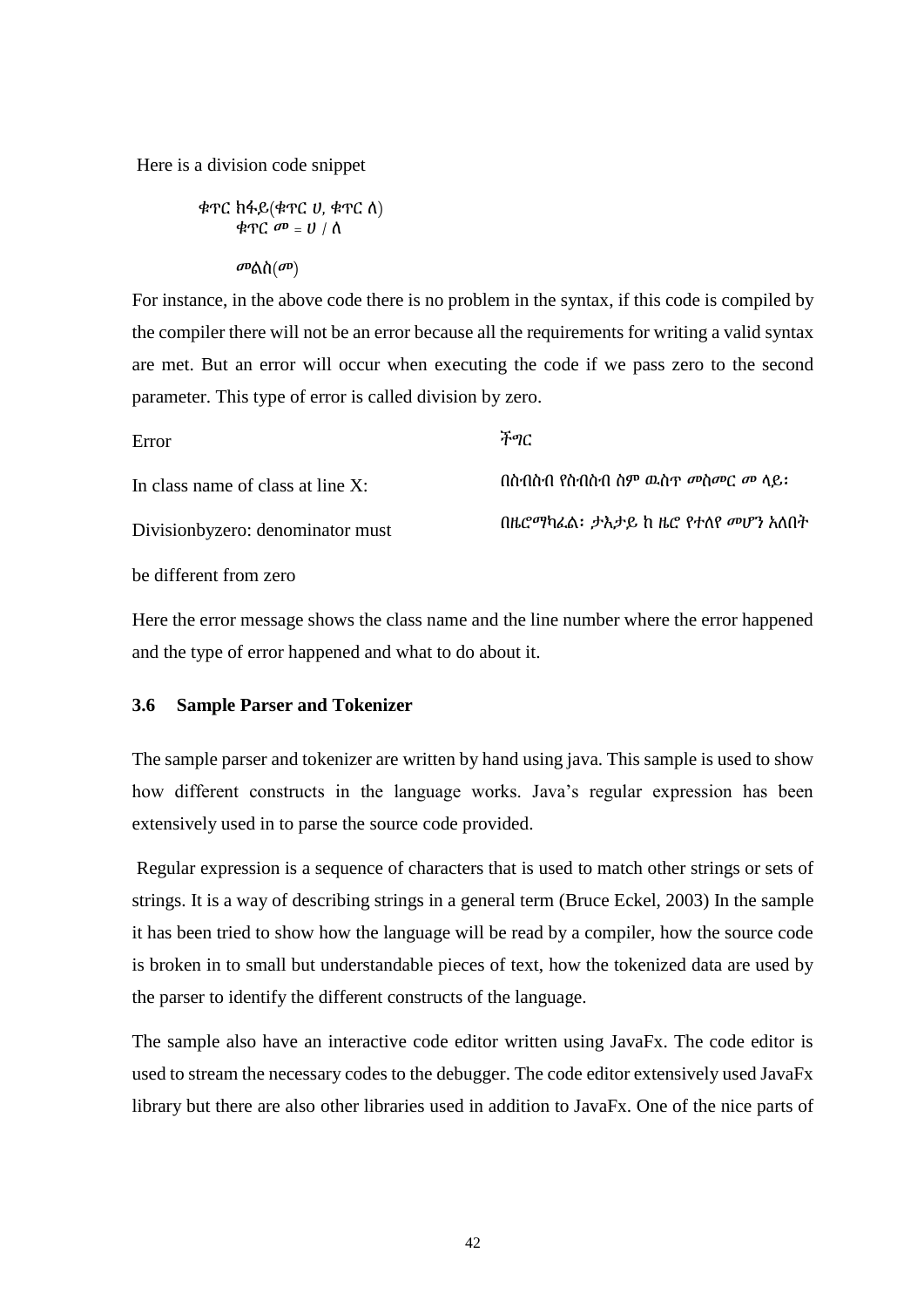Here is a division code snippet

ቁጥር ከፋይ(ቄጥር ሀ, ቁጥር ለ)  
ቁጥር ሙ = ሀ / ለ  
መልስ(
$$
ω
$$
)

For instance, in the above code there is no problem in the syntax, if this code is compiled by the compiler there will not be an error because all the requirements for writing a valid syntax are met. But an error will occur when executing the code if we pass zero to the second parameter. This type of error is called division by zero.

| Error                             | ችግር                              |
|-----------------------------------|----------------------------------|
| In class name of class at line X: | በስብስብ የስብስብ ስም ዉስጥ መስመር መ ላይ:    |
| Divisionbyzero: denominator must  | በዜሮማካፌል፡ ታእታይ ከ ዜሮ የተለየ መሆን አለበት |
|                                   |                                  |

be different from zero

Here the error message shows the class name and the line number where the error happened and the type of error happened and what to do about it.

### **3.6 Sample Parser and Tokenizer**

The sample parser and tokenizer are written by hand using java. This sample is used to show how different constructs in the language works. Java's regular expression has been extensively used in to parse the source code provided.

Regular expression is a sequence of characters that is used to match other strings or sets of strings. It is a way of describing strings in a general term (Bruce Eckel, 2003) In the sample it has been tried to show how the language will be read by a compiler, how the source code is broken in to small but understandable pieces of text, how the tokenized data are used by the parser to identify the different constructs of the language.

The sample also have an interactive code editor written using JavaFx. The code editor is used to stream the necessary codes to the debugger. The code editor extensively used JavaFx library but there are also other libraries used in addition to JavaFx. One of the nice parts of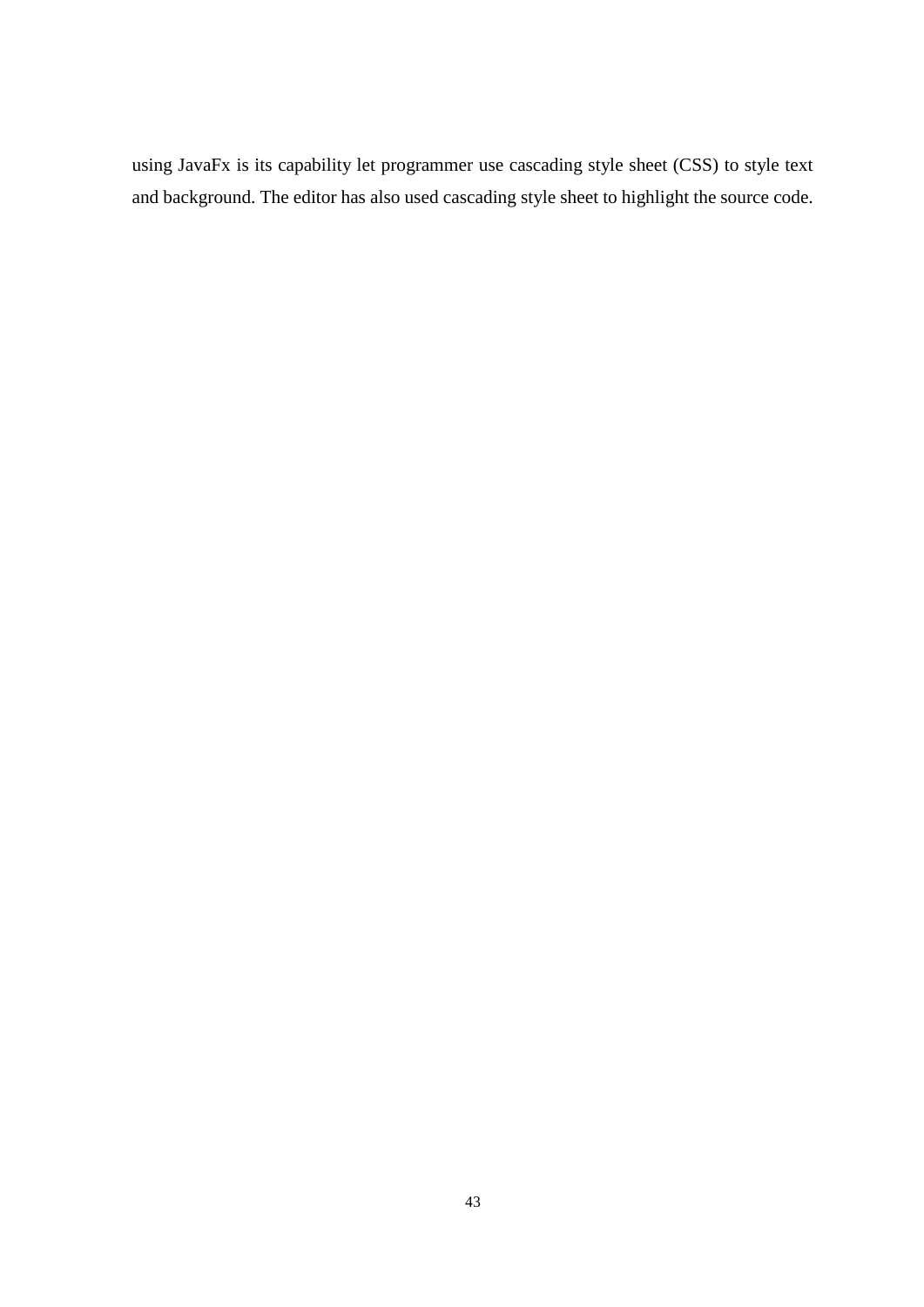using JavaFx is its capability let programmer use cascading style sheet (CSS) to style text and background. The editor has also used cascading style sheet to highlight the source code.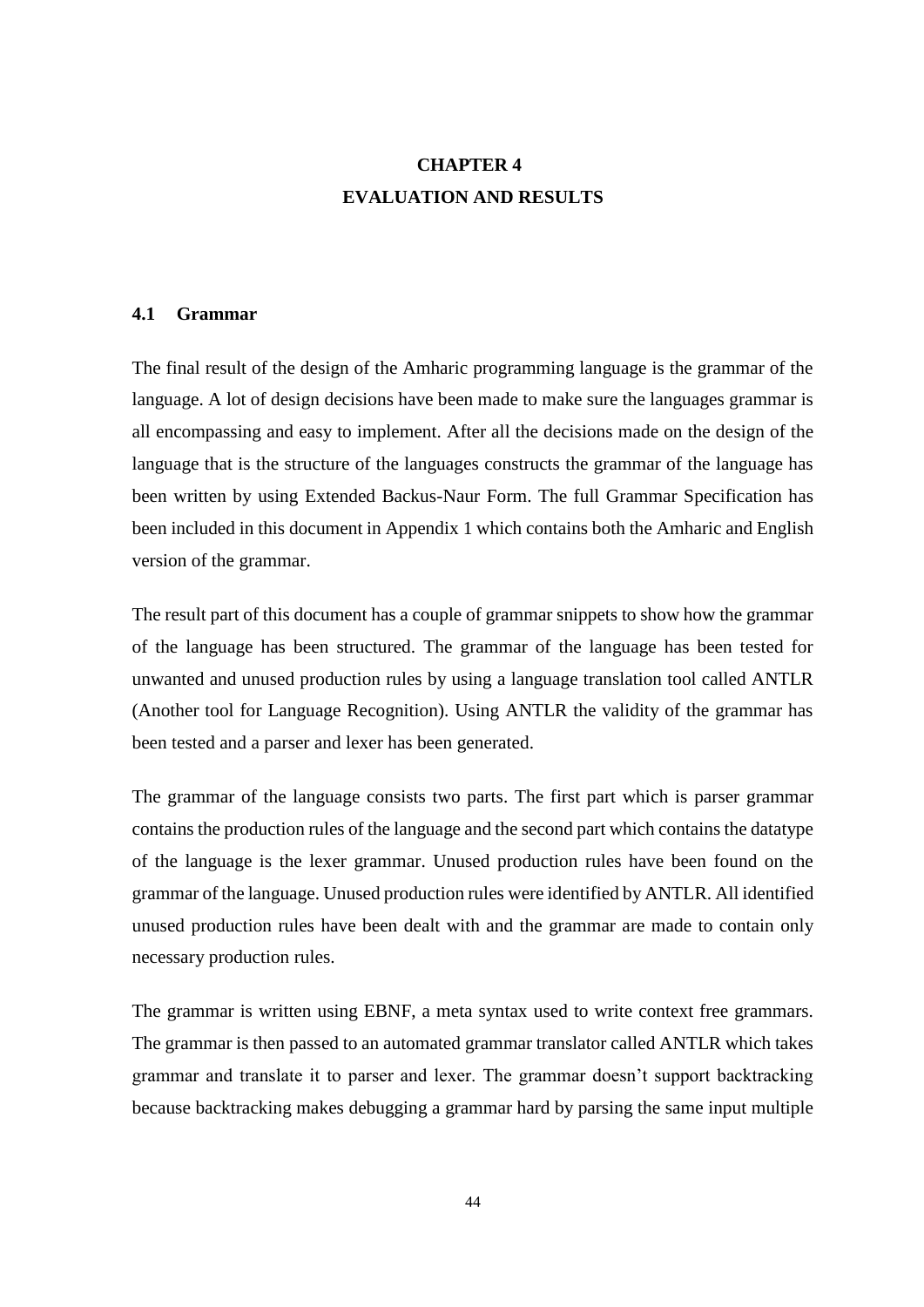# **CHAPTER 4 EVALUATION AND RESULTS**

#### **4.1 Grammar**

The final result of the design of the Amharic programming language is the grammar of the language. A lot of design decisions have been made to make sure the languages grammar is all encompassing and easy to implement. After all the decisions made on the design of the language that is the structure of the languages constructs the grammar of the language has been written by using Extended Backus-Naur Form. The full Grammar Specification has been included in this document in Appendix 1 which contains both the Amharic and English version of the grammar.

The result part of this document has a couple of grammar snippets to show how the grammar of the language has been structured. The grammar of the language has been tested for unwanted and unused production rules by using a language translation tool called ANTLR (Another tool for Language Recognition). Using ANTLR the validity of the grammar has been tested and a parser and lexer has been generated.

The grammar of the language consists two parts. The first part which is parser grammar contains the production rules of the language and the second part which contains the datatype of the language is the lexer grammar. Unused production rules have been found on the grammar of the language. Unused production rules were identified by ANTLR. All identified unused production rules have been dealt with and the grammar are made to contain only necessary production rules.

The grammar is written using EBNF, a meta syntax used to write context free grammars. The grammar is then passed to an automated grammar translator called ANTLR which takes grammar and translate it to parser and lexer. The grammar doesn't support backtracking because backtracking makes debugging a grammar hard by parsing the same input multiple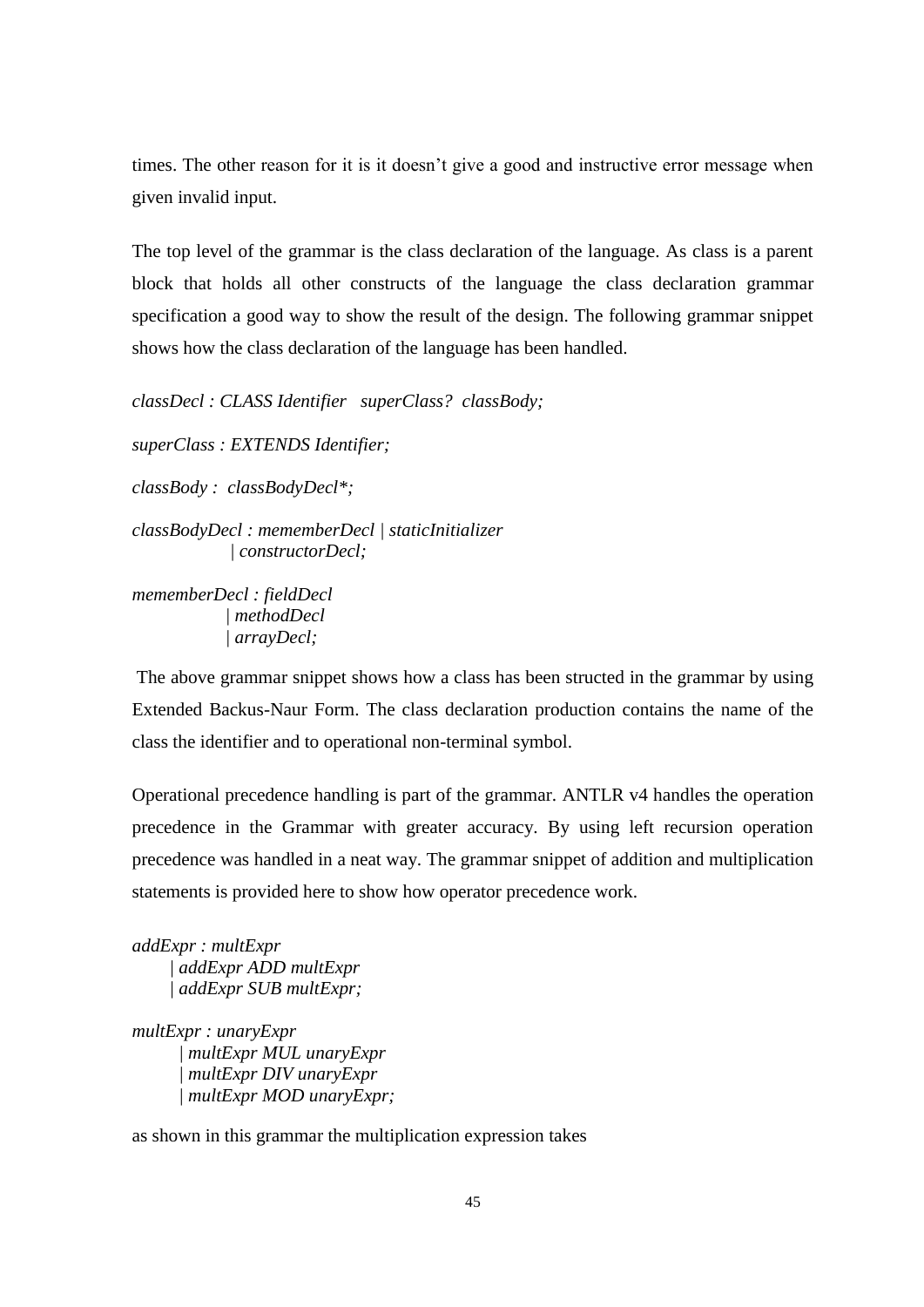times. The other reason for it is it doesn't give a good and instructive error message when given invalid input.

The top level of the grammar is the class declaration of the language. As class is a parent block that holds all other constructs of the language the class declaration grammar specification a good way to show the result of the design. The following grammar snippet shows how the class declaration of the language has been handled.

*classDecl : CLASS Identifier superClass? classBody;*

*superClass : EXTENDS Identifier;*

*classBody : classBodyDecl\*;*

*classBodyDecl : mememberDecl | staticInitializer | constructorDecl;*

*mememberDecl : fieldDecl | methodDecl | arrayDecl;*

The above grammar snippet shows how a class has been structed in the grammar by using Extended Backus-Naur Form. The class declaration production contains the name of the class the identifier and to operational non-terminal symbol.

Operational precedence handling is part of the grammar. ANTLR v4 handles the operation precedence in the Grammar with greater accuracy. By using left recursion operation precedence was handled in a neat way. The grammar snippet of addition and multiplication statements is provided here to show how operator precedence work.

*addExpr : multExpr | addExpr ADD multExpr | addExpr SUB multExpr;*

*multExpr : unaryExpr | multExpr MUL unaryExpr | multExpr DIV unaryExpr | multExpr MOD unaryExpr;*

as shown in this grammar the multiplication expression takes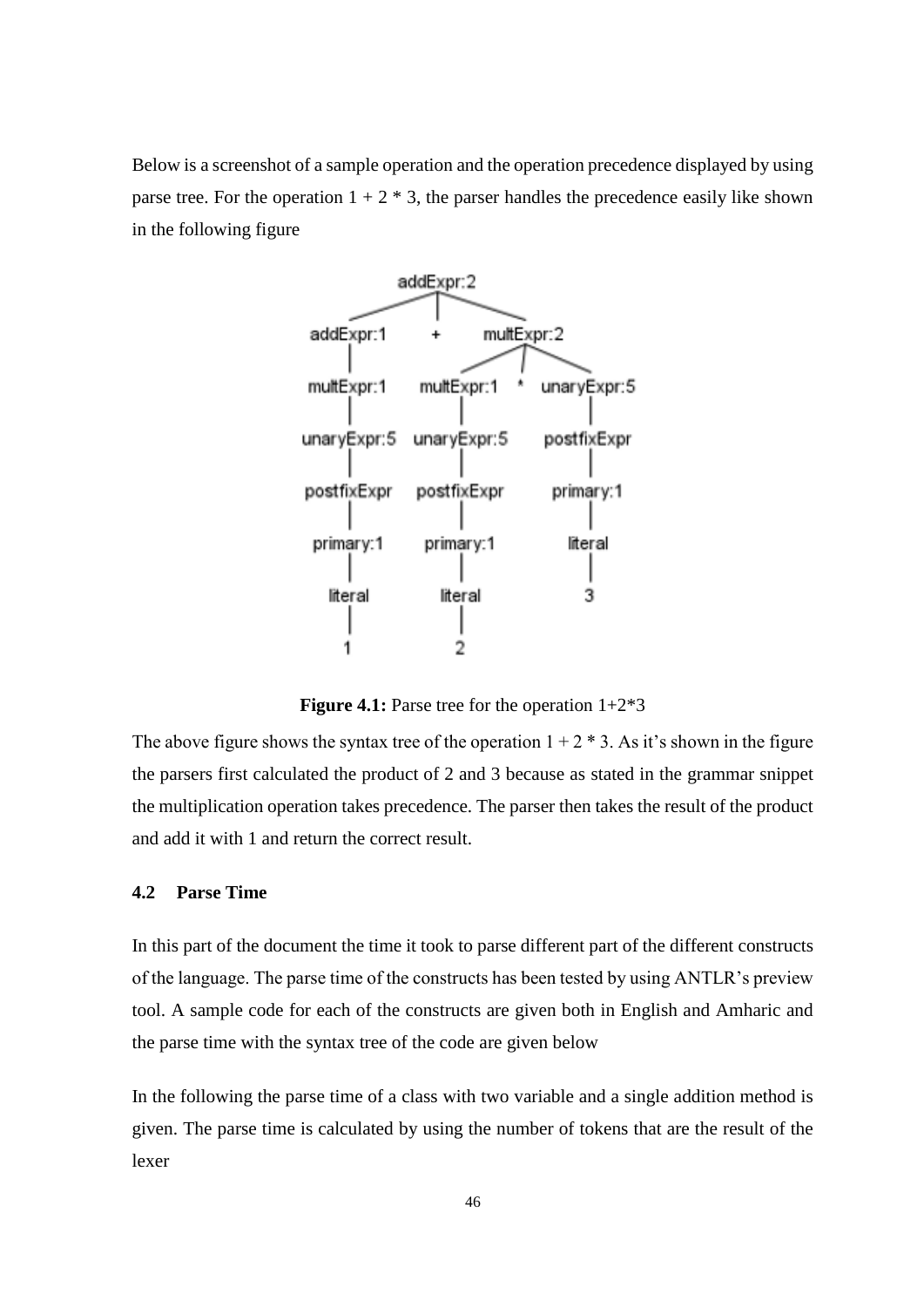Below is a screenshot of a sample operation and the operation precedence displayed by using parse tree. For the operation  $1 + 2 * 3$ , the parser handles the precedence easily like shown in the following figure



**Figure 4.1:** Parse tree for the operation  $1+2*3$ 

The above figure shows the syntax tree of the operation  $1 + 2 * 3$ . As it's shown in the figure the parsers first calculated the product of 2 and 3 because as stated in the grammar snippet the multiplication operation takes precedence. The parser then takes the result of the product and add it with 1 and return the correct result.

## **4.2 Parse Time**

In this part of the document the time it took to parse different part of the different constructs of the language. The parse time of the constructs has been tested by using ANTLR's preview tool. A sample code for each of the constructs are given both in English and Amharic and the parse time with the syntax tree of the code are given below

In the following the parse time of a class with two variable and a single addition method is given. The parse time is calculated by using the number of tokens that are the result of the lexer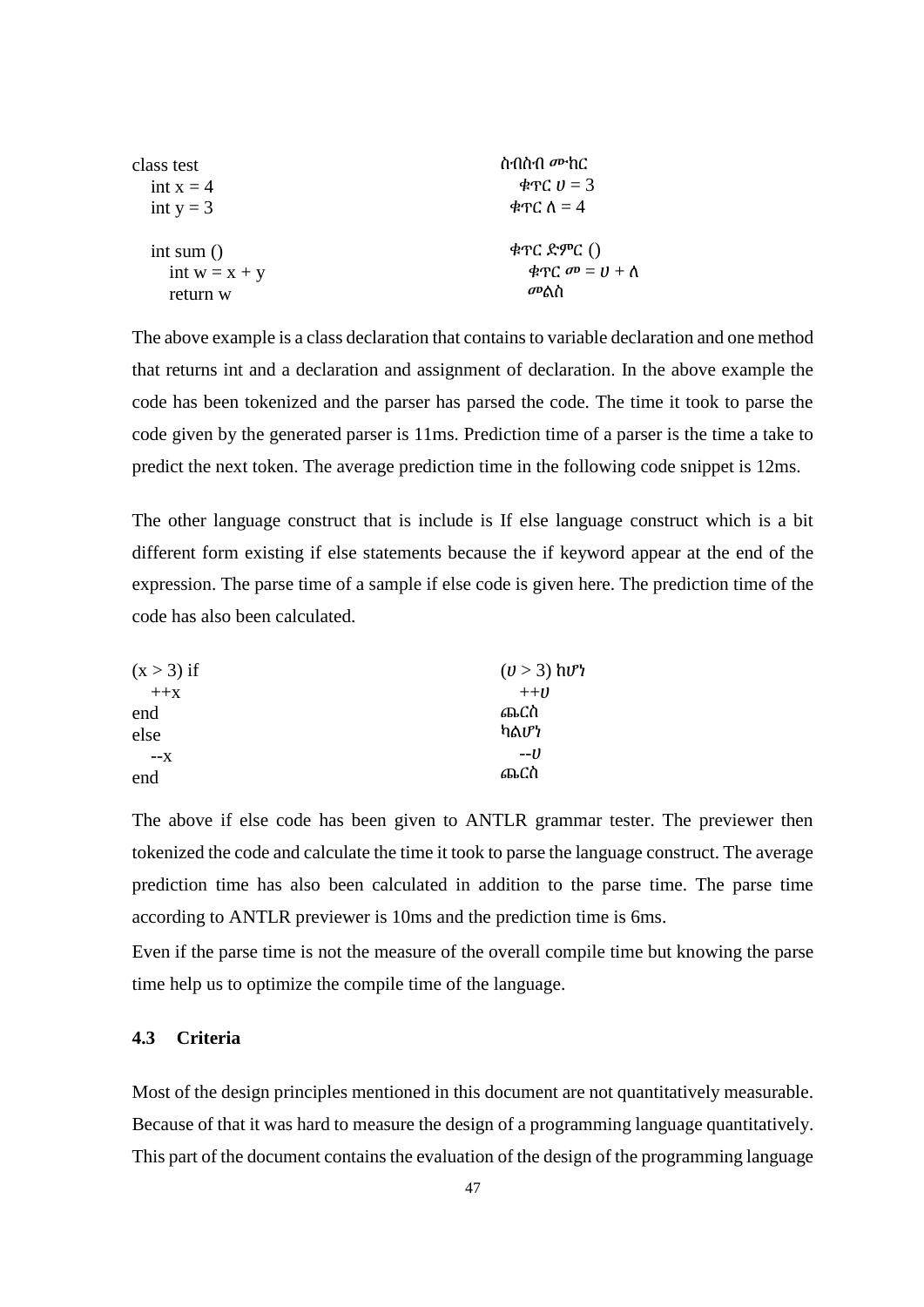| class test      | ስብስብ <i>መ</i> ከር                |  |  |
|-----------------|---------------------------------|--|--|
| int $x = 4$     |                                 |  |  |
| int $y = 3$     | ቁጥር $\Lambda = 4$               |  |  |
| int sum $()$    | $\phi$ ዋር ድምር $()$              |  |  |
| int $w = x + y$ | ቁጥ $C$ $\sigma P = U + \Lambda$ |  |  |
| return w        | መልስ                             |  |  |

The above example is a class declaration that contains to variable declaration and one method that returns int and a declaration and assignment of declaration. In the above example the code has been tokenized and the parser has parsed the code. The time it took to parse the code given by the generated parser is 11ms. Prediction time of a parser is the time a take to predict the next token. The average prediction time in the following code snippet is 12ms.

The other language construct that is include is If else language construct which is a bit different form existing if else statements because the if keyword appear at the end of the expression. The parse time of a sample if else code is given here. The prediction time of the code has also been calculated.

| $(x > 3)$ if | $(\nu > 3)$ hv <sup>2</sup> |  |
|--------------|-----------------------------|--|
| $+$ $+$ $X$  | $++U$                       |  |
| end          | ጨርስ                         |  |
| else         | ካልሆነ                        |  |
| $-X$         | --1)                        |  |
| end          | ጨርስ                         |  |

The above if else code has been given to ANTLR grammar tester. The previewer then tokenized the code and calculate the time it took to parse the language construct. The average prediction time has also been calculated in addition to the parse time. The parse time according to ANTLR previewer is 10ms and the prediction time is 6ms.

Even if the parse time is not the measure of the overall compile time but knowing the parse time help us to optimize the compile time of the language.

## **4.3 Criteria**

Most of the design principles mentioned in this document are not quantitatively measurable. Because of that it was hard to measure the design of a programming language quantitatively. This part of the document contains the evaluation of the design of the programming language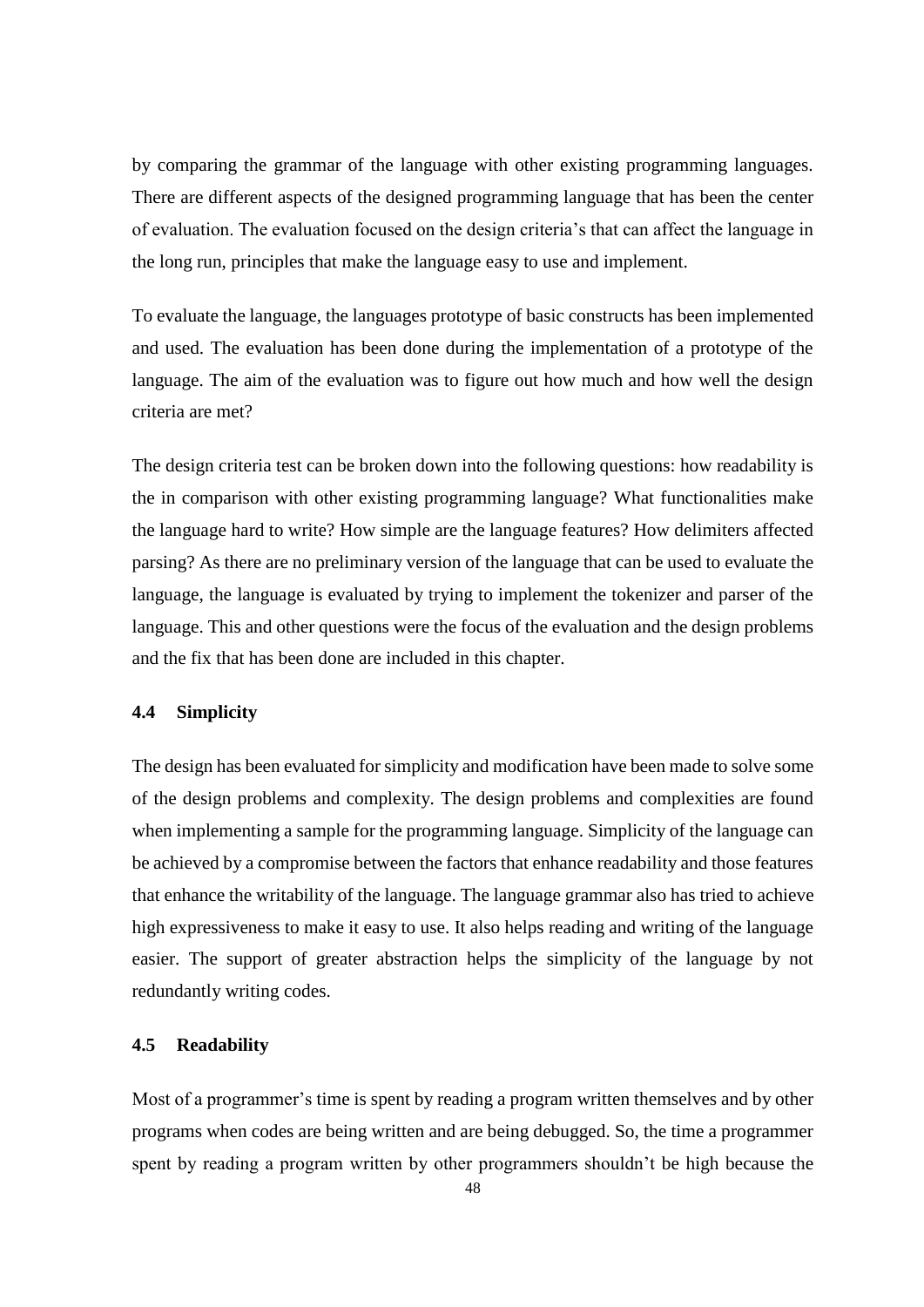by comparing the grammar of the language with other existing programming languages. There are different aspects of the designed programming language that has been the center of evaluation. The evaluation focused on the design criteria's that can affect the language in the long run, principles that make the language easy to use and implement.

To evaluate the language, the languages prototype of basic constructs has been implemented and used. The evaluation has been done during the implementation of a prototype of the language. The aim of the evaluation was to figure out how much and how well the design criteria are met?

The design criteria test can be broken down into the following questions: how readability is the in comparison with other existing programming language? What functionalities make the language hard to write? How simple are the language features? How delimiters affected parsing? As there are no preliminary version of the language that can be used to evaluate the language, the language is evaluated by trying to implement the tokenizer and parser of the language. This and other questions were the focus of the evaluation and the design problems and the fix that has been done are included in this chapter.

# **4.4 Simplicity**

The design has been evaluated for simplicity and modification have been made to solve some of the design problems and complexity. The design problems and complexities are found when implementing a sample for the programming language. Simplicity of the language can be achieved by a compromise between the factors that enhance readability and those features that enhance the writability of the language. The language grammar also has tried to achieve high expressiveness to make it easy to use. It also helps reading and writing of the language easier. The support of greater abstraction helps the simplicity of the language by not redundantly writing codes.

## **4.5 Readability**

Most of a programmer's time is spent by reading a program written themselves and by other programs when codes are being written and are being debugged. So, the time a programmer spent by reading a program written by other programmers shouldn't be high because the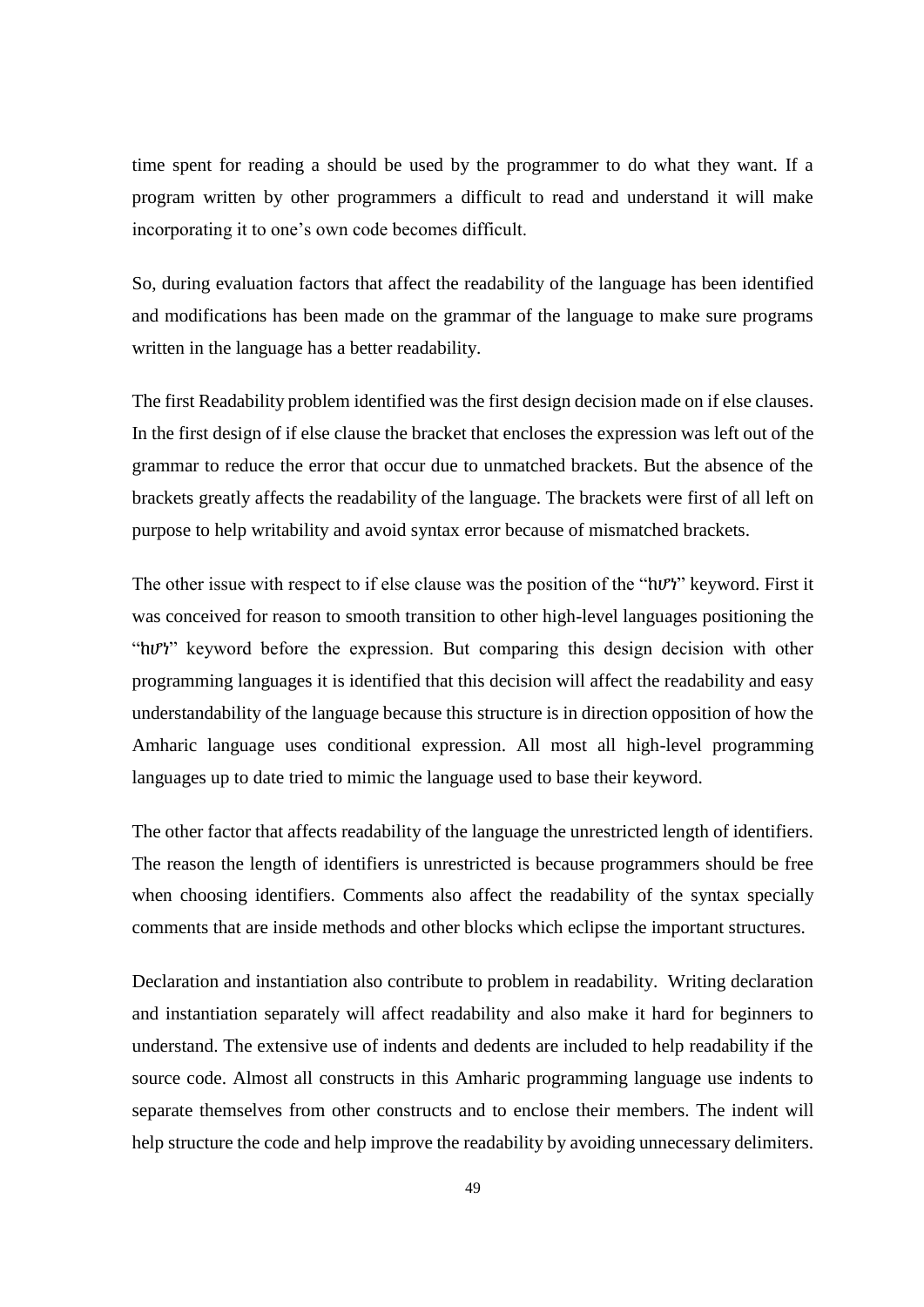time spent for reading a should be used by the programmer to do what they want. If a program written by other programmers a difficult to read and understand it will make incorporating it to one's own code becomes difficult.

So, during evaluation factors that affect the readability of the language has been identified and modifications has been made on the grammar of the language to make sure programs written in the language has a better readability.

The first Readability problem identified was the first design decision made on if else clauses. In the first design of if else clause the bracket that encloses the expression was left out of the grammar to reduce the error that occur due to unmatched brackets. But the absence of the brackets greatly affects the readability of the language. The brackets were first of all left on purpose to help writability and avoid syntax error because of mismatched brackets.

The other issue with respect to if else clause was the position of the "hv"*r*" keyword. First it was conceived for reason to smooth transition to other high-level languages positioning the "ከሆነ" keyword before the expression. But comparing this design decision with other programming languages it is identified that this decision will affect the readability and easy understandability of the language because this structure is in direction opposition of how the Amharic language uses conditional expression. All most all high-level programming languages up to date tried to mimic the language used to base their keyword.

The other factor that affects readability of the language the unrestricted length of identifiers. The reason the length of identifiers is unrestricted is because programmers should be free when choosing identifiers. Comments also affect the readability of the syntax specially comments that are inside methods and other blocks which eclipse the important structures.

Declaration and instantiation also contribute to problem in readability. Writing declaration and instantiation separately will affect readability and also make it hard for beginners to understand. The extensive use of indents and dedents are included to help readability if the source code. Almost all constructs in this Amharic programming language use indents to separate themselves from other constructs and to enclose their members. The indent will help structure the code and help improve the readability by avoiding unnecessary delimiters.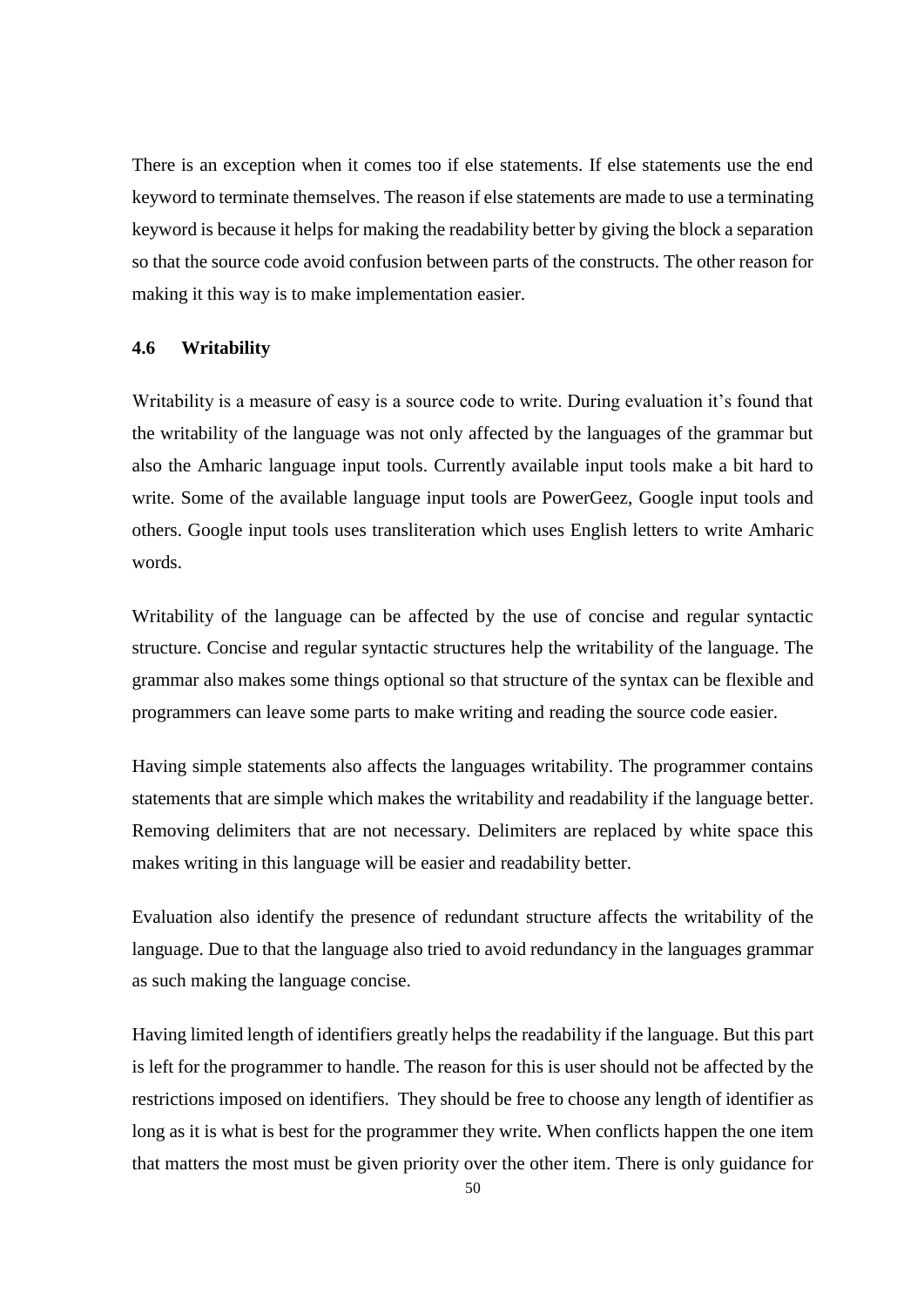There is an exception when it comes too if else statements. If else statements use the end keyword to terminate themselves. The reason if else statements are made to use a terminating keyword is because it helps for making the readability better by giving the block a separation so that the source code avoid confusion between parts of the constructs. The other reason for making it this way is to make implementation easier.

## **4.6 Writability**

Writability is a measure of easy is a source code to write. During evaluation it's found that the writability of the language was not only affected by the languages of the grammar but also the Amharic language input tools. Currently available input tools make a bit hard to write. Some of the available language input tools are PowerGeez, Google input tools and others. Google input tools uses transliteration which uses English letters to write Amharic words.

Writability of the language can be affected by the use of concise and regular syntactic structure. Concise and regular syntactic structures help the writability of the language. The grammar also makes some things optional so that structure of the syntax can be flexible and programmers can leave some parts to make writing and reading the source code easier.

Having simple statements also affects the languages writability. The programmer contains statements that are simple which makes the writability and readability if the language better. Removing delimiters that are not necessary. Delimiters are replaced by white space this makes writing in this language will be easier and readability better.

Evaluation also identify the presence of redundant structure affects the writability of the language. Due to that the language also tried to avoid redundancy in the languages grammar as such making the language concise.

Having limited length of identifiers greatly helps the readability if the language. But this part is left for the programmer to handle. The reason for this is user should not be affected by the restrictions imposed on identifiers. They should be free to choose any length of identifier as long as it is what is best for the programmer they write. When conflicts happen the one item that matters the most must be given priority over the other item. There is only guidance for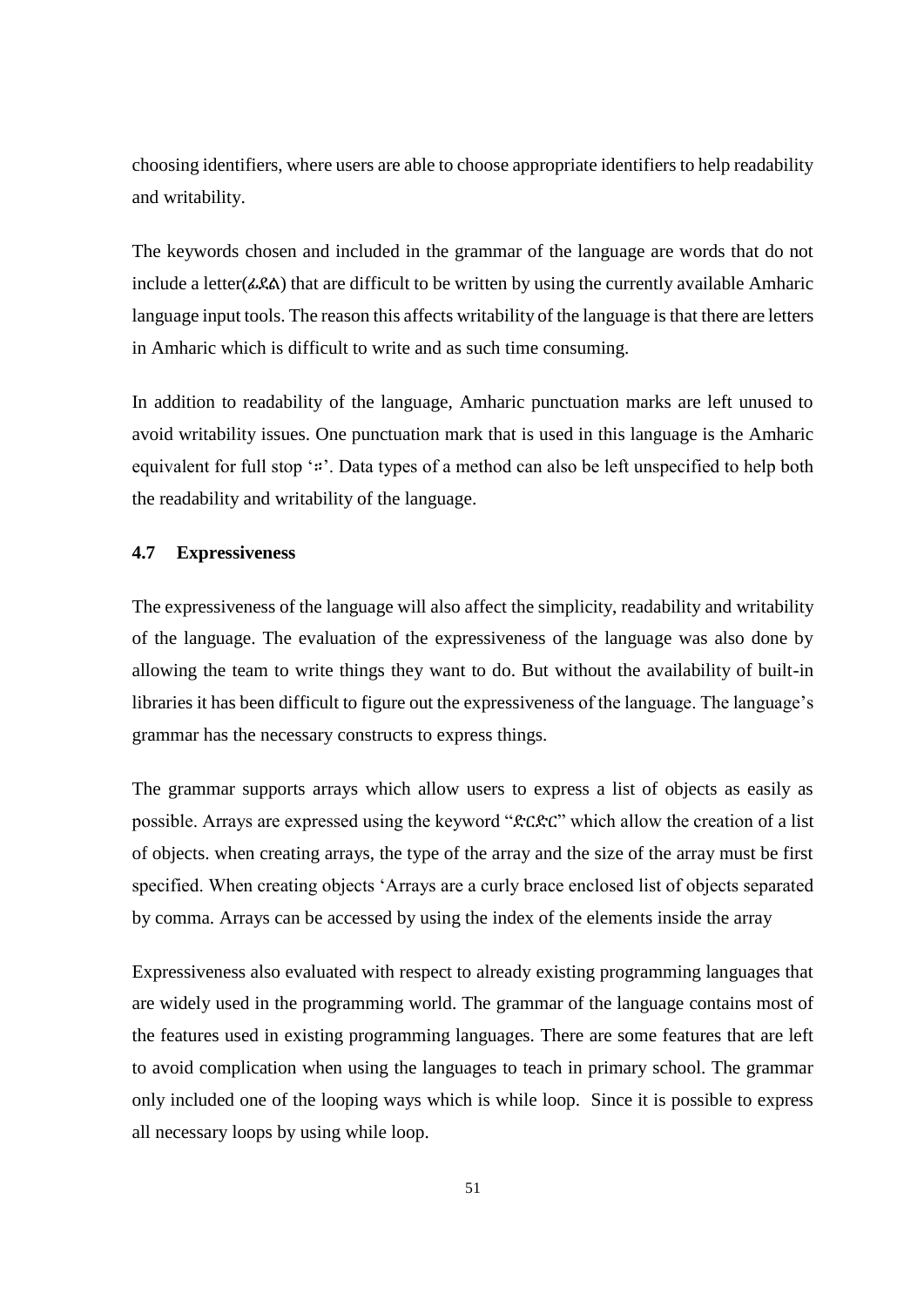choosing identifiers, where users are able to choose appropriate identifiers to help readability and writability.

The keywords chosen and included in the grammar of the language are words that do not include a letter( $\angle \& A$ ) that are difficult to be written by using the currently available Amharic language input tools. The reason this affects writability of the language is that there are letters in Amharic which is difficult to write and as such time consuming.

In addition to readability of the language, Amharic punctuation marks are left unused to avoid writability issues. One punctuation mark that is used in this language is the Amharic equivalent for full stop '።'. Data types of a method can also be left unspecified to help both the readability and writability of the language.

## **4.7 Expressiveness**

The expressiveness of the language will also affect the simplicity, readability and writability of the language. The evaluation of the expressiveness of the language was also done by allowing the team to write things they want to do. But without the availability of built-in libraries it has been difficult to figure out the expressiveness of the language. The language's grammar has the necessary constructs to express things.

The grammar supports arrays which allow users to express a list of objects as easily as possible. Arrays are expressed using the keyword "ድርድር" which allow the creation of a list of objects. when creating arrays, the type of the array and the size of the array must be first specified. When creating objects 'Arrays are a curly brace enclosed list of objects separated by comma. Arrays can be accessed by using the index of the elements inside the array

Expressiveness also evaluated with respect to already existing programming languages that are widely used in the programming world. The grammar of the language contains most of the features used in existing programming languages. There are some features that are left to avoid complication when using the languages to teach in primary school. The grammar only included one of the looping ways which is while loop. Since it is possible to express all necessary loops by using while loop.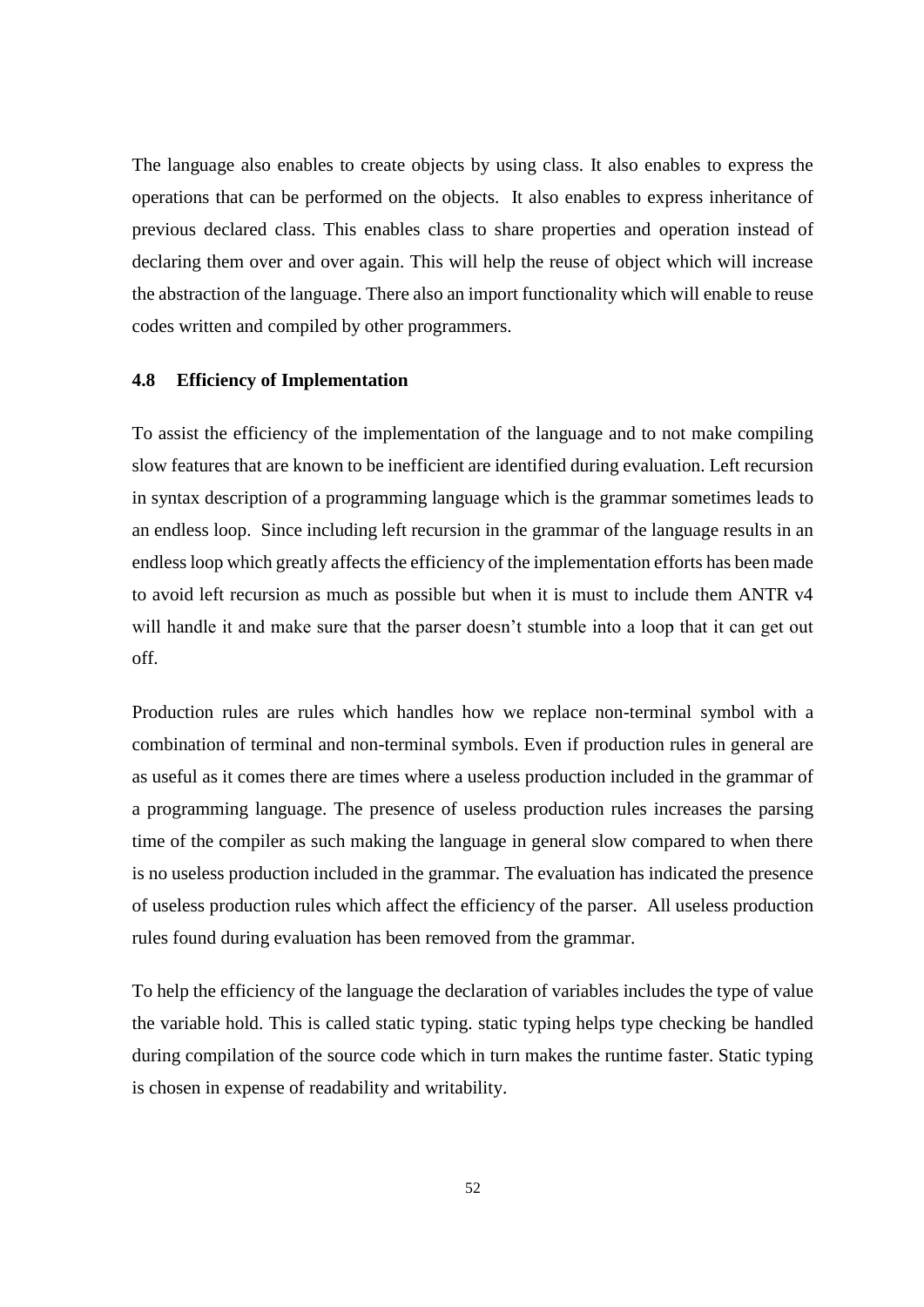The language also enables to create objects by using class. It also enables to express the operations that can be performed on the objects. It also enables to express inheritance of previous declared class. This enables class to share properties and operation instead of declaring them over and over again. This will help the reuse of object which will increase the abstraction of the language. There also an import functionality which will enable to reuse codes written and compiled by other programmers.

#### **4.8 Efficiency of Implementation**

To assist the efficiency of the implementation of the language and to not make compiling slow features that are known to be inefficient are identified during evaluation. Left recursion in syntax description of a programming language which is the grammar sometimes leads to an endless loop. Since including left recursion in the grammar of the language results in an endless loop which greatly affects the efficiency of the implementation efforts has been made to avoid left recursion as much as possible but when it is must to include them ANTR v4 will handle it and make sure that the parser doesn't stumble into a loop that it can get out off.

Production rules are rules which handles how we replace non-terminal symbol with a combination of terminal and non-terminal symbols. Even if production rules in general are as useful as it comes there are times where a useless production included in the grammar of a programming language. The presence of useless production rules increases the parsing time of the compiler as such making the language in general slow compared to when there is no useless production included in the grammar. The evaluation has indicated the presence of useless production rules which affect the efficiency of the parser. All useless production rules found during evaluation has been removed from the grammar.

To help the efficiency of the language the declaration of variables includes the type of value the variable hold. This is called static typing. static typing helps type checking be handled during compilation of the source code which in turn makes the runtime faster. Static typing is chosen in expense of readability and writability.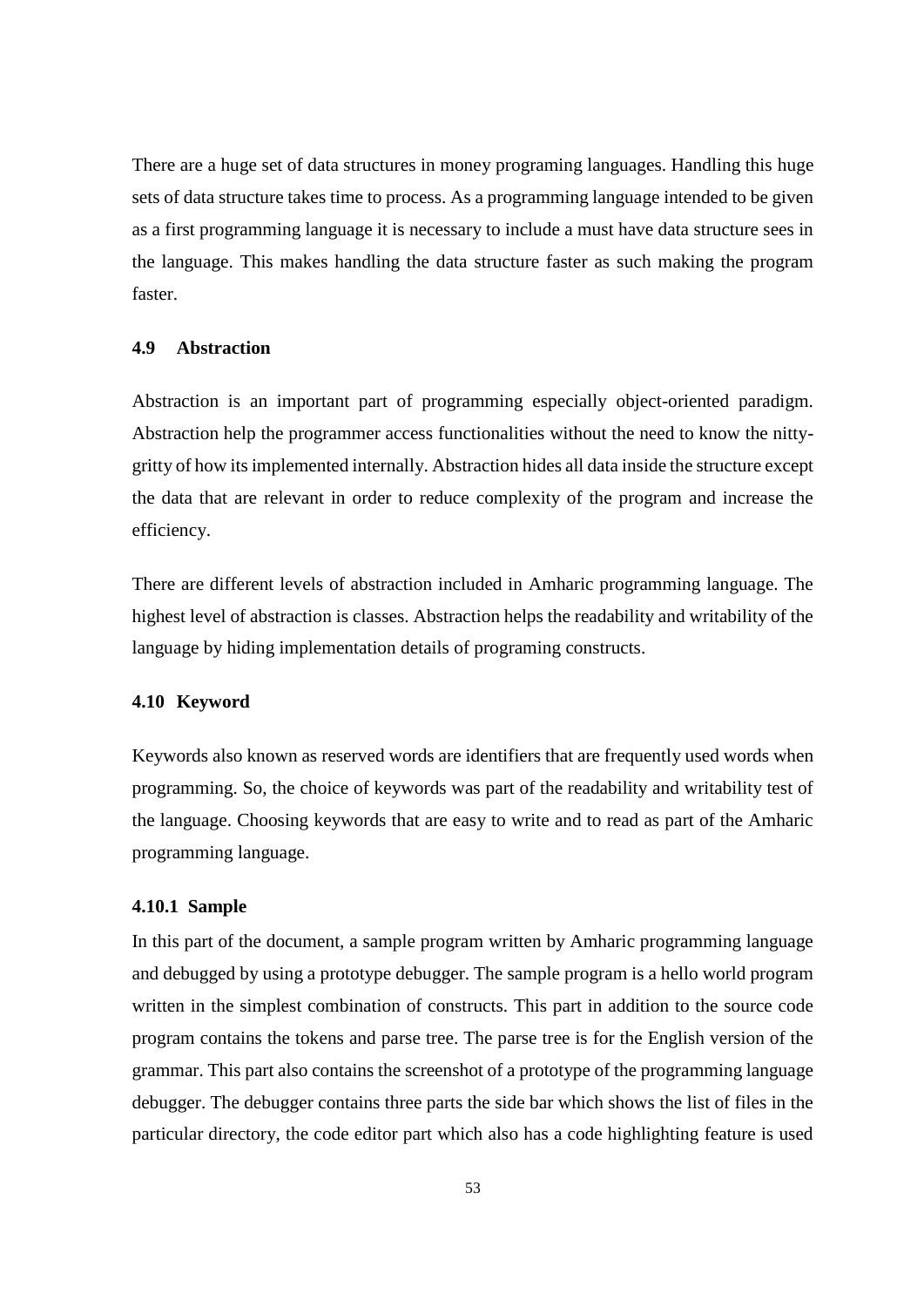There are a huge set of data structures in money programing languages. Handling this huge sets of data structure takes time to process. As a programming language intended to be given as a first programming language it is necessary to include a must have data structure sees in the language. This makes handling the data structure faster as such making the program faster.

## **4.9 Abstraction**

Abstraction is an important part of programming especially object-oriented paradigm. Abstraction help the programmer access functionalities without the need to know the nittygritty of how its implemented internally. Abstraction hides all data inside the structure except the data that are relevant in order to reduce complexity of the program and increase the efficiency.

There are different levels of abstraction included in Amharic programming language. The highest level of abstraction is classes. Abstraction helps the readability and writability of the language by hiding implementation details of programing constructs.

### **4.10 Keyword**

Keywords also known as reserved words are identifiers that are frequently used words when programming. So, the choice of keywords was part of the readability and writability test of the language. Choosing keywords that are easy to write and to read as part of the Amharic programming language.

#### **4.10.1 Sample**

In this part of the document, a sample program written by Amharic programming language and debugged by using a prototype debugger. The sample program is a hello world program written in the simplest combination of constructs. This part in addition to the source code program contains the tokens and parse tree. The parse tree is for the English version of the grammar. This part also contains the screenshot of a prototype of the programming language debugger. The debugger contains three parts the side bar which shows the list of files in the particular directory, the code editor part which also has a code highlighting feature is used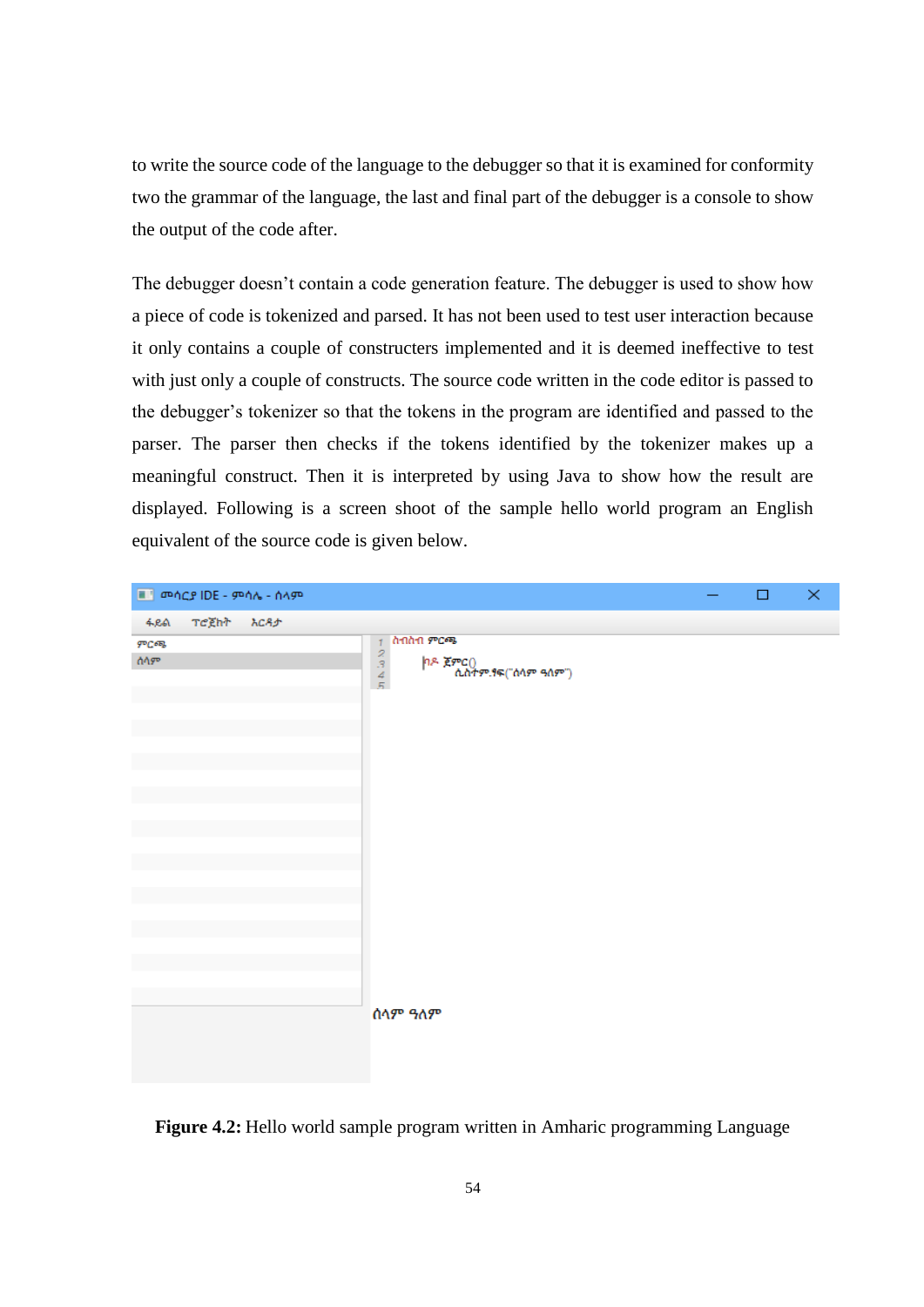to write the source code of the language to the debugger so that it is examined for conformity two the grammar of the language, the last and final part of the debugger is a console to show the output of the code after.

The debugger doesn't contain a code generation feature. The debugger is used to show how a piece of code is tokenized and parsed. It has not been used to test user interaction because it only contains a couple of constructers implemented and it is deemed ineffective to test with just only a couple of constructs. The source code written in the code editor is passed to the debugger's tokenizer so that the tokens in the program are identified and passed to the parser. The parser then checks if the tokens identified by the tokenizer makes up a meaningful construct. Then it is interpreted by using Java to show how the result are displayed. Following is a screen shoot of the sample hello world program an English equivalent of the source code is given below.

| ■ መሰርያ IDE - ምሳሌ - ሰላም |                                                                                               | $\Box$ | × |
|------------------------|-----------------------------------------------------------------------------------------------|--------|---|
| ፋይል ፐሮጀክት እርዳታ         |                                                                                               |        |   |
| ምርጫ<br>ሰላም             | ስብስብ ምርጫ<br>$\frac{1}{2}$<br>$\frac{2}{3}$<br>$\frac{3}{5}$<br>ከዶ ጀምር()<br>ሲስተም.ፃፍ("ሰላም ዓለም") |        |   |
|                        | ሰላም ዓለም                                                                                       |        |   |

**Figure 4.2:** Hello world sample program written in Amharic programming Language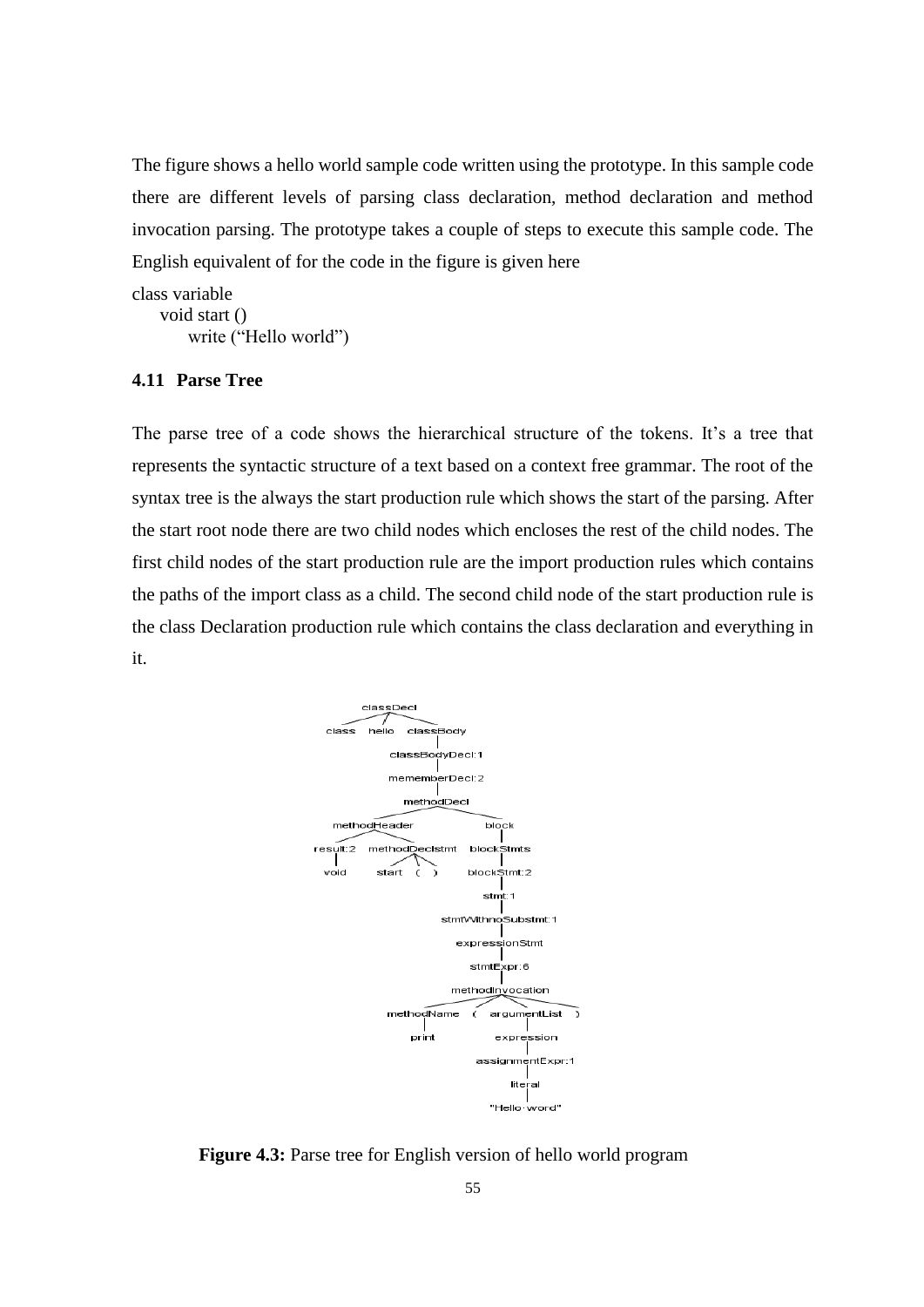The figure shows a hello world sample code written using the prototype. In this sample code there are different levels of parsing class declaration, method declaration and method invocation parsing. The prototype takes a couple of steps to execute this sample code. The English equivalent of for the code in the figure is given here

class variable void start () write ("Hello world")

## **4.11 Parse Tree**

The parse tree of a code shows the hierarchical structure of the tokens. It's a tree that represents the syntactic structure of a text based on a context free grammar. The root of the syntax tree is the always the start production rule which shows the start of the parsing. After the start root node there are two child nodes which encloses the rest of the child nodes. The first child nodes of the start production rule are the import production rules which contains the paths of the import class as a child. The second child node of the start production rule is the class Declaration production rule which contains the class declaration and everything in it.



**Figure 4.3:** Parse tree for English version of hello world program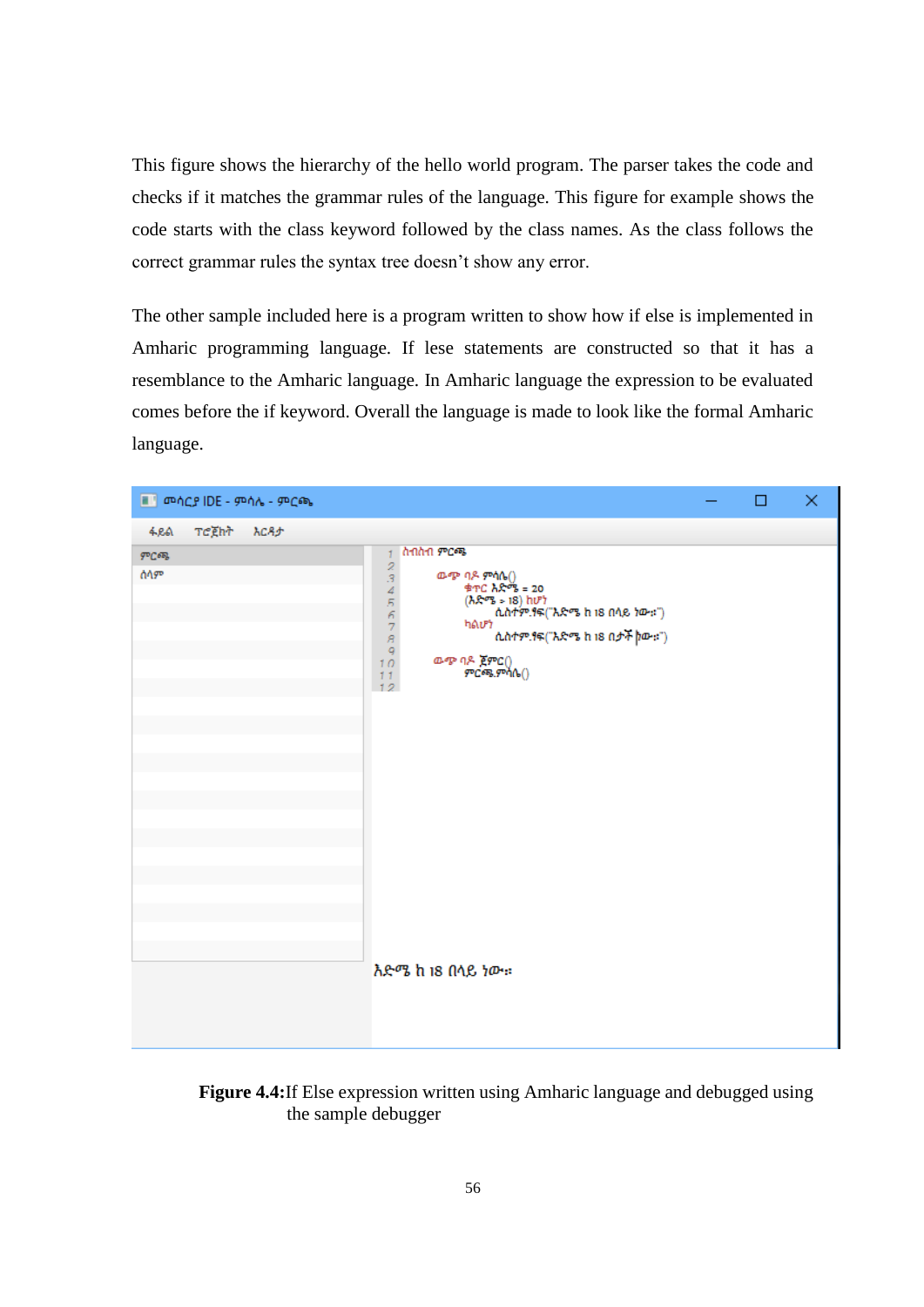This figure shows the hierarchy of the hello world program. The parser takes the code and checks if it matches the grammar rules of the language. This figure for example shows the code starts with the class keyword followed by the class names. As the class follows the correct grammar rules the syntax tree doesn't show any error.

The other sample included here is a program written to show how if else is implemented in Amharic programming language. If lese statements are constructed so that it has a resemblance to the Amharic language. In Amharic language the expression to be evaluated comes before the if keyword. Overall the language is made to look like the formal Amharic language.



**Figure 4.4:**If Else expression written using Amharic language and debugged using the sample debugger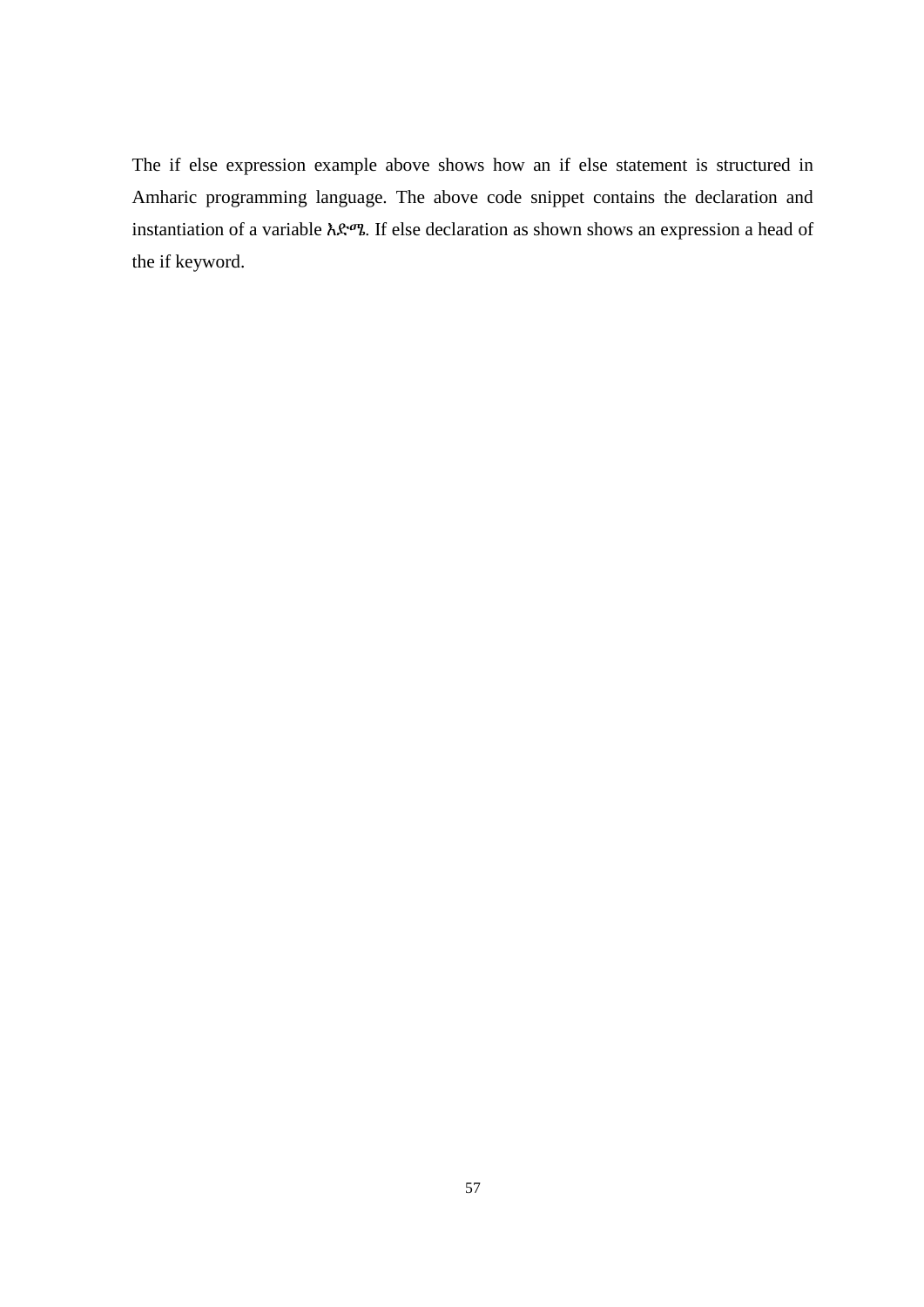The if else expression example above shows how an if else statement is structured in Amharic programming language. The above code snippet contains the declaration and instantiation of a variable እድሜ. If else declaration as shown shows an expression a head of the if keyword.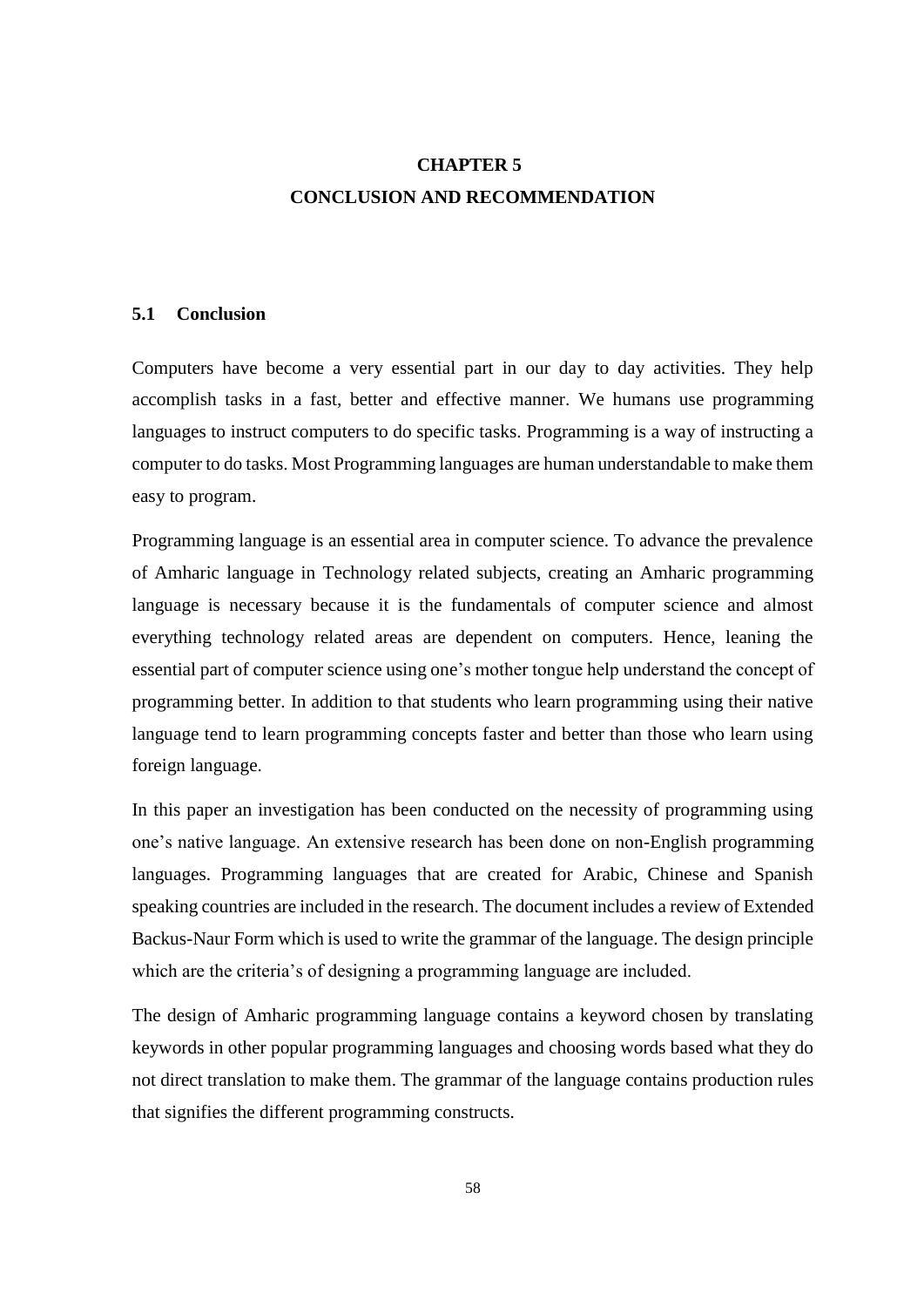# **CHAPTER 5 CONCLUSION AND RECOMMENDATION**

## **5.1 Conclusion**

Computers have become a very essential part in our day to day activities. They help accomplish tasks in a fast, better and effective manner. We humans use programming languages to instruct computers to do specific tasks. Programming is a way of instructing a computer to do tasks. Most Programming languages are human understandable to make them easy to program.

Programming language is an essential area in computer science. To advance the prevalence of Amharic language in Technology related subjects, creating an Amharic programming language is necessary because it is the fundamentals of computer science and almost everything technology related areas are dependent on computers. Hence, leaning the essential part of computer science using one's mother tongue help understand the concept of programming better. In addition to that students who learn programming using their native language tend to learn programming concepts faster and better than those who learn using foreign language.

In this paper an investigation has been conducted on the necessity of programming using one's native language. An extensive research has been done on non-English programming languages. Programming languages that are created for Arabic, Chinese and Spanish speaking countries are included in the research. The document includes a review of Extended Backus-Naur Form which is used to write the grammar of the language. The design principle which are the criteria's of designing a programming language are included.

The design of Amharic programming language contains a keyword chosen by translating keywords in other popular programming languages and choosing words based what they do not direct translation to make them. The grammar of the language contains production rules that signifies the different programming constructs.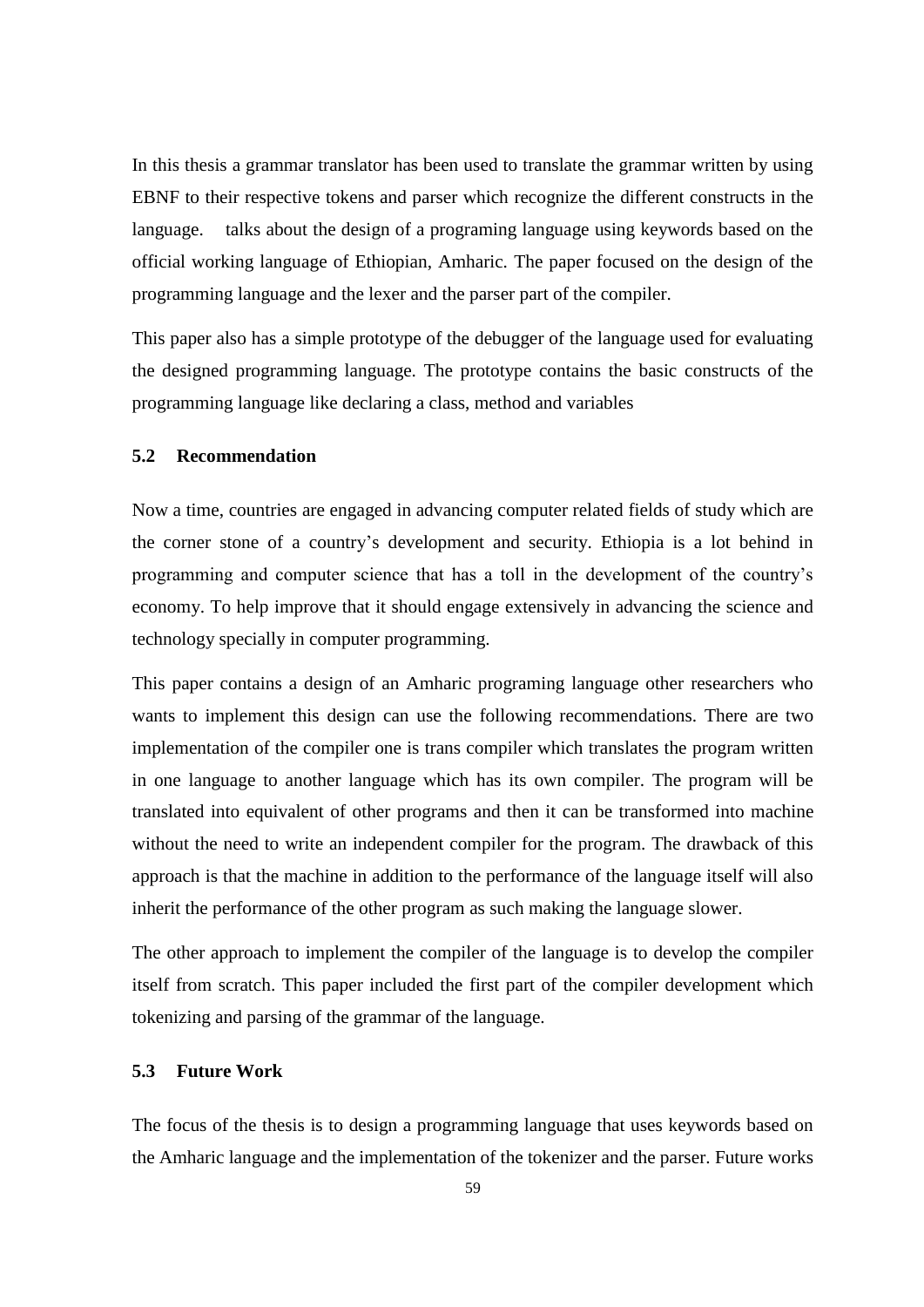In this thesis a grammar translator has been used to translate the grammar written by using EBNF to their respective tokens and parser which recognize the different constructs in the language. talks about the design of a programing language using keywords based on the official working language of Ethiopian, Amharic. The paper focused on the design of the programming language and the lexer and the parser part of the compiler.

This paper also has a simple prototype of the debugger of the language used for evaluating the designed programming language. The prototype contains the basic constructs of the programming language like declaring a class, method and variables

#### **5.2 Recommendation**

Now a time, countries are engaged in advancing computer related fields of study which are the corner stone of a country's development and security. Ethiopia is a lot behind in programming and computer science that has a toll in the development of the country's economy. To help improve that it should engage extensively in advancing the science and technology specially in computer programming.

This paper contains a design of an Amharic programing language other researchers who wants to implement this design can use the following recommendations. There are two implementation of the compiler one is trans compiler which translates the program written in one language to another language which has its own compiler. The program will be translated into equivalent of other programs and then it can be transformed into machine without the need to write an independent compiler for the program. The drawback of this approach is that the machine in addition to the performance of the language itself will also inherit the performance of the other program as such making the language slower.

The other approach to implement the compiler of the language is to develop the compiler itself from scratch. This paper included the first part of the compiler development which tokenizing and parsing of the grammar of the language.

# **5.3 Future Work**

The focus of the thesis is to design a programming language that uses keywords based on the Amharic language and the implementation of the tokenizer and the parser. Future works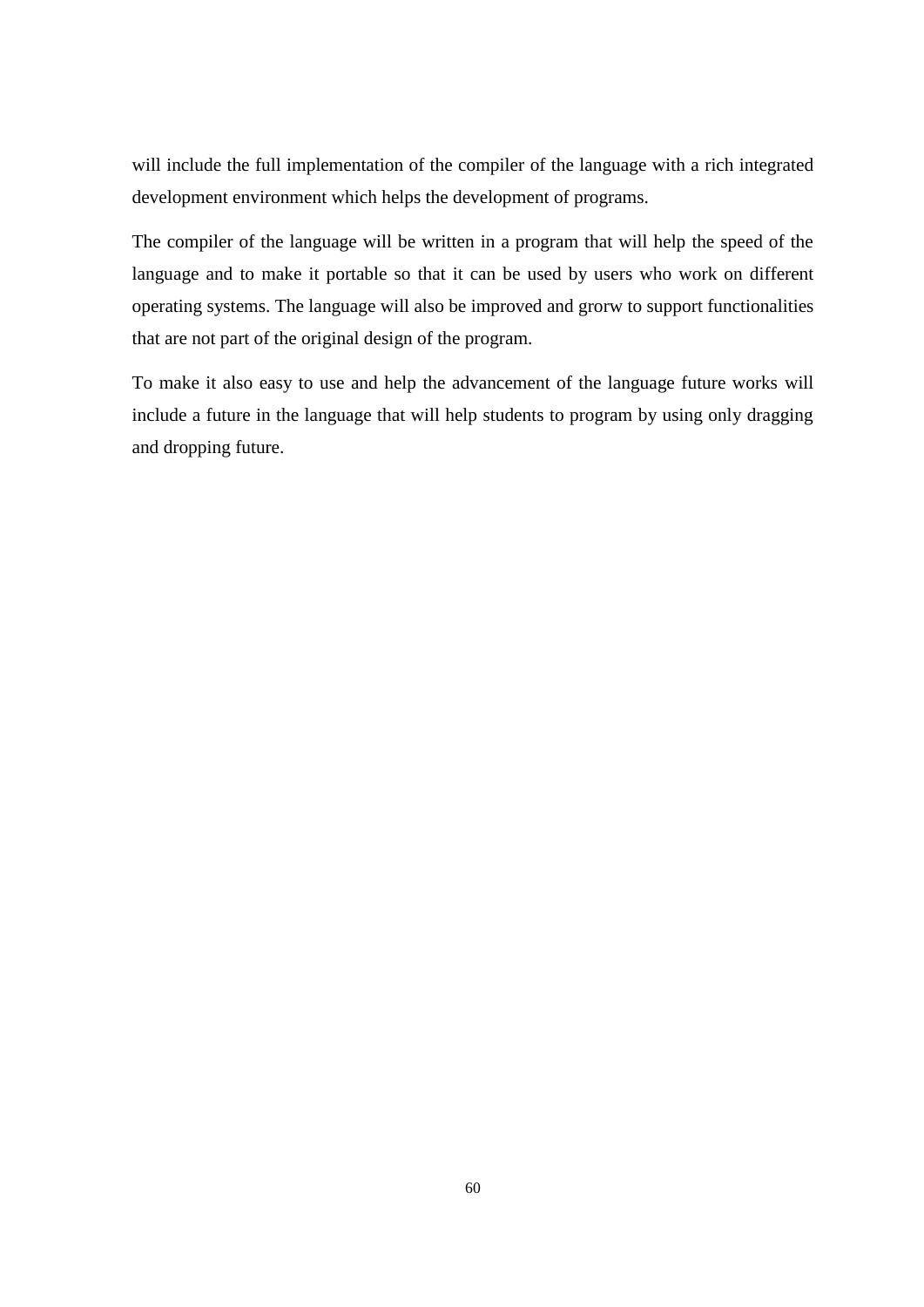will include the full implementation of the compiler of the language with a rich integrated development environment which helps the development of programs.

The compiler of the language will be written in a program that will help the speed of the language and to make it portable so that it can be used by users who work on different operating systems. The language will also be improved and grorw to support functionalities that are not part of the original design of the program.

To make it also easy to use and help the advancement of the language future works will include a future in the language that will help students to program by using only dragging and dropping future.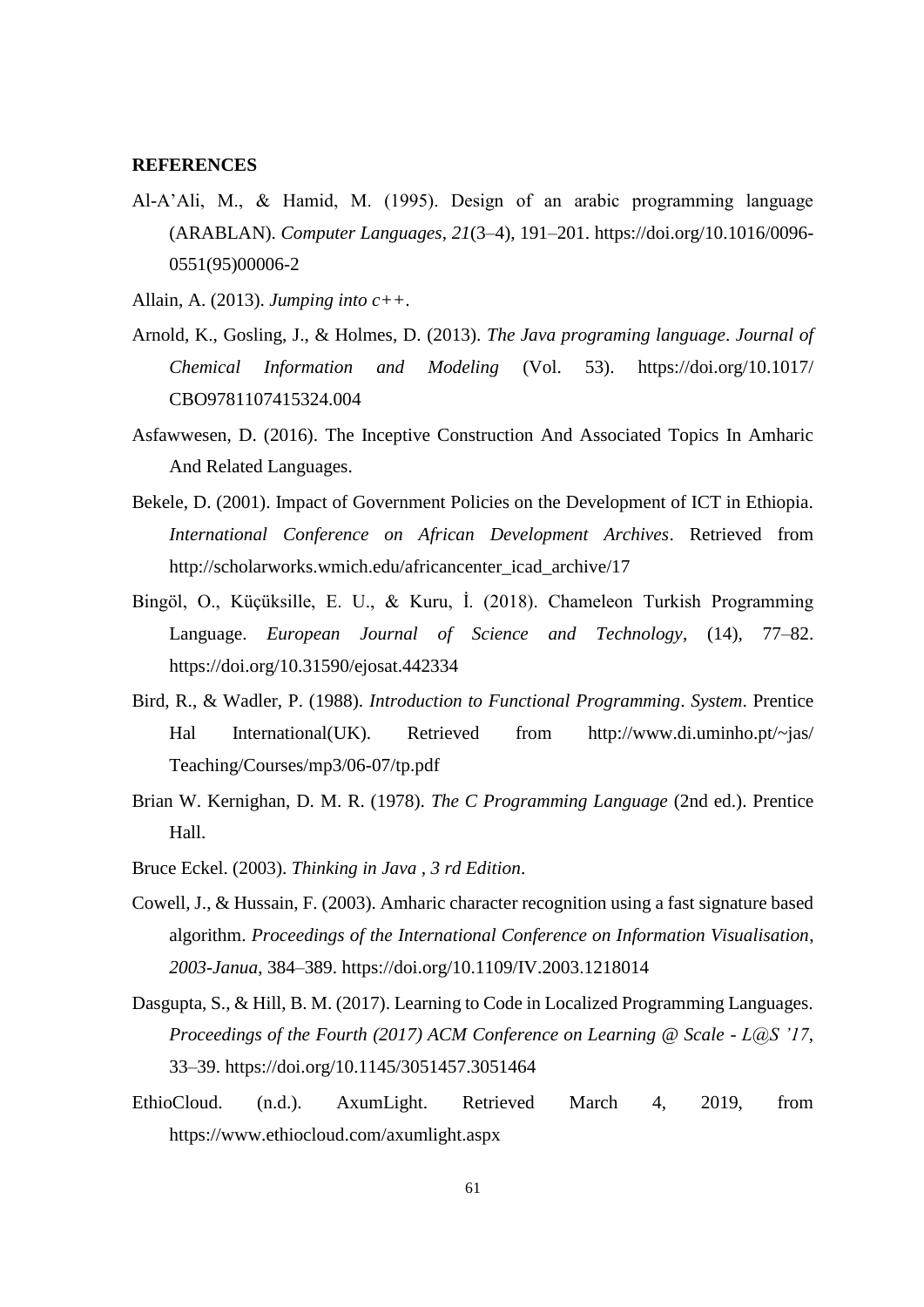#### **REFERENCES**

- Al-A'Ali, M., & Hamid, M. (1995). Design of an arabic programming language (ARABLAN). *Computer Languages*, *21*(3–4), 191–201. https://doi.org/10.1016/0096- 0551(95)00006-2
- Allain, A. (2013). *Jumping into c++*.
- Arnold, K., Gosling, J., & Holmes, D. (2013). *The Java programing language*. *Journal of Chemical Information and Modeling* (Vol. 53). https://doi.org/10.1017/ CBO9781107415324.004
- Asfawwesen, D. (2016). The Inceptive Construction And Associated Topics In Amharic And Related Languages.
- Bekele, D. (2001). Impact of Government Policies on the Development of ICT in Ethiopia. *International Conference on African Development Archives*. Retrieved from http://scholarworks.wmich.edu/africancenter\_icad\_archive/17
- Bingöl, O., Küçüksille, E. U., & Kuru, İ. (2018). Chameleon Turkish Programming Language. *European Journal of Science and Technology*, (14), 77–82. https://doi.org/10.31590/ejosat.442334
- Bird, R., & Wadler, P. (1988). *Introduction to Functional Programming*. *System*. Prentice Hal International(UK). Retrieved from http://www.di.uminho.pt/~jas/ Teaching/Courses/mp3/06-07/tp.pdf
- Brian W. Kernighan, D. M. R. (1978). *The C Programming Language* (2nd ed.). Prentice Hall.
- Bruce Eckel. (2003). *Thinking in Java , 3 rd Edition*.
- Cowell, J., & Hussain, F. (2003). Amharic character recognition using a fast signature based algorithm. *Proceedings of the International Conference on Information Visualisation*, *2003*-*Janua*, 384–389. https://doi.org/10.1109/IV.2003.1218014
- Dasgupta, S., & Hill, B. M. (2017). Learning to Code in Localized Programming Languages. *Proceedings of the Fourth (2017) ACM Conference on Learning @ Scale - L@S '17*, 33–39. https://doi.org/10.1145/3051457.3051464
- EthioCloud. (n.d.). AxumLight. Retrieved March 4, 2019, from https://www.ethiocloud.com/axumlight.aspx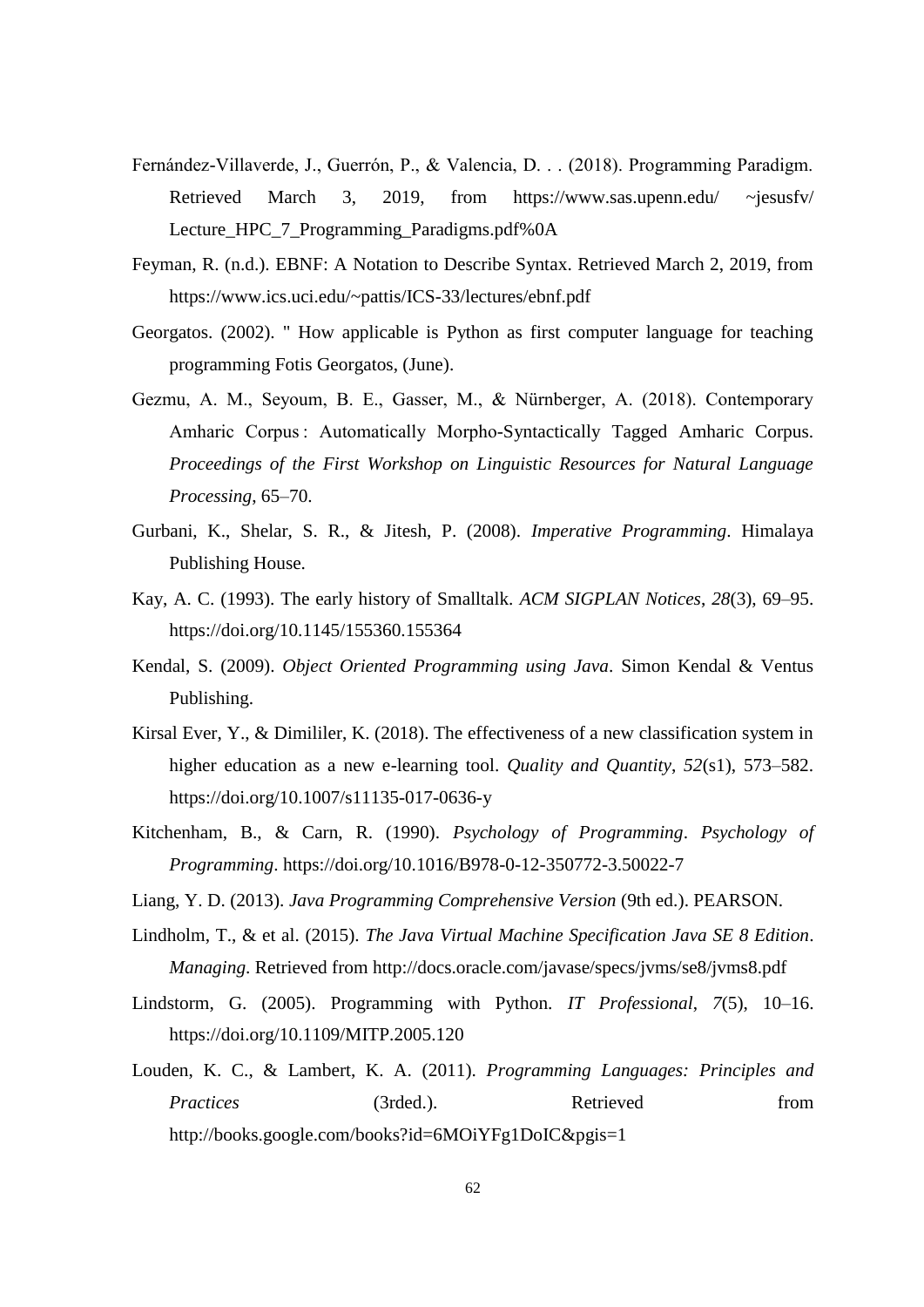- Fernández-Villaverde, J., Guerrón, P., & Valencia, D. . . (2018). Programming Paradigm. Retrieved March 3, 2019, from https://www.sas.upenn.edu/ ~jesusfv/ Lecture\_HPC\_7\_Programming\_Paradigms.pdf%0A
- Feyman, R. (n.d.). EBNF: A Notation to Describe Syntax. Retrieved March 2, 2019, from https://www.ics.uci.edu/~pattis/ICS-33/lectures/ebnf.pdf
- Georgatos. (2002). " How applicable is Python as first computer language for teaching programming Fotis Georgatos, (June).
- Gezmu, A. M., Seyoum, B. E., Gasser, M., & Nürnberger, A. (2018). Contemporary Amharic Corpus : Automatically Morpho-Syntactically Tagged Amharic Corpus. *Proceedings of the First Workshop on Linguistic Resources for Natural Language Processing*, 65–70.
- Gurbani, K., Shelar, S. R., & Jitesh, P. (2008). *Imperative Programming*. Himalaya Publishing House.
- Kay, A. C. (1993). The early history of Smalltalk. *ACM SIGPLAN Notices*, *28*(3), 69–95. https://doi.org/10.1145/155360.155364
- Kendal, S. (2009). *Object Oriented Programming using Java*. Simon Kendal & Ventus Publishing.
- Kirsal Ever, Y., & Dimililer, K. (2018). The effectiveness of a new classification system in higher education as a new e-learning tool. *Quality and Quantity*, *52*(s1), 573–582. https://doi.org/10.1007/s11135-017-0636-y
- Kitchenham, B., & Carn, R. (1990). *Psychology of Programming*. *Psychology of Programming*. https://doi.org/10.1016/B978-0-12-350772-3.50022-7
- Liang, Y. D. (2013). *Java Programming Comprehensive Version* (9th ed.). PEARSON.
- Lindholm, T., & et al. (2015). *The Java Virtual Machine Specification Java SE 8 Edition*. *Managing*. Retrieved from http://docs.oracle.com/javase/specs/jvms/se8/jvms8.pdf
- Lindstorm, G. (2005). Programming with Python. *IT Professional*, *7*(5), 10–16. https://doi.org/10.1109/MITP.2005.120
- Louden, K. C., & Lambert, K. A. (2011). *Programming Languages: Principles and Practices* (3rded.). Retrieved from http://books.google.com/books?id=6MOiYFg1DoIC&pgis=1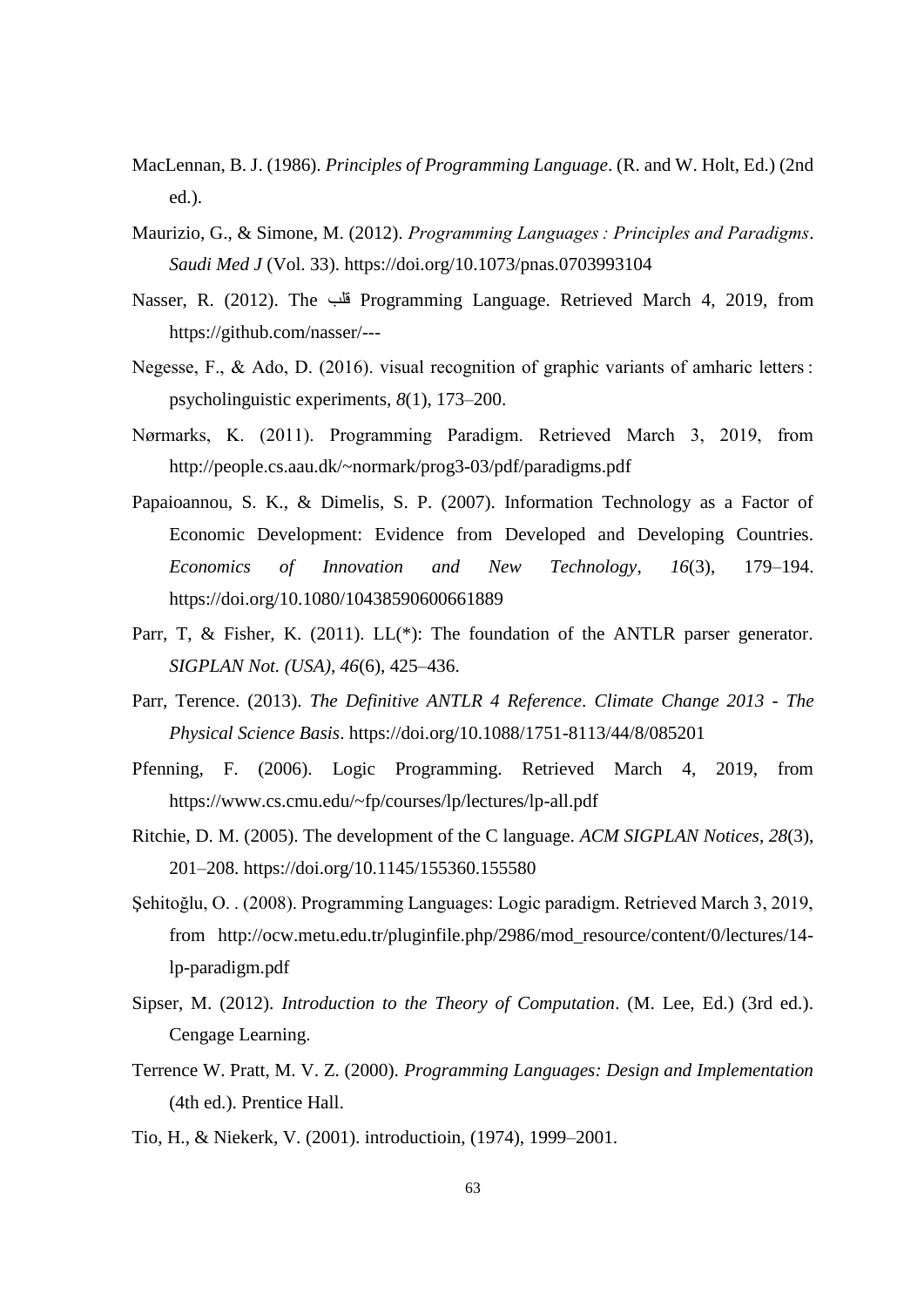- MacLennan, B. J. (1986). *Principles of Programming Language*. (R. and W. Holt, Ed.) (2nd ed.).
- Maurizio, G., & Simone, M. (2012). *Programming Languages : Principles and Paradigms*. *Saudi Med J* (Vol. 33). https://doi.org/10.1073/pnas.0703993104
- Nasser, R. (2012). The قلب Programming Language. Retrieved March 4, 2019, from https://github.com/nasser/---
- Negesse, F., & Ado, D. (2016). visual recognition of graphic variants of amharic letters : psycholinguistic experiments, *8*(1), 173–200.
- Nørmarks, K. (2011). Programming Paradigm. Retrieved March 3, 2019, from http://people.cs.aau.dk/~normark/prog3-03/pdf/paradigms.pdf
- Papaioannou, S. K., & Dimelis, S. P. (2007). Information Technology as a Factor of Economic Development: Evidence from Developed and Developing Countries. *Economics of Innovation and New Technology*, *16*(3), 179–194. https://doi.org/10.1080/10438590600661889
- Parr, T, & Fisher, K. (2011). LL(\*): The foundation of the ANTLR parser generator. *SIGPLAN Not. (USA)*, *46*(6), 425–436.
- Parr, Terence. (2013). *The Definitive ANTLR 4 Reference*. *Climate Change 2013 - The Physical Science Basis*. https://doi.org/10.1088/1751-8113/44/8/085201
- Pfenning, F. (2006). Logic Programming. Retrieved March 4, 2019, from https://www.cs.cmu.edu/~fp/courses/lp/lectures/lp-all.pdf
- Ritchie, D. M. (2005). The development of the C language. *ACM SIGPLAN Notices*, *28*(3), 201–208. https://doi.org/10.1145/155360.155580
- Şehitoğlu, O. . (2008). Programming Languages: Logic paradigm. Retrieved March 3, 2019, from http://ocw.metu.edu.tr/pluginfile.php/2986/mod\_resource/content/0/lectures/14 lp-paradigm.pdf
- Sipser, M. (2012). *Introduction to the Theory of Computation*. (M. Lee, Ed.) (3rd ed.). Cengage Learning.
- Terrence W. Pratt, M. V. Z. (2000). *Programming Languages: Design and Implementation* (4th ed.). Prentice Hall.
- Tio, H., & Niekerk, V. (2001). introductioin, (1974), 1999–2001.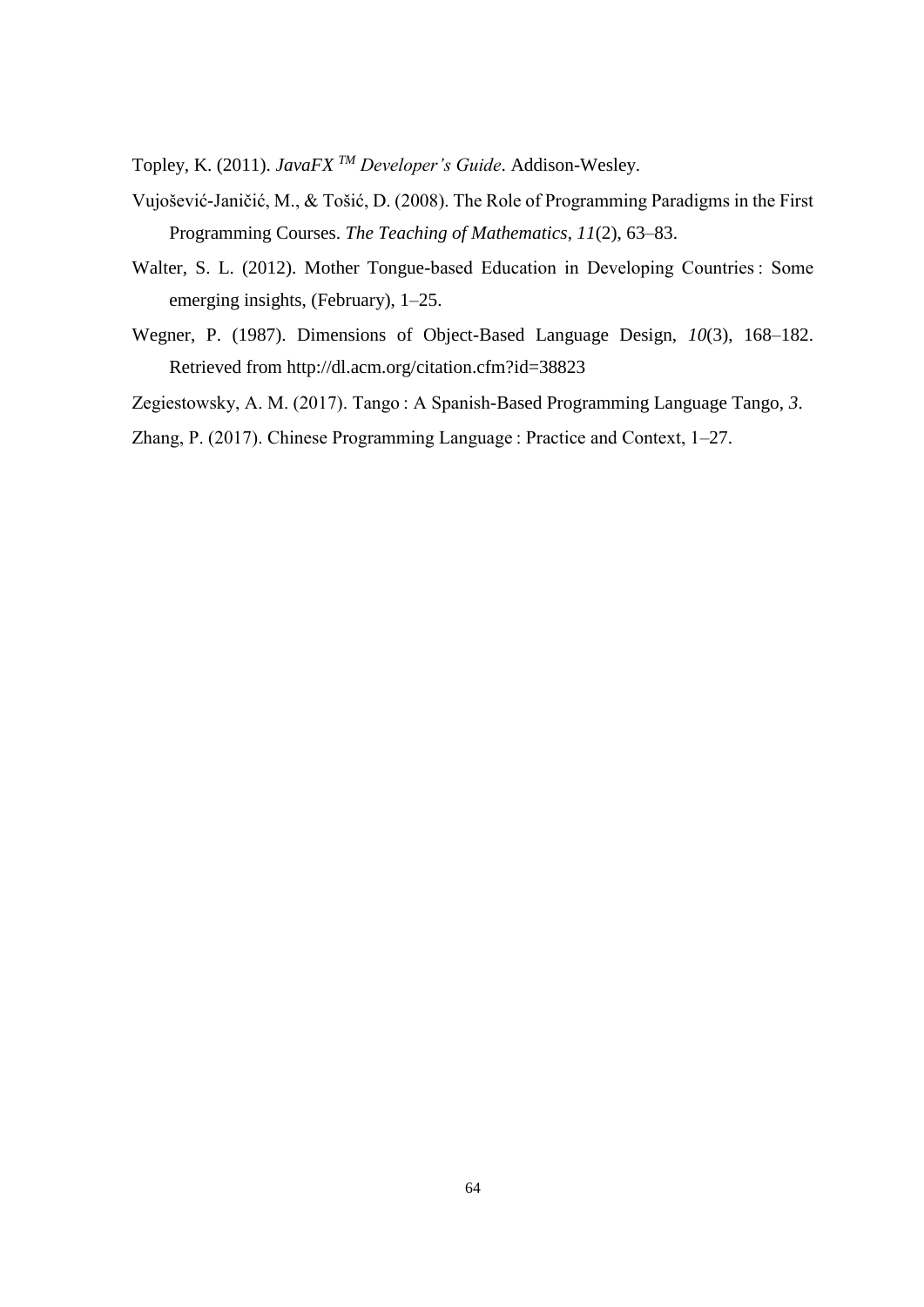Topley, K. (2011). *JavaFX TM Developer's Guide*. Addison-Wesley.

- Vujošević-Janičić, M., & Tošić, D. (2008). The Role of Programming Paradigms in the First Programming Courses. *The Teaching of Mathematics*, *11*(2), 63–83.
- Walter, S. L. (2012). Mother Tongue-based Education in Developing Countries : Some emerging insights, (February), 1–25.
- Wegner, P. (1987). Dimensions of Object-Based Language Design, *10*(3), 168–182. Retrieved from http://dl.acm.org/citation.cfm?id=38823
- Zegiestowsky, A. M. (2017). Tango : A Spanish-Based Programming Language Tango, *3*.

Zhang, P. (2017). Chinese Programming Language : Practice and Context, 1–27.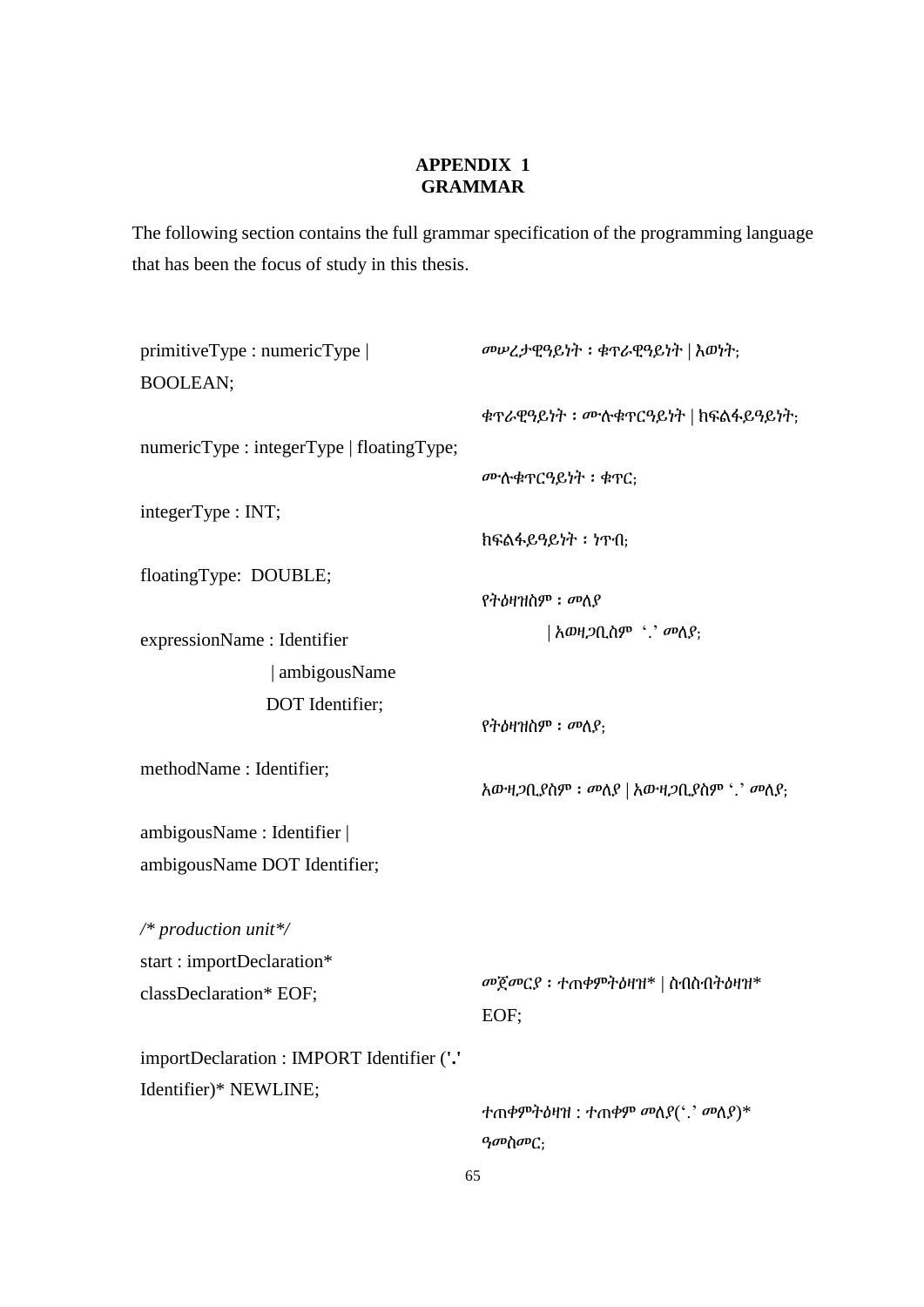# **APPENDIX 1 GRAMMAR**

The following section contains the full grammar specification of the programming language that has been the focus of study in this thesis.

| primitiveType: numericType                | መሥረታዊዓይነት ፡ ቁጥራዊዓይነት   እወነት;                  |
|-------------------------------------------|-----------------------------------------------|
| <b>BOOLEAN;</b>                           |                                               |
|                                           | ቁጥራዊዓይነት: ሙሉቁጥርዓይነት   ከፍልፋይዓይነት;              |
| numericType: integerType   floatingType;  |                                               |
|                                           | ሙሉቁፕርዓይነት ፡ ቁፕር;                              |
| integerType : INT;                        |                                               |
|                                           | ከፍልፋይዓይነት ፡ ነጥበ;                              |
| floatingType: DOUBLE;                     |                                               |
|                                           | የትዕዛዝስም ፡ መለያ                                 |
| expressionName : Identifier               | አወዛ <i>ጋ</i> ቢስም <i>`` መ</i> ለያ;              |
| ambigousName                              |                                               |
| DOT Identifier;                           |                                               |
|                                           | የትዕዛዝስም ፡ መለያ;                                |
| methodName: Identifier;                   |                                               |
|                                           | አውዛጋቢያስም: መለያ   አውዛጋቢያስም '.' መለያ;             |
| ambigousName: Identifier                  |                                               |
| ambigousName DOT Identifier;              |                                               |
|                                           |                                               |
| /* production unit*/                      |                                               |
| start: importDeclaration*                 | $\omega$ ጀመርያ ፡ ተጠቀምትዕዛዝ $^*$   ስብስብትዕዛዝ $^*$ |
| classDeclaration* EOF;                    | EOF;                                          |
|                                           |                                               |
| importDeclaration: IMPORT Identifier ('.' |                                               |
| Identifier)* NEWLINE;                     | ተጠቀምትዕዛዝ : ተጠቀም መለያ $($ '.' መለያ)*             |
|                                           | ዓመስመር:                                        |
|                                           |                                               |

65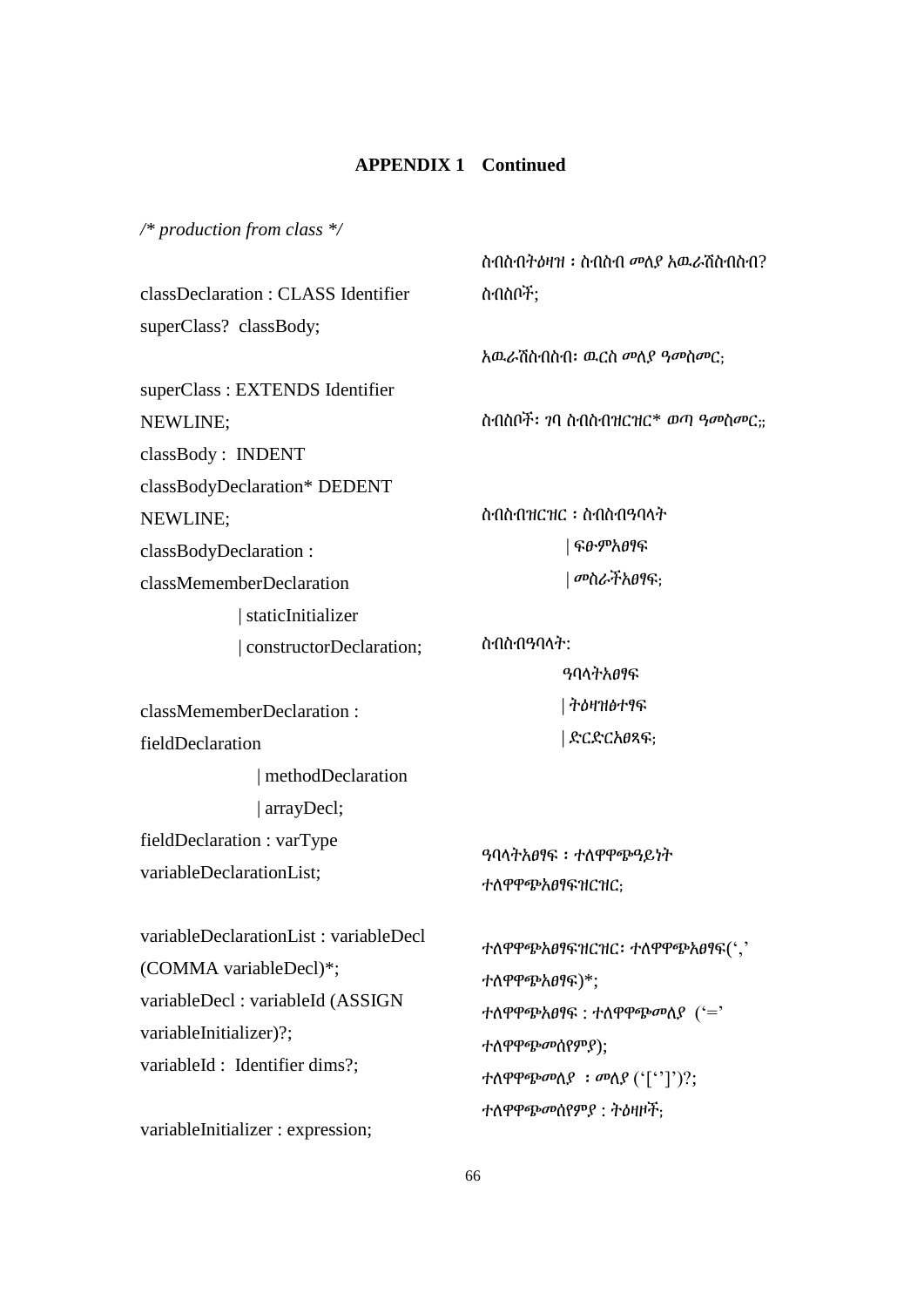*/\* production from class \*/*

classDeclaration : CLASS Identifier superClass? classBody;

superClass : EXTENDS Identifier NEWLINE; classBody : INDENT classBodyDeclaration\* DEDENT NEWLINE; classBodyDeclaration : classMememberDeclaration | staticInitializer | constructorDeclaration; ስብስብትዕዛዝ ፡ ስብስብ መለያ አዉራሽስብስብ? ስብስቦች;

አዉራሽስብስብ፡ ዉርስ መለያ ዓመስመር;

ስብስቦች፡ ገባ ስብስብዝርዝር\* ወጣ ዓመስመር;;

ስብስብዝርዝር ፡ ስብስብዓባላት | ፍፁምአፀፃፍ | መስራችአፀፃፍ;

ዓባላትአፀፃፍ

| ትዕዛዝፅተፃፍ

| ድርድርአፀጻፍ;

ስብስብዓባላት:

classMememberDeclaration : fieldDeclaration | methodDeclaration

 | arrayDecl; fieldDeclaration : varType variableDeclarationList;

variableDeclarationList : variableDecl (COMMA variableDecl)\*; variableDecl : variableId (ASSIGN variableInitializer)?; variableId : Identifier dims?:

variableInitializer : expression;

ዓባላትአፀፃፍ ፡ ተለዋዋጭዓይነት ተለዋዋጭአፀፃፍዝርዝር;

ተለዋዋጭአፀፃፍዝርዝር፡ ተለዋዋጭአፀፃፍ(',' ተለዋዋጭአፀፃፍ)\*; ተለዋዋጭአፀፃፍ : ተለዋዋጭመለያ ('=' ተለዋዋጭመሰየምያ); ተለዋዋጭመለያ ፡ መለያ ('['']')?; ተለዋዋጭመሰየምያ : ትዕዛዞች;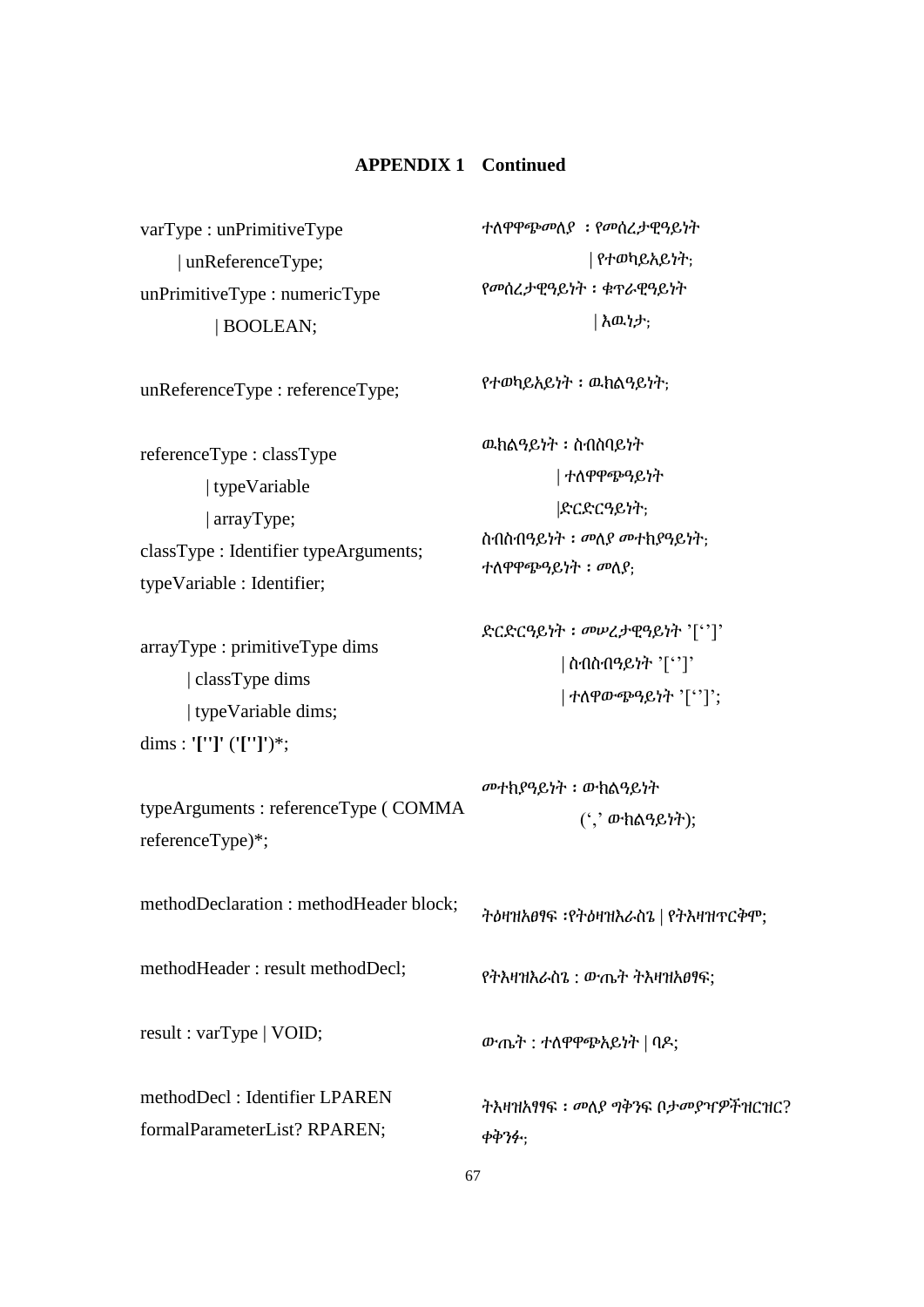varType : unPrimitiveType | unReferenceType; unPrimitiveType : numericType | BOOLEAN; unReferenceType : referenceType; referenceType : classType | typeVariable | arrayType; classType : Identifier typeArguments; typeVariable : Identifier; arrayType : primitiveType dims | classType dims | typeVariable dims; dims : **'['']'** (**'['']'**)\*; typeArguments : referenceType ( COMMA referenceType)\*; methodDeclaration : methodHeader block; methodHeader : result methodDecl; result : varType | VOID; methodDecl : Identifier LPAREN formalParameterList? RPAREN; ተለዋዋጭመለያ ፡ የመሰረታዊዓይነት | የተወካይአይነት; የመሰረታዊዓይነት ፡ ቁጥራዊዓይነት | እዉነታ; የተወካይአይነት ፡ ዉክልዓይነት; ዉክልዓይነት ፡ ስብስባይነት | ተለዋዋጭዓይነት |ድርድርዓይነት; ስብስብዓይነት ፡ መለያ መተክያዓይነት; ተለዋዋጭዓይነት ፡ መለያ; ድርድርዓይነት ፡ መሠረታዊዓይነት '['']' | ስብስብዓይነት '['']' | ተለዋውጭዓይነት '['']'; መተክያዓይነት ፡ ውክልዓይነት (',' ውክልዓይነት); ትዕዛዝአፀፃፍ ፡የትዕዛዝእራስጌ | የትእዛዝጥርቅሞ; የትእዛዝእራስጌ : ውጤት ትእዛዝአፀፃፍ; ውጤት : ተለዋዋጭአይነት | ባዶ; ትእዛዝአፃፃፍ ፡ መለያ ግቅንፍ ቦታመያዣዎችዝርዝር? ቀቅንፉ;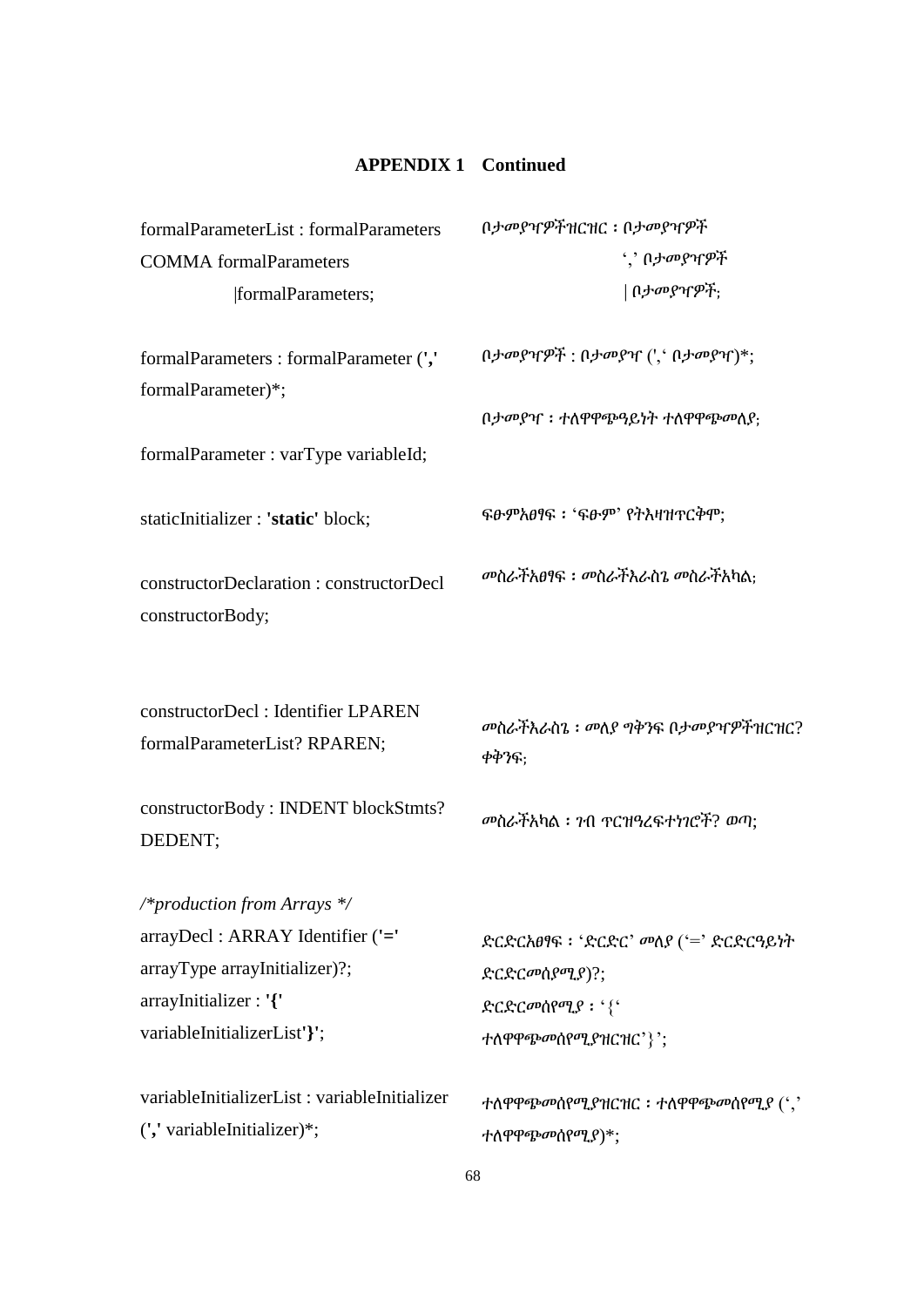| formalParameterList: formalParameters                              | በታመያዣዎችዝርዝር ፡ በታመያዣዎች                     |
|--------------------------------------------------------------------|-------------------------------------------|
| <b>COMMA</b> formalParameters                                      | ´,' በ <i>ታመያዣዎች</i>                       |
| formalParameters;                                                  | በ <i>ታመያዣዎች</i> :                         |
| formalParameters: formalParameter (','                             | $(1)$ ታመያዣዎች : በታመያዣ $(1, 0)$ ታመያዣ $)$ *; |
| formalParameter)*;                                                 |                                           |
|                                                                    | በታመያዣ : ተለዋዋጭዓይነት ተለዋዋጭመለያ:               |
| formalParameter : varType variableId;                              |                                           |
| staticInitializer : 'static' block;                                | ፍፁምእፀፃፍ ፡ 'ፍፁም' የትእዛዝጥርቅሞ;                |
| constructorDeclaration: constructorDecl                            | መስራቸአፀፃፍ : መስራቸእራስጌ መስራቸአካል;              |
| constructorBody;                                                   |                                           |
|                                                                    |                                           |
| constructorDecl: Identifier LPAREN<br>formalParameterList? RPAREN; | መስራችእራስጌ ፡ መለያ ግቅንፍ በታመያዣዎችዝርዝር?<br>ቀቅንፍ: |
| constructorBody: INDENT blockStmts?<br>DEDENT;                     | መስራችአካል ፡ 7ብ ጥርዝዓረፍተነገሮች? ወጣ;             |
| /*production from Arrays */                                        |                                           |
| arrayDecl: ARRAY Identifier ('='                                   | ድርድርአፀፃፍ ፡ 'ድርድር' መለያ ('=' ድርድርዓይነት       |
| arrayType arrayInitializer)?;                                      | ድርድርመስያሚያ)?;                              |
| arrayInitializer: '{'                                              | ድርድርመሰየሚያ: '{'                            |
| variableInitializerList'}';                                        | ተለዋዋጭመሰየሚያዝርዝር'}';                        |
| variableInitializerList: variableInitializer                       | ተለዋዋጭመሰየሚያዝርዝር: ተለዋዋጭመሰየሚ $f$ (' $,$ '    |
| (',' variableInitializer)*;                                        | ተለዋዋጭመሰየሚያ)*;                             |
|                                                                    |                                           |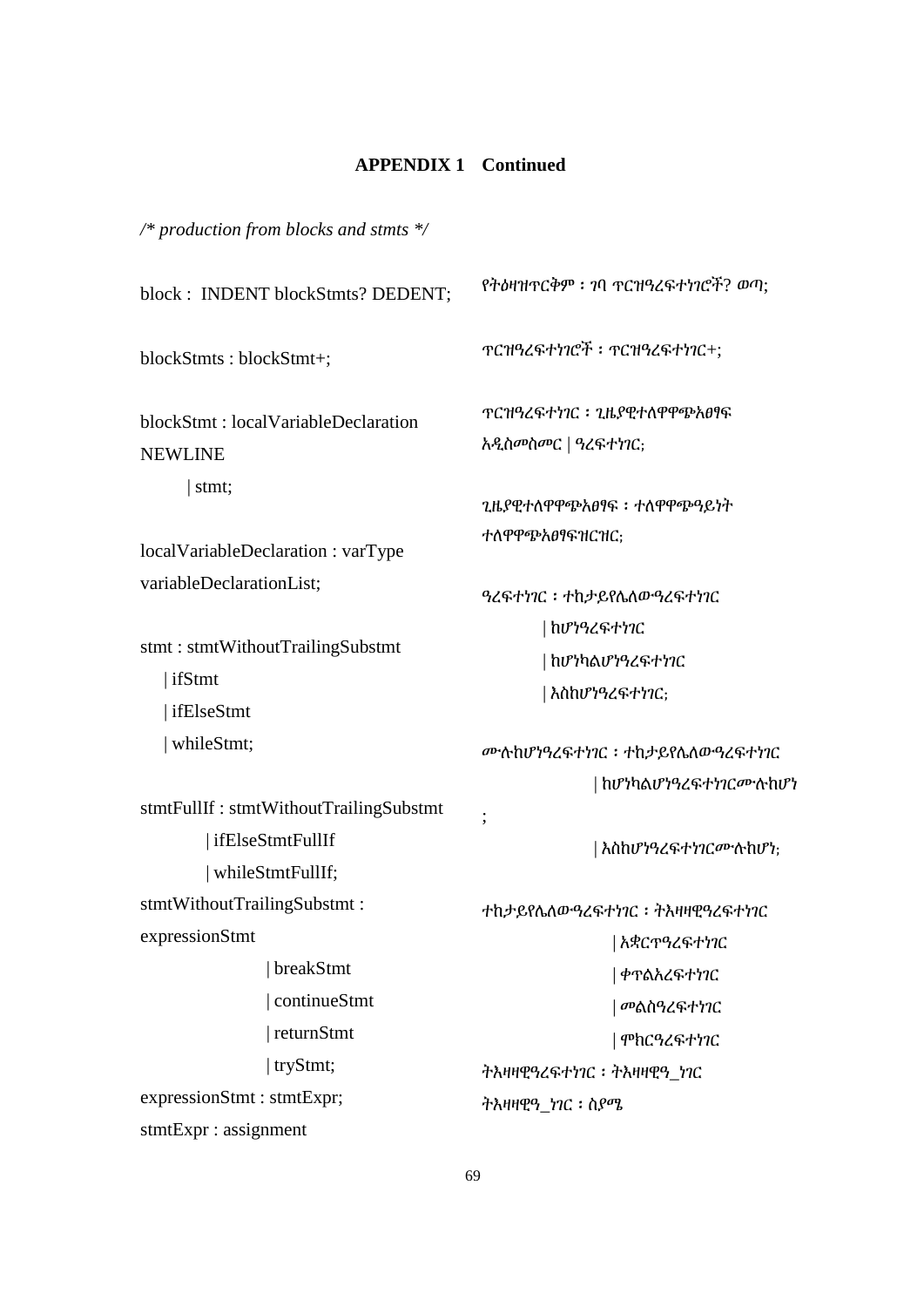*/\* production from blocks and stmts \*/*

| block: INDENT blockStmts? DEDENT;                              |                                                         |
|----------------------------------------------------------------|---------------------------------------------------------|
| blockStmts: blockStmt+;                                        |                                                         |
| blockStmt: localVariableDeclaration<br><b>NEWLINE</b><br>stmt; | <b>ፕርዝዓረፍተነገር ፡ ጊዜያዊተለዋዋጭአፀፃፍ</b><br>አዲስመስመር   ዓረፍተነገር; |
| localVariableDeclaration: varType                              | ጊዜያዊተለዋዋጭአፀፃፍ ፡ ተለዋዋጭዓይነት<br>ተለዋዋጭአፀፃፍዝርዝር;             |
| variableDeclarationList;                                       | ዓረፍተነገር: ተከታይየሌለውዓረፍተነገር                                |
| stmt: stmtWithoutTrailingSubstmt<br>  ifStmt                   | ከሆነዓረፍተነገር                                              |
|                                                                | ከሆነካልሆነዓረፍተነገር                                          |
| ifElseStmt                                                     | እስከሆነዓረፍተነገር;                                           |
| whileStmt;                                                     | ሙሉከሆነዓረፍተነገር ፡ ተከታይየሌለውዓረፍተነገር                          |
| stmtFullIf: stmtWithoutTrailingSubstmt                         | ከሆነካልሆነዓረፍተነገርሙሉከሆነ                                     |
| ifElseStmtFullIf                                               | እስከሆነዓረፍተነገርሙሉከሆነ;                                      |
| whileStmtFullIf;                                               |                                                         |
| stmtWithoutTrailingSubstmt:                                    | ተከታይየሌለውዓረፍተነገር ፡ ትእዛዛዊዓረፍተነገር                          |
| expressionStmt                                                 | አቋርጥዓረፍተነገር                                             |
| breakStmt                                                      | ቀፕልአረፍተነገር                                              |
| continueStmt                                                   | መልስዓረፍተነገር                                              |
| returnStmt                                                     | ሞክርዓረፍተነገር                                              |
| $ $ tryStmt;                                                   | ትእዛዛዊዓረፍተነገር ፡ ትእዛዛዊዓ_ነገር                               |
| expressionStmt: stmtExpr;                                      | ትእዛዛዊዓ_ነገር ፡ ስያሜ                                        |
| stmtExpr : assignment                                          |                                                         |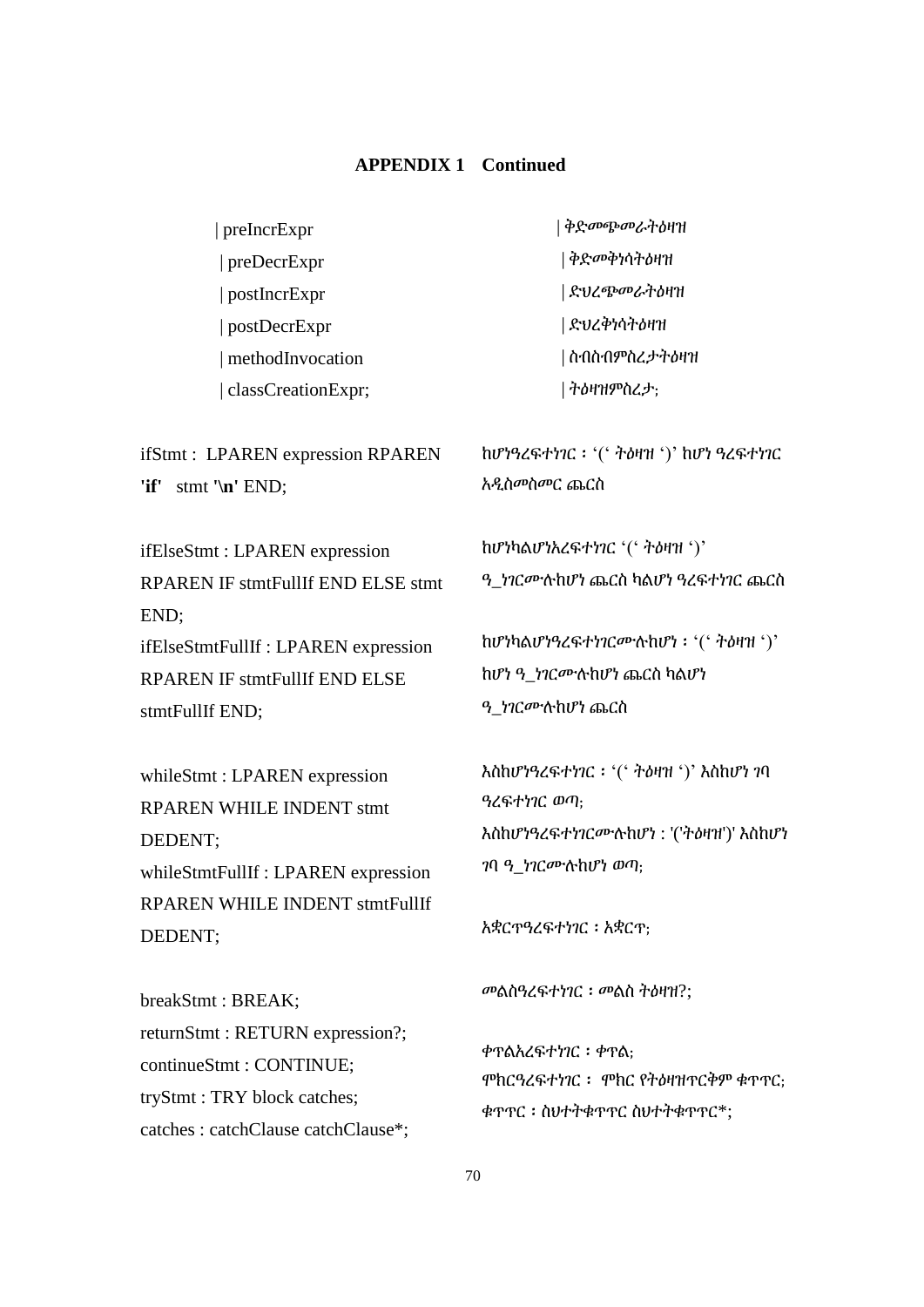| preIncrExpr                                                         | ቅድመጭመራትዕዛዝ                                                             |
|---------------------------------------------------------------------|------------------------------------------------------------------------|
| preDecrExpr                                                         | ቅድመቅነሳትዕዛዝ                                                             |
| postIncrExpr                                                        | ድህረጭመራትዕዛዝ                                                             |
| postDecrExpr                                                        | ድህረቅነሳትዕዛዝ                                                             |
| methodInvocation                                                    | ስብስብምስረ <i>ታት</i> ዕዛዝ                                                  |
| classCreationExpr;                                                  | ትዕዛዝምስረ <i>ታ</i> :                                                     |
| ifStmt: LPAREN expression RPAREN<br>'if'<br>stmt $'\nright$ END;    | $h$ ሆነዓረፍተነገር ፡ '(' ትዕዛዝ ')' $h$ ሆነ ዓረፍተነገር<br>አዲስመስመር ጨርስ             |
| ifElseStmt: LPAREN expression<br>RPAREN IF stmtFullIf END ELSE stmt | ከሆነካልሆነአረፍተነገር '(' ትዕዛዝ ')'<br><i>ዓ ነገርሙ</i> ሉከሆነ ጨርስ ካልሆነ ዓረፍተነገር ጨርስ |

ifElseStmtFullIf : LPAREN expression RPAREN IF stmtFullIf END ELSE stmtFullIf END;

END;

whileStmt : LPAREN expression RPAREN WHILE INDENT stmt DEDENT; whileStmtFullIf : LPAREN expression RPAREN WHILE INDENT stmtFullIf DEDENT;

breakStmt : BREAK; returnStmt : RETURN expression?; continueStmt : CONTINUE; tryStmt : TRY block catches; catches : catchClause catchClause\*; ከሆነካልሆነዓረፍተነገርሙሉከሆነ ፡ '(' ትዕዛዝ ')' ከሆነ ዓ\_ነገርሙሉከሆነ ጨርስ ካልሆነ ዓ\_ነገርሙሉከሆነ ጨርስ

እስከሆነዓረፍተነገር ፡ '(' ትዕዛዝ ')' እስከሆነ ገባ ዓረፍተነገር ወጣ; እስከሆነዓረፍተነገርሙሉከሆነ : '('ትዕዛዝ')' እስከሆነ ገባ ዓ\_ነገርሙሉከሆነ ወጣ;

አቋርጥዓረፍተነገር ፡ አቋርጥ;

መልስዓረፍተነገር ፡ መልስ ትዕዛዝ?;

ቀጥልአረፍተነገር ፡ ቀጥል; ሞክርዓረፍተነገር ፡ ሞክር የትዕዛዝጥርቅም ቁጥጥር; ቁጥጥር ፡ ስህተትቁጥጥር ስህተትቁጥጥር\*;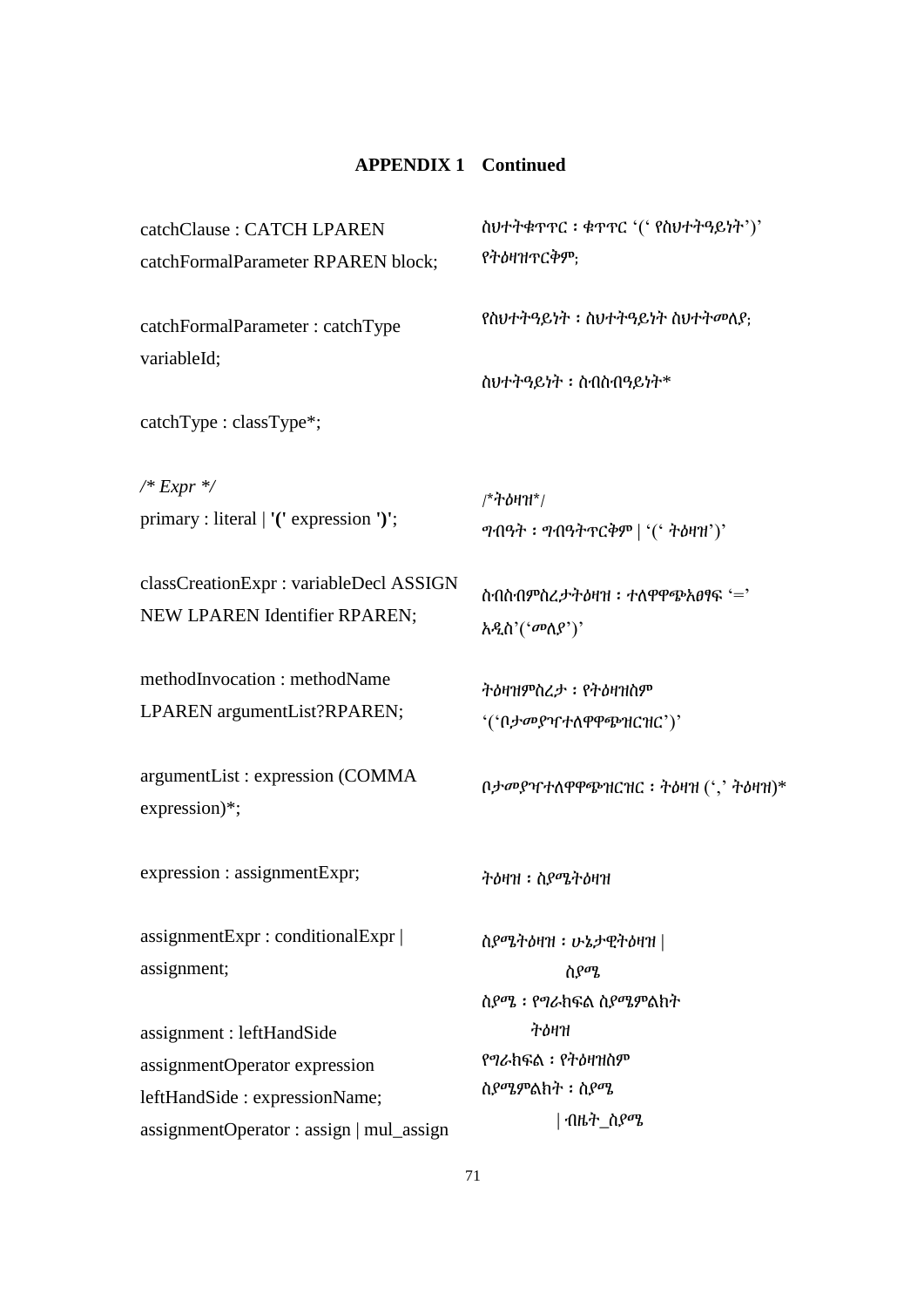| ስህተትቁጥጥር: ቁጥጥር '(' የስህተትዓይነት')'<br>የትዕዛዝጥርቅም;                                                                                                                                                                                  |  |
|--------------------------------------------------------------------------------------------------------------------------------------------------------------------------------------------------------------------------------|--|
| የስህተትዓይነት ፡ ስህተትዓይነት ስህተትመለያ;                                                                                                                                                                                                  |  |
| ስህተትዓይነት ፡ ስብስብዓይነት*                                                                                                                                                                                                           |  |
| /*ትዕዛዝ*/<br>$\mathcal{P}$ ብዓት ፡ $\mathcal{P}$ ብዓትጥርቅም   ' $($ ' ትዕዛዝ')'                                                                                                                                                        |  |
| ስብስብምስረታትዕዛዝ: ተለዋዋጭአፀፃፍ '='<br>አዲስ'('መለያ')'                                                                                                                                                                                    |  |
| ትዕዛዝምስረታ: የትዕዛዝስም<br>'('ቢታመያዣተለዋዋጭዝርዝር')'                                                                                                                                                                                      |  |
| $(1,1)$ $(1,1)$ $(1,1)$ $(1,1)$ $(1,1)$ $(1,1)$ $(1,1)$ $(1,1)$ $(1,1)$ $(1,1)$ $(1,1)$ $(1,1)$ $(1,1)$ $(1,1)$ $(1,1)$ $(1,1)$ $(1,1)$ $(1,1)$ $(1,1)$ $(1,1)$ $(1,1)$ $(1,1)$ $(1,1)$ $(1,1)$ $(1,1)$ $(1,1)$ $(1,1)$ $(1,1$ |  |
| ትዕዛዝ ፡ ስያሜትዕዛዝ                                                                                                                                                                                                                 |  |
| ስያሜትዕዛዝ ፡ ሁኔታዊትዕዛዝ  <br>ስያሜ<br>ስያሜ ፡ የግራከፍል ስያሜምልክት                                                                                                                                                                            |  |
| ትዕዛዝ<br>የግራክፍል ፡ የትዕዛዝስም<br>ስያሜምልክት ፡ ስያሜ<br>  ብዜት_ስያሜ                                                                                                                                                                         |  |
|                                                                                                                                                                                                                                |  |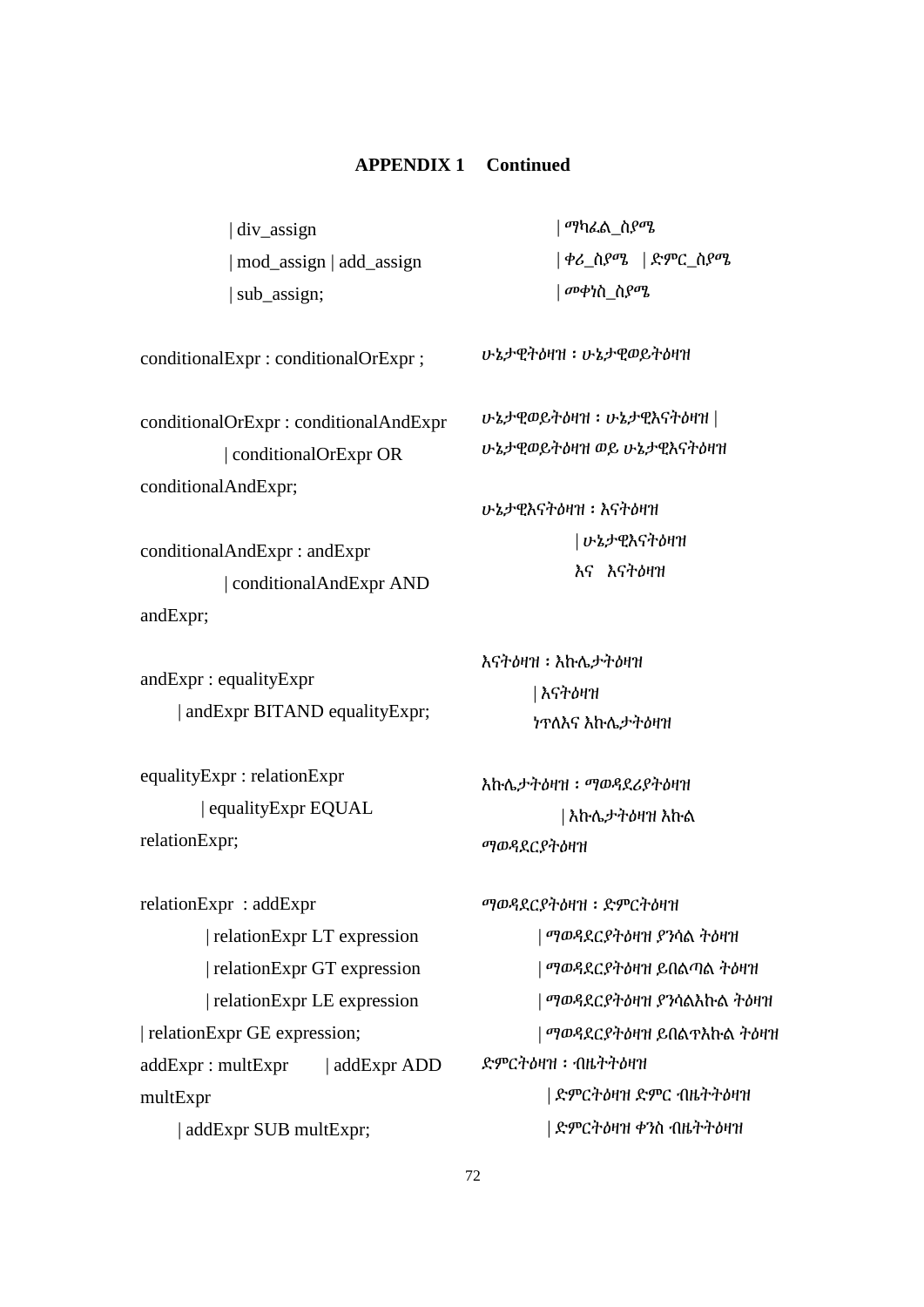| div\_assign | mod\_assign | add\_assign | sub\_assign;

 | ማካፈል\_ስያሜ | ቀሪ\_ስያሜ | ድምር\_ስያሜ

conditionalExpr : conditionalOrExpr ;

conditionalOrExpr : conditionalAndExpr | conditionalOrExpr OR conditionalAndExpr;

conditionalAndExpr : andExpr | conditionalAndExpr AND andExpr;

andExpr : equalityExpr | andExpr BITAND equalityExpr;

equalityExpr : relationExpr | equalityExpr EQUAL relationExpr;

relationExpr : addExpr | relationExpr LT expression | relationExpr GT expression | relationExpr LE expression | relationExpr GE expression; addExpr : multExpr | addExpr ADD multExpr | addExpr SUB multExpr;

| መቀነስ\_ስያሜ

ሁኔታዊትዕዛዝ ፡ ሁኔታዊወይትዕዛዝ

ሁኔታዊወይትዕዛዝ ፡ ሁኔታዊእናትዕዛዝ | ሁኔታዊወይትዕዛዝ ወይ ሁኔታዊእናትዕዛዝ

ሁኔታዊእናትዕዛዝ ፡ እናትዕዛዝ | ሁኔታዊእናትዕዛዝ እና እናትዕዛዝ

እናትዕዛዝ ፡ እኩሌታትዕዛዝ | እናትዕዛዝ ነጥለእና እኩሌታትዕዛዝ

እኩሌታትዕዛዝ ፡ ማወዳደሪያትዕዛዝ | እኩሌታትዕዛዝ እኩል ማወዳደርያትዕዛዝ

ማወዳደርያትዕዛዝ ፡ ድምርትዕዛዝ | ማወዳደርያትዕዛዝ ያንሳል ትዕዛዝ | ማወዳደርያትዕዛዝ ይበልጣል ትዕዛዝ | ማወዳደርያትዕዛዝ ያንሳልእኩል ትዕዛዝ | ማወዳደርያትዕዛዝ ይበልጥእኩል ትዕዛዝ ድምርትዕዛዝ ፡ ብዜትትዕዛዝ | ድምርትዕዛዝ ድምር ብዜትትዕዛዝ | ድምርትዕዛዝ ቀንስ ብዜትትዕዛዝ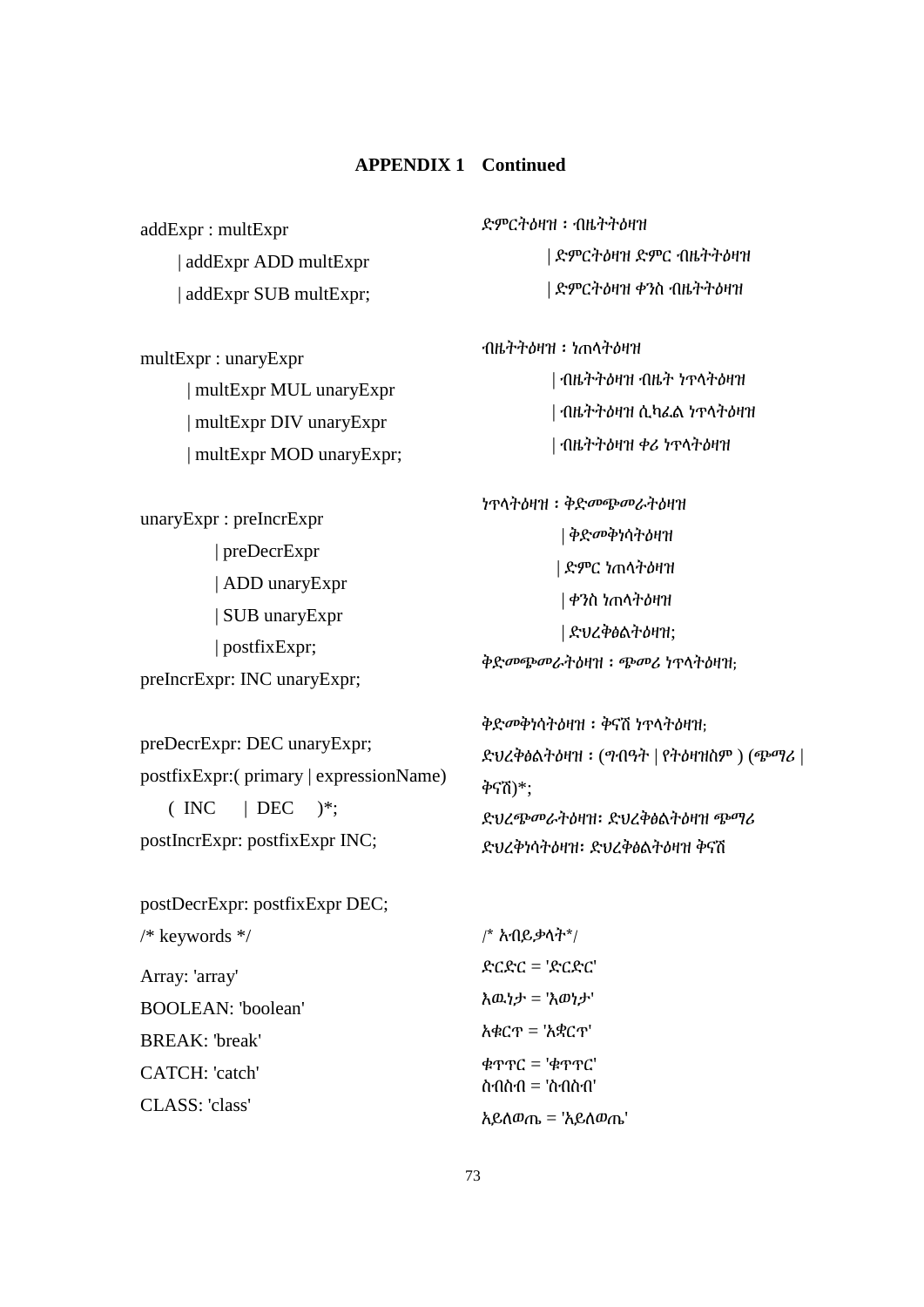addExpr : multExpr | addExpr ADD multExpr | addExpr SUB multExpr;

multExpr : unaryExpr | multExpr MUL unaryExpr | multExpr DIV unaryExpr | multExpr MOD unaryExpr;

unaryExpr : preIncrExpr | preDecrExpr | ADD unaryExpr | SUB unaryExpr | postfixExpr; preIncrExpr: INC unaryExpr;

preDecrExpr: DEC unaryExpr; postfixExpr:( primary | expressionName)  $(NC \mid DEC)$  \*: postIncrExpr: postfixExpr INC;

ድምርትዕዛዝ ፡ ብዜትትዕዛዝ | ድምርትዕዛዝ ድምር ብዜትትዕዛዝ | ድምርትዕዛዝ ቀንስ ብዜትትዕዛዝ

ብዜትትዕዛዝ ፡ ነጠላትዕዛዝ | ብዜትትዕዛዝ ብዜት ነጥላትዕዛዝ | ብዜትትዕዛዝ ሲካፈል ነጥላትዕዛዝ | ብዜትትዕዛዝ ቀሪ ነጥላትዕዛዝ

ነጥላትዕዛዝ ፡ ቅድመጭመራትዕዛዝ | ቅድመቅነሳትዕዛዝ | ድምር ነጠላትዕዛዝ | ቀንስ ነጠላትዕዛዝ | ድህረቅፅልትዕዛዝ; ቅድመጭመራትዕዛዝ ፡ ጭመሪ ነጥላትዕዛዝ;

ቅድመቅነሳትዕዛዝ ፡ ቅናሽ ነጥላትዕዛዝ; ድህረቅፅልትዕዛዝ ፡ (ግብዓት | የትዕዛዝስም ) (ጭማሪ | ቅናሽ)\*; ድህረጭመራትዕዛዝ፡ ድህረቅፅልትዕዛዝ ጭማሪ ድህረቅነሳትዕዛዝ፡ ድህረቅፅልትዕዛዝ ቅናሽ

postDecrExpr: postfixExpr DEC; /\* keywords \*/ Array: 'array' BOOLEAN: 'boolean' BREAK: 'break' CATCH: 'catch' CLASS: 'class' /\* አብይቃላት\*/ ድርድር = 'ድርድር' እዉነታ = 'እወነታ' አቁርጥ = 'አቋርጥ' ቁጥጥር = 'ቁጥጥር' ስብስብ = 'ስብስብ' አይለወጤ = 'አይለወጤ'